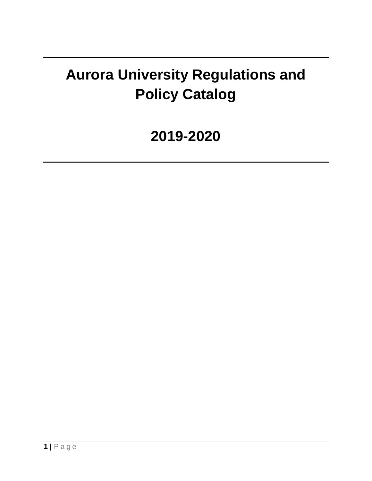# **Aurora University Regulations and Policy Catalog**

# **2019-2020**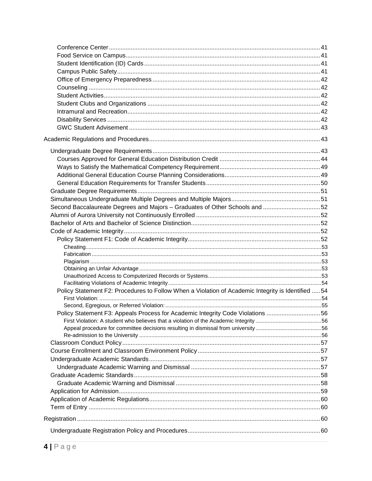| Second Baccalaureate Degrees and Majors - Graduates of Other Schools and 52                        |  |
|----------------------------------------------------------------------------------------------------|--|
|                                                                                                    |  |
|                                                                                                    |  |
|                                                                                                    |  |
|                                                                                                    |  |
|                                                                                                    |  |
|                                                                                                    |  |
|                                                                                                    |  |
|                                                                                                    |  |
|                                                                                                    |  |
|                                                                                                    |  |
| Policy Statement F2: Procedures to Follow When a Violation of Academic Integrity is Identified  54 |  |
|                                                                                                    |  |
| Policy Statement F3: Appeals Process for Academic Integrity Code Violations 56                     |  |
|                                                                                                    |  |
|                                                                                                    |  |
|                                                                                                    |  |
|                                                                                                    |  |
|                                                                                                    |  |
|                                                                                                    |  |
|                                                                                                    |  |
|                                                                                                    |  |
|                                                                                                    |  |
|                                                                                                    |  |
|                                                                                                    |  |
|                                                                                                    |  |
|                                                                                                    |  |
|                                                                                                    |  |
|                                                                                                    |  |
|                                                                                                    |  |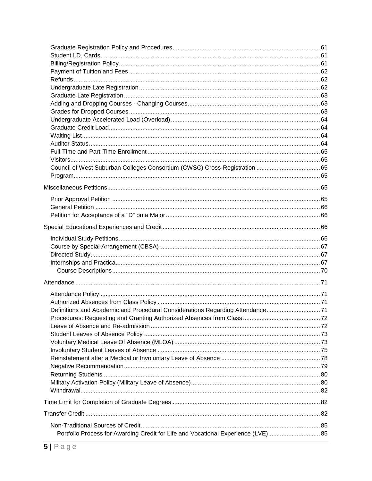| Definitions and Academic and Procedural Considerations Regarding Attendance71     |  |
|-----------------------------------------------------------------------------------|--|
|                                                                                   |  |
|                                                                                   |  |
|                                                                                   |  |
|                                                                                   |  |
|                                                                                   |  |
|                                                                                   |  |
|                                                                                   |  |
|                                                                                   |  |
|                                                                                   |  |
|                                                                                   |  |
|                                                                                   |  |
|                                                                                   |  |
|                                                                                   |  |
| Portfolio Process for Awarding Credit for Life and Vocational Experience (LVE) 85 |  |
|                                                                                   |  |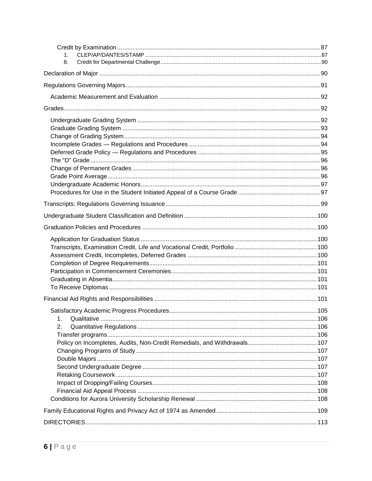| 1.<br>8. |  |
|----------|--|
|          |  |
|          |  |
|          |  |
|          |  |
|          |  |
|          |  |
|          |  |
|          |  |
|          |  |
|          |  |
|          |  |
|          |  |
|          |  |
|          |  |
|          |  |
|          |  |
|          |  |
|          |  |
|          |  |
|          |  |
|          |  |
|          |  |
|          |  |
|          |  |
|          |  |
|          |  |
| 1.       |  |
| 2.       |  |
|          |  |
|          |  |
|          |  |
|          |  |
|          |  |
|          |  |
|          |  |
|          |  |
|          |  |
|          |  |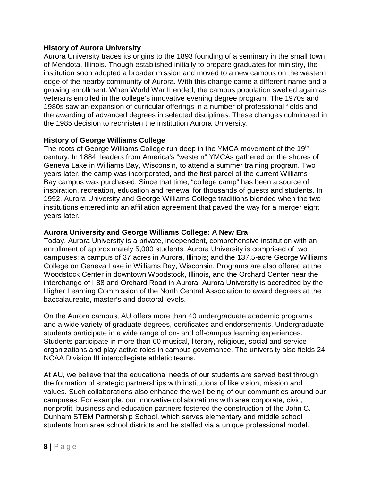#### <span id="page-7-0"></span>**History of Aurora University**

Aurora University traces its origins to the 1893 founding of a seminary in the small town of Mendota, Illinois. Though established initially to prepare graduates for ministry, the institution soon adopted a broader mission and moved to a new campus on the western edge of the nearby community of Aurora. With this change came a different name and a growing enrollment. When World War II ended, the campus population swelled again as veterans enrolled in the college's innovative evening degree program. The 1970s and 1980s saw an expansion of curricular offerings in a number of professional fields and the awarding of advanced degrees in selected disciplines. These changes culminated in the 1985 decision to rechristen the institution Aurora University.

#### **History of George Williams College**

The roots of George Williams College run deep in the YMCA movement of the 19<sup>th</sup> century. In 1884, leaders from America's "western" YMCAs gathered on the shores of Geneva Lake in Williams Bay, Wisconsin, to attend a summer training program. Two years later, the camp was incorporated, and the first parcel of the current Williams Bay campus was purchased. Since that time, "college camp" has been a source of inspiration, recreation, education and renewal for thousands of guests and students. In 1992, Aurora University and George Williams College traditions blended when the two institutions entered into an affiliation agreement that paved the way for a merger eight years later.

#### **Aurora University and George Williams College: A New Era**

Today, Aurora University is a private, independent, comprehensive institution with an enrollment of approximately 5,000 students. Aurora University is comprised of two campuses: a campus of 37 acres in Aurora, Illinois; and the 137.5-acre George Williams College on Geneva Lake in Williams Bay, Wisconsin. Programs are also offered at the Woodstock Center in downtown Woodstock, Illinois, and the Orchard Center near the interchange of I-88 and Orchard Road in Aurora. Aurora University is accredited by the Higher Learning Commission of the North Central Association to award degrees at the baccalaureate, master's and doctoral levels.

On the Aurora campus, AU offers more than 40 undergraduate academic programs and a wide variety of graduate degrees, certificates and endorsements. Undergraduate students participate in a wide range of on- and off-campus learning experiences. Students participate in more than 60 musical, literary, religious, social and service organizations and play active roles in campus governance. The university also fields 24 NCAA Division III intercollegiate athletic teams.

At AU, we believe that the educational needs of our students are served best through the formation of strategic partnerships with institutions of like vision, mission and values. Such collaborations also enhance the well-being of our communities around our campuses. For example, our innovative collaborations with area corporate, civic, nonprofit, business and education partners fostered the construction of the John C. Dunham STEM Partnership School, which serves elementary and middle school students from area school districts and be staffed via a unique professional model.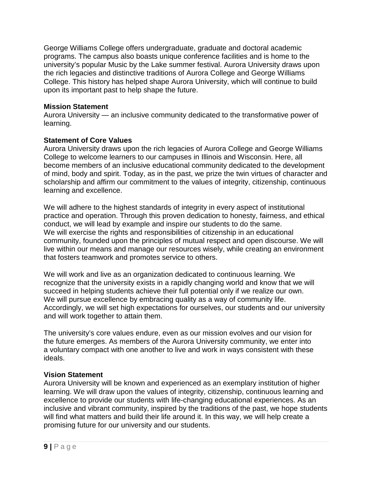George Williams College offers undergraduate, graduate and doctoral academic programs. The campus also boasts unique conference facilities and is home to the university's popular Music by the Lake summer festival. Aurora University draws upon the rich legacies and distinctive traditions of Aurora College and George Williams College. This history has helped shape Aurora University, which will continue to build upon its important past to help shape the future.

#### <span id="page-8-0"></span>**Mission Statement**

Aurora University — an inclusive community dedicated to the transformative power of learning.

#### <span id="page-8-1"></span>**Statement of Core Values**

Aurora University draws upon the rich legacies of Aurora College and George Williams College to welcome learners to our campuses in Illinois and Wisconsin. Here, all become members of an inclusive educational community dedicated to the development of mind, body and spirit. Today, as in the past, we prize the twin virtues of character and scholarship and affirm our commitment to the values of integrity, citizenship, continuous learning and excellence.

We will adhere to the highest standards of integrity in every aspect of institutional practice and operation. Through this proven dedication to honesty, fairness, and ethical conduct, we will lead by example and inspire our students to do the same. We will exercise the rights and responsibilities of citizenship in an educational community, founded upon the principles of mutual respect and open discourse. We will live within our means and manage our resources wisely, while creating an environment that fosters teamwork and promotes service to others.

We will work and live as an organization dedicated to continuous learning. We recognize that the university exists in a rapidly changing world and know that we will succeed in helping students achieve their full potential only if we realize our own. We will pursue excellence by embracing quality as a way of community life. Accordingly, we will set high expectations for ourselves, our students and our university and will work together to attain them.

The university's core values endure, even as our mission evolves and our vision for the future emerges. As members of the Aurora University community, we enter into a voluntary compact with one another to live and work in ways consistent with these ideals.

### <span id="page-8-2"></span>**Vision Statement**

Aurora University will be known and experienced as an exemplary institution of higher learning. We will draw upon the values of integrity, citizenship, continuous learning and excellence to provide our students with life-changing educational experiences. As an inclusive and vibrant community, inspired by the traditions of the past, we hope students will find what matters and build their life around it. In this way, we will help create a promising future for our university and our students.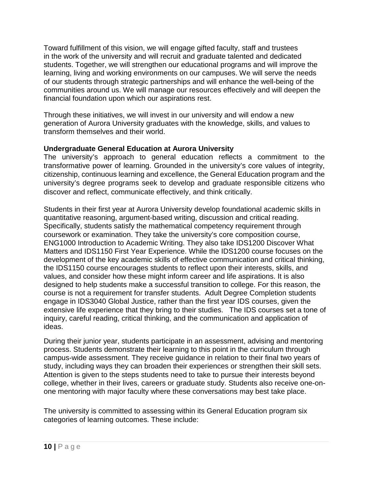Toward fulfillment of this vision, we will engage gifted faculty, staff and trustees in the work of the university and will recruit and graduate talented and dedicated students. Together, we will strengthen our educational programs and will improve the learning, living and working environments on our campuses. We will serve the needs of our students through strategic partnerships and will enhance the well-being of the communities around us. We will manage our resources effectively and will deepen the financial foundation upon which our aspirations rest.

Through these initiatives, we will invest in our university and will endow a new generation of Aurora University graduates with the knowledge, skills, and values to transform themselves and their world.

### <span id="page-9-0"></span>**Undergraduate General Education at Aurora University**

The university's approach to general education reflects a commitment to the transformative power of learning. Grounded in the university's core values of integrity, citizenship, continuous learning and excellence, the General Education program and the university's degree programs seek to develop and graduate responsible citizens who discover and reflect, communicate effectively, and think critically.

Students in their first year at Aurora University develop foundational academic skills in quantitative reasoning, argument-based writing, discussion and critical reading. Specifically, students satisfy the mathematical competency requirement through coursework or examination. They take the university's core composition course, ENG1000 Introduction to Academic Writing. They also take IDS1200 Discover What Matters and IDS1150 First Year Experience. While the IDS1200 course focuses on the development of the key academic skills of effective communication and critical thinking, the IDS1150 course encourages students to reflect upon their interests, skills, and values, and consider how these might inform career and life aspirations. It is also designed to help students make a successful transition to college. For this reason, the course is not a requirement for transfer students. Adult Degree Completion students engage in IDS3040 Global Justice, rather than the first year IDS courses, given the extensive life experience that they bring to their studies. The IDS courses set a tone of inquiry, careful reading, critical thinking, and the communication and application of ideas.

During their junior year, students participate in an assessment, advising and mentoring process. Students demonstrate their learning to this point in the curriculum through campus-wide assessment. They receive guidance in relation to their final two years of study, including ways they can broaden their experiences or strengthen their skill sets. Attention is given to the steps students need to take to pursue their interests beyond college, whether in their lives, careers or graduate study. Students also receive one-onone mentoring with major faculty where these conversations may best take place.

The university is committed to assessing within its General Education program six categories of learning outcomes. These include: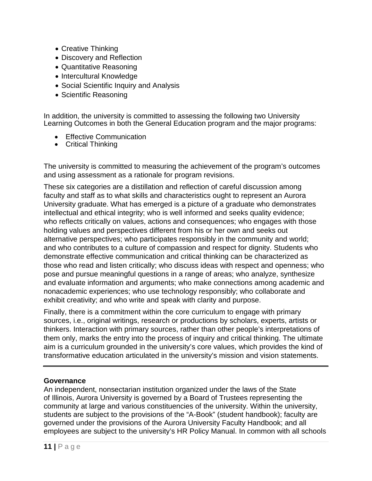- Creative Thinking
- Discovery and Reflection
- Quantitative Reasoning
- Intercultural Knowledge
- Social Scientific Inquiry and Analysis
- Scientific Reasoning

In addition, the university is committed to assessing the following two University Learning Outcomes in both the General Education program and the major programs:

- Effective Communication
- Critical Thinking

The university is committed to measuring the achievement of the program's outcomes and using assessment as a rationale for program revisions.

These six categories are a distillation and reflection of careful discussion among faculty and staff as to what skills and characteristics ought to represent an Aurora University graduate. What has emerged is a picture of a graduate who demonstrates intellectual and ethical integrity; who is well informed and seeks quality evidence; who reflects critically on values, actions and consequences; who engages with those holding values and perspectives different from his or her own and seeks out alternative perspectives; who participates responsibly in the community and world; and who contributes to a culture of compassion and respect for dignity. Students who demonstrate effective communication and critical thinking can be characterized as those who read and listen critically; who discuss ideas with respect and openness; who pose and pursue meaningful questions in a range of areas; who analyze, synthesize and evaluate information and arguments; who make connections among academic and nonacademic experiences; who use technology responsibly; who collaborate and exhibit creativity; and who write and speak with clarity and purpose.

Finally, there is a commitment within the core curriculum to engage with primary sources, i.e., original writings, research or productions by scholars, experts, artists or thinkers. Interaction with primary sources, rather than other people's interpretations of them only, marks the entry into the process of inquiry and critical thinking. The ultimate aim is a curriculum grounded in the university's core values, which provides the kind of transformative education articulated in the university's mission and vision statements.

### <span id="page-10-0"></span>**Governance**

An independent, nonsectarian institution organized under the laws of the State of Illinois, Aurora University is governed by a Board of Trustees representing the community at large and various constituencies of the university. Within the university, students are subject to the provisions of the "A-Book" (student handbook); faculty are governed under the provisions of the Aurora University Faculty Handbook; and all employees are subject to the university's HR Policy Manual. In common with all schools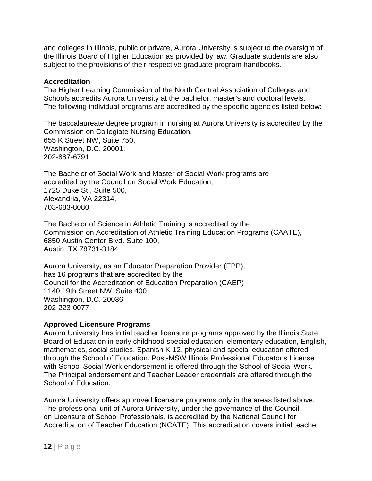and colleges in Illinois, public or private, Aurora University is subject to the oversight of the Illinois Board of Higher Education as provided by law. Graduate students are also subject to the provisions of their respective graduate program handbooks.

#### <span id="page-11-0"></span>**Accreditation**

The Higher Learning Commission of the North Central Association of Colleges and Schools accredits Aurora University at the bachelor, master's and doctoral levels. The following individual programs are accredited by the specific agencies listed below:

The baccalaureate degree program in nursing at Aurora University is accredited by the Commission on Collegiate Nursing Education, 655 K Street NW, Suite 750, Washington, D.C. 20001, 202-887-6791

The Bachelor of Social Work and Master of Social Work programs are accredited by the Council on Social Work Education, 1725 Duke St., Suite 500, Alexandria, VA 22314, 703-683-8080

The Bachelor of Science in Athletic Training is accredited by the Commission on Accreditation of Athletic Training Education Programs (CAATE), 6850 Austin Center Blvd. Suite 100, Austin, TX 78731-3184

Aurora University, as an Educator Preparation Provider (EPP), has 16 programs that are accredited by the Council for the Accreditation of Education Preparation (CAEP) 1140 19th Street NW. Suite 400 Washington, D.C. 20036 202-223-0077

### <span id="page-11-1"></span>**Approved Licensure Programs**

Aurora University has initial teacher licensure programs approved by the Illinois State Board of Education in early childhood special education, elementary education, English, mathematics, social studies, Spanish K-12, physical and special education offered through the School of Education. Post-MSW Illinois Professional Educator's License with School Social Work endorsement is offered through the School of Social Work. The Principal endorsement and Teacher Leader credentials are offered through the School of Education.

Aurora University offers approved licensure programs only in the areas listed above. The professional unit of Aurora University, under the governance of the Council on Licensure of School Professionals, is accredited by the National Council for Accreditation of Teacher Education (NCATE). This accreditation covers initial teacher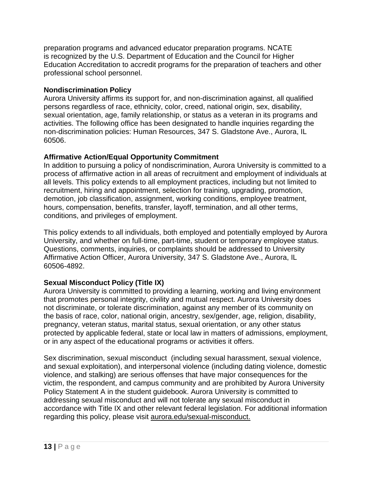preparation programs and advanced educator preparation programs. NCATE is recognized by the U.S. Department of Education and the Council for Higher Education Accreditation to accredit programs for the preparation of teachers and other professional school personnel.

### <span id="page-12-0"></span>**Nondiscrimination Policy**

Aurora University affirms its support for, and non-discrimination against, all qualified persons regardless of race, ethnicity, color, creed, national origin, sex, disability, sexual orientation, age, family relationship, or status as a veteran in its programs and activities. The following office has been designated to handle inquiries regarding the non-discrimination policies: Human Resources, 347 S. Gladstone Ave., Aurora, IL 60506.

#### <span id="page-12-1"></span>**Affirmative Action/Equal Opportunity Commitment**

In addition to pursuing a policy of nondiscrimination, Aurora University is committed to a process of affirmative action in all areas of recruitment and employment of individuals at all levels. This policy extends to all employment practices, including but not limited to recruitment, hiring and appointment, selection for training, upgrading, promotion, demotion, job classification, assignment, working conditions, employee treatment, hours, compensation, benefits, transfer, layoff, termination, and all other terms, conditions, and privileges of employment.

This policy extends to all individuals, both employed and potentially employed by Aurora University, and whether on full-time, part-time, student or temporary employee status. Questions, comments, inquiries, or complaints should be addressed to University Affirmative Action Officer, Aurora University, 347 S. Gladstone Ave., Aurora, IL 60506-4892.

### <span id="page-12-2"></span>**Sexual Misconduct Policy (Title IX)**

Aurora University is committed to providing a learning, working and living environment that promotes personal integrity, civility and mutual respect. Aurora University does not discriminate, or tolerate discrimination, against any member of its community on the basis of race, color, national origin, ancestry, sex/gender, age, religion, disability, pregnancy, veteran status, marital status, sexual orientation, or any other status protected by applicable federal, state or local law in matters of admissions, employment, or in any aspect of the educational programs or activities it offers.

Sex discrimination, sexual misconduct (including sexual harassment, sexual violence, and sexual exploitation), and interpersonal violence (including dating violence, domestic violence, and stalking) are serious offenses that have major consequences for the victim, the respondent, and campus community and are prohibited by Aurora University Policy Statement A in the student guidebook. Aurora University is committed to addressing sexual misconduct and will not tolerate any sexual misconduct in accordance with Title IX and other relevant federal legislation. For additional information regarding this policy, please visit aurora.edu/sexual-misconduct.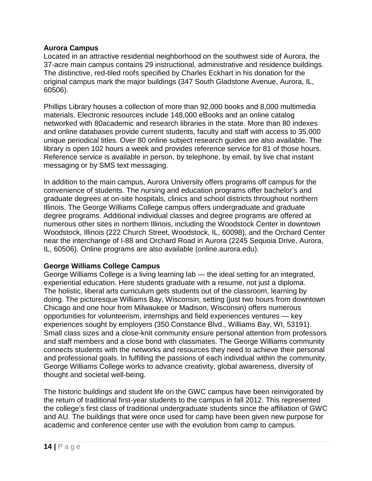#### <span id="page-13-0"></span>**Aurora Campus**

Located in an attractive residential neighborhood on the southwest side of Aurora, the 37-acre main campus contains 29 instructional, administrative and residence buildings. The distinctive, red-tiled roofs specified by Charles Eckhart in his donation for the original campus mark the major buildings (347 South Gladstone Avenue, Aurora, IL, 60506).

Phillips Library houses a collection of more than 92,000 books and 8,000 multimedia materials. Electronic resources include 148,000 eBooks and an online catalog networked with 80academic and research libraries in the state. More than 80 indexes and online databases provide current students, faculty and staff with access to 35,000 unique periodical titles. Over 80 online subject research guides are also available. The library is open 102 hours a week and provides reference service for 81 of those hours. Reference service is available in person, by telephone, by email, by live chat instant messaging or by SMS text messaging.

In addition to the main campus, Aurora University offers programs off campus for the convenience of students. The nursing and education programs offer bachelor's and graduate degrees at on-site hospitals, clinics and school districts throughout northern Illinois. The George Williams College campus offers undergraduate and graduate degree programs. Additional individual classes and degree programs are offered at numerous other sites in northern Illinois, including the Woodstock Center in downtown Woodstock, Illinois (222 Church Street, Woodstock, IL, 60098), and the Orchard Center near the interchange of I-88 and Orchard Road in Aurora (2245 Sequoia Drive, Aurora, IL, 60506). Online programs are also available (online.aurora.edu).

### <span id="page-13-1"></span>**George Williams College Campus**

George Williams College is a living learning lab — the ideal setting for an integrated, experiential education. Here students graduate with a resume, not just a diploma. The holistic, liberal arts curriculum gets students out of the classroom, learning by doing. The picturesque Williams Bay, Wisconsin, setting (just two hours from downtown Chicago and one hour from Milwaukee or Madison, Wisconsin) offers numerous opportunities for volunteerism, internships and field experiences ventures — key experiences sought by employers (350 Constance Blvd., Williams Bay, WI, 53191). Small class sizes and a close-knit community ensure personal attention from professors and staff members and a close bond with classmates. The George Williams community connects students with the networks and resources they need to achieve their personal and professional goals. In fulfilling the passions of each individual within the community, George Williams College works to advance creativity, global awareness, diversity of thought and societal well-being.

The historic buildings and student life on the GWC campus have been reinvigorated by the return of traditional first-year students to the campus in fall 2012. This represented the college's first class of traditional undergraduate students since the affiliation of GWC and AU. The buildings that were once used for camp have been given new purpose for academic and conference center use with the evolution from camp to campus.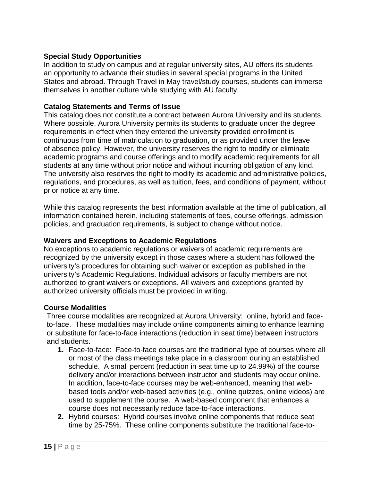### <span id="page-14-0"></span>**Special Study Opportunities**

In addition to study on campus and at regular university sites, AU offers its students an opportunity to advance their studies in several special programs in the United States and abroad. Through Travel in May travel/study courses, students can immerse themselves in another culture while studying with AU faculty.

#### <span id="page-14-1"></span>**Catalog Statements and Terms of Issue**

This catalog does not constitute a contract between Aurora University and its students. Where possible, Aurora University permits its students to graduate under the degree requirements in effect when they entered the university provided enrollment is continuous from time of matriculation to graduation, or as provided under the leave of absence policy. However, the university reserves the right to modify or eliminate academic programs and course offerings and to modify academic requirements for all students at any time without prior notice and without incurring obligation of any kind. The university also reserves the right to modify its academic and administrative policies, regulations, and procedures, as well as tuition, fees, and conditions of payment, without prior notice at any time.

While this catalog represents the best information available at the time of publication, all information contained herein, including statements of fees, course offerings, admission policies, and graduation requirements, is subject to change without notice.

#### <span id="page-14-2"></span>**Waivers and Exceptions to Academic Regulations**

No exceptions to academic regulations or waivers of academic requirements are recognized by the university except in those cases where a student has followed the university's procedures for obtaining such waiver or exception as published in the university's Academic Regulations. Individual advisors or faculty members are not authorized to grant waivers or exceptions. All waivers and exceptions granted by authorized university officials must be provided in writing.

#### <span id="page-14-3"></span>**Course Modalities**

Three course modalities are recognized at Aurora University: online, hybrid and faceto-face. These modalities may include online components aiming to enhance learning or substitute for face-to-face interactions (reduction in seat time) between instructors and students.

- **1.** Face-to-face: Face-to-face courses are the traditional type of courses where all or most of the class meetings take place in a classroom during an established schedule. A small percent (reduction in seat time up to 24.99%) of the course delivery and/or interactions between instructor and students may occur online. In addition, face-to-face courses may be web-enhanced, meaning that webbased tools and/or web-based activities (e.g., online quizzes, online videos) are used to supplement the course. A web-based component that enhances a course does not necessarily reduce face-to-face interactions.
- **2.** Hybrid courses: Hybrid courses involve online components that reduce seat time by 25-75%. These online components substitute the traditional face-to-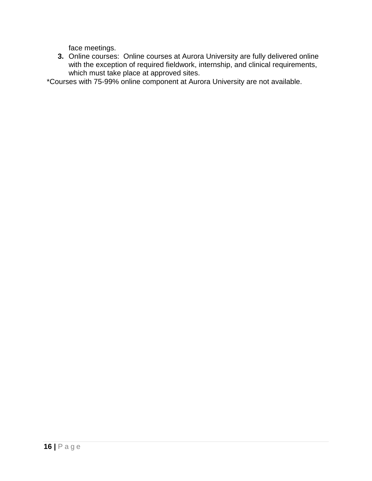face meetings.

**3.** Online courses: Online courses at Aurora University are fully delivered online with the exception of required fieldwork, internship, and clinical requirements, which must take place at approved sites.

\*Courses with 75-99% online component at Aurora University are not available.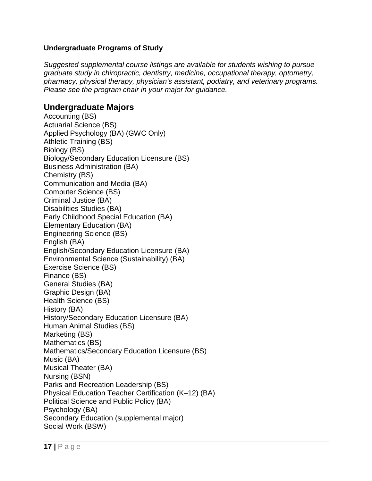#### <span id="page-16-0"></span>**Undergraduate Programs of Study**

*Suggested supplemental course listings are available for students wishing to pursue graduate study in chiropractic, dentistry, medicine, occupational therapy, optometry, pharmacy, physical therapy, physician's assistant, podiatry, and veterinary programs. Please see the program chair in your major for guidance.*

### <span id="page-16-1"></span>**Undergraduate Majors**

Accounting (BS) Actuarial Science (BS) Applied Psychology (BA) (GWC Only) Athletic Training (BS) Biology (BS) Biology/Secondary Education Licensure (BS) Business Administration (BA) Chemistry (BS) Communication and Media (BA) Computer Science (BS) Criminal Justice (BA) Disabilities Studies (BA) Early Childhood Special Education (BA) Elementary Education (BA) Engineering Science (BS) English (BA) English/Secondary Education Licensure (BA) Environmental Science (Sustainability) (BA) Exercise Science (BS) Finance (BS) General Studies (BA) Graphic Design (BA) Health Science (BS) History (BA) History/Secondary Education Licensure (BA) Human Animal Studies (BS) Marketing (BS) Mathematics (BS) Mathematics/Secondary Education Licensure (BS) Music (BA) Musical Theater (BA) Nursing (BSN) Parks and Recreation Leadership (BS) Physical Education Teacher Certification (K–12) (BA) Political Science and Public Policy (BA) Psychology (BA) Secondary Education (supplemental major) Social Work (BSW)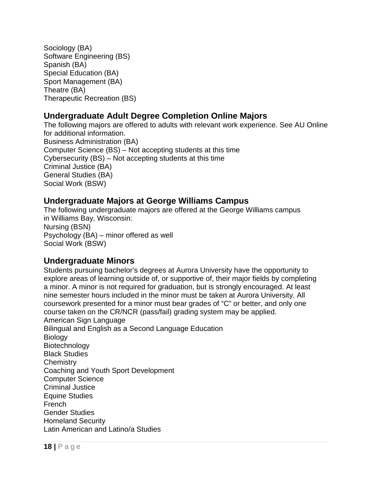Sociology (BA) Software Engineering (BS) Spanish (BA) Special Education (BA) Sport Management (BA) Theatre (BA) Therapeutic Recreation (BS)

## <span id="page-17-0"></span>**Undergraduate Adult Degree Completion Online Majors**

The following majors are offered to adults with relevant work experience. See AU Online for additional information. Business Administration (BA) Computer Science (BS) – Not accepting students at this time Cybersecurity (BS) – Not accepting students at this time Criminal Justice (BA) General Studies (BA) Social Work (BSW)

### <span id="page-17-1"></span>**Undergraduate Majors at George Williams Campus**

The following undergraduate majors are offered at the George Williams campus in Williams Bay, Wisconsin: Nursing (BSN) Psychology (BA) – minor offered as well Social Work (BSW)

### <span id="page-17-2"></span>**Undergraduate Minors**

Students pursuing bachelor's degrees at Aurora University have the opportunity to explore areas of learning outside of, or supportive of, their major fields by completing a minor. A minor is not required for graduation, but is strongly encouraged. At least nine semester hours included in the minor must be taken at Aurora University. All coursework presented for a minor must bear grades of "C" or better, and only one course taken on the CR/NCR (pass/fail) grading system may be applied. American Sign Language Bilingual and English as a Second Language Education **Biology** Biotechnology Black Studies **Chemistry** Coaching and Youth Sport Development Computer Science Criminal Justice Equine Studies French Gender Studies Homeland Security Latin American and Latino/a Studies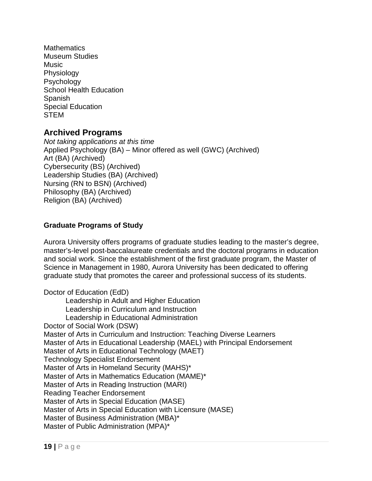**Mathematics** Museum Studies Music Physiology Psychology School Health Education **Spanish** Special Education **STEM** 

### <span id="page-18-0"></span>**Archived Programs**

*Not taking applications at this time* Applied Psychology (BA) – Minor offered as well (GWC) (Archived) Art (BA) (Archived) Cybersecurity (BS) (Archived) Leadership Studies (BA) (Archived) Nursing (RN to BSN) (Archived) Philosophy (BA) (Archived) Religion (BA) (Archived)

### <span id="page-18-1"></span>**Graduate Programs of Study**

Aurora University offers programs of graduate studies leading to the master's degree, master's-level post-baccalaureate credentials and the doctoral programs in education and social work. Since the establishment of the first graduate program, the Master of Science in Management in 1980, Aurora University has been dedicated to offering graduate study that promotes the career and professional success of its students.

Doctor of Education (EdD) Leadership in Adult and Higher Education Leadership in Curriculum and Instruction Leadership in Educational Administration Doctor of Social Work (DSW) Master of Arts in Curriculum and Instruction: Teaching Diverse Learners Master of Arts in Educational Leadership (MAEL) with Principal Endorsement Master of Arts in Educational Technology (MAET) Technology Specialist Endorsement Master of Arts in Homeland Security (MAHS)\* Master of Arts in Mathematics Education (MAME)\* Master of Arts in Reading Instruction (MARI) Reading Teacher Endorsement Master of Arts in Special Education (MASE) Master of Arts in Special Education with Licensure (MASE) Master of Business Administration (MBA)\* Master of Public Administration (MPA)\*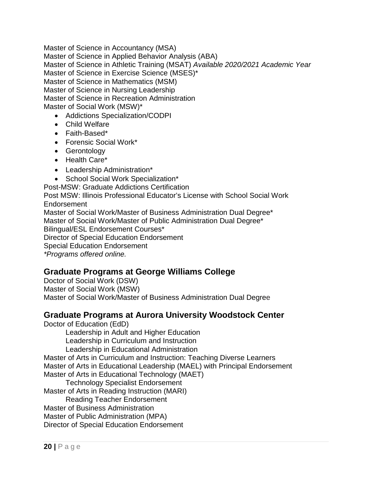Master of Science in Accountancy (MSA) Master of Science in Applied Behavior Analysis (ABA) Master of Science in Athletic Training (MSAT) *Available 2020/2021 Academic Year* Master of Science in Exercise Science (MSES)\* Master of Science in Mathematics (MSM) Master of Science in Nursing Leadership Master of Science in Recreation Administration Master of Social Work (MSW)\*

- Addictions Specialization/CODPI
- Child Welfare
- Faith-Based\*
- Forensic Social Work\*
- Gerontology
- Health Care\*
- Leadership Administration\*
- School Social Work Specialization\*
- Post-MSW: Graduate Addictions Certification

Post MSW: Illinois Professional Educator's License with School Social Work Endorsement

Master of Social Work/Master of Business Administration Dual Degree\*

Master of Social Work/Master of Public Administration Dual Degree\*

Bilingual/ESL Endorsement Courses\*

Director of Special Education Endorsement

Special Education Endorsement

*\*Programs offered online.*

### <span id="page-19-0"></span>**Graduate Programs at George Williams College**

Doctor of Social Work (DSW) Master of Social Work (MSW) Master of Social Work/Master of Business Administration Dual Degree

### <span id="page-19-1"></span>**Graduate Programs at Aurora University Woodstock Center**

Doctor of Education (EdD)

Leadership in Adult and Higher Education Leadership in Curriculum and Instruction Leadership in Educational Administration

Master of Arts in Curriculum and Instruction: Teaching Diverse Learners Master of Arts in Educational Leadership (MAEL) with Principal Endorsement Master of Arts in Educational Technology (MAET)

Technology Specialist Endorsement

Master of Arts in Reading Instruction (MARI)

Reading Teacher Endorsement

Master of Business Administration

Master of Public Administration (MPA)

Director of Special Education Endorsement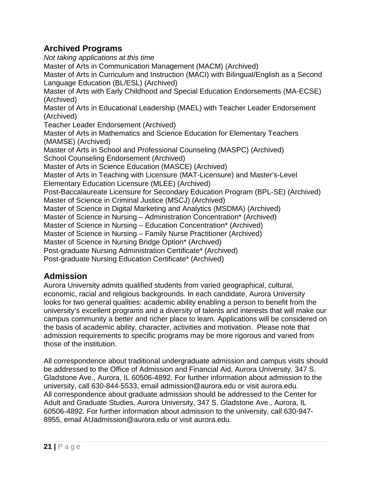# <span id="page-20-0"></span>**Archived Programs**

*Not taking applications at this time* Master of Arts in Communication Management (MACM) (Archived) Master of Arts in Curriculum and Instruction (MACI) with Bilingual/English as a Second Language Education (BL/ESL) (Archived) Master of Arts with Early Childhood and Special Education Endorsements (MA-ECSE) (Archived) Master of Arts in Educational Leadership (MAEL) with Teacher Leader Endorsement (Archived) Teacher Leader Endorsement (Archived) Master of Arts in Mathematics and Science Education for Elementary Teachers (MAMSE) (Archived) Master of Arts in School and Professional Counseling (MASPC) (Archived) School Counseling Endorsement (Archived) Master of Arts in Science Education (MASCE) (Archived) Master of Arts in Teaching with Licensure (MAT-Licensure) and Master's-Level Elementary Education Licensure (MLEE) (Archived) Post-Baccalaureate Licensure for Secondary Education Program (BPL-SE) (Archived) Master of Science in Criminal Justice (MSCJ) (Archived) Master of Science in Digital Marketing and Analytics (MSDMA) (Archived) Master of Science in Nursing – Administration Concentration\* (Archived) Master of Science in Nursing – Education Concentration\* (Archived) Master of Science in Nursing – Family Nurse Practitioner (Archived) Master of Science in Nursing Bridge Option\* (Archived) Post-graduate Nursing Administration Certificate\* (Archived) Post-graduate Nursing Education Certificate\* (Archived)

# <span id="page-20-1"></span>**Admission**

Aurora University admits qualified students from varied geographical, cultural, economic, racial and religious backgrounds. In each candidate, Aurora University looks for two general qualities: academic ability enabling a person to benefit from the university's excellent programs and a diversity of talents and interests that will make our campus community a better and richer place to learn. Applications will be considered on the basis of academic ability, character, activities and motivation. Please note that admission requirements to specific programs may be more rigorous and varied from those of the institution.

All correspondence about traditional undergraduate admission and campus visits should be addressed to the Office of Admission and Financial Aid, Aurora University, 347 S. Gladstone Ave., Aurora, IL 60506-4892. For further information about admission to the university, call 630-844-5533, email admission@aurora.edu or visit aurora.edu. All correspondence about graduate admission should be addressed to the Center for Adult and Graduate Studies, Aurora University, 347 S. Gladstone Ave., Aurora, IL 60506-4892. For further information about admission to the university, call 630-947- 8955, email AUadmission@aurora.edu or visit aurora.edu.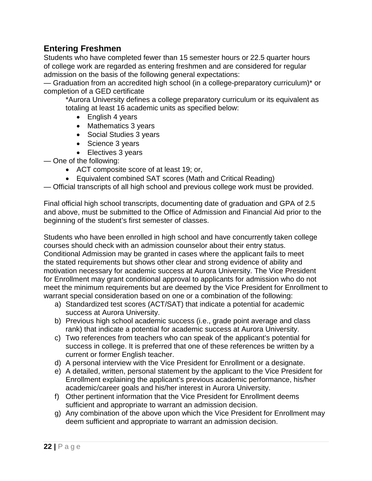### <span id="page-21-0"></span>**Entering Freshmen**

Students who have completed fewer than 15 semester hours or 22.5 quarter hours of college work are regarded as entering freshmen and are considered for regular admission on the basis of the following general expectations:

— Graduation from an accredited high school (in a college-preparatory curriculum)\* or completion of a GED certificate

\*Aurora University defines a college preparatory curriculum or its equivalent as totaling at least 16 academic units as specified below:

- English 4 years
- Mathematics 3 years
- Social Studies 3 years
- Science 3 years
- Electives 3 years

— One of the following:

- ACT composite score of at least 19; or,
- Equivalent combined SAT scores (Math and Critical Reading)

— Official transcripts of all high school and previous college work must be provided.

Final official high school transcripts, documenting date of graduation and GPA of 2.5 and above, must be submitted to the Office of Admission and Financial Aid prior to the beginning of the student's first semester of classes.

Students who have been enrolled in high school and have concurrently taken college courses should check with an admission counselor about their entry status. Conditional Admission may be granted in cases where the applicant fails to meet the stated requirements but shows other clear and strong evidence of ability and motivation necessary for academic success at Aurora University. The Vice President for Enrollment may grant conditional approval to applicants for admission who do not meet the minimum requirements but are deemed by the Vice President for Enrollment to warrant special consideration based on one or a combination of the following:

- a) Standardized test scores (ACT/SAT) that indicate a potential for academic success at Aurora University.
- b) Previous high school academic success (i.e., grade point average and class rank) that indicate a potential for academic success at Aurora University.
- c) Two references from teachers who can speak of the applicant's potential for success in college. It is preferred that one of these references be written by a current or former English teacher.
- d) A personal interview with the Vice President for Enrollment or a designate.
- e) A detailed, written, personal statement by the applicant to the Vice President for Enrollment explaining the applicant's previous academic performance, his/her academic/career goals and his/her interest in Aurora University.
- f) Other pertinent information that the Vice President for Enrollment deems sufficient and appropriate to warrant an admission decision.
- g) Any combination of the above upon which the Vice President for Enrollment may deem sufficient and appropriate to warrant an admission decision.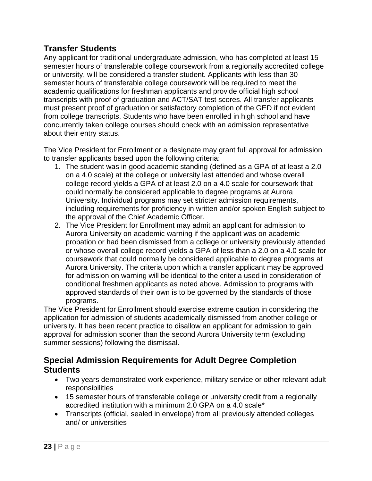### <span id="page-22-0"></span>**Transfer Students**

Any applicant for traditional undergraduate admission, who has completed at least 15 semester hours of transferable college coursework from a regionally accredited college or university, will be considered a transfer student. Applicants with less than 30 semester hours of transferable college coursework will be required to meet the academic qualifications for freshman applicants and provide official high school transcripts with proof of graduation and ACT/SAT test scores. All transfer applicants must present proof of graduation or satisfactory completion of the GED if not evident from college transcripts. Students who have been enrolled in high school and have concurrently taken college courses should check with an admission representative about their entry status.

The Vice President for Enrollment or a designate may grant full approval for admission to transfer applicants based upon the following criteria:

- 1. The student was in good academic standing (defined as a GPA of at least a 2.0 on a 4.0 scale) at the college or university last attended and whose overall college record yields a GPA of at least 2.0 on a 4.0 scale for coursework that could normally be considered applicable to degree programs at Aurora University. Individual programs may set stricter admission requirements, including requirements for proficiency in written and/or spoken English subject to the approval of the Chief Academic Officer.
- 2. The Vice President for Enrollment may admit an applicant for admission to Aurora University on academic warning if the applicant was on academic probation or had been dismissed from a college or university previously attended or whose overall college record yields a GPA of less than a 2.0 on a 4.0 scale for coursework that could normally be considered applicable to degree programs at Aurora University. The criteria upon which a transfer applicant may be approved for admission on warning will be identical to the criteria used in consideration of conditional freshmen applicants as noted above. Admission to programs with approved standards of their own is to be governed by the standards of those programs.

The Vice President for Enrollment should exercise extreme caution in considering the application for admission of students academically dismissed from another college or university. It has been recent practice to disallow an applicant for admission to gain approval for admission sooner than the second Aurora University term (excluding summer sessions) following the dismissal.

### <span id="page-22-1"></span>**Special Admission Requirements for Adult Degree Completion Students**

- Two years demonstrated work experience, military service or other relevant adult responsibilities
- 15 semester hours of transferable college or university credit from a regionally accredited institution with a minimum 2.0 GPA on a 4.0 scale\*
- Transcripts (official, sealed in envelope) from all previously attended colleges and/ or universities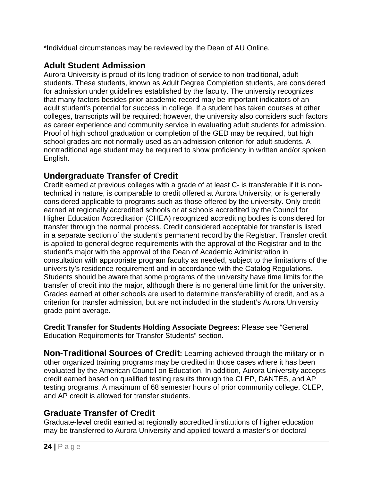\*Individual circumstances may be reviewed by the Dean of AU Online.

# <span id="page-23-0"></span>**Adult Student Admission**

Aurora University is proud of its long tradition of service to non-traditional, adult students. These students, known as Adult Degree Completion students, are considered for admission under guidelines established by the faculty. The university recognizes that many factors besides prior academic record may be important indicators of an adult student's potential for success in college. If a student has taken courses at other colleges, transcripts will be required; however, the university also considers such factors as career experience and community service in evaluating adult students for admission. Proof of high school graduation or completion of the GED may be required, but high school grades are not normally used as an admission criterion for adult students. A nontraditional age student may be required to show proficiency in written and/or spoken English.

# <span id="page-23-1"></span>**Undergraduate Transfer of Credit**

Credit earned at previous colleges with a grade of at least C- is transferable if it is nontechnical in nature, is comparable to credit offered at Aurora University, or is generally considered applicable to programs such as those offered by the university. Only credit earned at regionally accredited schools or at schools accredited by the Council for Higher Education Accreditation (CHEA) recognized accrediting bodies is considered for transfer through the normal process. Credit considered acceptable for transfer is listed in a separate section of the student's permanent record by the Registrar. Transfer credit is applied to general degree requirements with the approval of the Registrar and to the student's major with the approval of the Dean of Academic Administration in consultation with appropriate program faculty as needed, subject to the limitations of the university's residence requirement and in accordance with the Catalog Regulations. Students should be aware that some programs of the university have time limits for the transfer of credit into the major, although there is no general time limit for the university. Grades earned at other schools are used to determine transferability of credit, and as a criterion for transfer admission, but are not included in the student's Aurora University grade point average.

**Credit Transfer for Students Holding Associate Degrees:** Please see "General Education Requirements for Transfer Students" section.

<span id="page-23-2"></span>**Non-Traditional Sources of Credit:** Learning achieved through the military or in other organized training programs may be credited in those cases where it has been evaluated by the American Council on Education. In addition, Aurora University accepts credit earned based on qualified testing results through the CLEP, DANTES, and AP testing programs. A maximum of 68 semester hours of prior community college, CLEP, and AP credit is allowed for transfer students.

# <span id="page-23-3"></span>**Graduate Transfer of Credit**

Graduate-level credit earned at regionally accredited institutions of higher education may be transferred to Aurora University and applied toward a master's or doctoral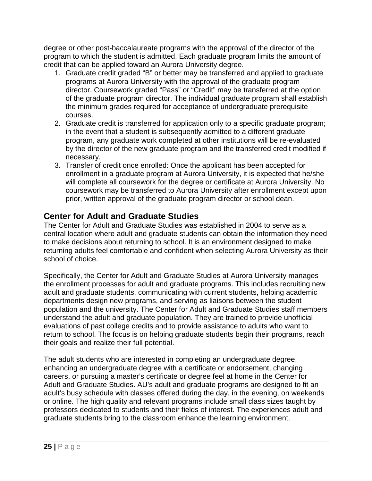degree or other post-baccalaureate programs with the approval of the director of the program to which the student is admitted. Each graduate program limits the amount of credit that can be applied toward an Aurora University degree.

- 1. Graduate credit graded "B" or better may be transferred and applied to graduate programs at Aurora University with the approval of the graduate program director. Coursework graded "Pass" or "Credit" may be transferred at the option of the graduate program director. The individual graduate program shall establish the minimum grades required for acceptance of undergraduate prerequisite courses.
- 2. Graduate credit is transferred for application only to a specific graduate program; in the event that a student is subsequently admitted to a different graduate program, any graduate work completed at other institutions will be re-evaluated by the director of the new graduate program and the transferred credit modified if necessary.
- 3. Transfer of credit once enrolled: Once the applicant has been accepted for enrollment in a graduate program at Aurora University, it is expected that he/she will complete all coursework for the degree or certificate at Aurora University. No coursework may be transferred to Aurora University after enrollment except upon prior, written approval of the graduate program director or school dean.

# <span id="page-24-0"></span>**Center for Adult and Graduate Studies**

The Center for Adult and Graduate Studies was established in 2004 to serve as a central location where adult and graduate students can obtain the information they need to make decisions about returning to school. It is an environment designed to make returning adults feel comfortable and confident when selecting Aurora University as their school of choice.

Specifically, the Center for Adult and Graduate Studies at Aurora University manages the enrollment processes for adult and graduate programs. This includes recruiting new adult and graduate students, communicating with current students, helping academic departments design new programs, and serving as liaisons between the student population and the university. The Center for Adult and Graduate Studies staff members understand the adult and graduate population. They are trained to provide unofficial evaluations of past college credits and to provide assistance to adults who want to return to school. The focus is on helping graduate students begin their programs, reach their goals and realize their full potential.

The adult students who are interested in completing an undergraduate degree, enhancing an undergraduate degree with a certificate or endorsement, changing careers, or pursuing a master's certificate or degree feel at home in the Center for Adult and Graduate Studies. AU's adult and graduate programs are designed to fit an adult's busy schedule with classes offered during the day, in the evening, on weekends or online. The high quality and relevant programs include small class sizes taught by professors dedicated to students and their fields of interest. The experiences adult and graduate students bring to the classroom enhance the learning environment.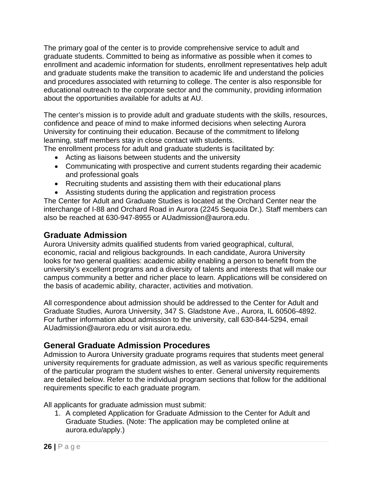The primary goal of the center is to provide comprehensive service to adult and graduate students. Committed to being as informative as possible when it comes to enrollment and academic information for students, enrollment representatives help adult and graduate students make the transition to academic life and understand the policies and procedures associated with returning to college. The center is also responsible for educational outreach to the corporate sector and the community, providing information about the opportunities available for adults at AU.

The center's mission is to provide adult and graduate students with the skills, resources, confidence and peace of mind to make informed decisions when selecting Aurora University for continuing their education. Because of the commitment to lifelong learning, staff members stay in close contact with students.

The enrollment process for adult and graduate students is facilitated by:

- Acting as liaisons between students and the university
- Communicating with prospective and current students regarding their academic and professional goals
- Recruiting students and assisting them with their educational plans
- Assisting students during the application and registration process

The Center for Adult and Graduate Studies is located at the Orchard Center near the interchange of I-88 and Orchard Road in Aurora (2245 Sequoia Dr.). Staff members can also be reached at 630-947-8955 or AUadmission@aurora.edu.

# <span id="page-25-0"></span>**Graduate Admission**

Aurora University admits qualified students from varied geographical, cultural, economic, racial and religious backgrounds. In each candidate, Aurora University looks for two general qualities: academic ability enabling a person to benefit from the university's excellent programs and a diversity of talents and interests that will make our campus community a better and richer place to learn. Applications will be considered on the basis of academic ability, character, activities and motivation.

All correspondence about admission should be addressed to the Center for Adult and Graduate Studies, Aurora University, 347 S. Gladstone Ave., Aurora, IL 60506-4892. For further information about admission to the university, call 630-844-5294, email AUadmission@aurora.edu or visit aurora.edu.

# <span id="page-25-1"></span>**General Graduate Admission Procedures**

Admission to Aurora University graduate programs requires that students meet general university requirements for graduate admission, as well as various specific requirements of the particular program the student wishes to enter. General university requirements are detailed below. Refer to the individual program sections that follow for the additional requirements specific to each graduate program.

All applicants for graduate admission must submit:

1. A completed Application for Graduate Admission to the Center for Adult and Graduate Studies. (Note: The application may be completed online at aurora.edu/apply.)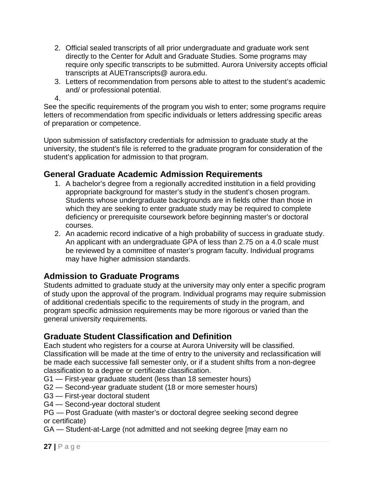- 2. Official sealed transcripts of all prior undergraduate and graduate work sent directly to the Center for Adult and Graduate Studies. Some programs may require only specific transcripts to be submitted. Aurora University accepts official transcripts at AUETranscripts@ aurora.edu.
- 3. Letters of recommendation from persons able to attest to the student's academic and/ or professional potential.
- 4.

See the specific requirements of the program you wish to enter; some programs require letters of recommendation from specific individuals or letters addressing specific areas of preparation or competence.

Upon submission of satisfactory credentials for admission to graduate study at the university, the student's file is referred to the graduate program for consideration of the student's application for admission to that program.

# <span id="page-26-0"></span>**General Graduate Academic Admission Requirements**

- 1. A bachelor's degree from a regionally accredited institution in a field providing appropriate background for master's study in the student's chosen program. Students whose undergraduate backgrounds are in fields other than those in which they are seeking to enter graduate study may be required to complete deficiency or prerequisite coursework before beginning master's or doctoral courses.
- 2. An academic record indicative of a high probability of success in graduate study. An applicant with an undergraduate GPA of less than 2.75 on a 4.0 scale must be reviewed by a committee of master's program faculty. Individual programs may have higher admission standards.

# <span id="page-26-1"></span>**Admission to Graduate Programs**

Students admitted to graduate study at the university may only enter a specific program of study upon the approval of the program. Individual programs may require submission of additional credentials specific to the requirements of study in the program, and program specific admission requirements may be more rigorous or varied than the general university requirements.

# <span id="page-26-2"></span>**Graduate Student Classification and Definition**

Each student who registers for a course at Aurora University will be classified. Classification will be made at the time of entry to the university and reclassification will be made each successive fall semester only, or if a student shifts from a non-degree classification to a degree or certificate classification.

- G1 First-year graduate student (less than 18 semester hours)
- G2 Second-year graduate student (18 or more semester hours)
- G3 First-year doctoral student
- G4 Second-year doctoral student
- PG Post Graduate (with master's or doctoral degree seeking second degree or certificate)
- GA Student-at-Large (not admitted and not seeking degree [may earn no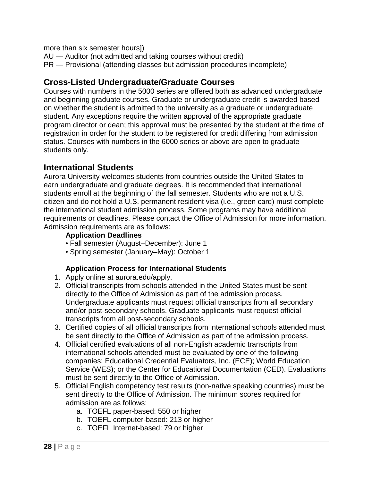more than six semester hours])

AU — Auditor (not admitted and taking courses without credit)

PR — Provisional (attending classes but admission procedures incomplete)

### <span id="page-27-0"></span>**Cross-Listed Undergraduate/Graduate Courses**

Courses with numbers in the 5000 series are offered both as advanced undergraduate and beginning graduate courses. Graduate or undergraduate credit is awarded based on whether the student is admitted to the university as a graduate or undergraduate student. Any exceptions require the written approval of the appropriate graduate program director or dean; this approval must be presented by the student at the time of registration in order for the student to be registered for credit differing from admission status. Courses with numbers in the 6000 series or above are open to graduate students only.

### <span id="page-27-1"></span>**International Students**

Aurora University welcomes students from countries outside the United States to earn undergraduate and graduate degrees. It is recommended that international students enroll at the beginning of the fall semester. Students who are not a U.S. citizen and do not hold a U.S. permanent resident visa (i.e., green card) must complete the international student admission process. Some programs may have additional requirements or deadlines. Please contact the Office of Admission for more information. Admission requirements are as follows:

### **Application Deadlines**

- Fall semester (August–December): June 1
- Spring semester (January–May): October 1

### **Application Process for International Students**

- 1. Apply online at aurora.edu/apply.
- 2. Official transcripts from schools attended in the United States must be sent directly to the Office of Admission as part of the admission process. Undergraduate applicants must request official transcripts from all secondary and/or post-secondary schools. Graduate applicants must request official transcripts from all post-secondary schools.
- 3. Certified copies of all official transcripts from international schools attended must be sent directly to the Office of Admission as part of the admission process.
- 4. Official certified evaluations of all non-English academic transcripts from international schools attended must be evaluated by one of the following companies: Educational Credential Evaluators, Inc. (ECE); World Education Service (WES); or the Center for Educational Documentation (CED). Evaluations must be sent directly to the Office of Admission.
- 5. Official English competency test results (non-native speaking countries) must be sent directly to the Office of Admission. The minimum scores required for admission are as follows:
	- a. TOEFL paper-based: 550 or higher
	- b. TOEFL computer-based: 213 or higher
	- c. TOEFL Internet-based: 79 or higher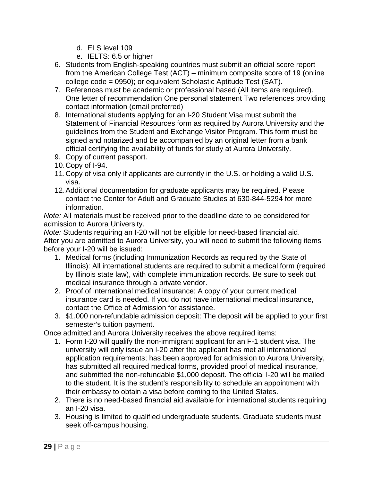- d. ELS level 109
- e. IELTS: 6.5 or higher
- 6. Students from English-speaking countries must submit an official score report from the American College Test (ACT) – minimum composite score of 19 (online college code = 0950); or equivalent Scholastic Aptitude Test (SAT).
- 7. References must be academic or professional based (All items are required). One letter of recommendation One personal statement Two references providing contact information (email preferred)
- 8. International students applying for an I-20 Student Visa must submit the Statement of Financial Resources form as required by Aurora University and the guidelines from the Student and Exchange Visitor Program. This form must be signed and notarized and be accompanied by an original letter from a bank official certifying the availability of funds for study at Aurora University.
- 9. Copy of current passport.
- 10.Copy of I-94.
- 11.Copy of visa only if applicants are currently in the U.S. or holding a valid U.S. visa.
- 12.Additional documentation for graduate applicants may be required. Please contact the Center for Adult and Graduate Studies at 630-844-5294 for more information.

*Note:* All materials must be received prior to the deadline date to be considered for admission to Aurora University.

*Note:* Students requiring an I-20 will not be eligible for need-based financial aid. After you are admitted to Aurora University, you will need to submit the following items before your I-20 will be issued:

- 1. Medical forms (including Immunization Records as required by the State of Illinois): All international students are required to submit a medical form (required by Illinois state law), with complete immunization records. Be sure to seek out medical insurance through a private vendor.
- 2. Proof of international medical insurance: A copy of your current medical insurance card is needed. If you do not have international medical insurance, contact the Office of Admission for assistance.
- 3. \$1,000 non-refundable admission deposit: The deposit will be applied to your first semester's tuition payment.

Once admitted and Aurora University receives the above required items:

- 1. Form I-20 will qualify the non-immigrant applicant for an F-1 student visa. The university will only issue an I-20 after the applicant has met all international application requirements; has been approved for admission to Aurora University, has submitted all required medical forms, provided proof of medical insurance, and submitted the non-refundable \$1,000 deposit. The official I-20 will be mailed to the student. It is the student's responsibility to schedule an appointment with their embassy to obtain a visa before coming to the United States.
- 2. There is no need-based financial aid available for international students requiring an I-20 visa.
- 3. Housing is limited to qualified undergraduate students. Graduate students must seek off-campus housing.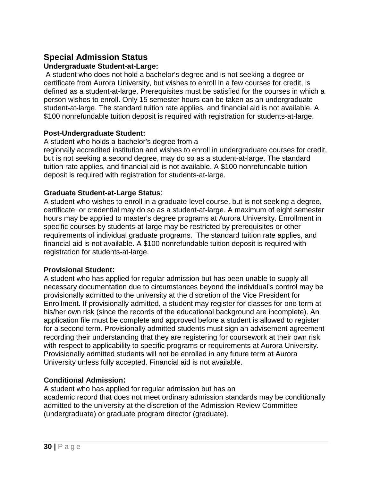### <span id="page-29-0"></span>**Special Admission Status**

#### <span id="page-29-1"></span>**Undergraduate Student-at-Large:**

A student who does not hold a bachelor's degree and is not seeking a degree or certificate from Aurora University, but wishes to enroll in a few courses for credit, is defined as a student-at-large. Prerequisites must be satisfied for the courses in which a person wishes to enroll. Only 15 semester hours can be taken as an undergraduate student-at-large. The standard tuition rate applies, and financial aid is not available. A \$100 nonrefundable tuition deposit is required with registration for students-at-large.

#### <span id="page-29-2"></span>**Post-Undergraduate Student:**

A student who holds a bachelor's degree from a

regionally accredited institution and wishes to enroll in undergraduate courses for credit, but is not seeking a second degree, may do so as a student-at-large. The standard tuition rate applies, and financial aid is not available. A \$100 nonrefundable tuition deposit is required with registration for students-at-large.

#### <span id="page-29-3"></span>**Graduate Student-at-Large Status**:

A student who wishes to enroll in a graduate-level course, but is not seeking a degree, certificate, or credential may do so as a student-at-large. A maximum of eight semester hours may be applied to master's degree programs at Aurora University. Enrollment in specific courses by students-at-large may be restricted by prerequisites or other requirements of individual graduate programs. The standard tuition rate applies, and financial aid is not available. A \$100 nonrefundable tuition deposit is required with registration for students-at-large.

#### <span id="page-29-4"></span>**Provisional Student:**

A student who has applied for regular admission but has been unable to supply all necessary documentation due to circumstances beyond the individual's control may be provisionally admitted to the university at the discretion of the Vice President for Enrollment. If provisionally admitted, a student may register for classes for one term at his/her own risk (since the records of the educational background are incomplete). An application file must be complete and approved before a student is allowed to register for a second term. Provisionally admitted students must sign an advisement agreement recording their understanding that they are registering for coursework at their own risk with respect to applicability to specific programs or requirements at Aurora University. Provisionally admitted students will not be enrolled in any future term at Aurora University unless fully accepted. Financial aid is not available.

### <span id="page-29-5"></span>**Conditional Admission:**

A student who has applied for regular admission but has an academic record that does not meet ordinary admission standards may be conditionally admitted to the university at the discretion of the Admission Review Committee (undergraduate) or graduate program director (graduate).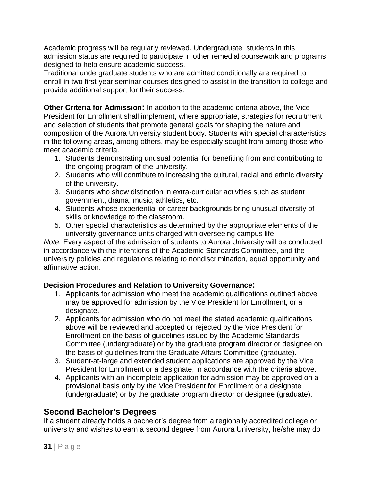Academic progress will be regularly reviewed. Undergraduate students in this admission status are required to participate in other remedial coursework and programs designed to help ensure academic success.

Traditional undergraduate students who are admitted conditionally are required to enroll in two first-year seminar courses designed to assist in the transition to college and provide additional support for their success.

<span id="page-30-0"></span>**Other Criteria for Admission:** In addition to the academic criteria above, the Vice President for Enrollment shall implement, where appropriate, strategies for recruitment and selection of students that promote general goals for shaping the nature and composition of the Aurora University student body. Students with special characteristics in the following areas, among others, may be especially sought from among those who meet academic criteria.

- 1. Students demonstrating unusual potential for benefiting from and contributing to the ongoing program of the university.
- 2. Students who will contribute to increasing the cultural, racial and ethnic diversity of the university.
- 3. Students who show distinction in extra-curricular activities such as student government, drama, music, athletics, etc.
- 4. Students whose experiential or career backgrounds bring unusual diversity of skills or knowledge to the classroom.
- 5. Other special characteristics as determined by the appropriate elements of the university governance units charged with overseeing campus life.

*Note:* Every aspect of the admission of students to Aurora University will be conducted in accordance with the intentions of the Academic Standards Committee, and the university policies and regulations relating to nondiscrimination, equal opportunity and affirmative action.

### <span id="page-30-1"></span>**Decision Procedures and Relation to University Governance:**

- 1. Applicants for admission who meet the academic qualifications outlined above may be approved for admission by the Vice President for Enrollment, or a designate.
- 2. Applicants for admission who do not meet the stated academic qualifications above will be reviewed and accepted or rejected by the Vice President for Enrollment on the basis of guidelines issued by the Academic Standards Committee (undergraduate) or by the graduate program director or designee on the basis of guidelines from the Graduate Affairs Committee (graduate).
- 3. Student-at-large and extended student applications are approved by the Vice President for Enrollment or a designate, in accordance with the criteria above.
- 4. Applicants with an incomplete application for admission may be approved on a provisional basis only by the Vice President for Enrollment or a designate (undergraduate) or by the graduate program director or designee (graduate).

# <span id="page-30-2"></span>**Second Bachelor's Degrees**

If a student already holds a bachelor's degree from a regionally accredited college or university and wishes to earn a second degree from Aurora University, he/she may do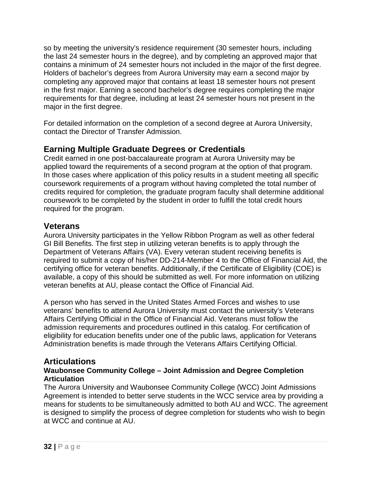so by meeting the university's residence requirement (30 semester hours, including the last 24 semester hours in the degree), and by completing an approved major that contains a minimum of 24 semester hours not included in the major of the first degree. Holders of bachelor's degrees from Aurora University may earn a second major by completing any approved major that contains at least 18 semester hours not present in the first major. Earning a second bachelor's degree requires completing the major requirements for that degree, including at least 24 semester hours not present in the major in the first degree.

For detailed information on the completion of a second degree at Aurora University, contact the Director of Transfer Admission.

### <span id="page-31-0"></span>**Earning Multiple Graduate Degrees or Credentials**

Credit earned in one post-baccalaureate program at Aurora University may be applied toward the requirements of a second program at the option of that program. In those cases where application of this policy results in a student meeting all specific coursework requirements of a program without having completed the total number of credits required for completion, the graduate program faculty shall determine additional coursework to be completed by the student in order to fulfill the total credit hours required for the program.

### <span id="page-31-1"></span>**Veterans**

Aurora University participates in the Yellow Ribbon Program as well as other federal GI Bill Benefits. The first step in utilizing veteran benefits is to apply through the Department of Veterans Affairs (VA). Every veteran student receiving benefits is required to submit a copy of his/her DD-214-Member 4 to the Office of Financial Aid, the certifying office for veteran benefits. Additionally, if the Certificate of Eligibility (COE) is available, a copy of this should be submitted as well. For more information on utilizing veteran benefits at AU, please contact the Office of Financial Aid.

A person who has served in the United States Armed Forces and wishes to use veterans' benefits to attend Aurora University must contact the university's Veterans Affairs Certifying Official in the Office of Financial Aid. Veterans must follow the admission requirements and procedures outlined in this catalog. For certification of eligibility for education benefits under one of the public laws, application for Veterans Administration benefits is made through the Veterans Affairs Certifying Official.

### <span id="page-31-2"></span>**Articulations**

#### **Waubonsee Community College – Joint Admission and Degree Completion Articulation**

The Aurora University and Waubonsee Community College (WCC) Joint Admissions Agreement is intended to better serve students in the WCC service area by providing a means for students to be simultaneously admitted to both AU and WCC. The agreement is designed to simplify the process of degree completion for students who wish to begin at WCC and continue at AU.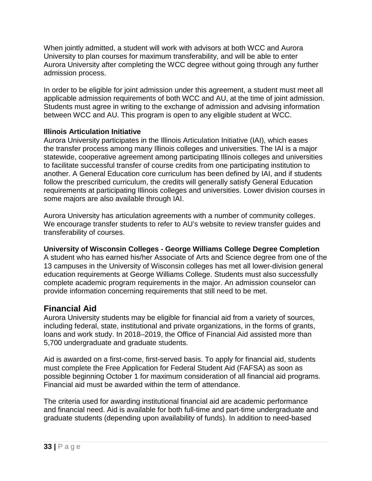When jointly admitted, a student will work with advisors at both WCC and Aurora University to plan courses for maximum transferability, and will be able to enter Aurora University after completing the WCC degree without going through any further admission process.

In order to be eligible for joint admission under this agreement, a student must meet all applicable admission requirements of both WCC and AU, at the time of joint admission. Students must agree in writing to the exchange of admission and advising information between WCC and AU. This program is open to any eligible student at WCC.

### **Illinois Articulation Initiative**

Aurora University participates in the Illinois Articulation Initiative (IAI), which eases the transfer process among many Illinois colleges and universities. The IAI is a major statewide, cooperative agreement among participating Illinois colleges and universities to facilitate successful transfer of course credits from one participating institution to another. A General Education core curriculum has been defined by IAI, and if students follow the prescribed curriculum, the credits will generally satisfy General Education requirements at participating Illinois colleges and universities. Lower division courses in some majors are also available through IAI.

Aurora University has articulation agreements with a number of community colleges. We encourage transfer students to refer to AU's website to review transfer guides and transferability of courses.

### **University of Wisconsin Colleges - George Williams College Degree Completion**

A student who has earned his/her Associate of Arts and Science degree from one of the 13 campuses in the University of Wisconsin colleges has met all lower-division general education requirements at George Williams College. Students must also successfully complete academic program requirements in the major. An admission counselor can provide information concerning requirements that still need to be met.

# <span id="page-32-0"></span>**Financial Aid**

Aurora University students may be eligible for financial aid from a variety of sources, including federal, state, institutional and private organizations, in the forms of grants, loans and work study. In 2018–2019, the Office of Financial Aid assisted more than 5,700 undergraduate and graduate students.

Aid is awarded on a first-come, first-served basis. To apply for financial aid, students must complete the Free Application for Federal Student Aid (FAFSA) as soon as possible beginning October 1 for maximum consideration of all financial aid programs. Financial aid must be awarded within the term of attendance.

The criteria used for awarding institutional financial aid are academic performance and financial need. Aid is available for both full-time and part-time undergraduate and graduate students (depending upon availability of funds). In addition to need-based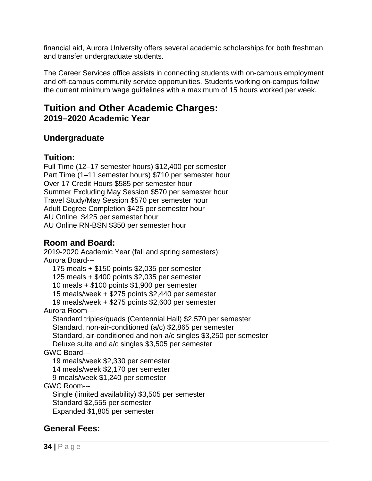financial aid, Aurora University offers several academic scholarships for both freshman and transfer undergraduate students.

The Career Services office assists in connecting students with on-campus employment and off-campus community service opportunities. Students working on-campus follow the current minimum wage guidelines with a maximum of 15 hours worked per week.

# <span id="page-33-0"></span>**Tuition and Other Academic Charges: 2019–2020 Academic Year**

# <span id="page-33-1"></span>**Undergraduate**

# <span id="page-33-2"></span>**Tuition:**

Full Time (12–17 semester hours) \$12,400 per semester Part Time (1–11 semester hours) \$710 per semester hour Over 17 Credit Hours \$585 per semester hour Summer Excluding May Session \$570 per semester hour Travel Study/May Session \$570 per semester hour Adult Degree Completion \$425 per semester hour AU Online \$425 per semester hour AU Online RN-BSN \$350 per semester hour

# <span id="page-33-3"></span>**Room and Board:**

2019-2020 Academic Year (fall and spring semesters): Aurora Board---

175 meals + \$150 points \$2,035 per semester 125 meals + \$400 points \$2,035 per semester 10 meals + \$100 points \$1,900 per semester 15 meals/week + \$275 points \$2,440 per semester 19 meals/week + \$275 points \$2,600 per semester Aurora Room--- Standard triples/quads (Centennial Hall) \$2,570 per semester Standard, non-air-conditioned (a/c) \$2,865 per semester Standard, air-conditioned and non-a/c singles \$3,250 per semester Deluxe suite and a/c singles \$3,505 per semester GWC Board--- 19 meals/week \$2,330 per semester 14 meals/week \$2,170 per semester 9 meals/week \$1,240 per semester GWC Room--- Single (limited availability) \$3,505 per semester Standard \$2,555 per semester Expanded \$1,805 per semester

# <span id="page-33-4"></span>**General Fees:**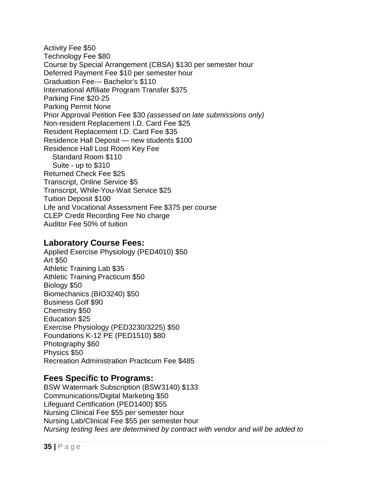Activity Fee \$50 Technology Fee \$80 Course by Special Arrangement (CBSA) \$130 per semester hour Deferred Payment Fee \$10 per semester hour Graduation Fee--- Bachelor's \$110 International Affiliate Program Transfer \$375 Parking Fine \$20-25 Parking Permit None Prior Approval Petition Fee \$30 *(assessed on late submissions only)* Non-resident Replacement I.D. Card Fee \$25 Resident Replacement I.D. Card Fee \$35 Residence Hall Deposit — new students \$100 Residence Hall Lost Room Key Fee Standard Room \$110 Suite - up to \$310 Returned Check Fee \$25 Transcript, Online Service \$5 Transcript, While-You-Wait Service \$25 Tuition Deposit \$100 Life and Vocational Assessment Fee \$375 per course CLEP Credit Recording Fee No charge Auditor Fee 50% of tuition

### <span id="page-34-0"></span>**Laboratory Course Fees:**

Applied Exercise Physiology (PED4010) \$50 Art \$50 Athletic Training Lab \$35 Athletic Training Practicum \$50 Biology \$50 Biomechanics (BIO3240) \$50 Business Golf \$90 Chemistry \$50 Education \$25 Exercise Physiology (PED3230/3225) \$50 Foundations K-12 PE (PED1510) \$80 Photography \$60 Physics \$50 Recreation Administration Practicum Fee \$485

### <span id="page-34-1"></span>**Fees Specific to Programs:**

BSW Watermark Subscription (BSW3140) \$133 Communications/Digital Marketing \$50 Lifeguard Certification (PED1400) \$55 Nursing Clinical Fee \$55 per semester hour Nursing Lab/Clinical Fee \$55 per semester hour *Nursing testing fees are determined by contract with vendor and will be added to*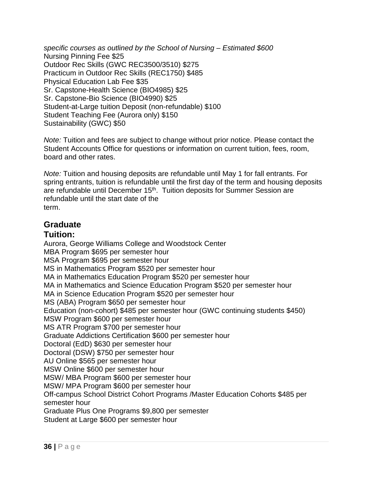*specific courses as outlined by the School of Nursing – Estimated \$600* Nursing Pinning Fee \$25 Outdoor Rec Skills (GWC REC3500/3510) \$275 Practicum in Outdoor Rec Skills (REC1750) \$485 Physical Education Lab Fee \$35 Sr. Capstone-Health Science (BIO4985) \$25 Sr. Capstone-Bio Science (BIO4990) \$25 Student-at-Large tuition Deposit (non-refundable) \$100 Student Teaching Fee (Aurora only) \$150 Sustainability (GWC) \$50

*Note:* Tuition and fees are subject to change without prior notice. Please contact the Student Accounts Office for questions or information on current tuition, fees, room, board and other rates.

*Note:* Tuition and housing deposits are refundable until May 1 for fall entrants. For spring entrants, tuition is refundable until the first day of the term and housing deposits are refundable until December 15<sup>th</sup>. Tuition deposits for Summer Session are refundable until the start date of the term.

# <span id="page-35-0"></span>**Graduate**

### <span id="page-35-1"></span>**Tuition:**

Aurora, George Williams College and Woodstock Center MBA Program \$695 per semester hour MSA Program \$695 per semester hour MS in Mathematics Program \$520 per semester hour MA in Mathematics Education Program \$520 per semester hour MA in Mathematics and Science Education Program \$520 per semester hour MA in Science Education Program \$520 per semester hour MS (ABA) Program \$650 per semester hour Education (non-cohort) \$485 per semester hour (GWC continuing students \$450) MSW Program \$600 per semester hour MS ATR Program \$700 per semester hour Graduate Addictions Certification \$600 per semester hour Doctoral (EdD) \$630 per semester hour Doctoral (DSW) \$750 per semester hour AU Online \$565 per semester hour MSW Online \$600 per semester hour MSW/ MBA Program \$600 per semester hour MSW/ MPA Program \$600 per semester hour Off-campus School District Cohort Programs /Master Education Cohorts \$485 per semester hour Graduate Plus One Programs \$9,800 per semester Student at Large \$600 per semester hour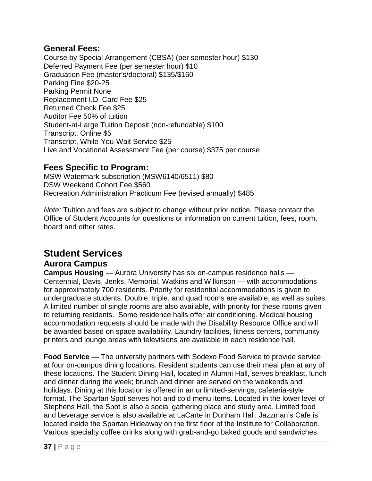#### **General Fees:**

Course by Special Arrangement (CBSA) (per semester hour) \$130 Deferred Payment Fee (per semester hour) \$10 Graduation Fee (master's/doctoral) \$135/\$160 Parking Fine \$20-25 Parking Permit None Replacement I.D. Card Fee \$25 Returned Check Fee \$25 Auditor Fee 50% of tuition Student-at-Large Tuition Deposit (non-refundable) \$100 Transcript, Online \$5 Transcript, While-You-Wait Service \$25 Live and Vocational Assessment Fee (per course) \$375 per course

#### **Fees Specific to Program:**

MSW Watermark subscription (MSW6140/6511) \$80 DSW Weekend Cohort Fee \$560 Recreation Administration Practicum Fee (revised annually) \$485

*Note:* Tuition and fees are subject to change without prior notice. Please contact the Office of Student Accounts for questions or information on current tuition, fees, room, board and other rates.

# **Student Services**

#### **Aurora Campus**

**Campus Housing** — Aurora University has six on-campus residence halls — Centennial, Davis, Jenks, Memorial, Watkins and Wilkinson — with accommodations for approximately 700 residents. Priority for residential accommodations is given to undergraduate students. Double, triple, and quad rooms are available, as well as suites. A limited number of single rooms are also available, with priority for these rooms given to returning residents. Some residence halls offer air conditioning. Medical housing accommodation requests should be made with the Disability Resource Office and will be awarded based on space availability. Laundry facilities, fitness centers, community printers and lounge areas with televisions are available in each residence hall.

**Food Service —** The university partners with Sodexo Food Service to provide service at four on-campus dining locations. Resident students can use their meal plan at any of these locations. The Student Dining Hall, located in Alumni Hall, serves breakfast, lunch and dinner during the week; brunch and dinner are served on the weekends and holidays. Dining at this location is offered in an unlimited-servings, cafeteria-style format. The Spartan Spot serves hot and cold menu items. Located in the lower level of Stephens Hall, the Spot is also a social gathering place and study area. Limited food and beverage service is also available at LaCarte in Dunham Hall. Jazzman's Cafe is located inside the Spartan Hideaway on the first floor of the Institute for Collaboration. Various specialty coffee drinks along with grab-and-go baked goods and sandwiches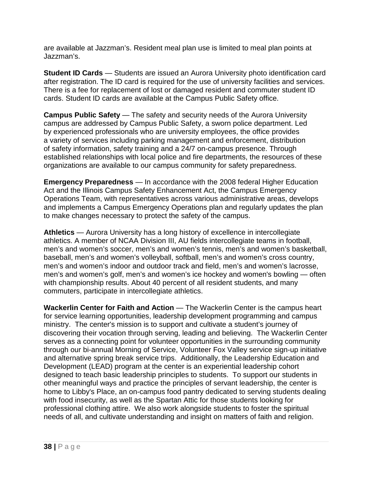are available at Jazzman's. Resident meal plan use is limited to meal plan points at Jazzman's.

**Student ID Cards** — Students are issued an Aurora University photo identification card after registration. The ID card is required for the use of university facilities and services. There is a fee for replacement of lost or damaged resident and commuter student ID cards. Student ID cards are available at the Campus Public Safety office.

**Campus Public Safety** — The safety and security needs of the Aurora University campus are addressed by Campus Public Safety, a sworn police department. Led by experienced professionals who are university employees, the office provides a variety of services including parking management and enforcement, distribution of safety information, safety training and a 24/7 on-campus presence. Through established relationships with local police and fire departments, the resources of these organizations are available to our campus community for safety preparedness.

**Emergency Preparedness** — In accordance with the 2008 federal Higher Education Act and the Illinois Campus Safety Enhancement Act, the Campus Emergency Operations Team, with representatives across various administrative areas, develops and implements a Campus Emergency Operations plan and regularly updates the plan to make changes necessary to protect the safety of the campus.

**Athletics** — Aurora University has a long history of excellence in intercollegiate athletics. A member of NCAA Division III, AU fields intercollegiate teams in football, men's and women's soccer, men's and women's tennis, men's and women's basketball, baseball, men's and women's volleyball, softball, men's and women's cross country, men's and women's indoor and outdoor track and field, men's and women's lacrosse, men's and women's golf, men's and women's ice hockey and women's bowling — often with championship results. About 40 percent of all resident students, and many commuters, participate in intercollegiate athletics.

**Wackerlin Center for Faith and Action** — The Wackerlin Center is the campus heart for service learning opportunities, leadership development programming and campus ministry. The center's mission is to support and cultivate a student's journey of discovering their vocation through serving, leading and believing. The Wackerlin Center serves as a connecting point for volunteer opportunities in the surrounding community through our bi-annual Morning of Service, Volunteer Fox Valley service sign-up initiative and alternative spring break service trips. Additionally, the Leadership Education and Development (LEAD) program at the center is an experiential leadership cohort designed to teach basic leadership principles to students. To support our students in other meaningful ways and practice the principles of servant leadership, the center is home to Libby's Place, an on-campus food pantry dedicated to serving students dealing with food insecurity, as well as the Spartan Attic for those students looking for professional clothing attire. We also work alongside students to foster the spiritual needs of all, and cultivate understanding and insight on matters of faith and religion.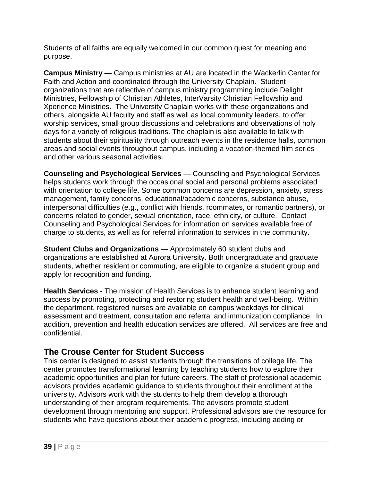Students of all faiths are equally welcomed in our common quest for meaning and purpose.

**Campus Ministry** — Campus ministries at AU are located in the Wackerlin Center for Faith and Action and coordinated through the University Chaplain. Student organizations that are reflective of campus ministry programming include Delight Ministries, Fellowship of Christian Athletes, InterVarsity Christian Fellowship and Xperience Ministries. The University Chaplain works with these organizations and others, alongside AU faculty and staff as well as local community leaders, to offer worship services, small group discussions and celebrations and observations of holy days for a variety of religious traditions. The chaplain is also available to talk with students about their spirituality through outreach events in the residence halls, common areas and social events throughout campus, including a vocation-themed film series and other various seasonal activities.

**Counseling and Psychological Services** — Counseling and Psychological Services helps students work through the occasional social and personal problems associated with orientation to college life. Some common concerns are depression, anxiety, stress management, family concerns, educational/academic concerns, substance abuse, interpersonal difficulties (e.g., conflict with friends, roommates, or romantic partners), or concerns related to gender, sexual orientation, race, ethnicity, or culture. Contact Counseling and Psychological Services for information on services available free of charge to students, as well as for referral information to services in the community.

**Student Clubs and Organizations** — Approximately 60 student clubs and organizations are established at Aurora University. Both undergraduate and graduate students, whether resident or commuting, are eligible to organize a student group and apply for recognition and funding.

**Health Services -** The mission of Health Services is to enhance student learning and success by promoting, protecting and restoring student health and well-being. Within the department, registered nurses are available on campus weekdays for clinical assessment and treatment, consultation and referral and immunization compliance. In addition, prevention and health education services are offered. All services are free and confidential.

# **The Crouse Center for Student Success**

This center is designed to assist students through the transitions of college life. The center promotes transformational learning by teaching students how to explore their academic opportunities and plan for future careers. The staff of professional academic advisors provides academic guidance to students throughout their enrollment at the university. Advisors work with the students to help them develop a thorough understanding of their program requirements. The advisors promote student development through mentoring and support. Professional advisors are the resource for students who have questions about their academic progress, including adding or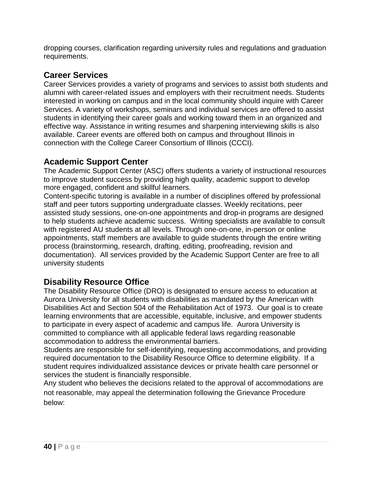dropping courses, clarification regarding university rules and regulations and graduation requirements.

# **Career Services**

Career Services provides a variety of programs and services to assist both students and alumni with career-related issues and employers with their recruitment needs. Students interested in working on campus and in the local community should inquire with Career Services. A variety of workshops, seminars and individual services are offered to assist students in identifying their career goals and working toward them in an organized and effective way. Assistance in writing resumes and sharpening interviewing skills is also available. Career events are offered both on campus and throughout Illinois in connection with the College Career Consortium of Illinois (CCCI).

#### **Academic Support Center**

The Academic Support Center (ASC) offers students a variety of instructional resources to improve student success by providing high quality, academic support to develop more engaged, confident and skillful learners.

Content-specific tutoring is available in a number of disciplines offered by professional staff and peer tutors supporting undergraduate classes. Weekly recitations, peer assisted study sessions, one-on-one appointments and drop-in programs are designed to help students achieve academic success. Writing specialists are available to consult with registered AU students at all levels. Through one-on-one, in-person or online appointments, staff members are available to guide students through the entire writing process (brainstorming, research, drafting, editing, proofreading, revision and documentation). All services provided by the Academic Support Center are free to all university students

# **Disability Resource Office**

The Disability Resource Office (DRO) is designated to ensure access to education at Aurora University for all students with disabilities as mandated by the American with Disabilities Act and Section 504 of the Rehabilitation Act of 1973. Our goal is to create learning environments that are accessible, equitable, inclusive, and empower students to participate in every aspect of academic and campus life. Aurora University is committed to compliance with all applicable federal laws regarding reasonable accommodation to address the environmental barriers.

Students are responsible for self-identifying, requesting accommodations, and providing required documentation to the Disability Resource Office to determine eligibility. If a student requires individualized assistance devices or private health care personnel or services the student is financially responsible.

Any student who believes the decisions related to the approval of accommodations are not reasonable, may appeal the determination following the Grievance Procedure below: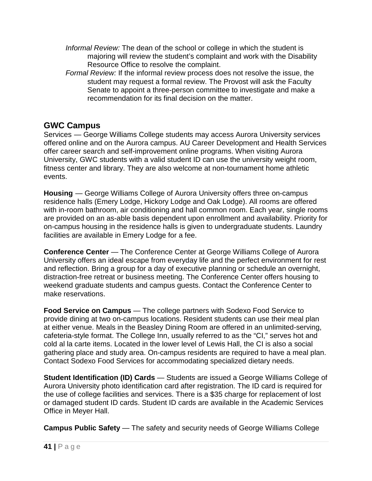- *Informal Review:* The dean of the school or college in which the student is majoring will review the student's complaint and work with the Disability Resource Office to resolve the complaint.
- *Formal Review:* If the informal review process does not resolve the issue, the student may request a formal review. The Provost will ask the Faculty Senate to appoint a three-person committee to investigate and make a recommendation for its final decision on the matter.

#### **GWC Campus**

Services — George Williams College students may access Aurora University services offered online and on the Aurora campus. AU Career Development and Health Services offer career search and self-improvement online programs. When visiting Aurora University, GWC students with a valid student ID can use the university weight room, fitness center and library. They are also welcome at non-tournament home athletic events.

**Housing** — George Williams College of Aurora University offers three on-campus residence halls (Emery Lodge, Hickory Lodge and Oak Lodge). All rooms are offered with in-room bathroom, air conditioning and hall common room. Each year, single rooms are provided on an as-able basis dependent upon enrollment and availability. Priority for on-campus housing in the residence halls is given to undergraduate students. Laundry facilities are available in Emery Lodge for a fee.

**Conference Center** — The Conference Center at George Williams College of Aurora University offers an ideal escape from everyday life and the perfect environment for rest and reflection. Bring a group for a day of executive planning or schedule an overnight, distraction-free retreat or business meeting. The Conference Center offers housing to weekend graduate students and campus guests. Contact the Conference Center to make reservations.

**Food Service on Campus** — The college partners with Sodexo Food Service to provide dining at two on-campus locations. Resident students can use their meal plan at either venue. Meals in the Beasley Dining Room are offered in an unlimited-serving, cafeteria-style format. The College Inn, usually referred to as the "CI," serves hot and cold al la carte items. Located in the lower level of Lewis Hall, the CI is also a social gathering place and study area. On-campus residents are required to have a meal plan. Contact Sodexo Food Services for accommodating specialized dietary needs.

**Student Identification (ID) Cards** — Students are issued a George Williams College of Aurora University photo identification card after registration. The ID card is required for the use of college facilities and services. There is a \$35 charge for replacement of lost or damaged student ID cards. Student ID cards are available in the Academic Services Office in Meyer Hall.

**Campus Public Safety** — The safety and security needs of George Williams College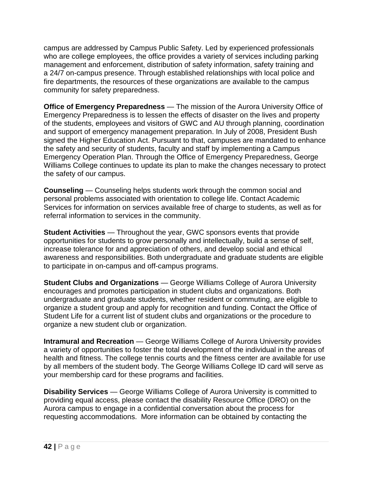campus are addressed by Campus Public Safety. Led by experienced professionals who are college employees, the office provides a variety of services including parking management and enforcement, distribution of safety information, safety training and a 24/7 on-campus presence. Through established relationships with local police and fire departments, the resources of these organizations are available to the campus community for safety preparedness.

**Office of Emergency Preparedness** — The mission of the Aurora University Office of Emergency Preparedness is to lessen the effects of disaster on the lives and property of the students, employees and visitors of GWC and AU through planning, coordination and support of emergency management preparation. In July of 2008, President Bush signed the Higher Education Act. Pursuant to that, campuses are mandated to enhance the safety and security of students, faculty and staff by implementing a Campus Emergency Operation Plan. Through the Office of Emergency Preparedness, George Williams College continues to update its plan to make the changes necessary to protect the safety of our campus.

**Counseling** — Counseling helps students work through the common social and personal problems associated with orientation to college life. Contact Academic Services for information on services available free of charge to students, as well as for referral information to services in the community.

**Student Activities** — Throughout the year, GWC sponsors events that provide opportunities for students to grow personally and intellectually, build a sense of self, increase tolerance for and appreciation of others, and develop social and ethical awareness and responsibilities. Both undergraduate and graduate students are eligible to participate in on-campus and off-campus programs.

**Student Clubs and Organizations** — George Williams College of Aurora University encourages and promotes participation in student clubs and organizations. Both undergraduate and graduate students, whether resident or commuting, are eligible to organize a student group and apply for recognition and funding. Contact the Office of Student Life for a current list of student clubs and organizations or the procedure to organize a new student club or organization.

**Intramural and Recreation** — George Williams College of Aurora University provides a variety of opportunities to foster the total development of the individual in the areas of health and fitness. The college tennis courts and the fitness center are available for use by all members of the student body. The George Williams College ID card will serve as your membership card for these programs and facilities.

**Disability Services** — George Williams College of Aurora University is committed to providing equal access, please contact the disability Resource Office (DRO) on the Aurora campus to engage in a confidential conversation about the process for requesting accommodations. More information can be obtained by contacting the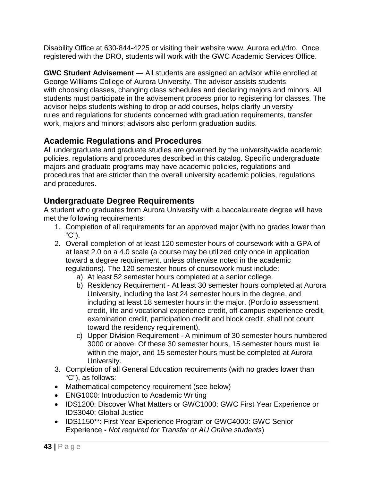Disability Office at 630-844-4225 or visiting their website www. Aurora.edu/dro. Once registered with the DRO, students will work with the GWC Academic Services Office.

**GWC Student Advisement** — All students are assigned an advisor while enrolled at George Williams College of Aurora University. The advisor assists students with choosing classes, changing class schedules and declaring majors and minors. All students must participate in the advisement process prior to registering for classes. The advisor helps students wishing to drop or add courses, helps clarify university rules and regulations for students concerned with graduation requirements, transfer work, majors and minors; advisors also perform graduation audits.

# **Academic Regulations and Procedures**

All undergraduate and graduate studies are governed by the university-wide academic policies, regulations and procedures described in this catalog. Specific undergraduate majors and graduate programs may have academic policies, regulations and procedures that are stricter than the overall university academic policies, regulations and procedures.

#### **Undergraduate Degree Requirements**

A student who graduates from Aurora University with a baccalaureate degree will have met the following requirements:

- 1. Completion of all requirements for an approved major (with no grades lower than "C").
- 2. Overall completion of at least 120 semester hours of coursework with a GPA of at least 2.0 on a 4.0 scale (a course may be utilized only once in application toward a degree requirement, unless otherwise noted in the academic regulations). The 120 semester hours of coursework must include:
	- a) At least 52 semester hours completed at a senior college.
	- b) Residency Requirement At least 30 semester hours completed at Aurora University, including the last 24 semester hours in the degree, and including at least 18 semester hours in the major. (Portfolio assessment credit, life and vocational experience credit, off-campus experience credit, examination credit, participation credit and block credit, shall not count toward the residency requirement).
	- c) Upper Division Requirement A minimum of 30 semester hours numbered 3000 or above. Of these 30 semester hours, 15 semester hours must lie within the major, and 15 semester hours must be completed at Aurora University.
- 3. Completion of all General Education requirements (with no grades lower than "C"), as follows:
- Mathematical competency requirement (see below)
- ENG1000: Introduction to Academic Writing
- IDS1200: Discover What Matters or GWC1000: GWC First Year Experience or IDS3040: Global Justice
- IDS1150\*\*: First Year Experience Program or GWC4000: GWC Senior Experience - *Not required for Transfer or AU Online students*)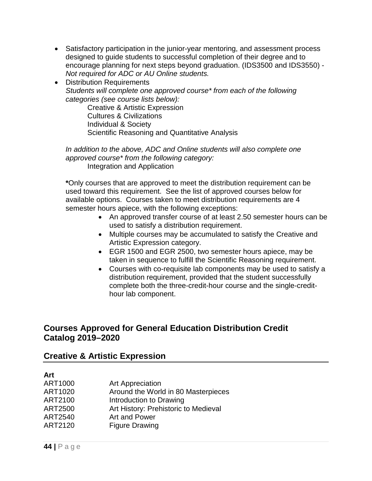- Satisfactory participation in the junior-year mentoring, and assessment process designed to guide students to successful completion of their degree and to encourage planning for next steps beyond graduation. (IDS3500 and IDS3550) - *Not required for ADC or AU Online students.*
- Distribution Requirements *Students will complete one approved course\* from each of the following categories (see course lists below):*

Creative & Artistic Expression Cultures & Civilizations Individual & Society Scientific Reasoning and Quantitative Analysis

*In addition to the above, ADC and Online students will also complete one approved course\* from the following category:* Integration and Application

**\***Only courses that are approved to meet the distribution requirement can be used toward this requirement. See the list of approved courses below for available options. Courses taken to meet distribution requirements are 4 semester hours apiece, with the following exceptions:

- An approved transfer course of at least 2.50 semester hours can be used to satisfy a distribution requirement.
- Multiple courses may be accumulated to satisfy the Creative and Artistic Expression category.
- EGR 1500 and EGR 2500, two semester hours apiece, may be taken in sequence to fulfill the Scientific Reasoning requirement.
- Courses with co-requisite lab components may be used to satisfy a distribution requirement, provided that the student successfully complete both the three-credit-hour course and the single-credithour lab component.

#### **Courses Approved for General Education Distribution Credit Catalog 2019–2020**

#### **Creative & Artistic Expression**

# **Art**

| ART1000 | Art Appreciation                     |
|---------|--------------------------------------|
| ART1020 | Around the World in 80 Masterpieces  |
| ART2100 | Introduction to Drawing              |
| ART2500 | Art History: Prehistoric to Medieval |
| ART2540 | Art and Power                        |
| ART2120 | <b>Figure Drawing</b>                |
|         |                                      |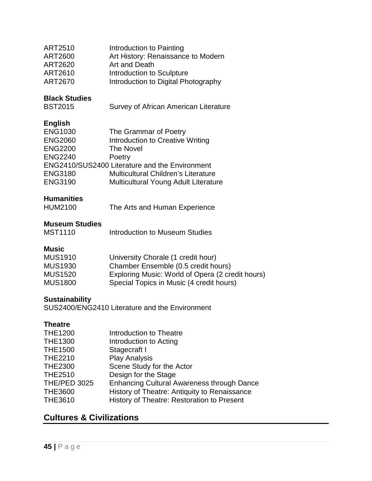| ART2510 | Introduction to Painting            |
|---------|-------------------------------------|
| ART2600 | Art History: Renaissance to Modern  |
| ART2620 | Art and Death                       |
| ART2610 | Introduction to Sculpture           |
| ART2670 | Introduction to Digital Photography |

# **Black Studies**

Survey of African American Literature

#### **English**

| <b>ENG1030</b> | The Grammar of Poetry                          |
|----------------|------------------------------------------------|
| <b>ENG2060</b> | Introduction to Creative Writing               |
| <b>ENG2200</b> | <b>The Novel</b>                               |
| <b>ENG2240</b> | Poetry                                         |
|                | ENG2410/SUS2400 Literature and the Environment |
| <b>ENG3180</b> | <b>Multicultural Children's Literature</b>     |
| <b>ENG3190</b> | <b>Multicultural Young Adult Literature</b>    |
|                |                                                |

#### **Humanities**

| <b>HUM2100</b> | The Arts and Human Experience |  |
|----------------|-------------------------------|--|
|                |                               |  |

#### **Museum Studies**

| <b>MST1110</b><br>Introduction to Museum Studies |
|--------------------------------------------------|
|--------------------------------------------------|

#### **Music**

| <b>MUS1910</b> | University Chorale (1 credit hour)               |
|----------------|--------------------------------------------------|
| <b>MUS1930</b> | Chamber Ensemble (0.5 credit hours)              |
| <b>MUS1520</b> | Exploring Music: World of Opera (2 credit hours) |
| <b>MUS1800</b> | Special Topics in Music (4 credit hours)         |

#### **Sustainability**

SUS2400/ENG2410 Literature and the Environment

#### **Theatre**

| <b>THE1200</b>      | Introduction to Theatre                           |
|---------------------|---------------------------------------------------|
| <b>THE1300</b>      | Introduction to Acting                            |
| <b>THE1500</b>      | Stagecraft I                                      |
| <b>THE2210</b>      | <b>Play Analysis</b>                              |
| <b>THE2300</b>      | Scene Study for the Actor                         |
| <b>THE2510</b>      | Design for the Stage                              |
| <b>THE/PED 3025</b> | <b>Enhancing Cultural Awareness through Dance</b> |
| <b>THE3600</b>      | History of Theatre: Antiquity to Renaissance      |
| <b>THE3610</b>      | History of Theatre: Restoration to Present        |
|                     |                                                   |

# **Cultures & Civilizations**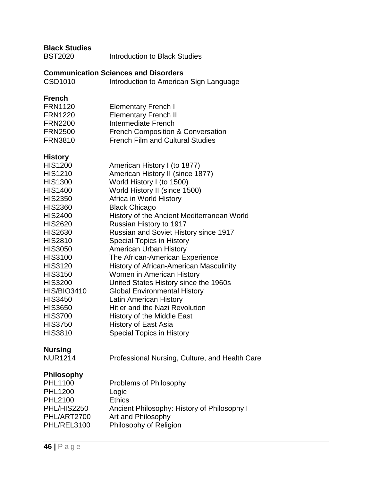| <b>Introduction to Black Studies</b>                                                                                                                                                                                                                                                                                                                                                                                                                                                                                                                                                                                                                                                                                                                         |
|--------------------------------------------------------------------------------------------------------------------------------------------------------------------------------------------------------------------------------------------------------------------------------------------------------------------------------------------------------------------------------------------------------------------------------------------------------------------------------------------------------------------------------------------------------------------------------------------------------------------------------------------------------------------------------------------------------------------------------------------------------------|
| <b>Communication Sciences and Disorders</b><br>Introduction to American Sign Language                                                                                                                                                                                                                                                                                                                                                                                                                                                                                                                                                                                                                                                                        |
| <b>Elementary French I</b><br><b>Elementary French II</b><br>Intermediate French<br><b>French Composition &amp; Conversation</b><br><b>French Film and Cultural Studies</b>                                                                                                                                                                                                                                                                                                                                                                                                                                                                                                                                                                                  |
| American History I (to 1877)<br>American History II (since 1877)<br>World History I (to 1500)<br>World History II (since 1500)<br>Africa in World History<br><b>Black Chicago</b><br>History of the Ancient Mediterranean World<br>Russian History to 1917<br><b>Russian and Soviet History since 1917</b><br><b>Special Topics in History</b><br><b>American Urban History</b><br>The African-American Experience<br><b>History of African-American Masculinity</b><br>Women in American History<br>United States History since the 1960s<br><b>Global Environmental History</b><br><b>Latin American History</b><br><b>Hitler and the Nazi Revolution</b><br>History of the Middle East<br><b>History of East Asia</b><br><b>Special Topics in History</b> |
| Professional Nursing, Culture, and Health Care                                                                                                                                                                                                                                                                                                                                                                                                                                                                                                                                                                                                                                                                                                               |
| Problems of Philosophy<br>Logic<br><b>Ethics</b><br>Ancient Philosophy: History of Philosophy I<br>Art and Philosophy<br>Philosophy of Religion                                                                                                                                                                                                                                                                                                                                                                                                                                                                                                                                                                                                              |
|                                                                                                                                                                                                                                                                                                                                                                                                                                                                                                                                                                                                                                                                                                                                                              |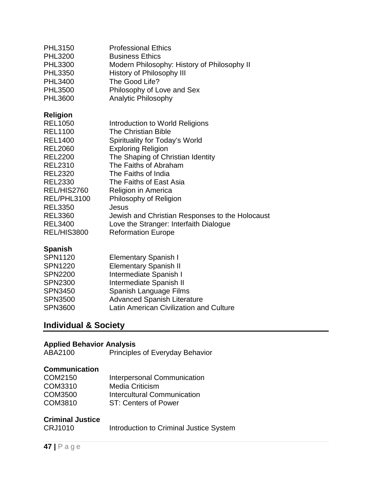| PHL3150<br><b>PHL3200</b><br><b>PHL3300</b><br><b>PHL3350</b><br>PHL3400<br><b>PHL3500</b>                                                                      | <b>Professional Ethics</b><br><b>Business Ethics</b><br>Modern Philosophy: History of Philosophy II<br>History of Philosophy III<br>The Good Life?<br>Philosophy of Love and Sex                                                      |
|-----------------------------------------------------------------------------------------------------------------------------------------------------------------|---------------------------------------------------------------------------------------------------------------------------------------------------------------------------------------------------------------------------------------|
| PHL3600                                                                                                                                                         | <b>Analytic Philosophy</b>                                                                                                                                                                                                            |
| <b>Religion</b><br><b>REL1050</b><br><b>REL1100</b><br><b>REL1400</b><br><b>REL2060</b><br><b>REL2200</b><br><b>REL2310</b><br><b>REL2320</b><br><b>REL2330</b> | Introduction to World Religions<br>The Christian Bible<br>Spirituality for Today's World<br><b>Exploring Religion</b><br>The Shaping of Christian Identity<br>The Faiths of Abraham<br>The Faiths of India<br>The Faiths of East Asia |
| REL/HIS2760                                                                                                                                                     | Religion in America                                                                                                                                                                                                                   |
| REL/PHL3100<br><b>REL3350</b><br><b>REL3360</b><br><b>REL3400</b><br><b>REL/HIS3800</b>                                                                         | Philosophy of Religion<br>Jesus<br>Jewish and Christian Responses to the Holocaust<br>Love the Stranger: Interfaith Dialogue<br><b>Reformation Europe</b>                                                                             |

# **Spanish**

| <b>SPN1120</b> | <b>Elementary Spanish I</b>             |
|----------------|-----------------------------------------|
| <b>SPN1220</b> | <b>Elementary Spanish II</b>            |
| <b>SPN2200</b> | Intermediate Spanish I                  |
| <b>SPN2300</b> | Intermediate Spanish II                 |
| <b>SPN3450</b> | Spanish Language Films                  |
| <b>SPN3500</b> | <b>Advanced Spanish Literature</b>      |
| <b>SPN3600</b> | Latin American Civilization and Culture |
|                |                                         |

# **Individual & Society**

# **Applied Behavior Analysis**

| ABA2100<br><b>Principles of Everyday Behavior</b> |  |
|---------------------------------------------------|--|
|                                                   |  |

# **Communication**

| COM2150 | <b>Interpersonal Communication</b> |
|---------|------------------------------------|
| COM3310 | <b>Media Criticism</b>             |
| COM3500 | Intercultural Communication        |
| COM3810 | ST: Centers of Power               |

#### **Criminal Justice**

| <b>CRJ1010</b> | Introduction to Criminal Justice System |
|----------------|-----------------------------------------|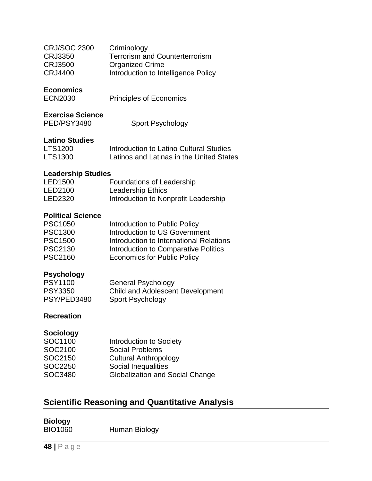| <b>CRJ/SOC 2300</b> | Criminology                           |
|---------------------|---------------------------------------|
| CRJ3350             | <b>Terrorism and Counterterrorism</b> |
| <b>CRJ3500</b>      | <b>Organized Crime</b>                |
| CRJ4400             | Introduction to Intelligence Policy   |

#### **Economics**

| ECN2030 | <b>Principles of Economics</b> |
|---------|--------------------------------|
|         |                                |

#### **Exercise Science**

| PED/PSY3480 | <b>Sport Psychology</b> |
|-------------|-------------------------|
|             |                         |

#### **Latino Studies**

| <b>LTS1200</b> | Introduction to Latino Cultural Studies  |
|----------------|------------------------------------------|
| <b>LTS1300</b> | Latinos and Latinas in the United States |

#### **Leadership Studies**

| LED1500 | Foundations of Leadership            |
|---------|--------------------------------------|
| LED2100 | <b>Leadership Ethics</b>             |
| LED2320 | Introduction to Nonprofit Leadership |

#### **Political Science**

| <b>PSC1050</b> | Introduction to Public Policy           |
|----------------|-----------------------------------------|
| <b>PSC1300</b> | Introduction to US Government           |
| <b>PSC1500</b> | Introduction to International Relations |
| <b>PSC2130</b> | Introduction to Comparative Politics    |
| <b>PSC2160</b> | <b>Economics for Public Policy</b>      |

#### **Psychology**

| <b>PSY1100</b> | <b>General Psychology</b>               |
|----------------|-----------------------------------------|
| <b>PSY3350</b> | <b>Child and Adolescent Development</b> |
| PSY/PED3480    | Sport Psychology                        |

#### **Recreation**

#### **Sociology**

| <b>Introduction to Society</b>         |
|----------------------------------------|
|                                        |
| <b>Cultural Anthropology</b>           |
|                                        |
| <b>Globalization and Social Change</b> |
|                                        |

# **Scientific Reasoning and Quantitative Analysis**

#### **Biology**

| <b>BIO1060</b><br>Human Biology |  |
|---------------------------------|--|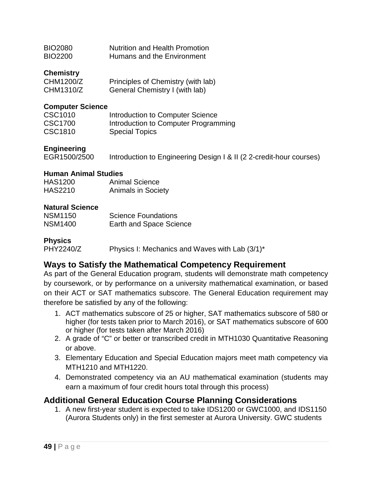| <b>BIO2080</b> | <b>Nutrition and Health Promotion</b> |
|----------------|---------------------------------------|
| <b>BIO2200</b> | Humans and the Environment            |

#### **Chemistry**

| CHM1200/Z | Principles of Chemistry (with lab) |
|-----------|------------------------------------|
| CHM1310/Z | General Chemistry I (with lab)     |

#### **Computer Science**

| CSC1010 | Introduction to Computer Science     |
|---------|--------------------------------------|
| CSC1700 | Introduction to Computer Programming |
| CSC1810 | <b>Special Topics</b>                |

#### **Engineering**

EGR1500/2500 Introduction to Engineering Design I & II (2 2-credit-hour courses)

#### **Human Animal Studies**

| <b>HAS1200</b> | <b>Animal Science</b>     |
|----------------|---------------------------|
| <b>HAS2210</b> | <b>Animals in Society</b> |

#### **Natural Science**

| <b>NSM1150</b> | <b>Science Foundations</b>     |
|----------------|--------------------------------|
| <b>NSM1400</b> | <b>Earth and Space Science</b> |

**Physics** Physics I: Mechanics and Waves with Lab (3/1)\*

#### **Ways to Satisfy the Mathematical Competency Requirement**

As part of the General Education program, students will demonstrate math competency by coursework, or by performance on a university mathematical examination, or based on their ACT or SAT mathematics subscore. The General Education requirement may therefore be satisfied by any of the following:

- 1. ACT mathematics subscore of 25 or higher, SAT mathematics subscore of 580 or higher (for tests taken prior to March 2016), or SAT mathematics subscore of 600 or higher (for tests taken after March 2016)
- 2. A grade of "C" or better or transcribed credit in MTH1030 Quantitative Reasoning or above.
- 3. Elementary Education and Special Education majors meet math competency via MTH1210 and MTH1220.
- 4. Demonstrated competency via an AU mathematical examination (students may earn a maximum of four credit hours total through this process)

#### **Additional General Education Course Planning Considerations**

1. A new first-year student is expected to take IDS1200 or GWC1000, and IDS1150 (Aurora Students only) in the first semester at Aurora University. GWC students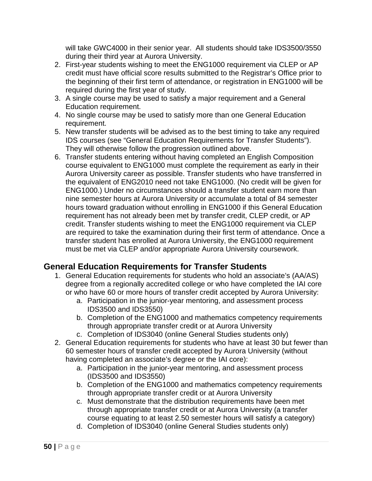will take GWC4000 in their senior year. All students should take IDS3500/3550 during their third year at Aurora University.

- 2. First-year students wishing to meet the ENG1000 requirement via CLEP or AP credit must have official score results submitted to the Registrar's Office prior to the beginning of their first term of attendance, or registration in ENG1000 will be required during the first year of study.
- 3. A single course may be used to satisfy a major requirement and a General Education requirement.
- 4. No single course may be used to satisfy more than one General Education requirement.
- 5. New transfer students will be advised as to the best timing to take any required IDS courses (see "General Education Requirements for Transfer Students"). They will otherwise follow the progression outlined above.
- 6. Transfer students entering without having completed an English Composition course equivalent to ENG1000 must complete the requirement as early in their Aurora University career as possible. Transfer students who have transferred in the equivalent of ENG2010 need not take ENG1000. (No credit will be given for ENG1000.) Under no circumstances should a transfer student earn more than nine semester hours at Aurora University or accumulate a total of 84 semester hours toward graduation without enrolling in ENG1000 if this General Education requirement has not already been met by transfer credit, CLEP credit, or AP credit. Transfer students wishing to meet the ENG1000 requirement via CLEP are required to take the examination during their first term of attendance. Once a transfer student has enrolled at Aurora University, the ENG1000 requirement must be met via CLEP and/or appropriate Aurora University coursework.

# **General Education Requirements for Transfer Students**

- 1. General Education requirements for students who hold an associate's (AA/AS) degree from a regionally accredited college or who have completed the IAI core or who have 60 or more hours of transfer credit accepted by Aurora University:
	- a. Participation in the junior-year mentoring, and assessment process IDS3500 and IDS3550)
	- b. Completion of the ENG1000 and mathematics competency requirements through appropriate transfer credit or at Aurora University
	- c. Completion of IDS3040 (online General Studies students only)
- 2. General Education requirements for students who have at least 30 but fewer than 60 semester hours of transfer credit accepted by Aurora University (without having completed an associate's degree or the IAI core):
	- a. Participation in the junior-year mentoring, and assessment process (IDS3500 and IDS3550)
	- b. Completion of the ENG1000 and mathematics competency requirements through appropriate transfer credit or at Aurora University
	- c. Must demonstrate that the distribution requirements have been met through appropriate transfer credit or at Aurora University (a transfer course equating to at least 2.50 semester hours will satisfy a category)
	- d. Completion of IDS3040 (online General Studies students only)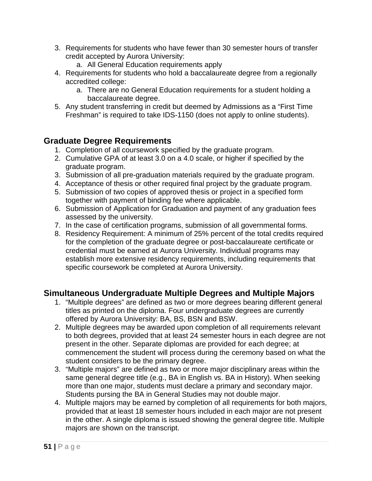- 3. Requirements for students who have fewer than 30 semester hours of transfer credit accepted by Aurora University:
	- a. All General Education requirements apply
- 4. Requirements for students who hold a baccalaureate degree from a regionally accredited college:
	- a. There are no General Education requirements for a student holding a baccalaureate degree.
- 5. Any student transferring in credit but deemed by Admissions as a "First Time Freshman" is required to take IDS-1150 (does not apply to online students).

#### **Graduate Degree Requirements**

- 1. Completion of all coursework specified by the graduate program.
- 2. Cumulative GPA of at least 3.0 on a 4.0 scale, or higher if specified by the graduate program.
- 3. Submission of all pre-graduation materials required by the graduate program.
- 4. Acceptance of thesis or other required final project by the graduate program.
- 5. Submission of two copies of approved thesis or project in a specified form together with payment of binding fee where applicable.
- 6. Submission of Application for Graduation and payment of any graduation fees assessed by the university.
- 7. In the case of certification programs, submission of all governmental forms.
- 8. Residency Requirement: A minimum of 25% percent of the total credits required for the completion of the graduate degree or post-baccalaureate certificate or credential must be earned at Aurora University. Individual programs may establish more extensive residency requirements, including requirements that specific coursework be completed at Aurora University.

#### **Simultaneous Undergraduate Multiple Degrees and Multiple Majors**

- 1. "Multiple degrees" are defined as two or more degrees bearing different general titles as printed on the diploma. Four undergraduate degrees are currently offered by Aurora University: BA, BS, BSN and BSW.
- 2. Multiple degrees may be awarded upon completion of all requirements relevant to both degrees, provided that at least 24 semester hours in each degree are not present in the other. Separate diplomas are provided for each degree; at commencement the student will process during the ceremony based on what the student considers to be the primary degree.
- 3. "Multiple majors" are defined as two or more major disciplinary areas within the same general degree title (e.g., BA in English vs. BA in History). When seeking more than one major, students must declare a primary and secondary major. Students pursing the BA in General Studies may not double major.
- 4. Multiple majors may be earned by completion of all requirements for both majors, provided that at least 18 semester hours included in each major are not present in the other. A single diploma is issued showing the general degree title. Multiple majors are shown on the transcript.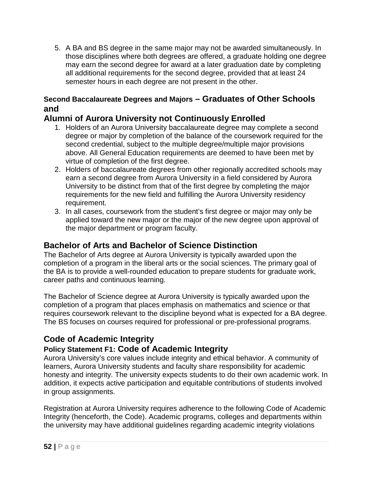5. A BA and BS degree in the same major may not be awarded simultaneously. In those disciplines where both degrees are offered, a graduate holding one degree may earn the second degree for award at a later graduation date by completing all additional requirements for the second degree, provided that at least 24 semester hours in each degree are not present in the other.

#### **Second Baccalaureate Degrees and Majors – Graduates of Other Schools and**

#### **Alumni of Aurora University not Continuously Enrolled**

- 1. Holders of an Aurora University baccalaureate degree may complete a second degree or major by completion of the balance of the coursework required for the second credential, subject to the multiple degree/multiple major provisions above. All General Education requirements are deemed to have been met by virtue of completion of the first degree.
- 2. Holders of baccalaureate degrees from other regionally accredited schools may earn a second degree from Aurora University in a field considered by Aurora University to be distinct from that of the first degree by completing the major requirements for the new field and fulfilling the Aurora University residency requirement.
- 3. In all cases, coursework from the student's first degree or major may only be applied toward the new major or the major of the new degree upon approval of the major department or program faculty.

#### **Bachelor of Arts and Bachelor of Science Distinction**

The Bachelor of Arts degree at Aurora University is typically awarded upon the completion of a program in the liberal arts or the social sciences. The primary goal of the BA is to provide a well-rounded education to prepare students for graduate work, career paths and continuous learning.

The Bachelor of Science degree at Aurora University is typically awarded upon the completion of a program that places emphasis on mathematics and science or that requires coursework relevant to the discipline beyond what is expected for a BA degree. The BS focuses on courses required for professional or pre-professional programs.

# **Code of Academic Integrity**

# **Policy Statement F1: Code of Academic Integrity**

Aurora University's core values include integrity and ethical behavior. A community of learners, Aurora University students and faculty share responsibility for academic honesty and integrity. The university expects students to do their own academic work. In addition, it expects active participation and equitable contributions of students involved in group assignments.

Registration at Aurora University requires adherence to the following Code of Academic Integrity (henceforth, the Code). Academic programs, colleges and departments within the university may have additional guidelines regarding academic integrity violations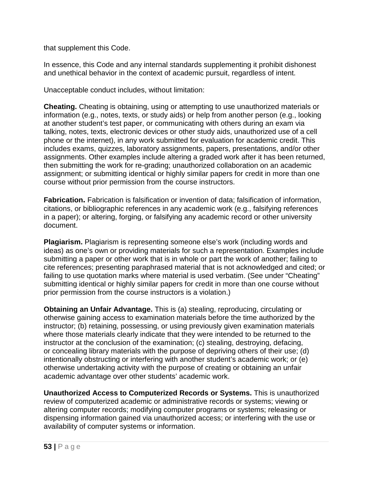that supplement this Code.

In essence, this Code and any internal standards supplementing it prohibit dishonest and unethical behavior in the context of academic pursuit, regardless of intent.

Unacceptable conduct includes, without limitation:

**Cheating.** Cheating is obtaining, using or attempting to use unauthorized materials or information (e.g., notes, texts, or study aids) or help from another person (e.g., looking at another student's test paper, or communicating with others during an exam via talking, notes, texts, electronic devices or other study aids, unauthorized use of a cell phone or the internet), in any work submitted for evaluation for academic credit. This includes exams, quizzes, laboratory assignments, papers, presentations, and/or other assignments. Other examples include altering a graded work after it has been returned, then submitting the work for re-grading; unauthorized collaboration on an academic assignment; or submitting identical or highly similar papers for credit in more than one course without prior permission from the course instructors.

**Fabrication.** Fabrication is falsification or invention of data; falsification of information, citations, or bibliographic references in any academic work (e.g., falsifying references in a paper); or altering, forging, or falsifying any academic record or other university document.

**Plagiarism.** Plagiarism is representing someone else's work (including words and ideas) as one's own or providing materials for such a representation. Examples include submitting a paper or other work that is in whole or part the work of another; failing to cite references; presenting paraphrased material that is not acknowledged and cited; or failing to use quotation marks where material is used verbatim. (See under "Cheating" submitting identical or highly similar papers for credit in more than one course without prior permission from the course instructors is a violation.)

**Obtaining an Unfair Advantage.** This is (a) stealing, reproducing, circulating or otherwise gaining access to examination materials before the time authorized by the instructor; (b) retaining, possessing, or using previously given examination materials where those materials clearly indicate that they were intended to be returned to the instructor at the conclusion of the examination; (c) stealing, destroying, defacing, or concealing library materials with the purpose of depriving others of their use; (d) intentionally obstructing or interfering with another student's academic work; or (e) otherwise undertaking activity with the purpose of creating or obtaining an unfair academic advantage over other students' academic work.

**Unauthorized Access to Computerized Records or Systems.** This is unauthorized review of computerized academic or administrative records or systems; viewing or altering computer records; modifying computer programs or systems; releasing or dispensing information gained via unauthorized access; or interfering with the use or availability of computer systems or information.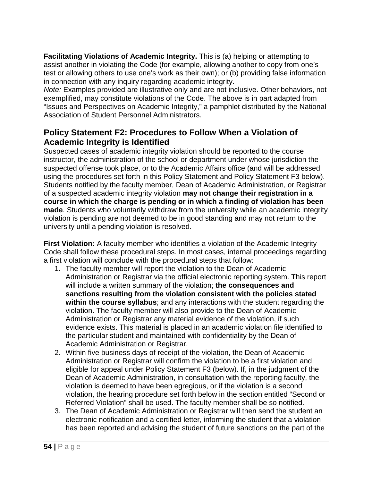**Facilitating Violations of Academic Integrity.** This is (a) helping or attempting to assist another in violating the Code (for example, allowing another to copy from one's test or allowing others to use one's work as their own); or (b) providing false information in connection with any inquiry regarding academic integrity.

*Note:* Examples provided are illustrative only and are not inclusive. Other behaviors, not exemplified, may constitute violations of the Code. The above is in part adapted from "Issues and Perspectives on Academic Integrity," a pamphlet distributed by the National Association of Student Personnel Administrators.

# **Policy Statement F2: Procedures to Follow When a Violation of Academic Integrity is Identified**

Suspected cases of academic integrity violation should be reported to the course instructor, the administration of the school or department under whose jurisdiction the suspected offense took place, or to the Academic Affairs office (and will be addressed using the procedures set forth in this Policy Statement and Policy Statement F3 below). Students notified by the faculty member, Dean of Academic Administration, or Registrar of a suspected academic integrity violation **may not change their registration in a course in which the charge is pending or in which a finding of violation has been made**. Students who voluntarily withdraw from the university while an academic integrity violation is pending are not deemed to be in good standing and may not return to the university until a pending violation is resolved.

**First Violation:** A faculty member who identifies a violation of the Academic Integrity Code shall follow these procedural steps. In most cases, internal proceedings regarding a first violation will conclude with the procedural steps that follow:

- 1. The faculty member will report the violation to the Dean of Academic Administration or Registrar via the official electronic reporting system. This report will include a written summary of the violation; **the consequences and sanctions resulting from the violation consistent with the policies stated within the course syllabus**; and any interactions with the student regarding the violation. The faculty member will also provide to the Dean of Academic Administration or Registrar any material evidence of the violation, if such evidence exists. This material is placed in an academic violation file identified to the particular student and maintained with confidentiality by the Dean of Academic Administration or Registrar.
- 2. Within five business days of receipt of the violation, the Dean of Academic Administration or Registrar will confirm the violation to be a first violation and eligible for appeal under Policy Statement F3 (below). If, in the judgment of the Dean of Academic Administration, in consultation with the reporting faculty, the violation is deemed to have been egregious, or if the violation is a second violation, the hearing procedure set forth below in the section entitled "Second or Referred Violation" shall be used. The faculty member shall be so notified.
- 3. The Dean of Academic Administration or Registrar will then send the student an electronic notification and a certified letter, informing the student that a violation has been reported and advising the student of future sanctions on the part of the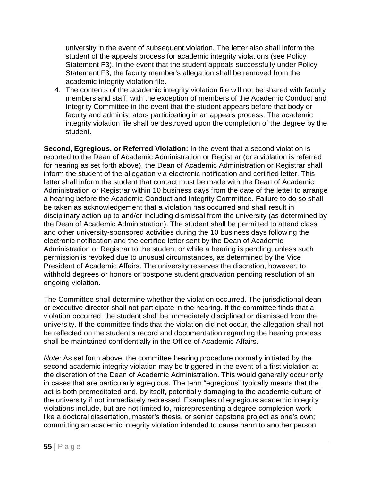university in the event of subsequent violation. The letter also shall inform the student of the appeals process for academic integrity violations (see Policy Statement F3). In the event that the student appeals successfully under Policy Statement F3, the faculty member's allegation shall be removed from the academic integrity violation file.

4. The contents of the academic integrity violation file will not be shared with faculty members and staff, with the exception of members of the Academic Conduct and Integrity Committee in the event that the student appears before that body or faculty and administrators participating in an appeals process. The academic integrity violation file shall be destroyed upon the completion of the degree by the student.

**Second, Egregious, or Referred Violation:** In the event that a second violation is reported to the Dean of Academic Administration or Registrar (or a violation is referred for hearing as set forth above), the Dean of Academic Administration or Registrar shall inform the student of the allegation via electronic notification and certified letter. This letter shall inform the student that contact must be made with the Dean of Academic Administration or Registrar within 10 business days from the date of the letter to arrange a hearing before the Academic Conduct and Integrity Committee. Failure to do so shall be taken as acknowledgement that a violation has occurred and shall result in disciplinary action up to and/or including dismissal from the university (as determined by the Dean of Academic Administration). The student shall be permitted to attend class and other university-sponsored activities during the 10 business days following the electronic notification and the certified letter sent by the Dean of Academic Administration or Registrar to the student or while a hearing is pending, unless such permission is revoked due to unusual circumstances, as determined by the Vice President of Academic Affairs. The university reserves the discretion, however, to withhold degrees or honors or postpone student graduation pending resolution of an ongoing violation.

The Committee shall determine whether the violation occurred. The jurisdictional dean or executive director shall not participate in the hearing. If the committee finds that a violation occurred, the student shall be immediately disciplined or dismissed from the university. If the committee finds that the violation did not occur, the allegation shall not be reflected on the student's record and documentation regarding the hearing process shall be maintained confidentially in the Office of Academic Affairs.

*Note:* As set forth above, the committee hearing procedure normally initiated by the second academic integrity violation may be triggered in the event of a first violation at the discretion of the Dean of Academic Administration. This would generally occur only in cases that are particularly egregious. The term "egregious" typically means that the act is both premeditated and, by itself, potentially damaging to the academic culture of the university if not immediately redressed. Examples of egregious academic integrity violations include, but are not limited to, misrepresenting a degree-completion work like a doctoral dissertation, master's thesis, or senior capstone project as one's own; committing an academic integrity violation intended to cause harm to another person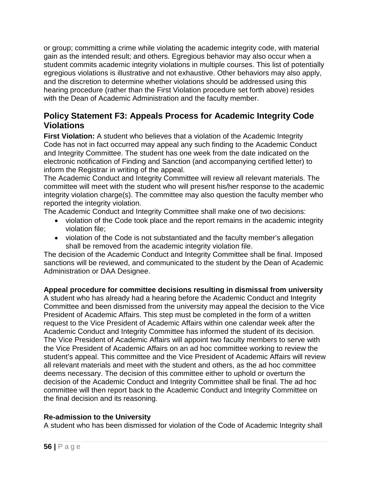or group; committing a crime while violating the academic integrity code, with material gain as the intended result; and others. Egregious behavior may also occur when a student commits academic integrity violations in multiple courses. This list of potentially egregious violations is illustrative and not exhaustive. Other behaviors may also apply, and the discretion to determine whether violations should be addressed using this hearing procedure (rather than the First Violation procedure set forth above) resides with the Dean of Academic Administration and the faculty member.

#### **Policy Statement F3: Appeals Process for Academic Integrity Code Violations**

**First Violation:** A student who believes that a violation of the Academic Integrity Code has not in fact occurred may appeal any such finding to the Academic Conduct and Integrity Committee. The student has one week from the date indicated on the electronic notification of Finding and Sanction (and accompanying certified letter) to inform the Registrar in writing of the appeal.

The Academic Conduct and Integrity Committee will review all relevant materials. The committee will meet with the student who will present his/her response to the academic integrity violation charge(s). The committee may also question the faculty member who reported the integrity violation.

The Academic Conduct and Integrity Committee shall make one of two decisions:

- violation of the Code took place and the report remains in the academic integrity violation file;
- violation of the Code is not substantiated and the faculty member's allegation shall be removed from the academic integrity violation file.

The decision of the Academic Conduct and Integrity Committee shall be final. Imposed sanctions will be reviewed, and communicated to the student by the Dean of Academic Administration or DAA Designee.

#### **Appeal procedure for committee decisions resulting in dismissal from university**

A student who has already had a hearing before the Academic Conduct and Integrity Committee and been dismissed from the university may appeal the decision to the Vice President of Academic Affairs. This step must be completed in the form of a written request to the Vice President of Academic Affairs within one calendar week after the Academic Conduct and Integrity Committee has informed the student of its decision. The Vice President of Academic Affairs will appoint two faculty members to serve with the Vice President of Academic Affairs on an ad hoc committee working to review the student's appeal. This committee and the Vice President of Academic Affairs will review all relevant materials and meet with the student and others, as the ad hoc committee deems necessary. The decision of this committee either to uphold or overturn the decision of the Academic Conduct and Integrity Committee shall be final. The ad hoc committee will then report back to the Academic Conduct and Integrity Committee on the final decision and its reasoning.

#### **Re-admission to the University**

A student who has been dismissed for violation of the Code of Academic Integrity shall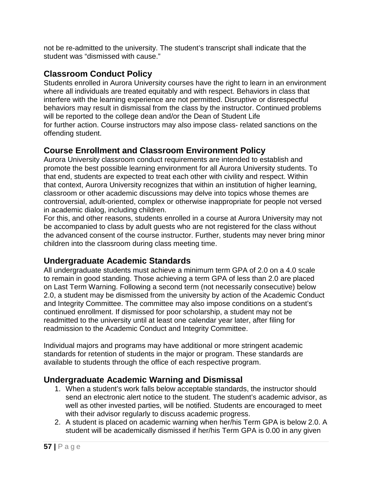not be re-admitted to the university. The student's transcript shall indicate that the student was "dismissed with cause."

# **Classroom Conduct Policy**

Students enrolled in Aurora University courses have the right to learn in an environment where all individuals are treated equitably and with respect. Behaviors in class that interfere with the learning experience are not permitted. Disruptive or disrespectful behaviors may result in dismissal from the class by the instructor. Continued problems will be reported to the college dean and/or the Dean of Student Life for further action. Course instructors may also impose class- related sanctions on the offending student.

#### **Course Enrollment and Classroom Environment Policy**

Aurora University classroom conduct requirements are intended to establish and promote the best possible learning environment for all Aurora University students. To that end, students are expected to treat each other with civility and respect. Within that context, Aurora University recognizes that within an institution of higher learning, classroom or other academic discussions may delve into topics whose themes are controversial, adult-oriented, complex or otherwise inappropriate for people not versed in academic dialog, including children.

For this, and other reasons, students enrolled in a course at Aurora University may not be accompanied to class by adult guests who are not registered for the class without the advanced consent of the course instructor. Further, students may never bring minor children into the classroom during class meeting time.

#### **Undergraduate Academic Standards**

All undergraduate students must achieve a minimum term GPA of 2.0 on a 4.0 scale to remain in good standing. Those achieving a term GPA of less than 2.0 are placed on Last Term Warning. Following a second term (not necessarily consecutive) below 2.0, a student may be dismissed from the university by action of the Academic Conduct and Integrity Committee. The committee may also impose conditions on a student's continued enrollment. If dismissed for poor scholarship, a student may not be readmitted to the university until at least one calendar year later, after filing for readmission to the Academic Conduct and Integrity Committee.

Individual majors and programs may have additional or more stringent academic standards for retention of students in the major or program. These standards are available to students through the office of each respective program.

#### **Undergraduate Academic Warning and Dismissal**

- 1. When a student's work falls below acceptable standards, the instructor should send an electronic alert notice to the student. The student's academic advisor, as well as other invested parties, will be notified. Students are encouraged to meet with their advisor regularly to discuss academic progress.
- 2. A student is placed on academic warning when her/his Term GPA is below 2.0. A student will be academically dismissed if her/his Term GPA is 0.00 in any given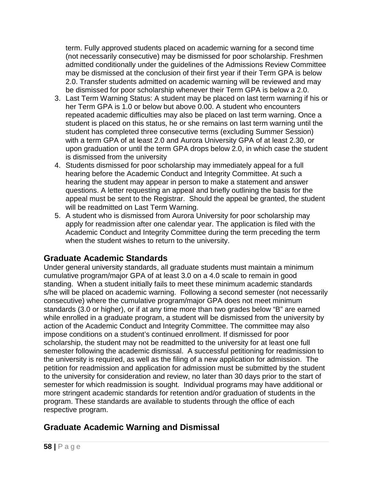term. Fully approved students placed on academic warning for a second time (not necessarily consecutive) may be dismissed for poor scholarship. Freshmen admitted conditionally under the guidelines of the Admissions Review Committee may be dismissed at the conclusion of their first year if their Term GPA is below 2.0. Transfer students admitted on academic warning will be reviewed and may be dismissed for poor scholarship whenever their Term GPA is below a 2.0.

- 3. Last Term Warning Status: A student may be placed on last term warning if his or her Term GPA is 1.0 or below but above 0.00. A student who encounters repeated academic difficulties may also be placed on last term warning. Once a student is placed on this status, he or she remains on last term warning until the student has completed three consecutive terms (excluding Summer Session) with a term GPA of at least 2.0 and Aurora University GPA of at least 2.30, or upon graduation or until the term GPA drops below 2.0, in which case the student is dismissed from the university
- 4. Students dismissed for poor scholarship may immediately appeal for a full hearing before the Academic Conduct and Integrity Committee. At such a hearing the student may appear in person to make a statement and answer questions. A letter requesting an appeal and briefly outlining the basis for the appeal must be sent to the Registrar. Should the appeal be granted, the student will be readmitted on Last Term Warning.
- 5. A student who is dismissed from Aurora University for poor scholarship may apply for readmission after one calendar year. The application is filed with the Academic Conduct and Integrity Committee during the term preceding the term when the student wishes to return to the university.

# **Graduate Academic Standards**

Under general university standards, all graduate students must maintain a minimum cumulative program/major GPA of at least 3.0 on a 4.0 scale to remain in good standing. When a student initially fails to meet these minimum academic standards s/he will be placed on academic warning. Following a second semester (not necessarily consecutive) where the cumulative program/major GPA does not meet minimum standards (3.0 or higher), or if at any time more than two grades below "B" are earned while enrolled in a graduate program, a student will be dismissed from the university by action of the Academic Conduct and Integrity Committee. The committee may also impose conditions on a student's continued enrollment. If dismissed for poor scholarship, the student may not be readmitted to the university for at least one full semester following the academic dismissal. A successful petitioning for readmission to the university is required, as well as the filing of a new application for admission. The petition for readmission and application for admission must be submitted by the student to the university for consideration and review, no later than 30 days prior to the start of semester for which readmission is sought. Individual programs may have additional or more stringent academic standards for retention and/or graduation of students in the program. These standards are available to students through the office of each respective program.

# **Graduate Academic Warning and Dismissal**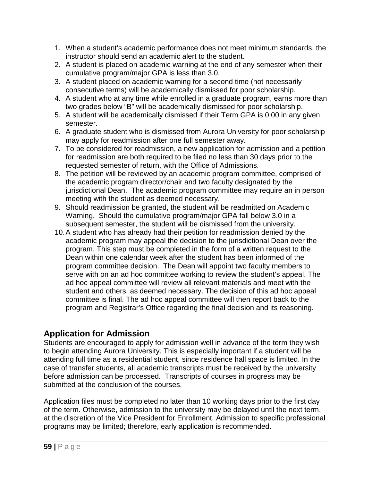- 1. When a student's academic performance does not meet minimum standards, the instructor should send an academic alert to the student.
- 2. A student is placed on academic warning at the end of any semester when their cumulative program/major GPA is less than 3.0.
- 3. A student placed on academic warning for a second time (not necessarily consecutive terms) will be academically dismissed for poor scholarship.
- 4. A student who at any time while enrolled in a graduate program, earns more than two grades below "B" will be academically dismissed for poor scholarship.
- 5. A student will be academically dismissed if their Term GPA is 0.00 in any given semester.
- 6. A graduate student who is dismissed from Aurora University for poor scholarship may apply for readmission after one full semester away.
- 7. To be considered for readmission, a new application for admission and a petition for readmission are both required to be filed no less than 30 days prior to the requested semester of return, with the Office of Admissions.
- 8. The petition will be reviewed by an academic program committee, comprised of the academic program director/chair and two faculty designated by the jurisdictional Dean. The academic program committee may require an in person meeting with the student as deemed necessary.
- 9. Should readmission be granted, the student will be readmitted on Academic Warning. Should the cumulative program/major GPA fall below 3.0 in a subsequent semester, the student will be dismissed from the university.
- 10.A student who has already had their petition for readmission denied by the academic program may appeal the decision to the jurisdictional Dean over the program. This step must be completed in the form of a written request to the Dean within one calendar week after the student has been informed of the program committee decision. The Dean will appoint two faculty members to serve with on an ad hoc committee working to review the student's appeal. The ad hoc appeal committee will review all relevant materials and meet with the student and others, as deemed necessary. The decision of this ad hoc appeal committee is final. The ad hoc appeal committee will then report back to the program and Registrar's Office regarding the final decision and its reasoning.

# **Application for Admission**

Students are encouraged to apply for admission well in advance of the term they wish to begin attending Aurora University. This is especially important if a student will be attending full time as a residential student, since residence hall space is limited. In the case of transfer students, all academic transcripts must be received by the university before admission can be processed. Transcripts of courses in progress may be submitted at the conclusion of the courses.

Application files must be completed no later than 10 working days prior to the first day of the term. Otherwise, admission to the university may be delayed until the next term, at the discretion of the Vice President for Enrollment. Admission to specific professional programs may be limited; therefore, early application is recommended.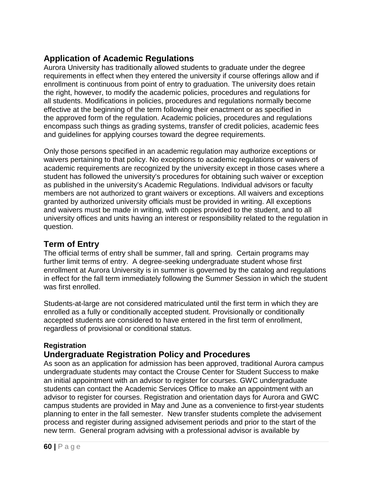# **Application of Academic Regulations**

Aurora University has traditionally allowed students to graduate under the degree requirements in effect when they entered the university if course offerings allow and if enrollment is continuous from point of entry to graduation. The university does retain the right, however, to modify the academic policies, procedures and regulations for all students. Modifications in policies, procedures and regulations normally become effective at the beginning of the term following their enactment or as specified in the approved form of the regulation. Academic policies, procedures and regulations encompass such things as grading systems, transfer of credit policies, academic fees and guidelines for applying courses toward the degree requirements.

Only those persons specified in an academic regulation may authorize exceptions or waivers pertaining to that policy. No exceptions to academic regulations or waivers of academic requirements are recognized by the university except in those cases where a student has followed the university's procedures for obtaining such waiver or exception as published in the university's Academic Regulations. Individual advisors or faculty members are not authorized to grant waivers or exceptions. All waivers and exceptions granted by authorized university officials must be provided in writing. All exceptions and waivers must be made in writing, with copies provided to the student, and to all university offices and units having an interest or responsibility related to the regulation in question.

#### **Term of Entry**

The official terms of entry shall be summer, fall and spring. Certain programs may further limit terms of entry. A degree-seeking undergraduate student whose first enrollment at Aurora University is in summer is governed by the catalog and regulations in effect for the fall term immediately following the Summer Session in which the student was first enrolled.

Students-at-large are not considered matriculated until the first term in which they are enrolled as a fully or conditionally accepted student. Provisionally or conditionally accepted students are considered to have entered in the first term of enrollment, regardless of provisional or conditional status.

#### **Registration**

# **Undergraduate Registration Policy and Procedures**

As soon as an application for admission has been approved, traditional Aurora campus undergraduate students may contact the Crouse Center for Student Success to make an initial appointment with an advisor to register for courses. GWC undergraduate students can contact the Academic Services Office to make an appointment with an advisor to register for courses. Registration and orientation days for Aurora and GWC campus students are provided in May and June as a convenience to first-year students planning to enter in the fall semester. New transfer students complete the advisement process and register during assigned advisement periods and prior to the start of the new term. General program advising with a professional advisor is available by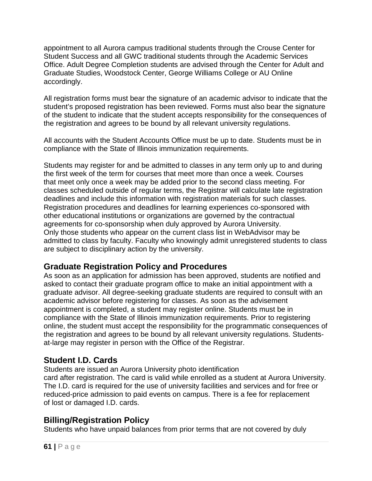appointment to all Aurora campus traditional students through the Crouse Center for Student Success and all GWC traditional students through the Academic Services Office. Adult Degree Completion students are advised through the Center for Adult and Graduate Studies, Woodstock Center, George Williams College or AU Online accordingly.

All registration forms must bear the signature of an academic advisor to indicate that the student's proposed registration has been reviewed. Forms must also bear the signature of the student to indicate that the student accepts responsibility for the consequences of the registration and agrees to be bound by all relevant university regulations.

All accounts with the Student Accounts Office must be up to date. Students must be in compliance with the State of Illinois immunization requirements.

Students may register for and be admitted to classes in any term only up to and during the first week of the term for courses that meet more than once a week. Courses that meet only once a week may be added prior to the second class meeting. For classes scheduled outside of regular terms, the Registrar will calculate late registration deadlines and include this information with registration materials for such classes. Registration procedures and deadlines for learning experiences co-sponsored with other educational institutions or organizations are governed by the contractual agreements for co-sponsorship when duly approved by Aurora University. Only those students who appear on the current class list in WebAdvisor may be admitted to class by faculty. Faculty who knowingly admit unregistered students to class are subject to disciplinary action by the university.

# **Graduate Registration Policy and Procedures**

As soon as an application for admission has been approved, students are notified and asked to contact their graduate program office to make an initial appointment with a graduate advisor. All degree-seeking graduate students are required to consult with an academic advisor before registering for classes. As soon as the advisement appointment is completed, a student may register online. Students must be in compliance with the State of Illinois immunization requirements. Prior to registering online, the student must accept the responsibility for the programmatic consequences of the registration and agrees to be bound by all relevant university regulations. Studentsat-large may register in person with the Office of the Registrar.

# **Student I.D. Cards**

Students are issued an Aurora University photo identification card after registration. The card is valid while enrolled as a student at Aurora University. The I.D. card is required for the use of university facilities and services and for free or reduced-price admission to paid events on campus. There is a fee for replacement of lost or damaged I.D. cards.

# **Billing/Registration Policy**

Students who have unpaid balances from prior terms that are not covered by duly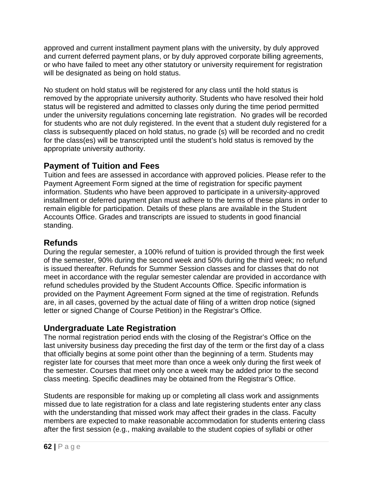approved and current installment payment plans with the university, by duly approved and current deferred payment plans, or by duly approved corporate billing agreements, or who have failed to meet any other statutory or university requirement for registration will be designated as being on hold status.

No student on hold status will be registered for any class until the hold status is removed by the appropriate university authority. Students who have resolved their hold status will be registered and admitted to classes only during the time period permitted under the university regulations concerning late registration. No grades will be recorded for students who are not duly registered. In the event that a student duly registered for a class is subsequently placed on hold status, no grade (s) will be recorded and no credit for the class(es) will be transcripted until the student's hold status is removed by the appropriate university authority.

# **Payment of Tuition and Fees**

Tuition and fees are assessed in accordance with approved policies. Please refer to the Payment Agreement Form signed at the time of registration for specific payment information. Students who have been approved to participate in a university-approved installment or deferred payment plan must adhere to the terms of these plans in order to remain eligible for participation. Details of these plans are available in the Student Accounts Office. Grades and transcripts are issued to students in good financial standing.

# **Refunds**

During the regular semester, a 100% refund of tuition is provided through the first week of the semester, 90% during the second week and 50% during the third week; no refund is issued thereafter. Refunds for Summer Session classes and for classes that do not meet in accordance with the regular semester calendar are provided in accordance with refund schedules provided by the Student Accounts Office. Specific information is provided on the Payment Agreement Form signed at the time of registration. Refunds are, in all cases, governed by the actual date of filing of a written drop notice (signed letter or signed Change of Course Petition) in the Registrar's Office.

# **Undergraduate Late Registration**

The normal registration period ends with the closing of the Registrar's Office on the last university business day preceding the first day of the term or the first day of a class that officially begins at some point other than the beginning of a term. Students may register late for courses that meet more than once a week only during the first week of the semester. Courses that meet only once a week may be added prior to the second class meeting. Specific deadlines may be obtained from the Registrar's Office.

Students are responsible for making up or completing all class work and assignments missed due to late registration for a class and late registering students enter any class with the understanding that missed work may affect their grades in the class. Faculty members are expected to make reasonable accommodation for students entering class after the first session (e.g., making available to the student copies of syllabi or other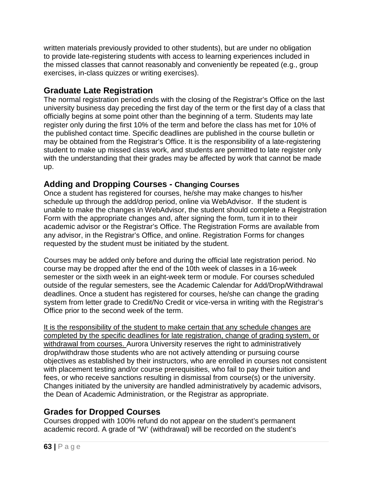written materials previously provided to other students), but are under no obligation to provide late-registering students with access to learning experiences included in the missed classes that cannot reasonably and conveniently be repeated (e.g., group exercises, in-class quizzes or writing exercises).

# **Graduate Late Registration**

The normal registration period ends with the closing of the Registrar's Office on the last university business day preceding the first day of the term or the first day of a class that officially begins at some point other than the beginning of a term. Students may late register only during the first 10% of the term and before the class has met for 10% of the published contact time. Specific deadlines are published in the course bulletin or may be obtained from the Registrar's Office. It is the responsibility of a late-registering student to make up missed class work, and students are permitted to late register only with the understanding that their grades may be affected by work that cannot be made up.

#### **Adding and Dropping Courses - Changing Courses**

Once a student has registered for courses, he/she may make changes to his/her schedule up through the add/drop period, online via WebAdvisor. If the student is unable to make the changes in WebAdvisor, the student should complete a Registration Form with the appropriate changes and, after signing the form, turn it in to their academic advisor or the Registrar's Office. The Registration Forms are available from any advisor, in the Registrar's Office, and online. Registration Forms for changes requested by the student must be initiated by the student.

Courses may be added only before and during the official late registration period. No course may be dropped after the end of the 10th week of classes in a 16-week semester or the sixth week in an eight-week term or module. For courses scheduled outside of the regular semesters, see the Academic Calendar for Add/Drop/Withdrawal deadlines. Once a student has registered for courses, he/she can change the grading system from letter grade to Credit/No Credit or vice-versa in writing with the Registrar's Office prior to the second week of the term.

It is the responsibility of the student to make certain that any schedule changes are completed by the specific deadlines for late registration, change of grading system, or withdrawal from courses. Aurora University reserves the right to administratively drop/withdraw those students who are not actively attending or pursuing course objectives as established by their instructors, who are enrolled in courses not consistent with placement testing and/or course prerequisities, who fail to pay their tuition and fees, or who receive sanctions resulting in dismissal from course(s) or the university. Changes initiated by the university are handled administratively by academic advisors, the Dean of Academic Administration, or the Registrar as appropriate.

# **Grades for Dropped Courses**

Courses dropped with 100% refund do not appear on the student's permanent academic record. A grade of "W' (withdrawal) will be recorded on the student's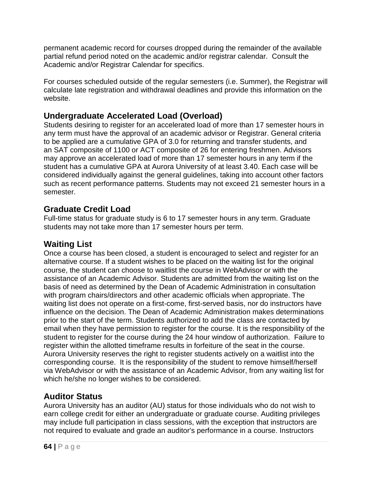permanent academic record for courses dropped during the remainder of the available partial refund period noted on the academic and/or registrar calendar. Consult the Academic and/or Registrar Calendar for specifics.

For courses scheduled outside of the regular semesters (i.e. Summer), the Registrar will calculate late registration and withdrawal deadlines and provide this information on the website.

# **Undergraduate Accelerated Load (Overload)**

Students desiring to register for an accelerated load of more than 17 semester hours in any term must have the approval of an academic advisor or Registrar. General criteria to be applied are a cumulative GPA of 3.0 for returning and transfer students, and an SAT composite of 1100 or ACT composite of 26 for entering freshmen. Advisors may approve an accelerated load of more than 17 semester hours in any term if the student has a cumulative GPA at Aurora University of at least 3.40. Each case will be considered individually against the general guidelines, taking into account other factors such as recent performance patterns. Students may not exceed 21 semester hours in a semester.

# **Graduate Credit Load**

Full-time status for graduate study is 6 to 17 semester hours in any term. Graduate students may not take more than 17 semester hours per term.

# **Waiting List**

Once a course has been closed, a student is encouraged to select and register for an alternative course. If a student wishes to be placed on the waiting list for the original course, the student can choose to waitlist the course in WebAdvisor or with the assistance of an Academic Advisor. Students are admitted from the waiting list on the basis of need as determined by the Dean of Academic Administration in consultation with program chairs/directors and other academic officials when appropriate. The waiting list does not operate on a first-come, first-served basis, nor do instructors have influence on the decision. The Dean of Academic Administration makes determinations prior to the start of the term. Students authorized to add the class are contacted by email when they have permission to register for the course. It is the responsibility of the student to register for the course during the 24 hour window of authorization. Failure to register within the allotted timeframe results in forfeiture of the seat in the course. Aurora University reserves the right to register students actively on a waitlist into the corresponding course. It is the responsibility of the student to remove himself/herself via WebAdvisor or with the assistance of an Academic Advisor, from any waiting list for which he/she no longer wishes to be considered.

# **Auditor Status**

Aurora University has an auditor (AU) status for those individuals who do not wish to earn college credit for either an undergraduate or graduate course. Auditing privileges may include full participation in class sessions, with the exception that instructors are not required to evaluate and grade an auditor's performance in a course. Instructors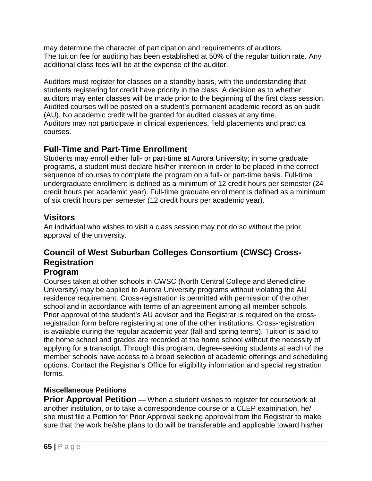may determine the character of participation and requirements of auditors. The tuition fee for auditing has been established at 50% of the regular tuition rate. Any additional class fees will be at the expense of the auditor.

Auditors must register for classes on a standby basis, with the understanding that students registering for credit have priority in the class. A decision as to whether auditors may enter classes will be made prior to the beginning of the first class session. Audited courses will be posted on a student's permanent academic record as an audit (AU). No academic credit will be granted for audited classes at any time. Auditors may not participate in clinical experiences, field placements and practica courses.

# **Full-Time and Part-Time Enrollment**

Students may enroll either full- or part-time at Aurora University; in some graduate programs, a student must declare his/her intention in order to be placed in the correct sequence of courses to complete the program on a full- or part-time basis. Full-time undergraduate enrollment is defined as a minimum of 12 credit hours per semester (24 credit hours per academic year). Full-time graduate enrollment is defined as a minimum of six credit hours per semester (12 credit hours per academic year).

# **Visitors**

An individual who wishes to visit a class session may not do so without the prior approval of the university.

# **Council of West Suburban Colleges Consortium (CWSC) Cross-Registration**

# **Program**

Courses taken at other schools in CWSC (North Central College and Benedictine University) may be applied to Aurora University programs without violating the AU residence requirement. Cross-registration is permitted with permission of the other school and in accordance with terms of an agreement among all member schools. Prior approval of the student's AU advisor and the Registrar is required on the crossregistration form before registering at one of the other institutions. Cross-registration is available during the regular academic year (fall and spring terms). Tuition is paid to the home school and grades are recorded at the home school without the necessity of applying for a transcript. Through this program, degree-seeking students at each of the member schools have access to a broad selection of academic offerings and scheduling options. Contact the Registrar's Office for eligibility information and special registration forms.

#### **Miscellaneous Petitions**

**Prior Approval Petition** — When a student wishes to register for coursework at another institution, or to take a correspondence course or a CLEP examination, he/ she must file a Petition for Prior Approval seeking approval from the Registrar to make sure that the work he/she plans to do will be transferable and applicable toward his/her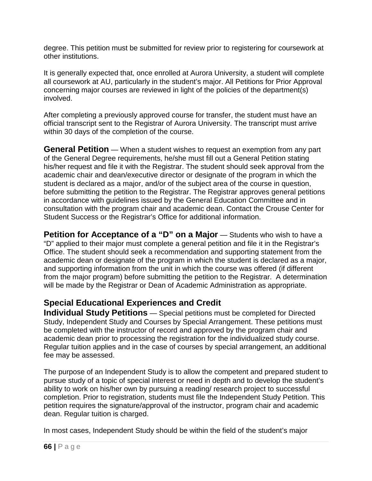degree. This petition must be submitted for review prior to registering for coursework at other institutions.

It is generally expected that, once enrolled at Aurora University, a student will complete all coursework at AU, particularly in the student's major. All Petitions for Prior Approval concerning major courses are reviewed in light of the policies of the department(s) involved.

After completing a previously approved course for transfer, the student must have an official transcript sent to the Registrar of Aurora University. The transcript must arrive within 30 days of the completion of the course.

**General Petition** — When a student wishes to request an exemption from any part of the General Degree requirements, he/she must fill out a General Petition stating his/her request and file it with the Registrar. The student should seek approval from the academic chair and dean/executive director or designate of the program in which the student is declared as a major, and/or of the subject area of the course in question, before submitting the petition to the Registrar. The Registrar approves general petitions in accordance with guidelines issued by the General Education Committee and in consultation with the program chair and academic dean. Contact the Crouse Center for Student Success or the Registrar's Office for additional information.

**Petition for Acceptance of a "D" on a Major** — Students who wish to have a "D" applied to their major must complete a general petition and file it in the Registrar's Office. The student should seek a recommendation and supporting statement from the academic dean or designate of the program in which the student is declared as a major, and supporting information from the unit in which the course was offered (if different from the major program) before submitting the petition to the Registrar. A determination will be made by the Registrar or Dean of Academic Administration as appropriate.

# **Special Educational Experiences and Credit**

**Individual Study Petitions** — Special petitions must be completed for Directed Study, Independent Study and Courses by Special Arrangement. These petitions must be completed with the instructor of record and approved by the program chair and academic dean prior to processing the registration for the individualized study course. Regular tuition applies and in the case of courses by special arrangement, an additional fee may be assessed.

The purpose of an Independent Study is to allow the competent and prepared student to pursue study of a topic of special interest or need in depth and to develop the student's ability to work on his/her own by pursuing a reading/ research project to successful completion. Prior to registration, students must file the Independent Study Petition. This petition requires the signature/approval of the instructor, program chair and academic dean. Regular tuition is charged.

In most cases, Independent Study should be within the field of the student's major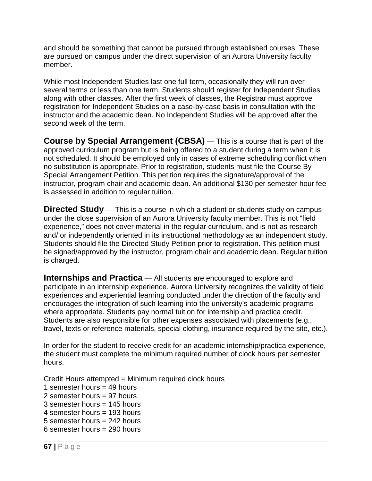and should be something that cannot be pursued through established courses. These are pursued on campus under the direct supervision of an Aurora University faculty member.

While most Independent Studies last one full term, occasionally they will run over several terms or less than one term. Students should register for Independent Studies along with other classes. After the first week of classes, the Registrar must approve registration for Independent Studies on a case-by-case basis in consultation with the instructor and the academic dean. No Independent Studies will be approved after the second week of the term.

**Course by Special Arrangement (CBSA)** — This is a course that is part of the approved curriculum program but is being offered to a student during a term when it is not scheduled. It should be employed only in cases of extreme scheduling conflict when no substitution is appropriate. Prior to registration, students must file the Course By Special Arrangement Petition. This petition requires the signature/approval of the instructor, program chair and academic dean. An additional \$130 per semester hour fee is assessed in addition to regular tuition.

**Directed Study** — This is a course in which a student or students study on campus under the close supervision of an Aurora University faculty member. This is not "field experience," does not cover material in the regular curriculum, and is not as research and/ or independently oriented in its instructional methodology as an independent study. Students should file the Directed Study Petition prior to registration. This petition must be signed/approved by the instructor, program chair and academic dean. Regular tuition is charged.

**Internships and Practica** — All students are encouraged to explore and participate in an internship experience. Aurora University recognizes the validity of field experiences and experiential learning conducted under the direction of the faculty and encourages the integration of such learning into the university's academic programs where appropriate. Students pay normal tuition for internship and practica credit. Students are also responsible for other expenses associated with placements (e.g., travel, texts or reference materials, special clothing, insurance required by the site, etc.).

In order for the student to receive credit for an academic internship/practica experience, the student must complete the minimum required number of clock hours per semester hours.

Credit Hours attempted = Minimum required clock hours

- 1 semester hours = 49 hours
- 2 semester hours = 97 hours
- 3 semester hours = 145 hours
- 4 semester hours = 193 hours
- 5 semester hours = 242 hours
- 6 semester hours = 290 hours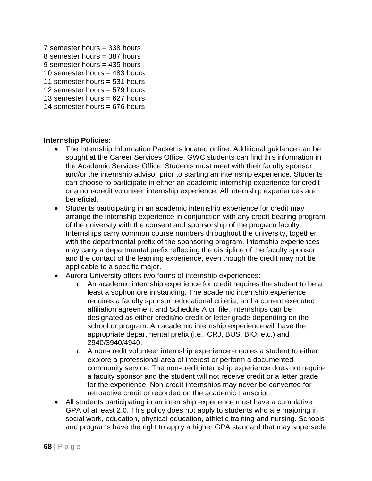- 7 semester hours = 338 hours
- 8 semester hours  $=$  387 hours
- 9 semester hours = 435 hours
- 10 semester hours = 483 hours
- 11 semester hours  $=$  531 hours
- 12 semester hours = 579 hours
- 13 semester hours  $= 627$  hours
- 14 semester hours = 676 hours

#### **Internship Policies:**

- The Internship Information Packet is located online. Additional guidance can be sought at the Career Services Office. GWC students can find this information in the Academic Services Office. Students must meet with their faculty sponsor and/or the internship advisor prior to starting an internship experience. Students can choose to participate in either an academic internship experience for credit or a non-credit volunteer internship experience. All internship experiences are beneficial.
- Students participating in an academic internship experience for credit may arrange the internship experience in conjunction with any credit-bearing program of the university with the consent and sponsorship of the program faculty. Internships carry common course numbers throughout the university, together with the departmental prefix of the sponsoring program. Internship experiences may carry a departmental prefix reflecting the discipline of the faculty sponsor and the contact of the learning experience, even though the credit may not be applicable to a specific major.
- Aurora University offers two forms of internship experiences:
	- o An academic internship experience for credit requires the student to be at least a sophomore in standing. The academic internship experience requires a faculty sponsor, educational criteria, and a current executed affiliation agreement and Schedule A on file. Internships can be designated as either credit/no credit or letter grade depending on the school or program. An academic internship experience will have the appropriate departmental prefix (i.e., CRJ, BUS, BIO, etc.) and 2940/3940/4940.
	- o A non-credit volunteer internship experience enables a student to either explore a professional area of interest or perform a documented community service. The non-credit internship experience does not require a faculty sponsor and the student will not receive credit or a letter grade for the experience. Non-credit internships may never be converted for retroactive credit or recorded on the academic transcript.
- All students participating in an internship experience must have a cumulative GPA of at least 2.0. This policy does not apply to students who are majoring in social work, education, physical education, athletic training and nursing. Schools and programs have the right to apply a higher GPA standard that may supersede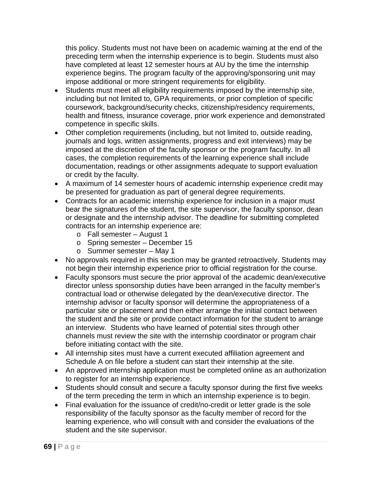this policy. Students must not have been on academic warning at the end of the preceding term when the internship experience is to begin. Students must also have completed at least 12 semester hours at AU by the time the internship experience begins. The program faculty of the approving/sponsoring unit may impose additional or more stringent requirements for eligibility.

- Students must meet all eligibility requirements imposed by the internship site, including but not limited to, GPA requirements, or prior completion of specific coursework, background/security checks, citizenship/residency requirements, health and fitness, insurance coverage, prior work experience and demonstrated competence in specific skills.
- Other completion requirements (including, but not limited to, outside reading, journals and logs, written assignments, progress and exit interviews) may be imposed at the discretion of the faculty sponsor or the program faculty. In all cases, the completion requirements of the learning experience shall include documentation, readings or other assignments adequate to support evaluation or credit by the faculty.
- A maximum of 14 semester hours of academic internship experience credit may be presented for graduation as part of general degree requirements.
- Contracts for an academic internship experience for inclusion in a major must bear the signatures of the student, the site supervisor, the faculty sponsor, dean or designate and the internship advisor. The deadline for submitting completed contracts for an internship experience are:
	- o Fall semester August 1
	- o Spring semester December 15
	- o Summer semester May 1
- No approvals required in this section may be granted retroactively. Students may not begin their internship experience prior to official registration for the course.
- Faculty sponsors must secure the prior approval of the academic dean/executive director unless sponsorship duties have been arranged in the faculty member's contractual load or otherwise delegated by the dean/executive director. The internship advisor or faculty sponsor will determine the appropriateness of a particular site or placement and then either arrange the initial contact between the student and the site or provide contact information for the student to arrange an interview. Students who have learned of potential sites through other channels must review the site with the internship coordinator or program chair before initiating contact with the site.
- All internship sites must have a current executed affiliation agreement and Schedule A on file before a student can start their internship at the site.
- An approved internship application must be completed online as an authorization to register for an internship experience.
- Students should consult and secure a faculty sponsor during the first five weeks of the term preceding the term in which an internship experience is to begin.
- Final evaluation for the issuance of credit/no-credit or letter grade is the sole responsibility of the faculty sponsor as the faculty member of record for the learning experience, who will consult with and consider the evaluations of the student and the site supervisor.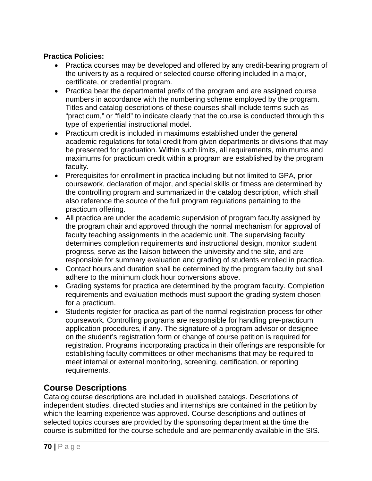#### **Practica Policies:**

- Practica courses may be developed and offered by any credit-bearing program of the university as a required or selected course offering included in a major, certificate, or credential program.
- Practica bear the departmental prefix of the program and are assigned course numbers in accordance with the numbering scheme employed by the program. Titles and catalog descriptions of these courses shall include terms such as "practicum," or "field" to indicate clearly that the course is conducted through this type of experiential instructional model.
- Practicum credit is included in maximums established under the general academic regulations for total credit from given departments or divisions that may be presented for graduation. Within such limits, all requirements, minimums and maximums for practicum credit within a program are established by the program faculty.
- Prerequisites for enrollment in practica including but not limited to GPA, prior coursework, declaration of major, and special skills or fitness are determined by the controlling program and summarized in the catalog description, which shall also reference the source of the full program regulations pertaining to the practicum offering.
- All practica are under the academic supervision of program faculty assigned by the program chair and approved through the normal mechanism for approval of faculty teaching assignments in the academic unit. The supervising faculty determines completion requirements and instructional design, monitor student progress, serve as the liaison between the university and the site, and are responsible for summary evaluation and grading of students enrolled in practica.
- Contact hours and duration shall be determined by the program faculty but shall adhere to the minimum clock hour conversions above.
- Grading systems for practica are determined by the program faculty. Completion requirements and evaluation methods must support the grading system chosen for a practicum.
- Students register for practica as part of the normal registration process for other coursework. Controlling programs are responsible for handling pre-practicum application procedures, if any. The signature of a program advisor or designee on the student's registration form or change of course petition is required for registration. Programs incorporating practica in their offerings are responsible for establishing faculty committees or other mechanisms that may be required to meet internal or external monitoring, screening, certification, or reporting requirements.

#### **Course Descriptions**

Catalog course descriptions are included in published catalogs. Descriptions of independent studies, directed studies and internships are contained in the petition by which the learning experience was approved. Course descriptions and outlines of selected topics courses are provided by the sponsoring department at the time the course is submitted for the course schedule and are permanently available in the SIS.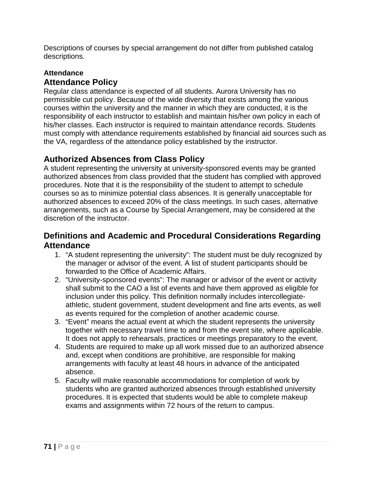Descriptions of courses by special arrangement do not differ from published catalog descriptions.

#### **Attendance Attendance Policy**

Regular class attendance is expected of all students. Aurora University has no permissible cut policy. Because of the wide diversity that exists among the various courses within the university and the manner in which they are conducted, it is the responsibility of each instructor to establish and maintain his/her own policy in each of his/her classes. Each instructor is required to maintain attendance records. Students must comply with attendance requirements established by financial aid sources such as the VA, regardless of the attendance policy established by the instructor.

# **Authorized Absences from Class Policy**

A student representing the university at university-sponsored events may be granted authorized absences from class provided that the student has complied with approved procedures. Note that it is the responsibility of the student to attempt to schedule courses so as to minimize potential class absences. It is generally unacceptable for authorized absences to exceed 20% of the class meetings. In such cases, alternative arrangements, such as a Course by Special Arrangement, may be considered at the discretion of the instructor.

#### **Definitions and Academic and Procedural Considerations Regarding Attendance**

- 1. "A student representing the university": The student must be duly recognized by the manager or advisor of the event. A list of student participants should be forwarded to the Office of Academic Affairs.
- 2. "University-sponsored events": The manager or advisor of the event or activity shall submit to the CAO a list of events and have them approved as eligible for inclusion under this policy. This definition normally includes intercollegiateathletic, student government, student development and fine arts events, as well as events required for the completion of another academic course.
- 3. "Event" means the actual event at which the student represents the university together with necessary travel time to and from the event site, where applicable. It does not apply to rehearsals, practices or meetings preparatory to the event.
- 4. Students are required to make up all work missed due to an authorized absence and, except when conditions are prohibitive, are responsible for making arrangements with faculty at least 48 hours in advance of the anticipated absence.
- 5. Faculty will make reasonable accommodations for completion of work by students who are granted authorized absences through established university procedures. It is expected that students would be able to complete makeup exams and assignments within 72 hours of the return to campus.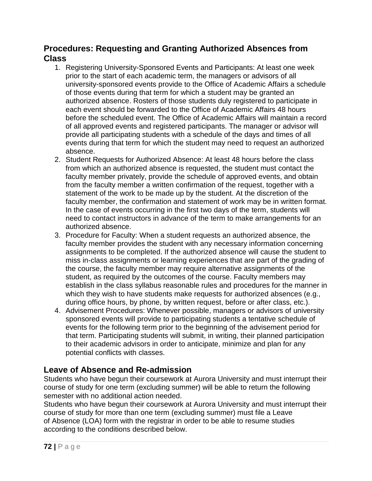#### **Procedures: Requesting and Granting Authorized Absences from Class**

- 1. Registering University-Sponsored Events and Participants: At least one week prior to the start of each academic term, the managers or advisors of all university-sponsored events provide to the Office of Academic Affairs a schedule of those events during that term for which a student may be granted an authorized absence. Rosters of those students duly registered to participate in each event should be forwarded to the Office of Academic Affairs 48 hours before the scheduled event. The Office of Academic Affairs will maintain a record of all approved events and registered participants. The manager or advisor will provide all participating students with a schedule of the days and times of all events during that term for which the student may need to request an authorized absence.
- 2. Student Requests for Authorized Absence: At least 48 hours before the class from which an authorized absence is requested, the student must contact the faculty member privately, provide the schedule of approved events, and obtain from the faculty member a written confirmation of the request, together with a statement of the work to be made up by the student. At the discretion of the faculty member, the confirmation and statement of work may be in written format. In the case of events occurring in the first two days of the term, students will need to contact instructors in advance of the term to make arrangements for an authorized absence.
- 3. Procedure for Faculty: When a student requests an authorized absence, the faculty member provides the student with any necessary information concerning assignments to be completed. If the authorized absence will cause the student to miss in-class assignments or learning experiences that are part of the grading of the course, the faculty member may require alternative assignments of the student, as required by the outcomes of the course. Faculty members may establish in the class syllabus reasonable rules and procedures for the manner in which they wish to have students make requests for authorized absences (e.g., during office hours, by phone, by written request, before or after class, etc.).
- 4. Advisement Procedures: Whenever possible, managers or advisors of university sponsored events will provide to participating students a tentative schedule of events for the following term prior to the beginning of the advisement period for that term. Participating students will submit, in writing, their planned participation to their academic advisors in order to anticipate, minimize and plan for any potential conflicts with classes.

# **Leave of Absence and Re-admission**

Students who have begun their coursework at Aurora University and must interrupt their course of study for one term (excluding summer) will be able to return the following semester with no additional action needed.

Students who have begun their coursework at Aurora University and must interrupt their course of study for more than one term (excluding summer) must file a Leave of Absence (LOA) form with the registrar in order to be able to resume studies according to the conditions described below.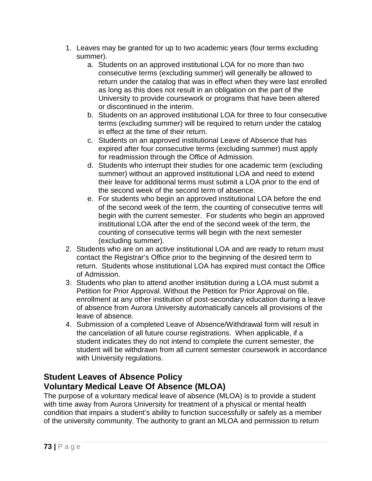- 1. Leaves may be granted for up to two academic years (four terms excluding summer).
	- a. Students on an approved institutional LOA for no more than two consecutive terms (excluding summer) will generally be allowed to return under the catalog that was in effect when they were last enrolled as long as this does not result in an obligation on the part of the University to provide coursework or programs that have been altered or discontinued in the interim.
	- b. Students on an approved institutional LOA for three to four consecutive terms (excluding summer) will be required to return under the catalog in effect at the time of their return.
	- c. Students on an approved institutional Leave of Absence that has expired after four consecutive terms (excluding summer) must apply for readmission through the Office of Admission.
	- d. Students who interrupt their studies for one academic term (excluding summer) without an approved institutional LOA and need to extend their leave for additional terms must submit a LOA prior to the end of the second week of the second term of absence.
	- e. For students who begin an approved institutional LOA before the end of the second week of the term, the counting of consecutive terms will begin with the current semester. For students who begin an approved institutional LOA after the end of the second week of the term, the counting of consecutive terms will begin with the next semester (excluding summer).
- 2. Students who are on an active institutional LOA and are ready to return must contact the Registrar's Office prior to the beginning of the desired term to return. Students whose institutional LOA has expired must contact the Office of Admission.
- 3. Students who plan to attend another institution during a LOA must submit a Petition for Prior Approval. Without the Petition for Prior Approval on file, enrollment at any other institution of post-secondary education during a leave of absence from Aurora University automatically cancels all provisions of the leave of absence.
- 4. Submission of a completed Leave of Absence/Withdrawal form will result in the cancelation of all future course registrations. When applicable, if a student indicates they do not intend to complete the current semester, the student will be withdrawn from all current semester coursework in accordance with University regulations.

## **Student Leaves of Absence Policy Voluntary Medical Leave Of Absence (MLOA)**

The purpose of a voluntary medical leave of absence (MLOA) is to provide a student with time away from Aurora University for treatment of a physical or mental health condition that impairs a student's ability to function successfully or safely as a member of the university community. The authority to grant an MLOA and permission to return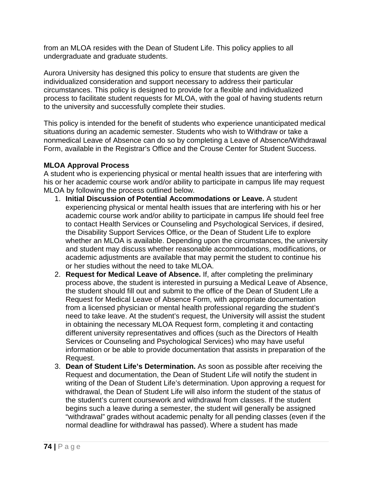from an MLOA resides with the Dean of Student Life. This policy applies to all undergraduate and graduate students.

Aurora University has designed this policy to ensure that students are given the individualized consideration and support necessary to address their particular circumstances. This policy is designed to provide for a flexible and individualized process to facilitate student requests for MLOA, with the goal of having students return to the university and successfully complete their studies.

This policy is intended for the benefit of students who experience unanticipated medical situations during an academic semester. Students who wish to Withdraw or take a nonmedical Leave of Absence can do so by completing a Leave of Absence/Withdrawal Form, available in the Registrar's Office and the Crouse Center for Student Success.

#### **MLOA Approval Process**

A student who is experiencing physical or mental health issues that are interfering with his or her academic course work and/or ability to participate in campus life may request MLOA by following the process outlined below.

- 1. **Initial Discussion of Potential Accommodations or Leave.** A student experiencing physical or mental health issues that are interfering with his or her academic course work and/or ability to participate in campus life should feel free to contact Health Services or Counseling and Psychological Services, if desired, the Disability Support Services Office, or the Dean of Student Life to explore whether an MLOA is available. Depending upon the circumstances, the university and student may discuss whether reasonable accommodations, modifications, or academic adjustments are available that may permit the student to continue his or her studies without the need to take MLOA.
- 2. **Request for Medical Leave of Absence.** If, after completing the preliminary process above, the student is interested in pursuing a Medical Leave of Absence, the student should fill out and submit to the office of the Dean of Student Life a Request for Medical Leave of Absence Form, with appropriate documentation from a licensed physician or mental health professional regarding the student's need to take leave. At the student's request, the University will assist the student in obtaining the necessary MLOA Request form, completing it and contacting different university representatives and offices (such as the Directors of Health Services or Counseling and Psychological Services) who may have useful information or be able to provide documentation that assists in preparation of the Request.
- 3. **Dean of Student Life's Determination.** As soon as possible after receiving the Request and documentation, the Dean of Student Life will notify the student in writing of the Dean of Student Life's determination. Upon approving a request for withdrawal, the Dean of Student Life will also inform the student of the status of the student's current coursework and withdrawal from classes. If the student begins such a leave during a semester, the student will generally be assigned "withdrawal" grades without academic penalty for all pending classes (even if the normal deadline for withdrawal has passed). Where a student has made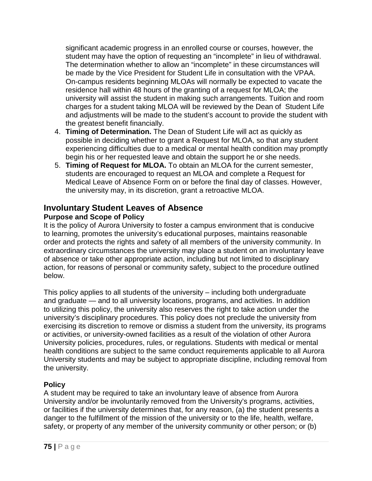significant academic progress in an enrolled course or courses, however, the student may have the option of requesting an "incomplete" in lieu of withdrawal. The determination whether to allow an "incomplete" in these circumstances will be made by the Vice President for Student Life in consultation with the VPAA. On-campus residents beginning MLOAs will normally be expected to vacate the residence hall within 48 hours of the granting of a request for MLOA; the university will assist the student in making such arrangements. Tuition and room charges for a student taking MLOA will be reviewed by the Dean of Student Life and adjustments will be made to the student's account to provide the student with the greatest benefit financially.

- 4. **Timing of Determination.** The Dean of Student Life will act as quickly as possible in deciding whether to grant a Request for MLOA, so that any student experiencing difficulties due to a medical or mental health condition may promptly begin his or her requested leave and obtain the support he or she needs.
- 5. **Timing of Request for MLOA.** To obtain an MLOA for the current semester, students are encouraged to request an MLOA and complete a Request for Medical Leave of Absence Form on or before the final day of classes. However, the university may, in its discretion, grant a retroactive MLOA.

# **Involuntary Student Leaves of Absence**

#### **Purpose and Scope of Policy**

It is the policy of Aurora University to foster a campus environment that is conducive to learning, promotes the university's educational purposes, maintains reasonable order and protects the rights and safety of all members of the university community. In extraordinary circumstances the university may place a student on an involuntary leave of absence or take other appropriate action, including but not limited to disciplinary action, for reasons of personal or community safety, subject to the procedure outlined below.

This policy applies to all students of the university – including both undergraduate and graduate — and to all university locations, programs, and activities. In addition to utilizing this policy, the university also reserves the right to take action under the university's disciplinary procedures. This policy does not preclude the university from exercising its discretion to remove or dismiss a student from the university, its programs or activities, or university-owned facilities as a result of the violation of other Aurora University policies, procedures, rules, or regulations. Students with medical or mental health conditions are subject to the same conduct requirements applicable to all Aurora University students and may be subject to appropriate discipline, including removal from the university.

### **Policy**

A student may be required to take an involuntary leave of absence from Aurora University and/or be involuntarily removed from the University's programs, activities, or facilities if the university determines that, for any reason, (a) the student presents a danger to the fulfillment of the mission of the university or to the life, health, welfare, safety, or property of any member of the university community or other person; or (b)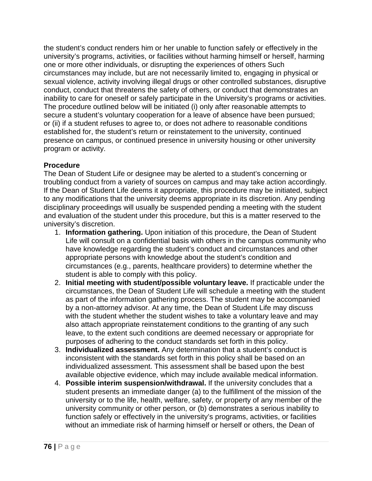the student's conduct renders him or her unable to function safely or effectively in the university's programs, activities, or facilities without harming himself or herself, harming one or more other individuals, or disrupting the experiences of others Such circumstances may include, but are not necessarily limited to, engaging in physical or sexual violence, activity involving illegal drugs or other controlled substances, disruptive conduct, conduct that threatens the safety of others, or conduct that demonstrates an inability to care for oneself or safely participate in the University's programs or activities. The procedure outlined below will be initiated (i) only after reasonable attempts to secure a student's voluntary cooperation for a leave of absence have been pursued; or (ii) if a student refuses to agree to, or does not adhere to reasonable conditions established for, the student's return or reinstatement to the university, continued presence on campus, or continued presence in university housing or other university program or activity.

#### **Procedure**

The Dean of Student Life or designee may be alerted to a student's concerning or troubling conduct from a variety of sources on campus and may take action accordingly. If the Dean of Student Life deems it appropriate, this procedure may be initiated, subject to any modifications that the university deems appropriate in its discretion. Any pending disciplinary proceedings will usually be suspended pending a meeting with the student and evaluation of the student under this procedure, but this is a matter reserved to the university's discretion.

- 1. **Information gathering.** Upon initiation of this procedure, the Dean of Student Life will consult on a confidential basis with others in the campus community who have knowledge regarding the student's conduct and circumstances and other appropriate persons with knowledge about the student's condition and circumstances (e.g., parents, healthcare providers) to determine whether the student is able to comply with this policy.
- 2. **Initial meeting with student/possible voluntary leave.** If practicable under the circumstances, the Dean of Student Life will schedule a meeting with the student as part of the information gathering process. The student may be accompanied by a non-attorney advisor. At any time, the Dean of Student Life may discuss with the student whether the student wishes to take a voluntary leave and may also attach appropriate reinstatement conditions to the granting of any such leave, to the extent such conditions are deemed necessary or appropriate for purposes of adhering to the conduct standards set forth in this policy.
- 3. **Individualized assessment.** Any determination that a student's conduct is inconsistent with the standards set forth in this policy shall be based on an individualized assessment. This assessment shall be based upon the best available objective evidence, which may include available medical information.
- 4. **Possible interim suspension/withdrawal.** If the university concludes that a student presents an immediate danger (a) to the fulfillment of the mission of the university or to the life, health, welfare, safety, or property of any member of the university community or other person, or (b) demonstrates a serious inability to function safely or effectively in the university's programs, activities, or facilities without an immediate risk of harming himself or herself or others, the Dean of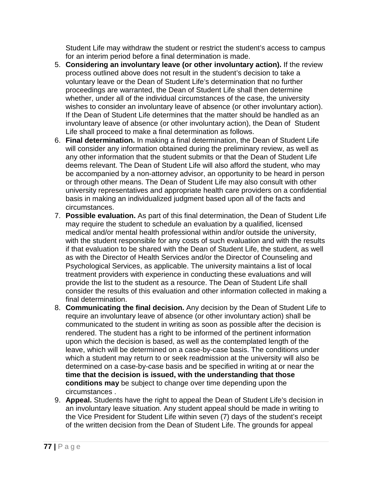Student Life may withdraw the student or restrict the student's access to campus for an interim period before a final determination is made.

- 5. **Considering an involuntary leave (or other involuntary action).** If the review process outlined above does not result in the student's decision to take a voluntary leave or the Dean of Student Life's determination that no further proceedings are warranted, the Dean of Student Life shall then determine whether, under all of the individual circumstances of the case, the university wishes to consider an involuntary leave of absence (or other involuntary action). If the Dean of Student Life determines that the matter should be handled as an involuntary leave of absence (or other involuntary action), the Dean of Student Life shall proceed to make a final determination as follows.
- 6. **Final determination.** In making a final determination, the Dean of Student Life will consider any information obtained during the preliminary review, as well as any other information that the student submits or that the Dean of Student Life deems relevant. The Dean of Student Life will also afford the student, who may be accompanied by a non-attorney advisor, an opportunity to be heard in person or through other means. The Dean of Student Life may also consult with other university representatives and appropriate health care providers on a confidential basis in making an individualized judgment based upon all of the facts and circumstances.
- 7. **Possible evaluation.** As part of this final determination, the Dean of Student Life may require the student to schedule an evaluation by a qualified, licensed medical and/or mental health professional within and/or outside the university, with the student responsible for any costs of such evaluation and with the results if that evaluation to be shared with the Dean of Student Life, the student, as well as with the Director of Health Services and/or the Director of Counseling and Psychological Services, as applicable. The university maintains a list of local treatment providers with experience in conducting these evaluations and will provide the list to the student as a resource. The Dean of Student Life shall consider the results of this evaluation and other information collected in making a final determination.
- 8. **Communicating the final decision.** Any decision by the Dean of Student Life to require an involuntary leave of absence (or other involuntary action) shall be communicated to the student in writing as soon as possible after the decision is rendered. The student has a right to be informed of the pertinent information upon which the decision is based, as well as the contemplated length of the leave, which will be determined on a case-by-case basis. The conditions under which a student may return to or seek readmission at the university will also be determined on a case-by-case basis and be specified in writing at or near the **time that the decision is issued, with the understanding that those conditions may** be subject to change over time depending upon the circumstances .
- 9. **Appeal.** Students have the right to appeal the Dean of Student Life's decision in an involuntary leave situation. Any student appeal should be made in writing to the Vice President for Student Life within seven (7) days of the student's receipt of the written decision from the Dean of Student Life. The grounds for appeal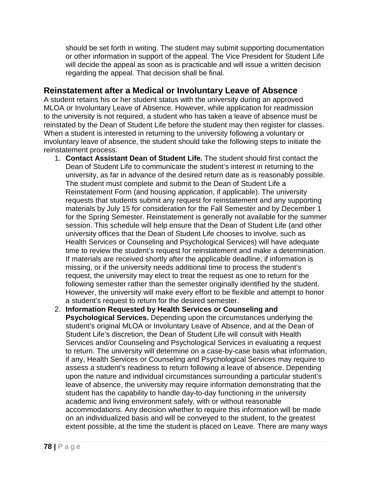should be set forth in writing. The student may submit supporting documentation or other information in support of the appeal. The Vice President for Student Life will decide the appeal as soon as is practicable and will issue a written decision regarding the appeal. That decision shall be final.

### **Reinstatement after a Medical or Involuntary Leave of Absence**

A student retains his or her student status with the university during an approved MLOA or Involuntary Leave of Absence. However, while application for readmission to the university is not required, a student who has taken a leave of absence must be reinstated by the Dean of Student Life before the student may then register for classes. When a student is interested in returning to the university following a voluntary or involuntary leave of absence, the student should take the following steps to initiate the reinstatement process.

- 1. **Contact Assistant Dean of Student Life.** The student should first contact the Dean of Student Life to communicate the student's interest in returning to the university, as far in advance of the desired return date as is reasonably possible. The student must complete and submit to the Dean of Student Life a Reinstatement Form (and housing application, if applicable). The university requests that students submit any request for reinstatement and any supporting materials by July 15 for consideration for the Fall Semester and by December 1 for the Spring Semester. Reinstatement is generally not available for the summer session. This schedule will help ensure that the Dean of Student Life (and other university offices that the Dean of Student Life chooses to involve, such as Health Services or Counseling and Psychological Services) will have adequate time to review the student's request for reinstatement and make a determination. If materials are received shortly after the applicable deadline, if information is missing, or if the university needs additional time to process the student's request, the university may elect to treat the request as one to return for the following semester rather than the semester originally identified by the student. However, the university will make every effort to be flexible and attempt to honor a student's request to return for the desired semester.
- 2. **Information Requested by Health Services or Counseling and Psychological Services.** Depending upon the circumstances underlying the student's original MLOA or Involuntary Leave of Absence, and at the Dean of Student Life's discretion, the Dean of Student Life will consult with Health Services and/or Counseling and Psychological Services in evaluating a request to return. The university will determine on a case-by-case basis what information, if any, Health Services or Counseling and Psychological Services may require to assess a student's readiness to return following a leave of absence. Depending upon the nature and individual circumstances surrounding a particular student's leave of absence, the university may require information demonstrating that the student has the capability to handle day-to-day functioning in the university academic and living environment safely, with or without reasonable accommodations. Any decision whether to require this information will be made on an individualized basis and will be conveyed to the student, to the greatest extent possible, at the time the student is placed on Leave. There are many ways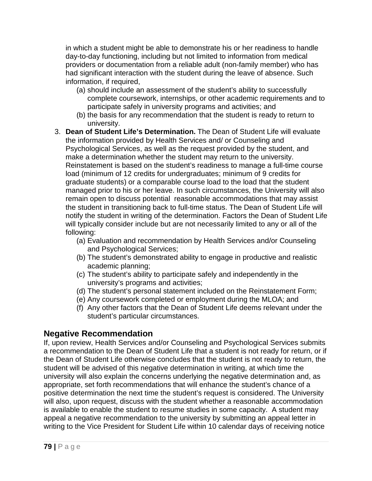in which a student might be able to demonstrate his or her readiness to handle day-to-day functioning, including but not limited to information from medical providers or documentation from a reliable adult (non-family member) who has had significant interaction with the student during the leave of absence. Such information, if required,

- (a) should include an assessment of the student's ability to successfully complete coursework, internships, or other academic requirements and to participate safely in university programs and activities; and
- (b) the basis for any recommendation that the student is ready to return to university.
- 3. **Dean of Student Life's Determination.** The Dean of Student Life will evaluate the information provided by Health Services and/ or Counseling and Psychological Services, as well as the request provided by the student, and make a determination whether the student may return to the university. Reinstatement is based on the student's readiness to manage a full-time course load (minimum of 12 credits for undergraduates; minimum of 9 credits for graduate students) or a comparable course load to the load that the student managed prior to his or her leave. In such circumstances, the University will also remain open to discuss potential reasonable accommodations that may assist the student in transitioning back to full-time status. The Dean of Student Life will notify the student in writing of the determination. Factors the Dean of Student Life will typically consider include but are not necessarily limited to any or all of the following:
	- (a) Evaluation and recommendation by Health Services and/or Counseling and Psychological Services;
	- (b) The student's demonstrated ability to engage in productive and realistic academic planning;
	- (c) The student's ability to participate safely and independently in the university's programs and activities;
	- (d) The student's personal statement included on the Reinstatement Form;
	- (e) Any coursework completed or employment during the MLOA; and
	- (f) Any other factors that the Dean of Student Life deems relevant under the student's particular circumstances.

# **Negative Recommendation**

If, upon review, Health Services and/or Counseling and Psychological Services submits a recommendation to the Dean of Student Life that a student is not ready for return, or if the Dean of Student Life otherwise concludes that the student is not ready to return, the student will be advised of this negative determination in writing, at which time the university will also explain the concerns underlying the negative determination and, as appropriate, set forth recommendations that will enhance the student's chance of a positive determination the next time the student's request is considered. The University will also, upon request, discuss with the student whether a reasonable accommodation is available to enable the student to resume studies in some capacity. A student may appeal a negative recommendation to the university by submitting an appeal letter in writing to the Vice President for Student Life within 10 calendar days of receiving notice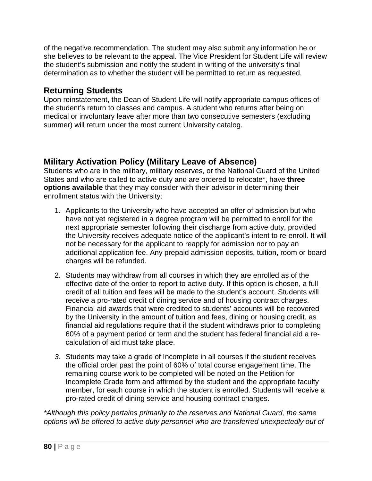of the negative recommendation. The student may also submit any information he or she believes to be relevant to the appeal. The Vice President for Student Life will review the student's submission and notify the student in writing of the university's final determination as to whether the student will be permitted to return as requested.

### **Returning Students**

Upon reinstatement, the Dean of Student Life will notify appropriate campus offices of the student's return to classes and campus. A student who returns after being on medical or involuntary leave after more than two consecutive semesters (excluding summer) will return under the most current University catalog.

## **Military Activation Policy (Military Leave of Absence)**

Students who are in the military, military reserves, or the National Guard of the United States and who are called to active duty and are ordered to relocate\*, have **three options available** that they may consider with their advisor in determining their enrollment status with the University:

- 1. Applicants to the University who have accepted an offer of admission but who have not yet registered in a degree program will be permitted to enroll for the next appropriate semester following their discharge from active duty, provided the University receives adequate notice of the applicant's intent to re-enroll. It will not be necessary for the applicant to reapply for admission nor to pay an additional application fee. Any prepaid admission deposits, tuition, room or board charges will be refunded.
- 2. Students may withdraw from all courses in which they are enrolled as of the effective date of the order to report to active duty. If this option is chosen, a full credit of all tuition and fees will be made to the student's account. Students will receive a pro-rated credit of dining service and of housing contract charges. Financial aid awards that were credited to students' accounts will be recovered by the University in the amount of tuition and fees, dining or housing credit, as financial aid regulations require that if the student withdraws prior to completing 60% of a payment period or term and the student has federal financial aid a recalculation of aid must take place.
- *3.* Students may take a grade of Incomplete in all courses if the student receives the official order past the point of 60% of total course engagement time. The remaining course work to be completed will be noted on the Petition for Incomplete Grade form and affirmed by the student and the appropriate faculty member, for each course in which the student is enrolled. Students will receive a pro-rated credit of dining service and housing contract charges.

*\*Although this policy pertains primarily to the reserves and National Guard, the same options will be offered to active duty personnel who are transferred unexpectedly out of*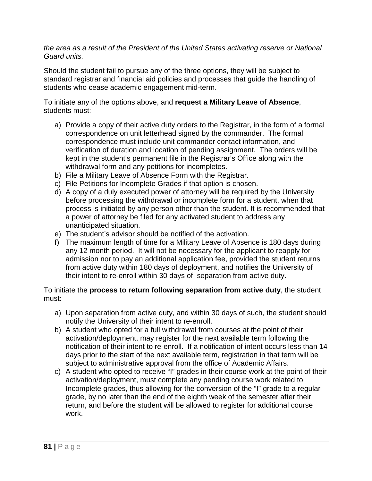#### *the area as a result of the President of the United States activating reserve or National Guard units.*

Should the student fail to pursue any of the three options, they will be subject to standard registrar and financial aid policies and processes that guide the handling of students who cease academic engagement mid-term.

To initiate any of the options above, and **request a Military Leave of Absence**, students must:

- a) Provide a copy of their active duty orders to the Registrar, in the form of a formal correspondence on unit letterhead signed by the commander. The formal correspondence must include unit commander contact information, and verification of duration and location of pending assignment. The orders will be kept in the student's permanent file in the Registrar's Office along with the withdrawal form and any petitions for incompletes.
- b) File a Military Leave of Absence Form with the Registrar.
- c) File Petitions for Incomplete Grades if that option is chosen.
- d) A copy of a duly executed power of attorney will be required by the University before processing the withdrawal or incomplete form for a student, when that process is initiated by any person other than the student. It is recommended that a power of attorney be filed for any activated student to address any unanticipated situation.
- e) The student's advisor should be notified of the activation.
- f) The maximum length of time for a Military Leave of Absence is 180 days during any 12 month period. It will not be necessary for the applicant to reapply for admission nor to pay an additional application fee, provided the student returns from active duty within 180 days of deployment, and notifies the University of their intent to re-enroll within 30 days of separation from active duty.

#### To initiate the **process to return following separation from active duty**, the student must:

- a) Upon separation from active duty, and within 30 days of such, the student should notify the University of their intent to re-enroll.
- b) A student who opted for a full withdrawal from courses at the point of their activation/deployment, may register for the next available term following the notification of their intent to re-enroll. If a notification of intent occurs less than 14 days prior to the start of the next available term, registration in that term will be subject to administrative approval from the office of Academic Affairs.
- c) A student who opted to receive "I" grades in their course work at the point of their activation/deployment, must complete any pending course work related to Incomplete grades, thus allowing for the conversion of the "I" grade to a regular grade, by no later than the end of the eighth week of the semester after their return, and before the student will be allowed to register for additional course work.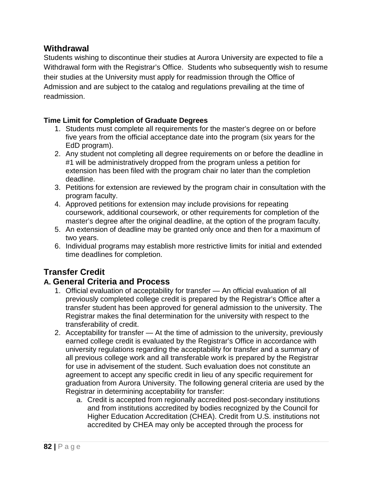### **Withdrawal**

Students wishing to discontinue their studies at Aurora University are expected to file a Withdrawal form with the Registrar's Office. Students who subsequently wish to resume their studies at the University must apply for readmission through the Office of Admission and are subject to the catalog and regulations prevailing at the time of readmission.

#### **Time Limit for Completion of Graduate Degrees**

- 1. Students must complete all requirements for the master's degree on or before five years from the official acceptance date into the program (six years for the EdD program).
- 2. Any student not completing all degree requirements on or before the deadline in #1 will be administratively dropped from the program unless a petition for extension has been filed with the program chair no later than the completion deadline.
- 3. Petitions for extension are reviewed by the program chair in consultation with the program faculty.
- 4. Approved petitions for extension may include provisions for repeating coursework, additional coursework, or other requirements for completion of the master's degree after the original deadline, at the option of the program faculty.
- 5. An extension of deadline may be granted only once and then for a maximum of two years.
- 6. Individual programs may establish more restrictive limits for initial and extended time deadlines for completion.

# **Transfer Credit**

## **A. General Criteria and Process**

- 1. Official evaluation of acceptability for transfer An official evaluation of all previously completed college credit is prepared by the Registrar's Office after a transfer student has been approved for general admission to the university. The Registrar makes the final determination for the university with respect to the transferability of credit.
- 2. Acceptability for transfer At the time of admission to the university, previously earned college credit is evaluated by the Registrar's Office in accordance with university regulations regarding the acceptability for transfer and a summary of all previous college work and all transferable work is prepared by the Registrar for use in advisement of the student. Such evaluation does not constitute an agreement to accept any specific credit in lieu of any specific requirement for graduation from Aurora University. The following general criteria are used by the Registrar in determining acceptability for transfer:
	- a. Credit is accepted from regionally accredited post-secondary institutions and from institutions accredited by bodies recognized by the Council for Higher Education Accreditation (CHEA). Credit from U.S. institutions not accredited by CHEA may only be accepted through the process for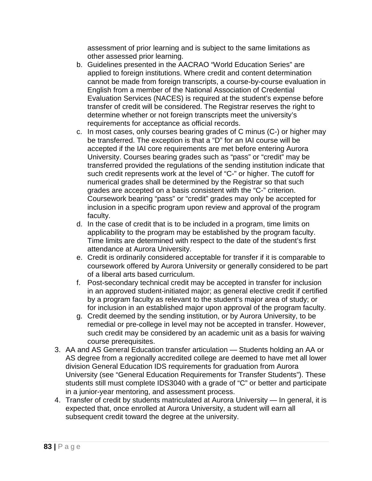assessment of prior learning and is subject to the same limitations as other assessed prior learning.

- b. Guidelines presented in the AACRAO "World Education Series" are applied to foreign institutions. Where credit and content determination cannot be made from foreign transcripts, a course-by-course evaluation in English from a member of the National Association of Credential Evaluation Services (NACES) is required at the student's expense before transfer of credit will be considered. The Registrar reserves the right to determine whether or not foreign transcripts meet the university's requirements for acceptance as official records.
- c. In most cases, only courses bearing grades of C minus (C-) or higher may be transferred. The exception is that a "D" for an IAI course will be accepted if the IAI core requirements are met before entering Aurora University. Courses bearing grades such as "pass" or "credit" may be transferred provided the regulations of the sending institution indicate that such credit represents work at the level of "C-" or higher. The cutoff for numerical grades shall be determined by the Registrar so that such grades are accepted on a basis consistent with the "C-" criterion. Coursework bearing "pass" or "credit" grades may only be accepted for inclusion in a specific program upon review and approval of the program faculty.
- d. In the case of credit that is to be included in a program, time limits on applicability to the program may be established by the program faculty. Time limits are determined with respect to the date of the student's first attendance at Aurora University.
- e. Credit is ordinarily considered acceptable for transfer if it is comparable to coursework offered by Aurora University or generally considered to be part of a liberal arts based curriculum.
- f. Post-secondary technical credit may be accepted in transfer for inclusion in an approved student-initiated major; as general elective credit if certified by a program faculty as relevant to the student's major area of study; or for inclusion in an established major upon approval of the program faculty.
- g. Credit deemed by the sending institution, or by Aurora University, to be remedial or pre-college in level may not be accepted in transfer. However, such credit may be considered by an academic unit as a basis for waiving course prerequisites.
- 3. AA and AS General Education transfer articulation Students holding an AA or AS degree from a regionally accredited college are deemed to have met all lower division General Education IDS requirements for graduation from Aurora University (see "General Education Requirements for Transfer Students"). These students still must complete IDS3040 with a grade of "C" or better and participate in a junior-year mentoring, and assessment process.
- 4. Transfer of credit by students matriculated at Aurora University In general, it is expected that, once enrolled at Aurora University, a student will earn all subsequent credit toward the degree at the university.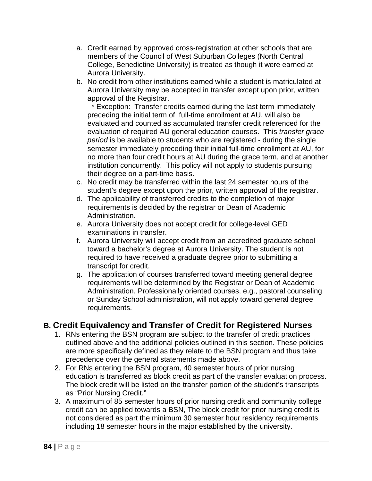- a. Credit earned by approved cross-registration at other schools that are members of the Council of West Suburban Colleges (North Central College, Benedictine University) is treated as though it were earned at Aurora University.
- b. No credit from other institutions earned while a student is matriculated at Aurora University may be accepted in transfer except upon prior, written approval of the Registrar.

 \* Exception: Transfer credits earned during the last term immediately preceding the initial term of full-time enrollment at AU, will also be evaluated and counted as accumulated transfer credit referenced for the evaluation of required AU general education courses. This *transfer grace period* is be available to students who are registered - during the single semester immediately preceding their initial full-time enrollment at AU, for no more than four credit hours at AU during the grace term, and at another institution concurrently. This policy will not apply to students pursuing their degree on a part-time basis.

- c. No credit may be transferred within the last 24 semester hours of the student's degree except upon the prior, written approval of the registrar.
- d. The applicability of transferred credits to the completion of major requirements is decided by the registrar or Dean of Academic Administration.
- e. Aurora University does not accept credit for college-level GED examinations in transfer.
- f. Aurora University will accept credit from an accredited graduate school toward a bachelor's degree at Aurora University. The student is not required to have received a graduate degree prior to submitting a transcript for credit.
- g. The application of courses transferred toward meeting general degree requirements will be determined by the Registrar or Dean of Academic Administration. Professionally oriented courses, e.g., pastoral counseling or Sunday School administration, will not apply toward general degree requirements.

# **B. Credit Equivalency and Transfer of Credit for Registered Nurses**

- 1. RNs entering the BSN program are subject to the transfer of credit practices outlined above and the additional policies outlined in this section. These policies are more specifically defined as they relate to the BSN program and thus take precedence over the general statements made above.
- 2. For RNs entering the BSN program, 40 semester hours of prior nursing education is transferred as block credit as part of the transfer evaluation process. The block credit will be listed on the transfer portion of the student's transcripts as "Prior Nursing Credit."
- 3. A maximum of 85 semester hours of prior nursing credit and community college credit can be applied towards a BSN, The block credit for prior nursing credit is not considered as part the minimum 30 semester hour residency requirements including 18 semester hours in the major established by the university.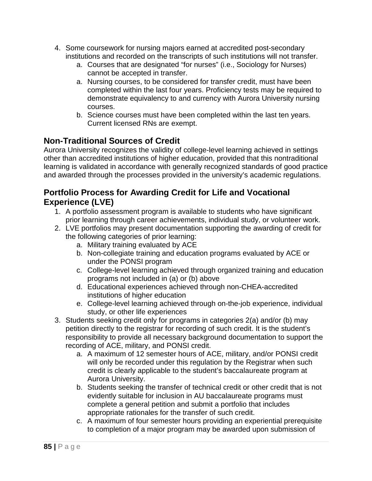- 4. Some coursework for nursing majors earned at accredited post-secondary institutions and recorded on the transcripts of such institutions will not transfer.
	- a. Courses that are designated "for nurses" (i.e., Sociology for Nurses) cannot be accepted in transfer.
	- a. Nursing courses, to be considered for transfer credit, must have been completed within the last four years. Proficiency tests may be required to demonstrate equivalency to and currency with Aurora University nursing courses.
	- b. Science courses must have been completed within the last ten years. Current licensed RNs are exempt.

# **Non-Traditional Sources of Credit**

Aurora University recognizes the validity of college-level learning achieved in settings other than accredited institutions of higher education, provided that this nontraditional learning is validated in accordance with generally recognized standards of good practice and awarded through the processes provided in the university's academic regulations.

## **Portfolio Process for Awarding Credit for Life and Vocational Experience (LVE)**

- 1. A portfolio assessment program is available to students who have significant prior learning through career achievements, individual study, or volunteer work.
- 2. LVE portfolios may present documentation supporting the awarding of credit for the following categories of prior learning:
	- a. Military training evaluated by ACE
	- b. Non-collegiate training and education programs evaluated by ACE or under the PONSI program
	- c. College-level learning achieved through organized training and education programs not included in (a) or (b) above
	- d. Educational experiences achieved through non-CHEA-accredited institutions of higher education
	- e. College-level learning achieved through on-the-job experience, individual study, or other life experiences
- 3. Students seeking credit only for programs in categories 2(a) and/or (b) may petition directly to the registrar for recording of such credit. It is the student's responsibility to provide all necessary background documentation to support the recording of ACE, military, and PONSI credit.
	- a. A maximum of 12 semester hours of ACE, military, and/or PONSI credit will only be recorded under this regulation by the Registrar when such credit is clearly applicable to the student's baccalaureate program at Aurora University.
	- b. Students seeking the transfer of technical credit or other credit that is not evidently suitable for inclusion in AU baccalaureate programs must complete a general petition and submit a portfolio that includes appropriate rationales for the transfer of such credit.
	- c. A maximum of four semester hours providing an experiential prerequisite to completion of a major program may be awarded upon submission of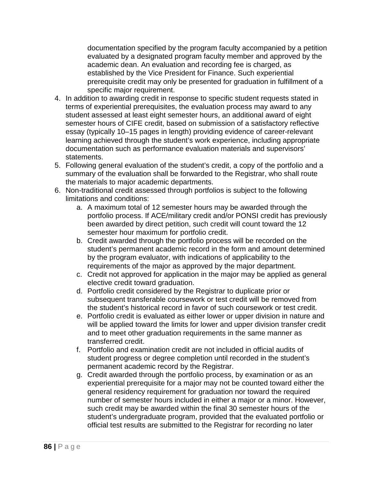documentation specified by the program faculty accompanied by a petition evaluated by a designated program faculty member and approved by the academic dean. An evaluation and recording fee is charged, as established by the Vice President for Finance. Such experiential prerequisite credit may only be presented for graduation in fulfillment of a specific major requirement.

- 4. In addition to awarding credit in response to specific student requests stated in terms of experiential prerequisites, the evaluation process may award to any student assessed at least eight semester hours, an additional award of eight semester hours of CIFE credit, based on submission of a satisfactory reflective essay (typically 10–15 pages in length) providing evidence of career-relevant learning achieved through the student's work experience, including appropriate documentation such as performance evaluation materials and supervisors' statements.
- 5. Following general evaluation of the student's credit, a copy of the portfolio and a summary of the evaluation shall be forwarded to the Registrar, who shall route the materials to major academic departments.
- 6. Non-traditional credit assessed through portfolios is subject to the following limitations and conditions:
	- a. A maximum total of 12 semester hours may be awarded through the portfolio process. If ACE/military credit and/or PONSI credit has previously been awarded by direct petition, such credit will count toward the 12 semester hour maximum for portfolio credit.
	- b. Credit awarded through the portfolio process will be recorded on the student's permanent academic record in the form and amount determined by the program evaluator, with indications of applicability to the requirements of the major as approved by the major department.
	- c. Credit not approved for application in the major may be applied as general elective credit toward graduation.
	- d. Portfolio credit considered by the Registrar to duplicate prior or subsequent transferable coursework or test credit will be removed from the student's historical record in favor of such coursework or test credit.
	- e. Portfolio credit is evaluated as either lower or upper division in nature and will be applied toward the limits for lower and upper division transfer credit and to meet other graduation requirements in the same manner as transferred credit.
	- f. Portfolio and examination credit are not included in official audits of student progress or degree completion until recorded in the student's permanent academic record by the Registrar.
	- g. Credit awarded through the portfolio process, by examination or as an experiential prerequisite for a major may not be counted toward either the general residency requirement for graduation nor toward the required number of semester hours included in either a major or a minor. However, such credit may be awarded within the final 30 semester hours of the student's undergraduate program, provided that the evaluated portfolio or official test results are submitted to the Registrar for recording no later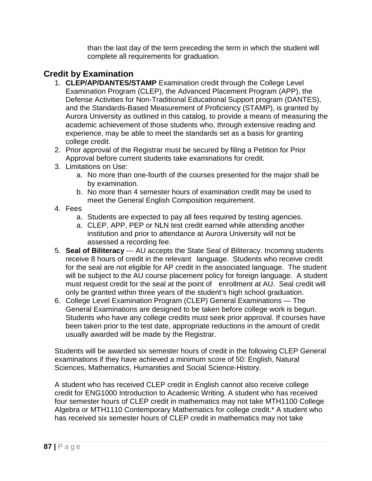than the last day of the term preceding the term in which the student will complete all requirements for graduation.

# **Credit by Examination**

- 1. **CLEP/AP/DANTES/STAMP** Examination credit through the College Level Examination Program (CLEP), the Advanced Placement Program (APP), the Defense Activities for Non-Traditional Educational Support program (DANTES), and the Standards-Based Measurement of Proficiency (STAMP), is granted by Aurora University as outlined in this catalog, to provide a means of measuring the academic achievement of those students who, through extensive reading and experience, may be able to meet the standards set as a basis for granting college credit.
- 2. Prior approval of the Registrar must be secured by filing a Petition for Prior Approval before current students take examinations for credit.
- 3. Limitations on Use:
	- a. No more than one-fourth of the courses presented for the major shall be by examination.
	- b. No more than 4 semester hours of examination credit may be used to meet the General English Composition requirement.
- 4. Fees
	- a. Students are expected to pay all fees required by testing agencies.
	- a. CLEP, APP, PEP or NLN test credit earned while attending another institution and prior to attendance at Aurora University will not be assessed a recording fee.
- 5. **Seal of Biliteracy** --- AU accepts the State Seal of Biliteracy. Incoming students receive 8 hours of credit in the relevant language. Students who receive credit for the seal are not eligible for AP credit in the associated language. The student will be subject to the AU course placement policy for foreign language. A student must request credit for the seal at the point of enrollment at AU. Seal credit will only be granted within three years of the student's high school graduation.
- 6. College Level Examination Program (CLEP) General Examinations The General Examinations are designed to be taken before college work is begun. Students who have any college credits must seek prior approval. If courses have been taken prior to the test date, appropriate reductions in the amount of credit usually awarded will be made by the Registrar.

Students will be awarded six semester hours of credit in the following CLEP General examinations if they have achieved a minimum score of 50: English, Natural Sciences, Mathematics, Humanities and Social Science-History.

A student who has received CLEP credit in English cannot also receive college credit for ENG1000 Introduction to Academic Writing. A student who has received four semester hours of CLEP credit in mathematics may not take MTH1100 College Algebra or MTH1110 Contemporary Mathematics for college credit.\* A student who has received six semester hours of CLEP credit in mathematics may not take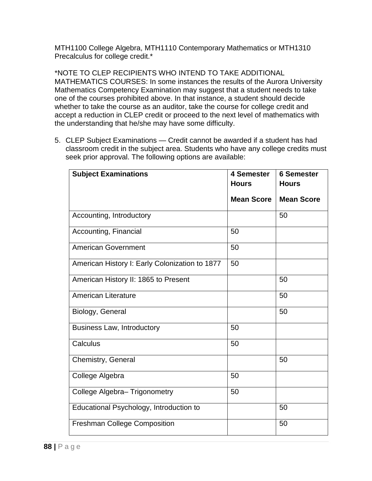MTH1100 College Algebra, MTH1110 Contemporary Mathematics or MTH1310 Precalculus for college credit.\*

\*NOTE TO CLEP RECIPIENTS WHO INTEND TO TAKE ADDITIONAL MATHEMATICS COURSES: In some instances the results of the Aurora University Mathematics Competency Examination may suggest that a student needs to take one of the courses prohibited above. In that instance, a student should decide whether to take the course as an auditor, take the course for college credit and accept a reduction in CLEP credit or proceed to the next level of mathematics with the understanding that he/she may have some difficulty.

5. CLEP Subject Examinations — Credit cannot be awarded if a student has had classroom credit in the subject area. Students who have any college credits must seek prior approval. The following options are available:

| <b>Subject Examinations</b>                    | 4 Semester        | <b>6 Semester</b> |
|------------------------------------------------|-------------------|-------------------|
|                                                | <b>Hours</b>      | <b>Hours</b>      |
|                                                | <b>Mean Score</b> | <b>Mean Score</b> |
| Accounting, Introductory                       |                   | 50                |
| Accounting, Financial                          | 50                |                   |
| <b>American Government</b>                     | 50                |                   |
| American History I: Early Colonization to 1877 | 50                |                   |
| American History II: 1865 to Present           |                   | 50                |
| <b>American Literature</b>                     |                   | 50                |
| Biology, General                               |                   | 50                |
| <b>Business Law, Introductory</b>              | 50                |                   |
| Calculus                                       | 50                |                   |
| Chemistry, General                             |                   | 50                |
| College Algebra                                | 50                |                   |
| College Algebra- Trigonometry                  | 50                |                   |
| Educational Psychology, Introduction to        |                   | 50                |
| <b>Freshman College Composition</b>            |                   | 50                |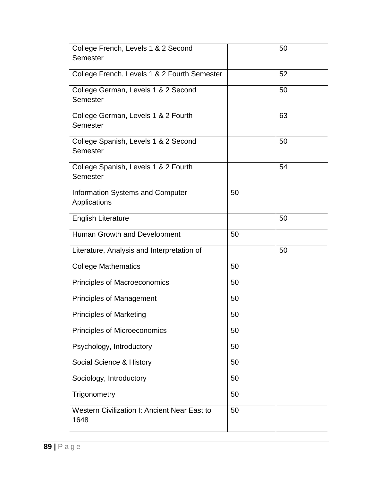| College French, Levels 1 & 2 Second                     |    | 50 |
|---------------------------------------------------------|----|----|
| Semester                                                |    |    |
| College French, Levels 1 & 2 Fourth Semester            |    | 52 |
| College German, Levels 1 & 2 Second                     |    | 50 |
| Semester                                                |    |    |
| College German, Levels 1 & 2 Fourth<br>Semester         |    | 63 |
| College Spanish, Levels 1 & 2 Second<br>Semester        |    | 50 |
| College Spanish, Levels 1 & 2 Fourth<br>Semester        |    | 54 |
| <b>Information Systems and Computer</b><br>Applications | 50 |    |
| <b>English Literature</b>                               |    | 50 |
| Human Growth and Development                            | 50 |    |
| Literature, Analysis and Interpretation of              |    | 50 |
| <b>College Mathematics</b>                              | 50 |    |
| Principles of Macroeconomics                            | 50 |    |
| Principles of Management                                | 50 |    |
| <b>Principles of Marketing</b>                          | 50 |    |
| Principles of Microeconomics                            | 50 |    |
| Psychology, Introductory                                | 50 |    |
| Social Science & History                                | 50 |    |
| Sociology, Introductory                                 | 50 |    |
| Trigonometry                                            | 50 |    |
| Western Civilization I: Ancient Near East to<br>1648    | 50 |    |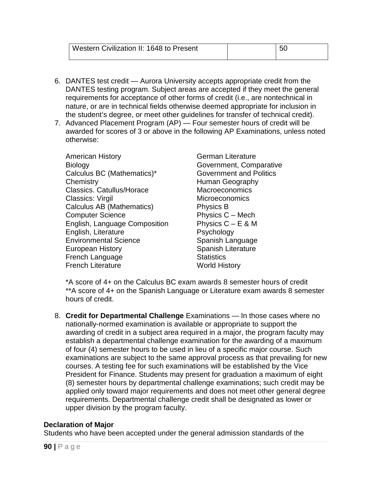| Western Civilization II: 1648 to Present |  |
|------------------------------------------|--|
|                                          |  |

- 6. DANTES test credit Aurora University accepts appropriate credit from the DANTES testing program. Subject areas are accepted if they meet the general requirements for acceptance of other forms of credit (i.e., are nontechnical in nature, or are in technical fields otherwise deemed appropriate for inclusion in the student's degree, or meet other guidelines for transfer of technical credit).
- 7. Advanced Placement Program (AP) Four semester hours of credit will be awarded for scores of 3 or above in the following AP Examinations, unless noted otherwise:

American History **German Literature** Biology Government, Comparative Calculus BC (Mathematics)\* Government and Politics Chemistry **Example 20** Human Geography Classics. Catullus/Horace Macroeconomics Classics: Virgil Microeconomics Calculus AB (Mathematics) Physics B Computer Science **Physics C** – Mech English, Language Composition Physics  $C - E \& M$ English, Literature **Psychology** Environmental Science Spanish Language European History **Spanish Literature** Spanish Literature **French Language Statistics** French Literature World History

\*A score of 4+ on the Calculus BC exam awards 8 semester hours of credit \*\*A score of 4+ on the Spanish Language or Literature exam awards 8 semester hours of credit.

8. **Credit for Departmental Challenge** Examinations — In those cases where no nationally-normed examination is available or appropriate to support the awarding of credit in a subject area required in a major, the program faculty may establish a departmental challenge examination for the awarding of a maximum of four (4) semester hours to be used in lieu of a specific major course. Such examinations are subject to the same approval process as that prevailing for new courses. A testing fee for such examinations will be established by the Vice President for Finance. Students may present for graduation a maximum of eight (8) semester hours by departmental challenge examinations; such credit may be applied only toward major requirements and does not meet other general degree requirements. Departmental challenge credit shall be designated as lower or upper division by the program faculty.

#### **Declaration of Major**

Students who have been accepted under the general admission standards of the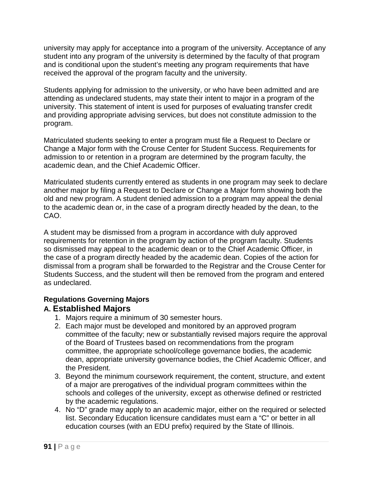university may apply for acceptance into a program of the university. Acceptance of any student into any program of the university is determined by the faculty of that program and is conditional upon the student's meeting any program requirements that have received the approval of the program faculty and the university.

Students applying for admission to the university, or who have been admitted and are attending as undeclared students, may state their intent to major in a program of the university. This statement of intent is used for purposes of evaluating transfer credit and providing appropriate advising services, but does not constitute admission to the program.

Matriculated students seeking to enter a program must file a Request to Declare or Change a Major form with the Crouse Center for Student Success. Requirements for admission to or retention in a program are determined by the program faculty, the academic dean, and the Chief Academic Officer.

Matriculated students currently entered as students in one program may seek to declare another major by filing a Request to Declare or Change a Major form showing both the old and new program. A student denied admission to a program may appeal the denial to the academic dean or, in the case of a program directly headed by the dean, to the CAO.

A student may be dismissed from a program in accordance with duly approved requirements for retention in the program by action of the program faculty. Students so dismissed may appeal to the academic dean or to the Chief Academic Officer, in the case of a program directly headed by the academic dean. Copies of the action for dismissal from a program shall be forwarded to the Registrar and the Crouse Center for Students Success, and the student will then be removed from the program and entered as undeclared.

#### **Regulations Governing Majors A. Established Majors**

- 1. Majors require a minimum of 30 semester hours.
- 2. Each major must be developed and monitored by an approved program committee of the faculty; new or substantially revised majors require the approval of the Board of Trustees based on recommendations from the program committee, the appropriate school/college governance bodies, the academic dean, appropriate university governance bodies, the Chief Academic Officer, and the President.
- 3. Beyond the minimum coursework requirement, the content, structure, and extent of a major are prerogatives of the individual program committees within the schools and colleges of the university, except as otherwise defined or restricted by the academic regulations.
- 4. No "D" grade may apply to an academic major, either on the required or selected list. Secondary Education licensure candidates must earn a "C" or better in all education courses (with an EDU prefix) required by the State of Illinois.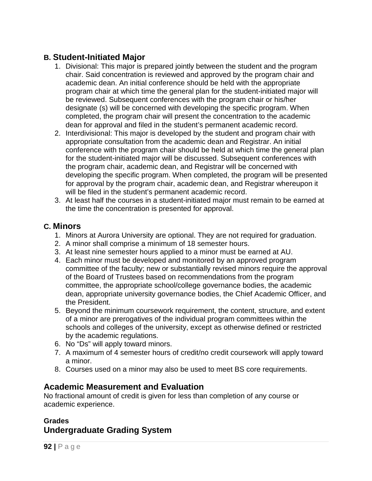## **B. Student-Initiated Major**

- 1. Divisional: This major is prepared jointly between the student and the program chair. Said concentration is reviewed and approved by the program chair and academic dean. An initial conference should be held with the appropriate program chair at which time the general plan for the student-initiated major will be reviewed. Subsequent conferences with the program chair or his/her designate (s) will be concerned with developing the specific program. When completed, the program chair will present the concentration to the academic dean for approval and filed in the student's permanent academic record.
- 2. Interdivisional: This major is developed by the student and program chair with appropriate consultation from the academic dean and Registrar. An initial conference with the program chair should be held at which time the general plan for the student-initiated major will be discussed. Subsequent conferences with the program chair, academic dean, and Registrar will be concerned with developing the specific program. When completed, the program will be presented for approval by the program chair, academic dean, and Registrar whereupon it will be filed in the student's permanent academic record.
- 3. At least half the courses in a student-initiated major must remain to be earned at the time the concentration is presented for approval.

### **C. Minors**

- 1. Minors at Aurora University are optional. They are not required for graduation.
- 2. A minor shall comprise a minimum of 18 semester hours.
- 3. At least nine semester hours applied to a minor must be earned at AU.
- 4. Each minor must be developed and monitored by an approved program committee of the faculty; new or substantially revised minors require the approval of the Board of Trustees based on recommendations from the program committee, the appropriate school/college governance bodies, the academic dean, appropriate university governance bodies, the Chief Academic Officer, and the President.
- 5. Beyond the minimum coursework requirement, the content, structure, and extent of a minor are prerogatives of the individual program committees within the schools and colleges of the university, except as otherwise defined or restricted by the academic regulations.
- 6. No "Ds" will apply toward minors.
- 7. A maximum of 4 semester hours of credit/no credit coursework will apply toward a minor.
- 8. Courses used on a minor may also be used to meet BS core requirements.

## **Academic Measurement and Evaluation**

No fractional amount of credit is given for less than completion of any course or academic experience.

### **Grades Undergraduate Grading System**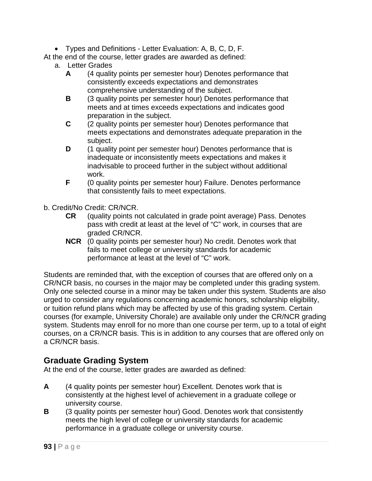• Types and Definitions - Letter Evaluation: A, B, C, D, F.

At the end of the course, letter grades are awarded as defined:

- a. Letter Grades
	- **A** (4 quality points per semester hour) Denotes performance that consistently exceeds expectations and demonstrates comprehensive understanding of the subject.
	- **B** (3 quality points per semester hour) Denotes performance that meets and at times exceeds expectations and indicates good preparation in the subject.
	- **C** (2 quality points per semester hour) Denotes performance that meets expectations and demonstrates adequate preparation in the subject.
	- **D** (1 quality point per semester hour) Denotes performance that is inadequate or inconsistently meets expectations and makes it inadvisable to proceed further in the subject without additional work.
	- **F** (0 quality points per semester hour) Failure. Denotes performance that consistently fails to meet expectations.
- b. Credit/No Credit: CR/NCR.
	- **CR** (quality points not calculated in grade point average) Pass. Denotes pass with credit at least at the level of "C" work, in courses that are graded CR/NCR.
	- **NCR** (0 quality points per semester hour) No credit. Denotes work that fails to meet college or university standards for academic performance at least at the level of "C" work.

Students are reminded that, with the exception of courses that are offered only on a CR/NCR basis, no courses in the major may be completed under this grading system. Only one selected course in a minor may be taken under this system. Students are also urged to consider any regulations concerning academic honors, scholarship eligibility, or tuition refund plans which may be affected by use of this grading system. Certain courses (for example, University Chorale) are available only under the CR/NCR grading system. Students may enroll for no more than one course per term, up to a total of eight courses, on a CR/NCR basis. This is in addition to any courses that are offered only on a CR/NCR basis.

### **Graduate Grading System**

At the end of the course, letter grades are awarded as defined:

- **A** (4 quality points per semester hour) Excellent. Denotes work that is consistently at the highest level of achievement in a graduate college or university course.
- **B** (3 quality points per semester hour) Good. Denotes work that consistently meets the high level of college or university standards for academic performance in a graduate college or university course.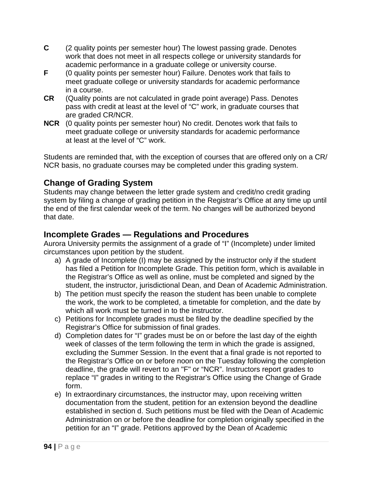- **C** (2 quality points per semester hour) The lowest passing grade. Denotes work that does not meet in all respects college or university standards for academic performance in a graduate college or university course.
- **F** (0 quality points per semester hour) Failure. Denotes work that fails to meet graduate college or university standards for academic performance in a course.
- **CR** (Quality points are not calculated in grade point average) Pass. Denotes pass with credit at least at the level of "C" work, in graduate courses that are graded CR/NCR.
- **NCR** (0 quality points per semester hour) No credit. Denotes work that fails to meet graduate college or university standards for academic performance at least at the level of "C" work.

Students are reminded that, with the exception of courses that are offered only on a CR/ NCR basis, no graduate courses may be completed under this grading system.

# **Change of Grading System**

Students may change between the letter grade system and credit/no credit grading system by filing a change of grading petition in the Registrar's Office at any time up until the end of the first calendar week of the term. No changes will be authorized beyond that date.

## **Incomplete Grades — Regulations and Procedures**

Aurora University permits the assignment of a grade of "I" (Incomplete) under limited circumstances upon petition by the student.

- a) A grade of Incomplete (I) may be assigned by the instructor only if the student has filed a Petition for Incomplete Grade. This petition form, which is available in the Registrar's Office as well as online, must be completed and signed by the student, the instructor, jurisdictional Dean, and Dean of Academic Administration.
- b) The petition must specify the reason the student has been unable to complete the work, the work to be completed, a timetable for completion, and the date by which all work must be turned in to the instructor.
- c) Petitions for Incomplete grades must be filed by the deadline specified by the Registrar's Office for submission of final grades.
- d) Completion dates for "I" grades must be on or before the last day of the eighth week of classes of the term following the term in which the grade is assigned, excluding the Summer Session. In the event that a final grade is not reported to the Registrar's Office on or before noon on the Tuesday following the completion deadline, the grade will revert to an "F" or "NCR". Instructors report grades to replace "I" grades in writing to the Registrar's Office using the Change of Grade form.
- e) In extraordinary circumstances, the instructor may, upon receiving written documentation from the student, petition for an extension beyond the deadline established in section d. Such petitions must be filed with the Dean of Academic Administration on or before the deadline for completion originally specified in the petition for an "I" grade. Petitions approved by the Dean of Academic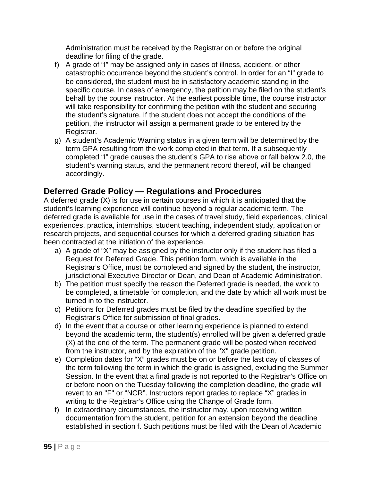Administration must be received by the Registrar on or before the original deadline for filing of the grade.

- f) A grade of "I" may be assigned only in cases of illness, accident, or other catastrophic occurrence beyond the student's control. In order for an "I" grade to be considered, the student must be in satisfactory academic standing in the specific course. In cases of emergency, the petition may be filed on the student's behalf by the course instructor. At the earliest possible time, the course instructor will take responsibility for confirming the petition with the student and securing the student's signature. If the student does not accept the conditions of the petition, the instructor will assign a permanent grade to be entered by the Registrar.
- g) A student's Academic Warning status in a given term will be determined by the term GPA resulting from the work completed in that term. If a subsequently completed "I" grade causes the student's GPA to rise above or fall below 2.0, the student's warning status, and the permanent record thereof, will be changed accordingly.

# **Deferred Grade Policy — Regulations and Procedures**

A deferred grade (X) is for use in certain courses in which it is anticipated that the student's learning experience will continue beyond a regular academic term. The deferred grade is available for use in the cases of travel study, field experiences, clinical experiences, practica, internships, student teaching, independent study, application or research projects, and sequential courses for which a deferred grading situation has been contracted at the initiation of the experience.

- a) A grade of "X" may be assigned by the instructor only if the student has filed a Request for Deferred Grade. This petition form, which is available in the Registrar's Office, must be completed and signed by the student, the instructor, jurisdictional Executive Director or Dean, and Dean of Academic Administration.
- b) The petition must specify the reason the Deferred grade is needed, the work to be completed, a timetable for completion, and the date by which all work must be turned in to the instructor.
- c) Petitions for Deferred grades must be filed by the deadline specified by the Registrar's Office for submission of final grades.
- d) In the event that a course or other learning experience is planned to extend beyond the academic term, the student(s) enrolled will be given a deferred grade (X) at the end of the term. The permanent grade will be posted when received from the instructor, and by the expiration of the "X" grade petition.
- e) Completion dates for "X" grades must be on or before the last day of classes of the term following the term in which the grade is assigned, excluding the Summer Session. In the event that a final grade is not reported to the Registrar's Office on or before noon on the Tuesday following the completion deadline, the grade will revert to an "F" or "NCR". Instructors report grades to replace "X" grades in writing to the Registrar's Office using the Change of Grade form.
- f) In extraordinary circumstances, the instructor may, upon receiving written documentation from the student, petition for an extension beyond the deadline established in section f. Such petitions must be filed with the Dean of Academic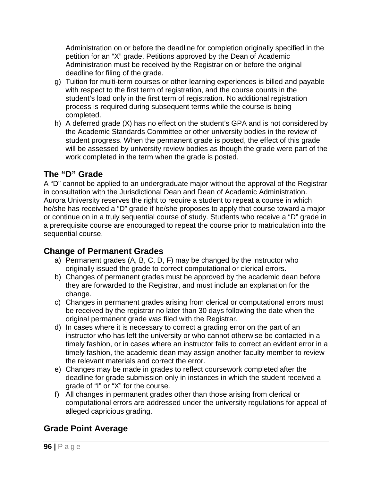Administration on or before the deadline for completion originally specified in the petition for an "X" grade. Petitions approved by the Dean of Academic Administration must be received by the Registrar on or before the original deadline for filing of the grade.

- g) Tuition for multi-term courses or other learning experiences is billed and payable with respect to the first term of registration, and the course counts in the student's load only in the first term of registration. No additional registration process is required during subsequent terms while the course is being completed.
- h) A deferred grade (X) has no effect on the student's GPA and is not considered by the Academic Standards Committee or other university bodies in the review of student progress. When the permanent grade is posted, the effect of this grade will be assessed by university review bodies as though the grade were part of the work completed in the term when the grade is posted.

# **The "D" Grade**

A "D" cannot be applied to an undergraduate major without the approval of the Registrar in consultation with the Jurisdictional Dean and Dean of Academic Administration. Aurora University reserves the right to require a student to repeat a course in which he/she has received a "D" grade if he/she proposes to apply that course toward a major or continue on in a truly sequential course of study. Students who receive a "D" grade in a prerequisite course are encouraged to repeat the course prior to matriculation into the sequential course.

## **Change of Permanent Grades**

- a) Permanent grades (A, B, C, D, F) may be changed by the instructor who originally issued the grade to correct computational or clerical errors.
- b) Changes of permanent grades must be approved by the academic dean before they are forwarded to the Registrar, and must include an explanation for the change.
- c) Changes in permanent grades arising from clerical or computational errors must be received by the registrar no later than 30 days following the date when the original permanent grade was filed with the Registrar.
- d) In cases where it is necessary to correct a grading error on the part of an instructor who has left the university or who cannot otherwise be contacted in a timely fashion, or in cases where an instructor fails to correct an evident error in a timely fashion, the academic dean may assign another faculty member to review the relevant materials and correct the error.
- e) Changes may be made in grades to reflect coursework completed after the deadline for grade submission only in instances in which the student received a grade of "I" or "X" for the course.
- f) All changes in permanent grades other than those arising from clerical or computational errors are addressed under the university regulations for appeal of alleged capricious grading.

# **Grade Point Average**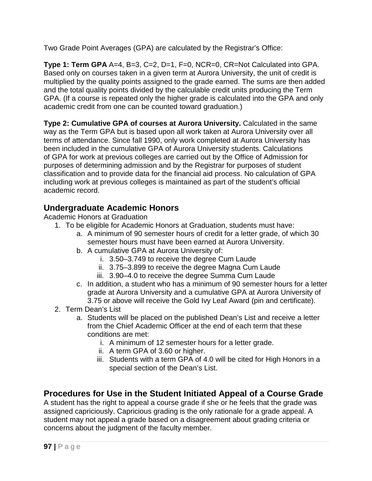Two Grade Point Averages (GPA) are calculated by the Registrar's Office:

**Type 1: Term GPA** A=4, B=3, C=2, D=1, F=0, NCR=0, CR=Not Calculated into GPA. Based only on courses taken in a given term at Aurora University, the unit of credit is multiplied by the quality points assigned to the grade earned. The sums are then added and the total quality points divided by the calculable credit units producing the Term GPA. (If a course is repeated only the higher grade is calculated into the GPA and only academic credit from one can be counted toward graduation.)

**Type 2: Cumulative GPA of courses at Aurora University.** Calculated in the same way as the Term GPA but is based upon all work taken at Aurora University over all terms of attendance. Since fall 1990, only work completed at Aurora University has been included in the cumulative GPA of Aurora University students. Calculations of GPA for work at previous colleges are carried out by the Office of Admission for purposes of determining admission and by the Registrar for purposes of student classification and to provide data for the financial aid process. No calculation of GPA including work at previous colleges is maintained as part of the student's official academic record.

# **Undergraduate Academic Honors**

Academic Honors at Graduation

- 1. To be eligible for Academic Honors at Graduation, students must have:
	- a. A minimum of 90 semester hours of credit for a letter grade, of which 30 semester hours must have been earned at Aurora University.
	- b. A cumulative GPA at Aurora University of:
		- i. 3.50–3.749 to receive the degree Cum Laude
		- ii. 3.75–3.899 to receive the degree Magna Cum Laude
		- iii. 3.90–4.0 to receive the degree Summa Cum Laude
	- c. In addition, a student who has a minimum of 90 semester hours for a letter grade at Aurora University and a cumulative GPA at Aurora University of 3.75 or above will receive the Gold Ivy Leaf Award (pin and certificate).
- 2. Term Dean's List
	- a. Students will be placed on the published Dean's List and receive a letter from the Chief Academic Officer at the end of each term that these conditions are met:
		- i. A minimum of 12 semester hours for a letter grade.
		- ii. A term GPA of 3.60 or higher.
		- iii. Students with a term GPA of 4.0 will be cited for High Honors in a special section of the Dean's List.

# **Procedures for Use in the Student Initiated Appeal of a Course Grade**

A student has the right to appeal a course grade if she or he feels that the grade was assigned capriciously. Capricious grading is the only rationale for a grade appeal. A student may not appeal a grade based on a disagreement about grading criteria or concerns about the judgment of the faculty member.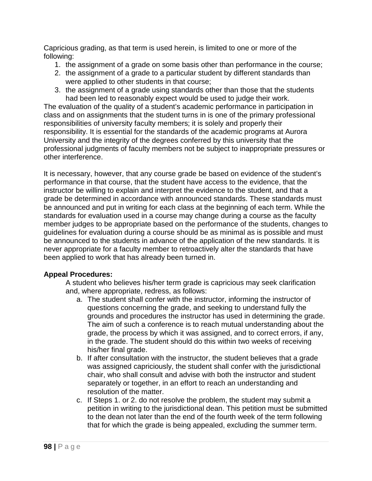Capricious grading, as that term is used herein, is limited to one or more of the following:

- 1. the assignment of a grade on some basis other than performance in the course;
- 2. the assignment of a grade to a particular student by different standards than were applied to other students in that course;
- 3. the assignment of a grade using standards other than those that the students had been led to reasonably expect would be used to judge their work.

The evaluation of the quality of a student's academic performance in participation in class and on assignments that the student turns in is one of the primary professional responsibilities of university faculty members; it is solely and properly their responsibility. It is essential for the standards of the academic programs at Aurora University and the integrity of the degrees conferred by this university that the professional judgments of faculty members not be subject to inappropriate pressures or other interference.

It is necessary, however, that any course grade be based on evidence of the student's performance in that course, that the student have access to the evidence, that the instructor be willing to explain and interpret the evidence to the student, and that a grade be determined in accordance with announced standards. These standards must be announced and put in writing for each class at the beginning of each term. While the standards for evaluation used in a course may change during a course as the faculty member judges to be appropriate based on the performance of the students, changes to guidelines for evaluation during a course should be as minimal as is possible and must be announced to the students in advance of the application of the new standards. It is never appropriate for a faculty member to retroactively alter the standards that have been applied to work that has already been turned in.

#### **Appeal Procedures:**

A student who believes his/her term grade is capricious may seek clarification and, where appropriate, redress, as follows:

- a. The student shall confer with the instructor, informing the instructor of questions concerning the grade, and seeking to understand fully the grounds and procedures the instructor has used in determining the grade. The aim of such a conference is to reach mutual understanding about the grade, the process by which it was assigned, and to correct errors, if any, in the grade. The student should do this within two weeks of receiving his/her final grade.
- b. If after consultation with the instructor, the student believes that a grade was assigned capriciously, the student shall confer with the jurisdictional chair, who shall consult and advise with both the instructor and student separately or together, in an effort to reach an understanding and resolution of the matter.
- c. If Steps 1. or 2. do not resolve the problem, the student may submit a petition in writing to the jurisdictional dean. This petition must be submitted to the dean not later than the end of the fourth week of the term following that for which the grade is being appealed, excluding the summer term.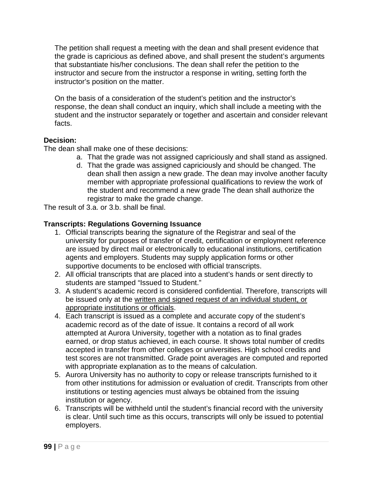The petition shall request a meeting with the dean and shall present evidence that the grade is capricious as defined above, and shall present the student's arguments that substantiate his/her conclusions. The dean shall refer the petition to the instructor and secure from the instructor a response in writing, setting forth the instructor's position on the matter.

On the basis of a consideration of the student's petition and the instructor's response, the dean shall conduct an inquiry, which shall include a meeting with the student and the instructor separately or together and ascertain and consider relevant facts.

#### **Decision:**

The dean shall make one of these decisions:

- a. That the grade was not assigned capriciously and shall stand as assigned.
- d. That the grade was assigned capriciously and should be changed. The dean shall then assign a new grade. The dean may involve another faculty member with appropriate professional qualifications to review the work of the student and recommend a new grade The dean shall authorize the registrar to make the grade change.

The result of 3.a. or 3.b. shall be final.

### **Transcripts: Regulations Governing Issuance**

- 1. Official transcripts bearing the signature of the Registrar and seal of the university for purposes of transfer of credit, certification or employment reference are issued by direct mail or electronically to educational institutions, certification agents and employers. Students may supply application forms or other supportive documents to be enclosed with official transcripts.
- 2. All official transcripts that are placed into a student's hands or sent directly to students are stamped "Issued to Student."
- 3. A student's academic record is considered confidential. Therefore, transcripts will be issued only at the written and signed request of an individual student, or appropriate institutions or officials.
- 4. Each transcript is issued as a complete and accurate copy of the student's academic record as of the date of issue. It contains a record of all work attempted at Aurora University, together with a notation as to final grades earned, or drop status achieved, in each course. It shows total number of credits accepted in transfer from other colleges or universities. High school credits and test scores are not transmitted. Grade point averages are computed and reported with appropriate explanation as to the means of calculation.
- 5. Aurora University has no authority to copy or release transcripts furnished to it from other institutions for admission or evaluation of credit. Transcripts from other institutions or testing agencies must always be obtained from the issuing institution or agency.
- 6. Transcripts will be withheld until the student's financial record with the university is clear. Until such time as this occurs, transcripts will only be issued to potential employers.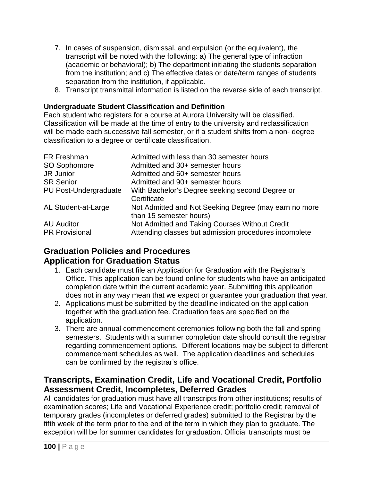- 7. In cases of suspension, dismissal, and expulsion (or the equivalent), the transcript will be noted with the following: a) The general type of infraction (academic or behavioral); b) The department initiating the students separation from the institution; and c) The effective dates or date/term ranges of students separation from the institution, if applicable.
- 8. Transcript transmittal information is listed on the reverse side of each transcript.

#### **Undergraduate Student Classification and Definition**

Each student who registers for a course at Aurora University will be classified. Classification will be made at the time of entry to the university and reclassification will be made each successive fall semester, or if a student shifts from a non- degree classification to a degree or certificate classification.

| FR Freshman           | Admitted with less than 30 semester hours             |
|-----------------------|-------------------------------------------------------|
| SO Sophomore          | Admitted and 30+ semester hours                       |
| JR Junior             | Admitted and 60+ semester hours                       |
| <b>SR Senior</b>      | Admitted and 90+ semester hours                       |
| PU Post-Undergraduate | With Bachelor's Degree seeking second Degree or       |
|                       | Certificate                                           |
| AL Student-at-Large   | Not Admitted and Not Seeking Degree (may earn no more |
|                       | than 15 semester hours)                               |
| <b>AU Auditor</b>     | Not Admitted and Taking Courses Without Credit        |
| <b>PR Provisional</b> | Attending classes but admission procedures incomplete |

### **Graduation Policies and Procedures Application for Graduation Status**

- 1. Each candidate must file an Application for Graduation with the Registrar's Office. This application can be found online for students who have an anticipated completion date within the current academic year. Submitting this application does not in any way mean that we expect or guarantee your graduation that year.
- 2. Applications must be submitted by the deadline indicated on the application together with the graduation fee. Graduation fees are specified on the application.
- 3. There are annual commencement ceremonies following both the fall and spring semesters. Students with a summer completion date should consult the registrar regarding commencement options. Different locations may be subject to different commencement schedules as well. The application deadlines and schedules can be confirmed by the registrar's office.

### **Transcripts, Examination Credit, Life and Vocational Credit, Portfolio Assessment Credit, Incompletes, Deferred Grades**

All candidates for graduation must have all transcripts from other institutions; results of examination scores; Life and Vocational Experience credit; portfolio credit; removal of temporary grades (incompletes or deferred grades) submitted to the Registrar by the fifth week of the term prior to the end of the term in which they plan to graduate. The exception will be for summer candidates for graduation. Official transcripts must be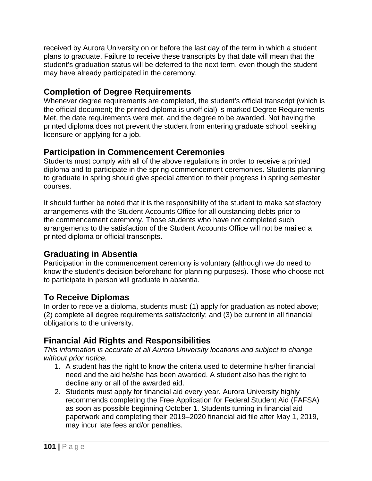received by Aurora University on or before the last day of the term in which a student plans to graduate. Failure to receive these transcripts by that date will mean that the student's graduation status will be deferred to the next term, even though the student may have already participated in the ceremony.

## **Completion of Degree Requirements**

Whenever degree requirements are completed, the student's official transcript (which is the official document; the printed diploma is unofficial) is marked Degree Requirements Met, the date requirements were met, and the degree to be awarded. Not having the printed diploma does not prevent the student from entering graduate school, seeking licensure or applying for a job.

## **Participation in Commencement Ceremonies**

Students must comply with all of the above regulations in order to receive a printed diploma and to participate in the spring commencement ceremonies. Students planning to graduate in spring should give special attention to their progress in spring semester courses.

It should further be noted that it is the responsibility of the student to make satisfactory arrangements with the Student Accounts Office for all outstanding debts prior to the commencement ceremony. Those students who have not completed such arrangements to the satisfaction of the Student Accounts Office will not be mailed a printed diploma or official transcripts.

## **Graduating in Absentia**

Participation in the commencement ceremony is voluntary (although we do need to know the student's decision beforehand for planning purposes). Those who choose not to participate in person will graduate in absentia.

## **To Receive Diplomas**

In order to receive a diploma, students must: (1) apply for graduation as noted above; (2) complete all degree requirements satisfactorily; and (3) be current in all financial obligations to the university.

## **Financial Aid Rights and Responsibilities**

*This information is accurate at all Aurora University locations and subject to change without prior notice.*

- 1. A student has the right to know the criteria used to determine his/her financial need and the aid he/she has been awarded. A student also has the right to decline any or all of the awarded aid.
- 2. Students must apply for financial aid every year. Aurora University highly recommends completing the Free Application for Federal Student Aid (FAFSA) as soon as possible beginning October 1. Students turning in financial aid paperwork and completing their 2019–2020 financial aid file after May 1, 2019, may incur late fees and/or penalties.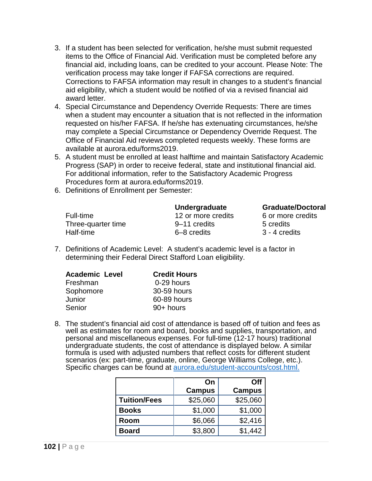- 3. If a student has been selected for verification, he/she must submit requested items to the Office of Financial Aid. Verification must be completed before any financial aid, including loans, can be credited to your account. Please Note: The verification process may take longer if FAFSA corrections are required. Corrections to FAFSA information may result in changes to a student's financial aid eligibility, which a student would be notified of via a revised financial aid award letter.
- 4. Special Circumstance and Dependency Override Requests: There are times when a student may encounter a situation that is not reflected in the information requested on his/her FAFSA. If he/she has extenuating circumstances, he/she may complete a Special Circumstance or Dependency Override Request. The Office of Financial Aid reviews completed requests weekly. These forms are available at aurora.edu/forms2019.
- 5. A student must be enrolled at least halftime and maintain Satisfactory Academic Progress (SAP) in order to receive federal, state and institutional financial aid. For additional information, refer to the Satisfactory Academic Progress Procedures form at aurora.edu/forms2019.
- 6. Definitions of Enrollment per Semester:

|                    | Undergraduate      | <b>Graduate/Doctoral</b> |
|--------------------|--------------------|--------------------------|
| Full-time          | 12 or more credits | 6 or more credits        |
| Three-quarter time | 9–11 credits       | 5 credits                |
| Half-time          | 6–8 credits        | 3 - 4 credits            |

7. Definitions of Academic Level: A student's academic level is a factor in determining their Federal Direct Stafford Loan eligibility.

| <b>Academic Level</b> | <b>Credit Hours</b> |
|-----------------------|---------------------|
| Freshman              | 0-29 hours          |
| Sophomore             | 30-59 hours         |
| Junior                | 60-89 hours         |
| Senior                | $90+$ hours         |

8. The student's financial aid cost of attendance is based off of tuition and fees as well as estimates for room and board, books and supplies, transportation, and personal and miscellaneous expenses. For full-time (12-17 hours) traditional undergraduate students, the cost of attendance is displayed below. A similar formula is used with adjusted numbers that reflect costs for different student scenarios (ex: part-time, graduate, online, George Williams College, etc.). Specific charges can be found at [aurora.edu/student-accounts/cost.html.](file://au-fs01.aurora.edu/data/Registrar/Melody/catalog%202018.19/most%20current%20only/aurora.edu/student-accounts/cost.html.)

|                     | On            | <b>Off</b>    |
|---------------------|---------------|---------------|
|                     | <b>Campus</b> | <b>Campus</b> |
| <b>Tuition/Fees</b> | \$25,060      | \$25,060      |
| <b>Books</b>        | \$1,000       | \$1,000       |
| Room                | \$6,066       | \$2,416       |
| <b>Board</b>        | \$3,800       | \$1,442       |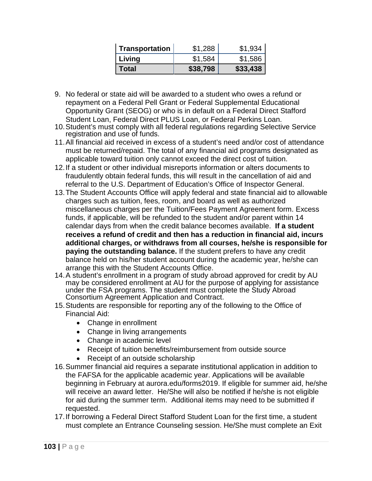| Transportation | \$1,288  | \$1,934  |
|----------------|----------|----------|
| Living         | \$1,584  | \$1,586  |
| <b>Total</b>   | \$38,798 | \$33,438 |

- 9. No federal or state aid will be awarded to a student who owes a refund or repayment on a Federal Pell Grant or Federal Supplemental Educational Opportunity Grant (SEOG) or who is in default on a Federal Direct Stafford Student Loan, Federal Direct PLUS Loan, or Federal Perkins Loan.
- 10.Student's must comply with all federal regulations regarding Selective Service registration and use of funds.
- 11.All financial aid received in excess of a student's need and/or cost of attendance must be returned/repaid. The total of any financial aid programs designated as applicable toward tuition only cannot exceed the direct cost of tuition.
- 12.If a student or other individual misreports information or alters documents to fraudulently obtain federal funds, this will result in the cancellation of aid and referral to the U.S. Department of Education's Office of Inspector General.
- 13.The Student Accounts Office will apply federal and state financial aid to allowable charges such as tuition, fees, room, and board as well as authorized miscellaneous charges per the Tuition/Fees Payment Agreement form. Excess funds, if applicable, will be refunded to the student and/or parent within 14 calendar days from when the credit balance becomes available. **If a student receives a refund of credit and then has a reduction in financial aid, incurs additional charges, or withdraws from all courses, he/she is responsible for paying the outstanding balance.** If the student prefers to have any credit balance held on his/her student account during the academic year, he/she can arrange this with the Student Accounts Office.
- 14.A student's enrollment in a program of study abroad approved for credit by AU may be considered enrollment at AU for the purpose of applying for assistance under the FSA programs. The student must complete the Study Abroad Consortium Agreement Application and Contract.
- 15.Students are responsible for reporting any of the following to the Office of Financial Aid:
	- Change in enrollment
	- Change in living arrangements
	- Change in academic level
	- Receipt of tuition benefits/reimbursement from outside source
	- Receipt of an outside scholarship
- 16.Summer financial aid requires a separate institutional application in addition to the FAFSA for the applicable academic year. Applications will be available beginning in February at aurora.edu/forms2019. If eligible for summer aid, he/she will receive an award letter. He/She will also be notified if he/she is not eligible for aid during the summer term. Additional items may need to be submitted if requested.
- 17.If borrowing a Federal Direct Stafford Student Loan for the first time, a student must complete an Entrance Counseling session. He/She must complete an Exit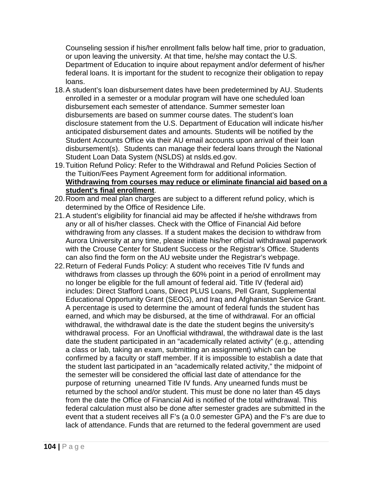Counseling session if his/her enrollment falls below half time, prior to graduation, or upon leaving the university. At that time, he/she may contact the U.S. Department of Education to inquire about repayment and/or deferment of his/her federal loans. It is important for the student to recognize their obligation to repay loans.

- 18.A student's loan disbursement dates have been predetermined by AU. Students enrolled in a semester or a modular program will have one scheduled loan disbursement each semester of attendance. Summer semester loan disbursements are based on summer course dates. The student's loan disclosure statement from the U.S. Department of Education will indicate his/her anticipated disbursement dates and amounts. Students will be notified by the Student Accounts Office via their AU email accounts upon arrival of their loan disbursement(s). Students can manage their federal loans through the National Student Loan Data System (NSLDS) at nslds.ed.gov.
- 19.Tuition Refund Policy: Refer to the Withdrawal and Refund Policies Section of the Tuition/Fees Payment Agreement form for additional information. **Withdrawing from courses may reduce or eliminate financial aid based on a student's final enrollment**.
- 20.Room and meal plan charges are subject to a different refund policy, which is determined by the Office of Residence Life.
- 21.A student's eligibility for financial aid may be affected if he/she withdraws from any or all of his/her classes. Check with the Office of Financial Aid before withdrawing from any classes. If a student makes the decision to withdraw from Aurora University at any time, please initiate his/her official withdrawal paperwork with the Crouse Center for Student Success or the Registrar's Office. Students can also find the form on the AU website under the Registrar's webpage.
- 22.Return of Federal Funds Policy: A student who receives Title IV funds and withdraws from classes up through the 60% point in a period of enrollment may no longer be eligible for the full amount of federal aid. Title IV (federal aid) includes: Direct Stafford Loans, Direct PLUS Loans, Pell Grant, Supplemental Educational Opportunity Grant (SEOG), and Iraq and Afghanistan Service Grant. A percentage is used to determine the amount of federal funds the student has earned, and which may be disbursed, at the time of withdrawal. For an official withdrawal, the withdrawal date is the date the student begins the university's withdrawal process. For an Unofficial withdrawal, the withdrawal date is the last date the student participated in an "academically related activity" (e.g., attending a class or lab, taking an exam, submitting an assignment) which can be confirmed by a faculty or staff member. If it is impossible to establish a date that the student last participated in an "academically related activity," the midpoint of the semester will be considered the official last date of attendance for the purpose of returning unearned Title IV funds. Any unearned funds must be returned by the school and/or student. This must be done no later than 45 days from the date the Office of Financial Aid is notified of the total withdrawal. This federal calculation must also be done after semester grades are submitted in the event that a student receives all F's (a 0.0 semester GPA) and the F's are due to lack of attendance. Funds that are returned to the federal government are used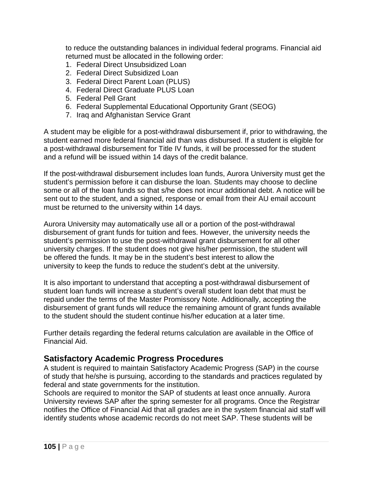to reduce the outstanding balances in individual federal programs. Financial aid returned must be allocated in the following order:

- 1. Federal Direct Unsubsidized Loan
- 2. Federal Direct Subsidized Loan
- 3. Federal Direct Parent Loan (PLUS)
- 4. Federal Direct Graduate PLUS Loan
- 5. Federal Pell Grant
- 6. Federal Supplemental Educational Opportunity Grant (SEOG)
- 7. Iraq and Afghanistan Service Grant

A student may be eligible for a post-withdrawal disbursement if, prior to withdrawing, the student earned more federal financial aid than was disbursed. If a student is eligible for a post-withdrawal disbursement for Title IV funds, it will be processed for the student and a refund will be issued within 14 days of the credit balance.

If the post-withdrawal disbursement includes loan funds, Aurora University must get the student's permission before it can disburse the loan. Students may choose to decline some or all of the loan funds so that s/he does not incur additional debt. A notice will be sent out to the student, and a signed, response or email from their AU email account must be returned to the university within 14 days.

Aurora University may automatically use all or a portion of the post-withdrawal disbursement of grant funds for tuition and fees. However, the university needs the student's permission to use the post-withdrawal grant disbursement for all other university charges. If the student does not give his/her permission, the student will be offered the funds. It may be in the student's best interest to allow the university to keep the funds to reduce the student's debt at the university.

It is also important to understand that accepting a post-withdrawal disbursement of student loan funds will increase a student's overall student loan debt that must be repaid under the terms of the Master Promissory Note. Additionally, accepting the disbursement of grant funds will reduce the remaining amount of grant funds available to the student should the student continue his/her education at a later time.

Further details regarding the federal returns calculation are available in the Office of Financial Aid.

### **Satisfactory Academic Progress Procedures**

A student is required to maintain Satisfactory Academic Progress (SAP) in the course of study that he/she is pursuing, according to the standards and practices regulated by federal and state governments for the institution.

Schools are required to monitor the SAP of students at least once annually. Aurora University reviews SAP after the spring semester for all programs. Once the Registrar notifies the Office of Financial Aid that all grades are in the system financial aid staff will identify students whose academic records do not meet SAP. These students will be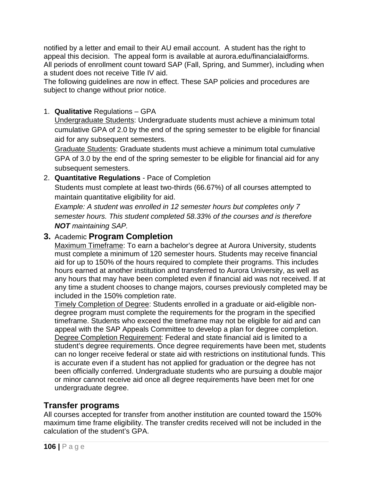notified by a letter and email to their AU email account. A student has the right to appeal this decision. The appeal form is available at aurora.edu/financialaidforms. All periods of enrollment count toward SAP (Fall, Spring, and Summer), including when a student does not receive Title IV aid.

The following guidelines are now in effect. These SAP policies and procedures are subject to change without prior notice.

### 1. **Qualitative** Regulations – GPA

Undergraduate Students: Undergraduate students must achieve a minimum total cumulative GPA of 2.0 by the end of the spring semester to be eligible for financial aid for any subsequent semesters.

Graduate Students: Graduate students must achieve a minimum total cumulative GPA of 3.0 by the end of the spring semester to be eligible for financial aid for any subsequent semesters.

2. **Quantitative Regulations** - Pace of Completion Students must complete at least two-thirds (66.67%) of all courses attempted to maintain quantitative eligibility for aid.

*Example: A student was enrolled in 12 semester hours but completes only 7 semester hours. This student completed 58.33% of the courses and is therefore NOT maintaining SAP.*

## **3.** Academic **Program Completion**

Maximum Timeframe: To earn a bachelor's degree at Aurora University, students must complete a minimum of 120 semester hours. Students may receive financial aid for up to 150% of the hours required to complete their programs. This includes hours earned at another institution and transferred to Aurora University, as well as any hours that may have been completed even if financial aid was not received. If at any time a student chooses to change majors, courses previously completed may be included in the 150% completion rate.

Timely Completion of Degree: Students enrolled in a graduate or aid-eligible nondegree program must complete the requirements for the program in the specified timeframe. Students who exceed the timeframe may not be eligible for aid and can appeal with the SAP Appeals Committee to develop a plan for degree completion. Degree Completion Requirement: Federal and state financial aid is limited to a student's degree requirements. Once degree requirements have been met, students can no longer receive federal or state aid with restrictions on institutional funds. This is accurate even if a student has not applied for graduation or the degree has not been officially conferred. Undergraduate students who are pursuing a double major or minor cannot receive aid once all degree requirements have been met for one undergraduate degree.

## **Transfer programs**

All courses accepted for transfer from another institution are counted toward the 150% maximum time frame eligibility. The transfer credits received will not be included in the calculation of the student's GPA.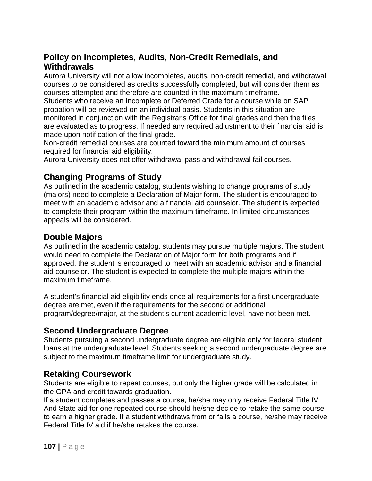## **Policy on Incompletes, Audits, Non-Credit Remedials, and Withdrawals**

Aurora University will not allow incompletes, audits, non-credit remedial, and withdrawal courses to be considered as credits successfully completed, but will consider them as courses attempted and therefore are counted in the maximum timeframe.

Students who receive an Incomplete or Deferred Grade for a course while on SAP probation will be reviewed on an individual basis. Students in this situation are monitored in conjunction with the Registrar's Office for final grades and then the files are evaluated as to progress. If needed any required adjustment to their financial aid is made upon notification of the final grade.

Non-credit remedial courses are counted toward the minimum amount of courses required for financial aid eligibility.

Aurora University does not offer withdrawal pass and withdrawal fail courses.

## **Changing Programs of Study**

As outlined in the academic catalog, students wishing to change programs of study (majors) need to complete a Declaration of Major form. The student is encouraged to meet with an academic advisor and a financial aid counselor. The student is expected to complete their program within the maximum timeframe. In limited circumstances appeals will be considered.

## **Double Majors**

As outlined in the academic catalog, students may pursue multiple majors. The student would need to complete the Declaration of Major form for both programs and if approved, the student is encouraged to meet with an academic advisor and a financial aid counselor. The student is expected to complete the multiple majors within the maximum timeframe.

A student's financial aid eligibility ends once all requirements for a first undergraduate degree are met, even if the requirements for the second or additional program/degree/major, at the student's current academic level, have not been met.

### **Second Undergraduate Degree**

Students pursuing a second undergraduate degree are eligible only for federal student loans at the undergraduate level. Students seeking a second undergraduate degree are subject to the maximum timeframe limit for undergraduate study.

### **Retaking Coursework**

Students are eligible to repeat courses, but only the higher grade will be calculated in the GPA and credit towards graduation.

If a student completes and passes a course, he/she may only receive Federal Title IV And State aid for one repeated course should he/she decide to retake the same course to earn a higher grade. If a student withdraws from or fails a course, he/she may receive Federal Title IV aid if he/she retakes the course.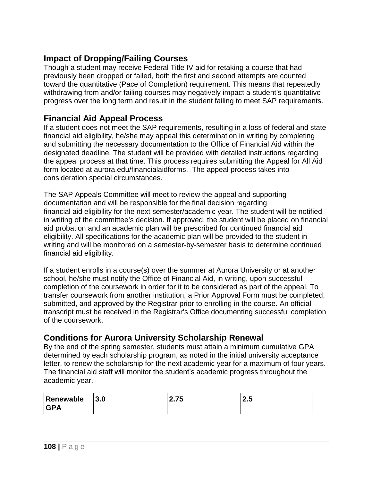# **Impact of Dropping/Failing Courses**

Though a student may receive Federal Title IV aid for retaking a course that had previously been dropped or failed, both the first and second attempts are counted toward the quantitative (Pace of Completion) requirement. This means that repeatedly withdrawing from and/or failing courses may negatively impact a student's quantitative progress over the long term and result in the student failing to meet SAP requirements.

### **Financial Aid Appeal Process**

If a student does not meet the SAP requirements, resulting in a loss of federal and state financial aid eligibility, he/she may appeal this determination in writing by completing and submitting the necessary documentation to the Office of Financial Aid within the designated deadline. The student will be provided with detailed instructions regarding the appeal process at that time. This process requires submitting the Appeal for All Aid form located at aurora.edu/financialaidforms. The appeal process takes into consideration special circumstances.

The SAP Appeals Committee will meet to review the appeal and supporting documentation and will be responsible for the final decision regarding financial aid eligibility for the next semester/academic year. The student will be notified in writing of the committee's decision. If approved, the student will be placed on financial aid probation and an academic plan will be prescribed for continued financial aid eligibility. All specifications for the academic plan will be provided to the student in writing and will be monitored on a semester-by-semester basis to determine continued financial aid eligibility.

If a student enrolls in a course(s) over the summer at Aurora University or at another school, he/she must notify the Office of Financial Aid, in writing, upon successful completion of the coursework in order for it to be considered as part of the appeal. To transfer coursework from another institution, a Prior Approval Form must be completed, submitted, and approved by the Registrar prior to enrolling in the course. An official transcript must be received in the Registrar's Office documenting successful completion of the coursework.

# **Conditions for Aurora University Scholarship Renewal**

By the end of the spring semester, students must attain a minimum cumulative GPA determined by each scholarship program, as noted in the initial university acceptance letter, to renew the scholarship for the next academic year for a maximum of four years. The financial aid staff will monitor the student's academic progress throughout the academic year.

| Renewable  | 3.0 | フド   |     |
|------------|-----|------|-----|
| <b>GPA</b> |     | 2.IJ | L.J |
|            |     |      |     |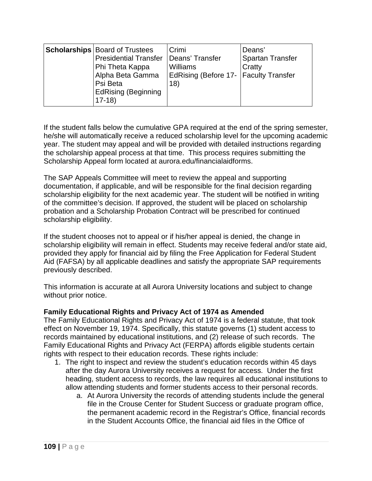|  | <b>Scholarships Board of Trustees</b><br><b>Presidential Transfer</b><br>Phi Theta Kappa<br>Alpha Beta Gamma<br>Psi Beta<br><b>EdRising (Beginning</b><br>$17-18$ | Crimi<br>Deans' Transfer<br><b>Williams</b><br>EdRising (Before 17-   Faculty Transfer<br>18) | Deans'<br>Spartan Transfer<br>Cratty |
|--|-------------------------------------------------------------------------------------------------------------------------------------------------------------------|-----------------------------------------------------------------------------------------------|--------------------------------------|
|--|-------------------------------------------------------------------------------------------------------------------------------------------------------------------|-----------------------------------------------------------------------------------------------|--------------------------------------|

If the student falls below the cumulative GPA required at the end of the spring semester, he/she will automatically receive a reduced scholarship level for the upcoming academic year. The student may appeal and will be provided with detailed instructions regarding the scholarship appeal process at that time. This process requires submitting the Scholarship Appeal form located at aurora.edu/financialaidforms.

The SAP Appeals Committee will meet to review the appeal and supporting documentation, if applicable, and will be responsible for the final decision regarding scholarship eligibility for the next academic year. The student will be notified in writing of the committee's decision. If approved, the student will be placed on scholarship probation and a Scholarship Probation Contract will be prescribed for continued scholarship eligibility.

If the student chooses not to appeal or if his/her appeal is denied, the change in scholarship eligibility will remain in effect. Students may receive federal and/or state aid, provided they apply for financial aid by filing the Free Application for Federal Student Aid (FAFSA) by all applicable deadlines and satisfy the appropriate SAP requirements previously described.

This information is accurate at all Aurora University locations and subject to change without prior notice.

### **Family Educational Rights and Privacy Act of 1974 as Amended**

The Family Educational Rights and Privacy Act of 1974 is a federal statute, that took effect on November 19, 1974. Specifically, this statute governs (1) student access to records maintained by educational institutions, and (2) release of such records. The Family Educational Rights and Privacy Act (FERPA) affords eligible students certain rights with respect to their education records. These rights include:

- 1. The right to inspect and review the student's education records within 45 days after the day Aurora University receives a request for access. Under the first heading, student access to records, the law requires all educational institutions to allow attending students and former students access to their personal records.
	- a. At Aurora University the records of attending students include the general file in the Crouse Center for Student Success or graduate program office, the permanent academic record in the Registrar's Office, financial records in the Student Accounts Office, the financial aid files in the Office of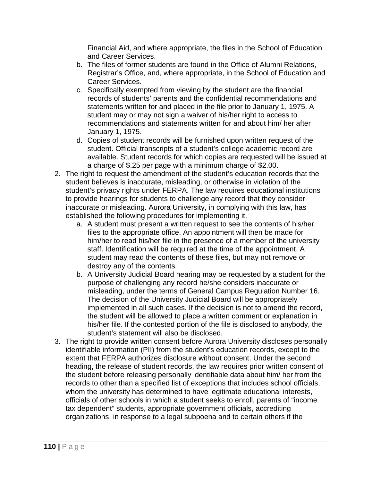Financial Aid, and where appropriate, the files in the School of Education and Career Services.

- b. The files of former students are found in the Office of Alumni Relations, Registrar's Office, and, where appropriate, in the School of Education and Career Services.
- c. Specifically exempted from viewing by the student are the financial records of students' parents and the confidential recommendations and statements written for and placed in the file prior to January 1, 1975. A student may or may not sign a waiver of his/her right to access to recommendations and statements written for and about him/ her after January 1, 1975.
- d. Copies of student records will be furnished upon written request of the student. Official transcripts of a student's college academic record are available. Student records for which copies are requested will be issued at a charge of \$.25 per page with a minimum charge of \$2.00.
- 2. The right to request the amendment of the student's education records that the student believes is inaccurate, misleading, or otherwise in violation of the student's privacy rights under FERPA. The law requires educational institutions to provide hearings for students to challenge any record that they consider inaccurate or misleading. Aurora University, in complying with this law, has established the following procedures for implementing it.
	- a. A student must present a written request to see the contents of his/her files to the appropriate office. An appointment will then be made for him/her to read his/her file in the presence of a member of the university staff. Identification will be required at the time of the appointment. A student may read the contents of these files, but may not remove or destroy any of the contents.
	- b. A University Judicial Board hearing may be requested by a student for the purpose of challenging any record he/she considers inaccurate or misleading, under the terms of General Campus Regulation Number 16. The decision of the University Judicial Board will be appropriately implemented in all such cases. If the decision is not to amend the record, the student will be allowed to place a written comment or explanation in his/her file. If the contested portion of the file is disclosed to anybody, the student's statement will also be disclosed.
- 3. The right to provide written consent before Aurora University discloses personally identifiable information (PII) from the student's education records, except to the extent that FERPA authorizes disclosure without consent. Under the second heading, the release of student records, the law requires prior written consent of the student before releasing personally identifiable data about him/ her from the records to other than a specified list of exceptions that includes school officials, whom the university has determined to have legitimate educational interests, officials of other schools in which a student seeks to enroll, parents of "income tax dependent" students, appropriate government officials, accrediting organizations, in response to a legal subpoena and to certain others if the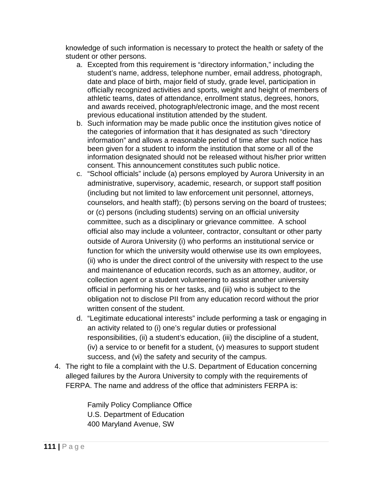knowledge of such information is necessary to protect the health or safety of the student or other persons.

- a. Excepted from this requirement is "directory information," including the student's name, address, telephone number, email address, photograph, date and place of birth, major field of study, grade level, participation in officially recognized activities and sports, weight and height of members of athletic teams, dates of attendance, enrollment status, degrees, honors, and awards received, photograph/electronic image, and the most recent previous educational institution attended by the student.
- b. Such information may be made public once the institution gives notice of the categories of information that it has designated as such "directory information" and allows a reasonable period of time after such notice has been given for a student to inform the institution that some or all of the information designated should not be released without his/her prior written consent. This announcement constitutes such public notice.
- c. "School officials" include (a) persons employed by Aurora University in an administrative, supervisory, academic, research, or support staff position (including but not limited to law enforcement unit personnel, attorneys, counselors, and health staff); (b) persons serving on the board of trustees; or (c) persons (including students) serving on an official university committee, such as a disciplinary or grievance committee. A school official also may include a volunteer, contractor, consultant or other party outside of Aurora University (i) who performs an institutional service or function for which the university would otherwise use its own employees, (ii) who is under the direct control of the university with respect to the use and maintenance of education records, such as an attorney, auditor, or collection agent or a student volunteering to assist another university official in performing his or her tasks, and (iii) who is subject to the obligation not to disclose PII from any education record without the prior written consent of the student.
- d. "Legitimate educational interests" include performing a task or engaging in an activity related to (i) one's regular duties or professional responsibilities, (ii) a student's education, (iii) the discipline of a student, (iv) a service to or benefit for a student, (v) measures to support student success, and (vi) the safety and security of the campus.
- 4. The right to file a complaint with the U.S. Department of Education concerning alleged failures by the Aurora University to comply with the requirements of FERPA. The name and address of the office that administers FERPA is:

Family Policy Compliance Office U.S. Department of Education 400 Maryland Avenue, SW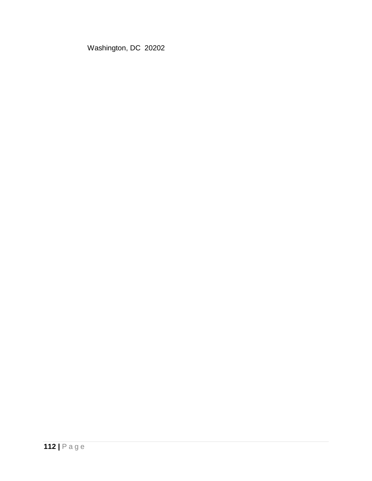Washington, DC 20202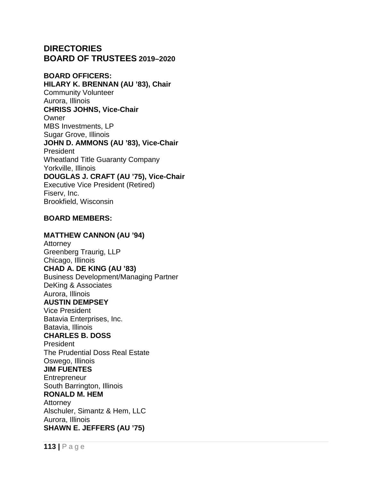# **DIRECTORIES BOARD OF TRUSTEES 2019–2020**

### **BOARD OFFICERS:**

**HILARY K. BRENNAN (AU '83), Chair** Community Volunteer Aurora, Illinois **CHRISS JOHNS, Vice-Chair Owner** MBS Investments, LP Sugar Grove, Illinois **JOHN D. AMMONS (AU '83), Vice-Chair** President Wheatland Title Guaranty Company Yorkville, Illinois **DOUGLAS J. CRAFT (AU '75), Vice-Chair** Executive Vice President (Retired) Fiserv, Inc. Brookfield, Wisconsin

### **BOARD MEMBERS:**

### **MATTHEW CANNON (AU '94)**

**Attorney** Greenberg Traurig, LLP Chicago, Illinois **CHAD A. DE KING (AU '83)** Business Development/Managing Partner DeKing & Associates Aurora, Illinois **AUSTIN DEMPSEY** Vice President Batavia Enterprises, Inc. Batavia, Illinois **CHARLES B. DOSS President** The Prudential Doss Real Estate Oswego, Illinois **JIM FUENTES Entrepreneur** South Barrington, Illinois **RONALD M. HEM** Attorney Alschuler, Simantz & Hem, LLC Aurora, Illinois

**SHAWN E. JEFFERS (AU '75)**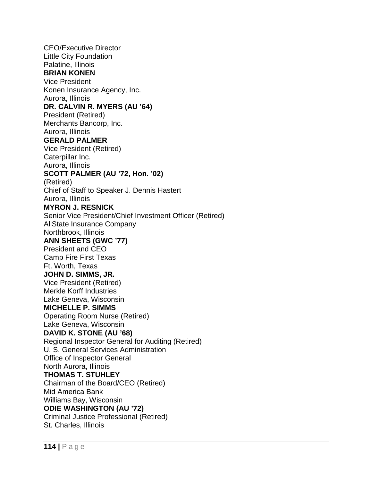CEO/Executive Director Little City Foundation Palatine, Illinois **BRIAN KONEN** Vice President Konen Insurance Agency, Inc. Aurora, Illinois **DR. CALVIN R. MYERS (AU '64)** President (Retired) Merchants Bancorp, Inc. Aurora, Illinois **GERALD PALMER** Vice President (Retired) Caterpillar Inc. Aurora, Illinois **SCOTT PALMER (AU '72, Hon. '02)** (Retired) Chief of Staff to Speaker J. Dennis Hastert Aurora, Illinois **MYRON J. RESNICK** Senior Vice President/Chief Investment Officer (Retired) AllState Insurance Company Northbrook, Illinois **ANN SHEETS (GWC '77)** President and CEO Camp Fire First Texas Ft. Worth, Texas **JOHN D. SIMMS, JR.** Vice President (Retired) Merkle Korff Industries Lake Geneva, Wisconsin **MICHELLE P. SIMMS** Operating Room Nurse (Retired) Lake Geneva, Wisconsin **DAVID K. STONE (AU '68)** Regional Inspector General for Auditing (Retired) U. S. General Services Administration Office of Inspector General North Aurora, Illinois **THOMAS T. STUHLEY** Chairman of the Board/CEO (Retired) Mid America Bank Williams Bay, Wisconsin **ODIE WASHINGTON (AU '72)** Criminal Justice Professional (Retired) St. Charles, Illinois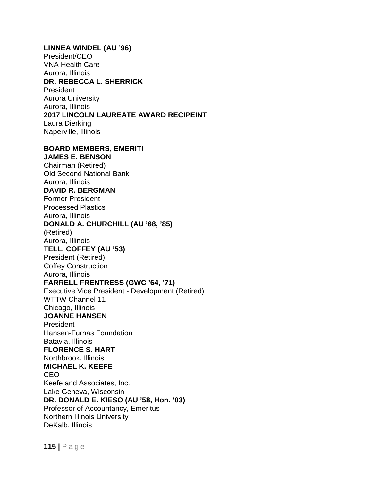**LINNEA WINDEL (AU '96)** President/CEO VNA Health Care Aurora, Illinois **DR. REBECCA L. SHERRICK** President Aurora University Aurora, Illinois **2017 LINCOLN LAUREATE AWARD RECIPEINT**  Laura Dierking Naperville, Illinois **BOARD MEMBERS, EMERITI JAMES E. BENSON** Chairman (Retired) Old Second National Bank Aurora, Illinois **DAVID R. BERGMAN** Former President Processed Plastics Aurora, Illinois **DONALD A. CHURCHILL (AU '68, '85)**  (Retired) Aurora, Illinois

**TELL. COFFEY (AU '53)** President (Retired) Coffey Construction Aurora, Illinois **FARRELL FRENTRESS (GWC '64, '71)** Executive Vice President - Development (Retired) WTTW Channel 11 Chicago, Illinois **JOANNE HANSEN President** Hansen-Furnas Foundation Batavia, Illinois **FLORENCE S. HART** Northbrook, Illinois **MICHAEL K. KEEFE**  CEO Keefe and Associates, Inc. Lake Geneva, Wisconsin **DR. DONALD E. KIESO (AU '58, Hon. '03)** Professor of Accountancy, Emeritus Northern Illinois University DeKalb, Illinois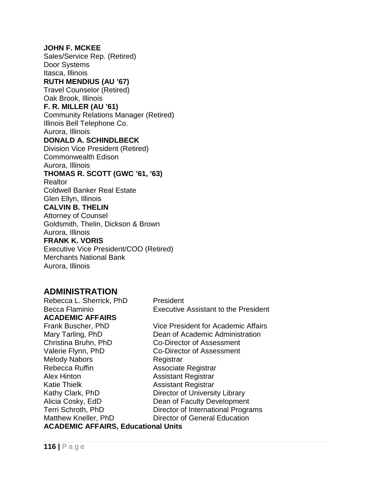### **JOHN F. MCKEE**

Sales/Service Rep. (Retired) Door Systems Itasca, Illinois **RUTH MENDIUS (AU '67)** 

Travel Counselor (Retired) Oak Brook, Illinois

### **F. R. MILLER (AU '61)**

Community Relations Manager (Retired)

Illinois Bell Telephone Co.

### Aurora, Illinois **DONALD A. SCHINDLBECK**

Division Vice President (Retired) Commonwealth Edison Aurora, Illinois

### **THOMAS R. SCOTT (GWC '61, '63)**

**Realtor** Coldwell Banker Real Estate Glen Ellyn, Illinois **CALVIN B. THELIN** Attorney of Counsel Goldsmith, Thelin, Dickson & Brown Aurora, Illinois **FRANK K. VORIS** Executive Vice President/COO (Retired) Merchants National Bank Aurora, Illinois

# **ADMINISTRATION**

Rebecca L. Sherrick, PhD President Becca Flaminio Executive Assistant to the President **ACADEMIC AFFAIRS** Christina Bruhn, PhD Co-Director of Assessment Valerie Flynn, PhD Co-Director of Assessment Melody Nabors Registrar

Frank Buscher, PhD Vice President for Academic Affairs Mary Tarling, PhD Dean of Academic Administration Rebecca Ruffin Associate Registrar Alex Hinton Assistant Registrar Katie Thielk **Assistant Registrar** Kathy Clark, PhD Director of University Library Alicia Cosky, EdD Dean of Faculty Development Terri Schroth, PhD Director of International Programs Matthew Kneller, PhD Director of General Education

### **ACADEMIC AFFAIRS, Educational Units**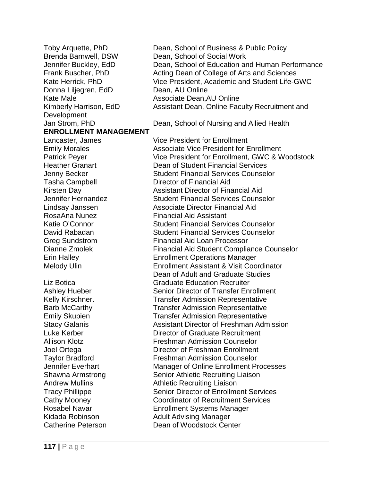Donna Liljegren, EdD Dean, AU Online Kate Male **Associate Dean,AU Online** Development **ENROLLMENT MANAGEMENT** Lancaster, James Vice President for Enrollment Tasha Campbell Director of Financial Aid RosaAna Nunez Financial Aid Assistant Andrew Mullins **Athletic Recruiting Liaison** Kidada Robinson **Adult Advising Manager** 

Toby Arquette, PhD Dean, School of Business & Public Policy Brenda Barnwell, DSW Dean, School of Social Work<br>Jennifer Buckley, EdD Dean, School of Education ar Dean, School of Education and Human Performance Frank Buscher, PhD Acting Dean of College of Arts and Sciences Kate Herrick, PhD Vice President, Academic and Student Life-GWC Kimberly Harrison, EdD Assistant Dean, Online Faculty Recruitment and

Jan Strom, PhD Dean, School of Nursing and Allied Health

Emily Morales **All Engles** Associate Vice President for Enrollment Patrick Peyer Vice President for Enrollment, GWC & Woodstock Heather Granart Dean of Student Financial Services Jenny Becker Student Financial Services Counselor Kirsten Day **Assistant Director of Financial Aid** Jennifer Hernandez Student Financial Services Counselor Lindsay Janssen **Associate Director Financial Aid** Katie O'Connor Student Financial Services Counselor David Rabadan Student Financial Services Counselor Greg Sundstrom Financial Aid Loan Processor Dianne Zmolek Financial Aid Student Compliance Counselor Erin Halley Enrollment Operations Manager Melody Ulin Enrollment Assistant & Visit Coordinator Dean of Adult and Graduate Studies Liz Botica Graduate Education Recruiter Ashley Hueber Senior Director of Transfer Enrollment Kelly Kirschner. Transfer Admission Representative Barb McCarthy Transfer Admission Representative Emily Skupien Transfer Admission Representative Stacy Galanis Assistant Director of Freshman Admission Luke Kerber Director of Graduate Recruitment Allison Klotz Freshman Admission Counselor Joel Ortega Director of Freshman Enrollment Taylor Bradford Freshman Admission Counselor Jennifer Everhart Manager of Online Enrollment Processes Shawna Armstrong Senior Athletic Recruiting Liaison Tracy Phillippe Senior Director of Enrollment Services Cathy Mooney Coordinator of Recruitment Services Rosabel Navar Enrollment Systems Manager Catherine Peterson Dean of Woodstock Center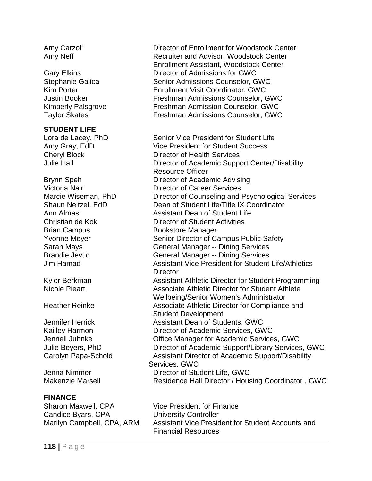### **STUDENT LIFE**

Brian Campus Bookstore Manager

### **FINANCE**

Sharon Maxwell, CPA Vice President for Finance Candice Byars, CPA University Controller

Amy Carzoli **Director of Enrollment for Woodstock Center** Amy Neff **Recruiter and Advisor, Woodstock Center** Amy Neff Enrollment Assistant, Woodstock Center Gary Elkins Director of Admissions for GWC Stephanie Galica **Senior Admissions Counselor, GWC** Kim Porter **Enrollment Visit Coordinator, GWC** Justin Booker Freshman Admissions Counselor, GWC Kimberly Palsgrove Freshman Admission Counselor, GWC Taylor Skates Freshman Admissions Counselor, GWC

Lora de Lacey, PhD Senior Vice President for Student Life Amy Gray, EdD Vice President for Student Success Cheryl Block Director of Health Services Julie Hall Director of Academic Support Center/Disability Resource Officer Brynn Speh Director of Academic Advising Victoria Nair Director of Career Services Marcie Wiseman, PhD Director of Counseling and Psychological Services Shaun Neitzel, EdD Dean of Student Life/Title IX Coordinator Ann Almasi **Assistant Dean of Student Life** Christian de Kok Director of Student Activities Yvonne Meyer Senior Director of Campus Public Safety Sarah Mays General Manager -- Dining Services Brandie Jevtic General Manager -- Dining Services Jim Hamad Assistant Vice President for Student Life/Athletics **Director** Kylor Berkman **Assistant Athletic Director for Student Programming**<br>Nicole Pieart **Alletic Athletic Director for Student Athlete** Associate Athletic Director for Student Athlete Wellbeing/Senior Women's Administrator Heather Reinke **Associate Athletic Director for Compliance and** Student Development Jennifer Herrick Assistant Dean of Students, GWC Kailley Harmon **Director of Academic Services, GWC** Jennell Juhnke Office Manager for Academic Services, GWC Julie Beyers, PhD Director of Academic Support/Library Services, GWC Carolyn Papa-Schold **Assistant Director of Academic Support/Disability** Services, GWC Jenna Nimmer Director of Student Life, GWC Makenzie Marsell **Residence Hall Director / Housing Coordinator**, GWC

Marilyn Campbell, CPA, ARM Assistant Vice President for Student Accounts and Financial Resources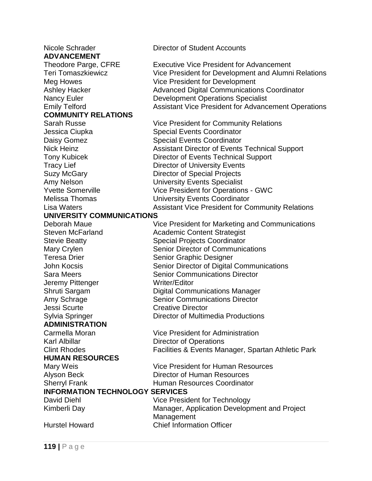**ADVANCEMENT**<br>Theodore Parge, CFRE **COMMUNITY RELATIONS**

# **UNIVERSITY COMMUNICATIONS**

Jeremy Pittenger Writer/Editor Jessi Scurte Creative Director **ADMINISTRATION**

### **HUMAN RESOURCES**

Nicole Schrader **Director of Student Accounts** 

Executive Vice President for Advancement Teri Tomaszkiewicz Vice President for Development and Alumni Relations Meg Howes Vice President for Development Ashley Hacker **Advanced Digital Communications Coordinator** Advanced Digital Communications Coordinator Nancy Euler **Development Operations Specialist** Emily Telford **Assistant Vice President for Advancement Operations** 

Sarah Russe Vice President for Community Relations Jessica Ciupka Special Events Coordinator Daisy Gomez Special Events Coordinator Nick Heinz **Assistant Director of Events Technical Support** Tony Kubicek Director of Events Technical Support Tracy Lief **Director of University Events** Suzy McGary Director of Special Projects Amy Nelson University Events Specialist Yvette Somerville Vice President for Operations - GWC Melissa Thomas University Events Coordinator Lisa Waters **Assistant Vice President for Community Relations** 

Vice President for Marketing and Communications Steven McFarland Academic Content Strategist Stevie Beatty **Special Projects Coordinator** Mary Crylen Senior Director of Communications Teresa Drier Senior Graphic Designer John Kocsis **Senior Director of Digital Communications** Sara Meers **Senior Communications Director** Senior Communications Director Shruti Sargam Digital Communications Manager Amy Schrage Senior Communications Director Sylvia Springer **Director of Multimedia Productions** 

Carmella Moran Vice President for Administration Karl Albillar **Director of Operations** Clint Rhodes **Facilities & Events Manager, Spartan Athletic Park** 

Mary Weis **Mary Weis** Vice President for Human Resources Alyson Beck Director of Human Resources Sherryl Frank **Human Resources Coordinator** 

### **INFORMATION TECHNOLOGY SERVICES**

David Diehl Vice President for Technology Kimberli Day Manager, Application Development and Project **Management** Hurstel Howard Chief Information Officer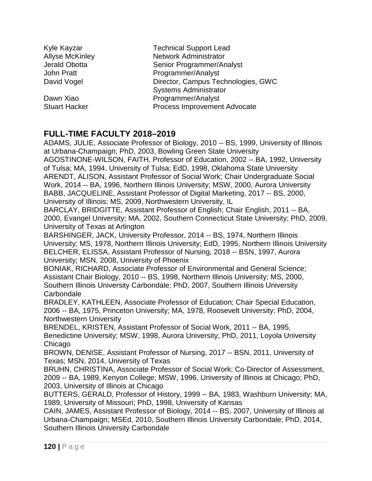| Kyle Kayzar            | <b>Technical Support Lead</b>                                      |  |
|------------------------|--------------------------------------------------------------------|--|
| <b>Allyse McKinley</b> | <b>Network Administrator</b>                                       |  |
| Jerald Obotta          | Senior Programmer/Analyst                                          |  |
| John Pratt             | Programmer/Analyst                                                 |  |
| David Vogel            | Director, Campus Technologies, GWC<br><b>Systems Administrator</b> |  |
| Dawn Xiao              | Programmer/Analyst                                                 |  |
| <b>Stuart Hacker</b>   | Process Improvement Advocate                                       |  |

# **FULL-TIME FACULTY 2018–2019**

ADAMS, JULIE, Associate Professor of Biology, 2010 -- BS, 1999, University of Illinois at Urbana-Champaign; PhD, 2003, Bowling Green State University AGOSTINONE-WILSON, FAITH, Professor of Education, 2002 -- BA, 1992, University

of Tulsa; MA, 1994, University of Tulsa; EdD, 1998, Oklahoma State University ARENDT, ALISON, Assistant Professor of Social Work; Chair Undergraduate Social Work, 2014 -- BA, 1996, Northern Illinois University; MSW, 2000, Aurora University BABB, JACQUELINE, Assistant Professor of Digital Marketing, 2017 -- BS, 2000, University of Illinois; MS, 2009, Northwestern University, IL

BARCLAY, BRIDGITTE, Assistant Professor of English; Chair English, 2011 -- BA, 2000, Evangel University; MA, 2002, Southern Connecticut State University; PhD, 2009, University of Texas at Arlington

BARSHINGER, JACK, University Professor, 2014 -- BS, 1974, Northern Illinois University; MS, 1978, Northern Illinois University; EdD, 1995, Northern Illinois University BELCHER, ELISSA, Assistant Professor of Nursing, 2018 -- BSN, 1997, Aurora University; MSN, 2008, University of Phoenix

BONIAK, RICHARD, Associate Professor of Environmental and General Science; Assistant Chair Biology, 2010 -- BS, 1998, Northern Illinois University; MS, 2000, Southern Illinois University Carbondale; PhD, 2007, Southern Illinois University **Carbondale** 

BRADLEY, KATHLEEN, Associate Professor of Education; Chair Special Education, 2006 -- BA, 1975, Princeton University; MA, 1978, Roosevelt University; PhD, 2004, Northwestern University

BRENDEL, KRISTEN, Assistant Professor of Social Work, 2011 -- BA, 1995, Benedictine University; MSW, 1998, Aurora University; PhD, 2011, Loyola University **Chicago** 

BROWN, DENISE, Assistant Professor of Nursing, 2017 -- BSN, 2011, University of Texas; MSN, 2014, University of Texas

BRUHN, CHRISTINA, Associate Professor of Social Work; Co-Director of Assessment, 2009 -- BA, 1989, Kenyon College; MSW, 1996, University of Illinois at Chicago; PhD, 2003, University of Illinois at Chicago

BUTTERS, GERALD, Professor of History, 1999 -- BA, 1983, Washburn University; MA, 1989, University of Missouri; PhD, 1998, University of Kansas

CAIN, JAMES, Assistant Professor of Biology, 2014 -- BS, 2007, University of Illinois at Urbana-Champaign; MSEd, 2010, Southern Illinois University Carbondale; PhD, 2014, Southern Illinois University Carbondale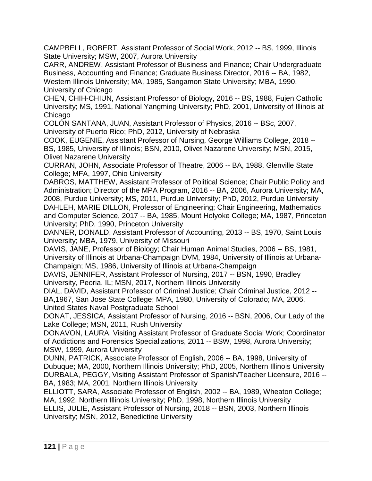CAMPBELL, ROBERT, Assistant Professor of Social Work, 2012 -- BS, 1999, Illinois State University; MSW, 2007, Aurora University

CARR, ANDREW, Assistant Professor of Business and Finance; Chair Undergraduate Business, Accounting and Finance; Graduate Business Director, 2016 -- BA, 1982, Western Illinois University; MA, 1985, Sangamon State University; MBA, 1990, University of Chicago

CHEN, CHIH-CHIUN, Assistant Professor of Biology, 2016 -- BS, 1988, Fujen Catholic University; MS, 1991, National Yangming University; PhD, 2001, University of Illinois at Chicago

COLÓN SANTANA, JUAN, Assistant Professor of Physics, 2016 -- BSc, 2007, University of Puerto Rico; PhD, 2012, University of Nebraska

COOK, EUGENIE, Assistant Professor of Nursing, George Williams College, 2018 -- BS, 1985, University of Illinois; BSN, 2010, Olivet Nazarene University; MSN, 2015, Olivet Nazarene University

CURRAN, JOHN, Associate Professor of Theatre, 2006 -- BA, 1988, Glenville State College; MFA, 1997, Ohio University

DABROS, MATTHEW, Assistant Professor of Political Science; Chair Public Policy and Administration; Director of the MPA Program, 2016 -- BA, 2006, Aurora University; MA, 2008, Purdue University; MS, 2011, Purdue University; PhD, 2012, Purdue University DAHLEH, MARIE DILLON, Professor of Engineering; Chair Engineering, Mathematics and Computer Science, 2017 -- BA, 1985, Mount Holyoke College; MA, 1987, Princeton University; PhD, 1990, Princeton University

DANNER, DONALD, Assistant Professor of Accounting, 2013 -- BS, 1970, Saint Louis University; MBA, 1979, University of Missouri

DAVIS, JANE, Professor of Biology; Chair Human Animal Studies, 2006 -- BS, 1981, University of Illinois at Urbana-Champaign DVM, 1984, University of Illinois at Urbana-Champaign; MS, 1986, University of Illinois at Urbana-Champaign

DAVIS, JENNIFER, Assistant Professor of Nursing, 2017 -- BSN, 1990, Bradley University, Peoria, IL; MSN, 2017, Northern Illinois University

DIAL, DAVID, Assistant Professor of Criminal Justice; Chair Criminal Justice, 2012 -- BA,1967, San Jose State College; MPA, 1980, University of Colorado; MA, 2006, United States Naval Postgraduate School

DONAT, JESSICA, Assistant Professor of Nursing, 2016 -- BSN, 2006, Our Lady of the Lake College; MSN, 2011, Rush University

DONAVON, LAURA, Visiting Assistant Professor of Graduate Social Work; Coordinator of Addictions and Forensics Specializations, 2011 -- BSW, 1998, Aurora University; MSW, 1999, Aurora University

DUNN, PATRICK, Associate Professor of English, 2006 -- BA, 1998, University of Dubuque; MA, 2000, Northern Illinois University; PhD, 2005, Northern Illinois University DURBALA, PEGGY, Visiting Assistant Professor of Spanish/Teacher Licensure, 2016 -- BA, 1983; MA, 2001, Northern Illinois University

ELLIOTT, SARA, Associate Professor of English, 2002 -- BA, 1989, Wheaton College; MA, 1992, Northern Illinois University; PhD, 1998, Northern Illinois University ELLIS, JULIE, Assistant Professor of Nursing, 2018 -- BSN, 2003, Northern Illinois University; MSN, 2012, Benedictine University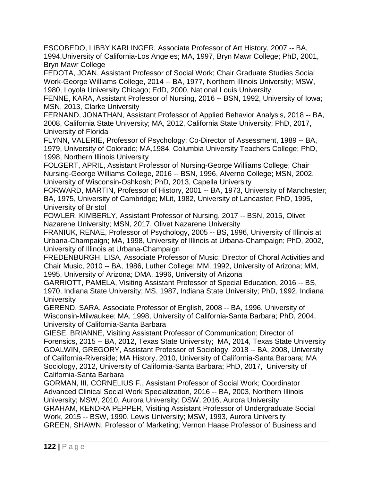ESCOBEDO, LIBBY KARLINGER, Associate Professor of Art History, 2007 -- BA, 1994,University of California-Los Angeles; MA, 1997, Bryn Mawr College; PhD, 2001, Bryn Mawr College

FEDOTA, JOAN, Assistant Professor of Social Work; Chair Graduate Studies Social Work-George Williams College, 2014 -- BA, 1977, Northern Illinois University; MSW, 1980, Loyola University Chicago; EdD, 2000, National Louis University

FENNE, KARA, Assistant Professor of Nursing, 2016 -- BSN, 1992, University of Iowa; MSN, 2013, Clarke University

FERNAND, JONATHAN, Assistant Professor of Applied Behavior Analysis, 2018 -- BA, 2008, California State University; MA, 2012, California State University; PhD, 2017, University of Florida

FLYNN, VALERIE, Professor of Psychology; Co-Director of Assessment, 1989 -- BA, 1979, University of Colorado; MA,1984, Columbia University Teachers College; PhD, 1998, Northern Illinois University

FOLGERT, APRIL, Assistant Professor of Nursing-George Williams College; Chair Nursing-George Williams College, 2016 -- BSN, 1996, Alverno College; MSN, 2002, University of Wisconsin-Oshkosh; PhD, 2013, Capella University

FORWARD, MARTIN, Professor of History, 2001 -- BA, 1973, University of Manchester; BA, 1975, University of Cambridge; MLit, 1982, University of Lancaster; PhD, 1995, University of Bristol

FOWLER, KIMBERLY, Assistant Professor of Nursing, 2017 -- BSN, 2015, Olivet Nazarene University; MSN, 2017, Olivet Nazarene University

FRANIUK, RENAE, Professor of Psychology, 2005 -- BS, 1996, University of Illinois at Urbana-Champaign; MA, 1998, University of Illinois at Urbana-Champaign; PhD, 2002, University of Illinois at Urbana-Champaign

FREDENBURGH, LISA, Associate Professor of Music; Director of Choral Activities and Chair Music, 2010 -- BA, 1986, Luther College; MM, 1992, University of Arizona; MM, 1995, University of Arizona; DMA, 1996, University of Arizona

GARRIOTT, PAMELA, Visiting Assistant Professor of Special Education, 2016 -- BS, 1970, Indiana State University; MS, 1987, Indiana State University; PhD, 1992, Indiana **University** 

GEREND, SARA, Associate Professor of English, 2008 -- BA, 1996, University of Wisconsin-Milwaukee; MA, 1998, University of California-Santa Barbara; PhD, 2004, University of California-Santa Barbara

GIESE, BRIANNE, Visiting Assistant Professor of Communication; Director of Forensics, 2015 -- BA, 2012, Texas State University; MA, 2014, Texas State University GOALWIN, GREGORY, Assistant Professor of Sociology, 2018 -- BA, 2008, University of California-Riverside; MA History, 2010, University of California-Santa Barbara; MA Sociology, 2012, University of California-Santa Barbara; PhD, 2017, University of California-Santa Barbara

GORMAN, III, CORNELIUS F., Assistant Professor of Social Work; Coordinator Advanced Clinical Social Work Specialization, 2016 -- BA, 2003, Northern Illinois University; MSW, 2010, Aurora University; DSW, 2016, Aurora University GRAHAM, KENDRA PEPPER, Visiting Assistant Professor of Undergraduate Social Work, 2015 -- BSW, 1990, Lewis University; MSW, 1993, Aurora University GREEN, SHAWN, Professor of Marketing; Vernon Haase Professor of Business and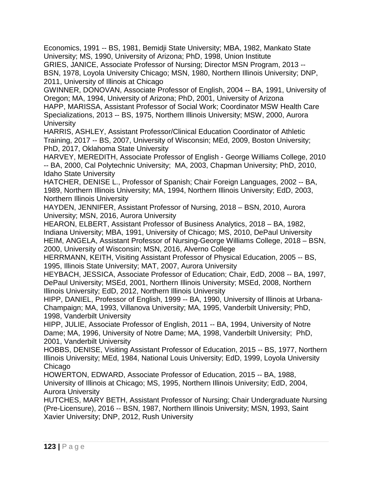Economics, 1991 -- BS, 1981, Bemidji State University; MBA, 1982, Mankato State University; MS, 1990, University of Arizona; PhD, 1998, Union Institute GRIES, JANICE, Associate Professor of Nursing; Director MSN Program, 2013 --

BSN, 1978, Loyola University Chicago; MSN, 1980, Northern Illinois University; DNP, 2011, University of Illinois at Chicago

GWINNER, DONOVAN, Associate Professor of English, 2004 -- BA, 1991, University of Oregon; MA, 1994, University of Arizona; PhD, 2001, University of Arizona

HAPP, MARISSA, Assistant Professor of Social Work; Coordinator MSW Health Care Specializations, 2013 -- BS, 1975, Northern Illinois University; MSW, 2000, Aurora **University** 

HARRIS, ASHLEY, Assistant Professor/Clinical Education Coordinator of Athletic Training, 2017 -- BS, 2007, University of Wisconsin; MEd, 2009, Boston University; PhD, 2017, Oklahoma State University

HARVEY, MEREDITH, Associate Professor of English - George Williams College, 2010 -- BA, 2000, Cal Polytechnic University; MA, 2003, Chapman University; PhD, 2010, Idaho State University

HATCHER, DENISE L., Professor of Spanish; Chair Foreign Languages, 2002 -- BA, 1989, Northern Illinois University; MA, 1994, Northern Illinois University; EdD, 2003, Northern Illinois University

HAYDEN, JENNIFER, Assistant Professor of Nursing, 2018 – BSN, 2010, Aurora University; MSN, 2016, Aurora University

HEARON, ELBERT, Assistant Professor of Business Analytics, 2018 – BA, 1982, Indiana University; MBA, 1991, University of Chicago; MS, 2010, DePaul University HEIM, ANGELA, Assistant Professor of Nursing-George Williams College, 2018 – BSN, 2000, University of Wisconsin; MSN, 2016, Alverno College

HERRMANN, KEITH, Visiting Assistant Professor of Physical Education, 2005 -- BS, 1995, Illinois State University; MAT, 2007, Aurora University

HEYBACH, JESSICA, Associate Professor of Education; Chair, EdD, 2008 -- BA, 1997, DePaul University; MSEd, 2001, Northern Illinois University; MSEd, 2008, Northern Illinois University; EdD, 2012, Northern Illinois University

HIPP, DANIEL, Professor of English, 1999 -- BA, 1990, University of Illinois at Urbana-Champaign; MA, 1993, Villanova University; MA, 1995, Vanderbilt University; PhD, 1998, Vanderbilt University

HIPP, JULIE, Associate Professor of English, 2011 -- BA, 1994, University of Notre Dame; MA, 1996, University of Notre Dame; MA, 1998, Vanderbilt University; PhD, 2001, Vanderbilt University

HOBBS, DENISE, Visiting Assistant Professor of Education, 2015 -- BS, 1977, Northern Illinois University; MEd, 1984, National Louis University; EdD, 1999, Loyola University Chicago

HOWERTON, EDWARD, Associate Professor of Education, 2015 -- BA, 1988, University of Illinois at Chicago; MS, 1995, Northern Illinois University; EdD, 2004, Aurora University

HUTCHES, MARY BETH, Assistant Professor of Nursing; Chair Undergraduate Nursing (Pre-Licensure), 2016 -- BSN, 1987, Northern Illinois University; MSN, 1993, Saint Xavier University; DNP, 2012, Rush University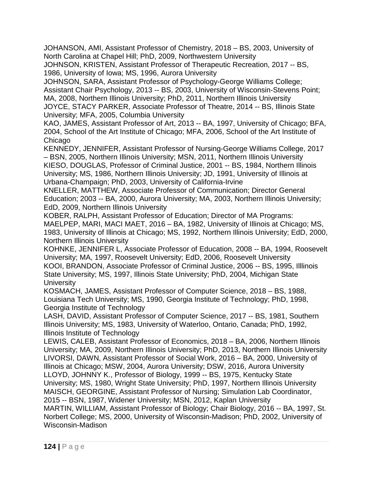JOHANSON, AMI, Assistant Professor of Chemistry, 2018 – BS, 2003, University of North Carolina at Chapel Hill; PhD, 2009, Northwestern University

JOHNSON, KRISTEN, Assistant Professor of Therapeutic Recreation, 2017 -- BS, 1986, University of Iowa; MS, 1996, Aurora University

JOHNSON, SARA, Assistant Professor of Psychology-George Williams College; Assistant Chair Psychology, 2013 -- BS, 2003, University of Wisconsin-Stevens Point; MA, 2008, Northern Illinois University; PhD, 2011, Northern Illinois University

JOYCE, STACY PARKER, Associate Professor of Theatre, 2014 -- BS, Illinois State University; MFA, 2005, Columbia University

KAO, JAMES, Assistant Professor of Art, 2013 -- BA, 1997, University of Chicago; BFA, 2004, School of the Art Institute of Chicago; MFA, 2006, School of the Art Institute of **Chicago** 

KENNEDY, JENNIFER, Assistant Professor of Nursing-George Williams College, 2017 – BSN, 2005, Northern Illinois University; MSN, 2011, Northern Illinois University KIESO, DOUGLAS, Professor of Criminal Justice, 2001 -- BS, 1984, Northern Illinois University; MS, 1986, Northern Illinois University; JD, 1991, University of Illinois at Urbana-Champaign; PhD, 2003, University of California-Irvine

KNELLER, MATTHEW, Associate Professor of Communication; Director General Education; 2003 -- BA, 2000, Aurora University; MA, 2003, Northern Illinois University; EdD, 2009, Northern Illinois University

KOBER, RALPH, Assistant Professor of Education; Director of MA Programs: MAELPEP, MARI, MACI MAET, 2016 – BA, 1982, University of Illinois at Chicago; MS, 1983, University of Illinois at Chicago; MS, 1992, Northern Illinois University; EdD, 2000, Northern Illinois University

KOHNKE, JENNIFER L, Associate Professor of Education, 2008 -- BA, 1994, Roosevelt University; MA, 1997, Roosevelt University; EdD, 2006, Roosevelt University KOOI, BRANDON, Associate Professor of Criminal Justice, 2006 -- BS, 1995, Illlinois State University; MS, 1997, Illinois State University; PhD, 2004, Michigan State **University** 

KOSMACH, JAMES, Assistant Professor of Computer Science, 2018 – BS, 1988, Louisiana Tech University; MS, 1990, Georgia Institute of Technology; PhD, 1998, Georgia Institute of Technology

LASH, DAVID, Assistant Professor of Computer Science, 2017 -- BS, 1981, Southern Illinois University; MS, 1983, University of Waterloo, Ontario, Canada; PhD, 1992, Illinois Institute of Technology

LEWIS, CALEB, Assistant Professor of Economics, 2018 – BA, 2006, Northern Illinois University; MA, 2009, Northern Illinois University; PhD, 2013, Northern Illinois University LIVORSI, DAWN, Assistant Professor of Social Work, 2016 – BA, 2000, University of Illinois at Chicago; MSW, 2004, Aurora University; DSW, 2016, Aurora University LLOYD, JOHNNY K., Professor of Biology, 1999 -- BS, 1975, Kentucky State University; MS, 1980, Wright State University; PhD, 1997, Northern Illinois University MAISCH, GEORGINE, Assistant Professor of Nursing; Simulation Lab Coordinator, 2015 -- BSN, 1987, Widener University; MSN, 2012, Kaplan University

MARTIN, WILLIAM, Assistant Professor of Biology; Chair Biology, 2016 -- BA, 1997, St. Norbert College; MS, 2000, University of Wisconsin-Madison; PhD, 2002, University of Wisconsin-Madison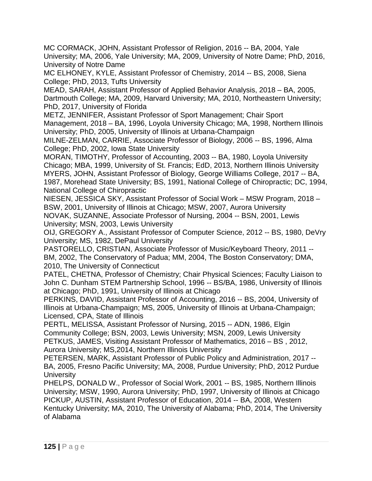MC CORMACK, JOHN, Assistant Professor of Religion, 2016 -- BA, 2004, Yale University; MA, 2006, Yale University; MA, 2009, University of Notre Dame; PhD, 2016, University of Notre Dame

MC ELHONEY, KYLE, Assistant Professor of Chemistry, 2014 -- BS, 2008, Siena College; PhD, 2013, Tufts University

MEAD, SARAH, Assistant Professor of Applied Behavior Analysis, 2018 – BA, 2005, Dartmouth College; MA, 2009, Harvard University; MA, 2010, Northeastern University; PhD, 2017, University of Florida

METZ, JENNIFER, Assistant Professor of Sport Management; Chair Sport Management, 2018 – BA, 1996, Loyola University Chicago; MA, 1998, Northern Illinois University; PhD, 2005, University of Illinois at Urbana-Champaign

MILNE-ZELMAN, CARRIE, Associate Professor of Biology, 2006 -- BS, 1996, Alma College; PhD, 2002, Iowa State University

MORAN, TIMOTHY, Professor of Accounting, 2003 -- BA, 1980, Loyola University Chicago; MBA, 1999, University of St. Francis; EdD, 2013, Northern Illinois University MYERS, JOHN, Assistant Professor of Biology, George Williams College, 2017 -- BA, 1987, Morehead State University; BS, 1991, National College of Chiropractic; DC, 1994, National College of Chiropractic

NIESEN, JESSICA SKY, Assistant Professor of Social Work – MSW Program, 2018 – BSW, 2001, University of Illinois at Chicago; MSW, 2007, Aurora University NOVAK, SUZANNE, Associate Professor of Nursing, 2004 -- BSN, 2001, Lewis University; MSN, 2003, Lewis University

OIJ, GREGORY A., Assistant Professor of Computer Science, 2012 -- BS, 1980, DeVry University; MS, 1982, DePaul University

PASTORELLO, CRISTIAN, Associate Professor of Music/Keyboard Theory, 2011 -- BM, 2002, The Conservatory of Padua; MM, 2004, The Boston Conservatory; DMA, 2010, The University of Connecticut

PATEL, CHETNA, Professor of Chemistry; Chair Physical Sciences; Faculty Liaison to John C. Dunham STEM Partnership School, 1996 -- BS/BA, 1986, University of Illinois at Chicago; PhD, 1991, University of Illinois at Chicago

PERKINS, DAVID, Assistant Professor of Accounting, 2016 -- BS, 2004, University of Illinois at Urbana-Champaign; MS, 2005, University of Illinois at Urbana-Champaign; Licensed, CPA, State of Illinois

PERTL, MELISSA, Assistant Professor of Nursing, 2015 -- ADN, 1986, Elgin Community College; BSN, 2003, Lewis University; MSN, 2009, Lewis University PETKUS, JAMES, Visiting Assistant Professor of Mathematics, 2016 – BS , 2012, Aurora University; MS,2014, Northern Illinois University

PETERSEN, MARK, Assistant Professor of Public Policy and Administration, 2017 -- BA, 2005, Fresno Pacific University; MA, 2008, Purdue University; PhD, 2012 Purdue **University** 

PHELPS, DONALD W., Professor of Social Work, 2001 -- BS, 1985, Northern Illinois University; MSW, 1990, Aurora University; PhD, 1997, University of Illinois at Chicago PICKUP, AUSTIN, Assistant Professor of Education, 2014 -- BA, 2008, Western Kentucky University; MA, 2010, The University of Alabama; PhD, 2014, The University of Alabama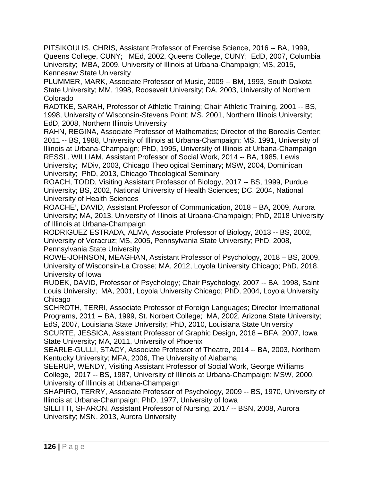PITSIKOULIS, CHRIS, Assistant Professor of Exercise Science, 2016 -- BA, 1999, Queens College, CUNY; MEd, 2002, Queens College, CUNY; EdD, 2007, Columbia University; MBA, 2009, University of Illinois at Urbana-Champaign; MS, 2015, Kennesaw State University

PLUMMER, MARK, Associate Professor of Music, 2009 -- BM, 1993, South Dakota State University; MM, 1998, Roosevelt University; DA, 2003, University of Northern Colorado

RADTKE, SARAH, Professor of Athletic Training; Chair Athletic Training, 2001 -- BS, 1998, University of Wisconsin-Stevens Point; MS, 2001, Northern Illinois University; EdD, 2008, Northern Illinois University

RAHN, REGINA, Associate Professor of Mathematics; Director of the Borealis Center; 2011 -- BS, 1988, University of Illinois at Urbana-Champaign; MS, 1991, University of Illinois at Urbana-Champaign; PhD, 1995, University of Illinois at Urbana-Champaign RESSL, WILLIAM, Assistant Professor of Social Work, 2014 -- BA, 1985, Lewis University; MDiv, 2003, Chicago Theological Seminary; MSW, 2004, Dominican University; PhD, 2013, Chicago Theological Seminary

ROACH, TODD, Visiting Assistant Professor of Biology, 2017 -- BS, 1999, Purdue University; BS, 2002, National University of Health Sciences; DC, 2004, National University of Health Sciences

ROACHE', DAVID, Assistant Professor of Communication, 2018 – BA, 2009, Aurora University; MA, 2013, University of Illinois at Urbana-Champaign; PhD, 2018 University of Illinois at Urbana-Champaign

RODRIGUEZ ESTRADA, ALMA, Associate Professor of Biology, 2013 -- BS, 2002, University of Veracruz; MS, 2005, Pennsylvania State University; PhD, 2008, Pennsylvania State University

ROWE-JOHNSON, MEAGHAN, Assistant Professor of Psychology, 2018 – BS, 2009, University of Wisconsin-La Crosse; MA, 2012, Loyola University Chicago; PhD, 2018, University of Iowa

RUDEK, DAVID, Professor of Psychology; Chair Psychology, 2007 -- BA, 1998, Saint Louis University; MA, 2001, Loyola University Chicago; PhD, 2004, Loyola University Chicago

SCHROTH, TERRI, Associate Professor of Foreign Languages; Director International Programs, 2011 -- BA, 1999, St. Norbert College; MA, 2002, Arizona State University; EdS, 2007, Louisiana State University; PhD, 2010, Louisiana State University

SCURTE, JESSICA, Assistant Professor of Graphic Design, 2018 – BFA, 2007, Iowa State University; MA, 2011, University of Phoenix

SEARLE-GULLI, STACY, Associate Professor of Theatre, 2014 -- BA, 2003, Northern Kentucky University; MFA, 2006, The University of Alabama

SEERUP, WENDY, Visiting Assistant Professor of Social Work, George Williams College, 2017 -- BS, 1987, University of Illinois at Urbana-Champaign; MSW, 2000, University of Illinois at Urbana-Champaign

SHAPIRO, TERRY, Associate Professor of Psychology, 2009 -- BS, 1970, University of Illinois at Urbana-Champaign; PhD, 1977, University of Iowa

SILLITTI, SHARON, Assistant Professor of Nursing, 2017 -- BSN, 2008, Aurora University; MSN, 2013, Aurora University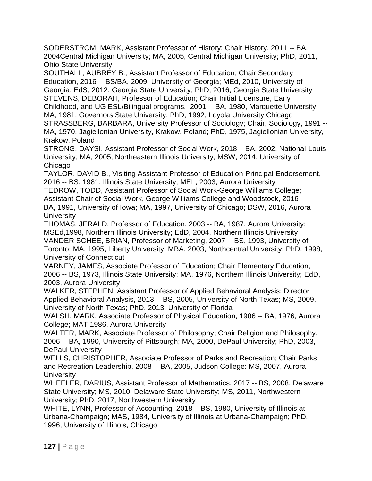SODERSTROM, MARK, Assistant Professor of History; Chair History, 2011 -- BA, 2004Central Michigan University; MA, 2005, Central Michigan University; PhD, 2011, Ohio State University

SOUTHALL, AUBREY B., Assistant Professor of Education; Chair Secondary Education, 2016 -- BS/BA, 2009, University of Georgia; MEd, 2010, University of Georgia; EdS, 2012, Georgia State University; PhD, 2016, Georgia State University STEVENS, DEBORAH, Professor of Education; Chair Initial Licensure, Early Childhood, and UG ESL/Bilingual programs, 2001 -- BA, 1980, Marquette University; MA, 1981, Governors State University; PhD, 1992, Loyola University Chicago STRASSBERG, BARBARA, University Professor of Sociology; Chair, Sociology, 1991 -- MA, 1970, Jagiellonian University, Krakow, Poland; PhD, 1975, Jagiellonian University, Krakow, Poland

STRONG, DAYSI, Assistant Professor of Social Work, 2018 – BA, 2002, National-Louis University; MA, 2005, Northeastern Illinois University; MSW, 2014, University of **Chicago** 

TAYLOR, DAVID B., Visiting Assistant Professor of Education-Principal Endorsement, 2016 -- BS, 1981, Illinois State University; MEL, 2003, Aurora University

TEDROW, TODD, Assistant Professor of Social Work-George Williams College; Assistant Chair of Social Work, George Williams College and Woodstock, 2016 -- BA, 1991, University of Iowa; MA, 1997, University of Chicago; DSW, 2016, Aurora **University** 

THOMAS, JERALD, Professor of Education, 2003 -- BA, 1987, Aurora University; MSEd,1998, Northern Illinois University; EdD, 2004, Northern Illinois University VANDER SCHEE, BRIAN, Professor of Marketing, 2007 -- BS, 1993, University of Toronto; MA, 1995, Liberty University; MBA, 2003, Northcentral University; PhD, 1998, University of Connecticut

VARNEY, JAMES, Associate Professor of Education; Chair Elementary Education, 2006 -- BS, 1973, Illinois State University; MA, 1976, Northern Illinois University; EdD, 2003, Aurora University

WALKER, STEPHEN, Assistant Professor of Applied Behavioral Analysis; Director Applied Behavioral Analysis, 2013 -- BS, 2005, University of North Texas; MS, 2009, University of North Texas; PhD, 2013, University of Florida

WALSH, MARK, Associate Professor of Physical Education, 1986 -- BA, 1976, Aurora College; MAT,1986, Aurora University

WALTER, MARK, Associate Professor of Philosophy; Chair Religion and Philosophy, 2006 -- BA, 1990, University of Pittsburgh; MA, 2000, DePaul University; PhD, 2003, DePaul University

WELLS, CHRISTOPHER, Associate Professor of Parks and Recreation; Chair Parks and Recreation Leadership, 2008 -- BA, 2005, Judson College: MS, 2007, Aurora **University** 

WHEELER, DARIUS, Assistant Professor of Mathematics, 2017 -- BS, 2008, Delaware State University; MS, 2010, Delaware State University; MS, 2011, Northwestern University; PhD, 2017, Northwestern University

WHITE, LYNN, Professor of Accounting, 2018 – BS, 1980, University of Illinois at Urbana-Champaign; MAS, 1984, University of Illinois at Urbana-Champaign; PhD, 1996, University of Illinois, Chicago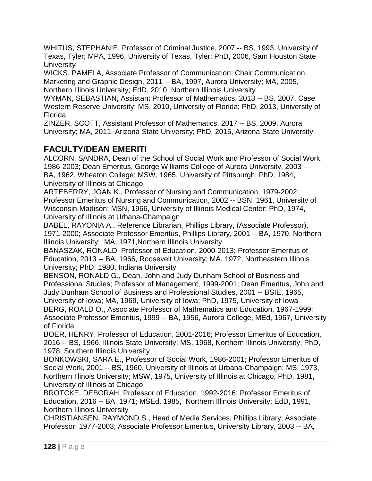WHITUS, STEPHANIE, Professor of Criminal Justice, 2007 -- BS, 1993, University of Texas, Tyler; MPA, 1996, University of Texas, Tyler; PhD, 2006, Sam Houston State **University** 

WICKS, PAMELA, Associate Professor of Communication; Chair Communication, Marketing and Graphic Design, 2011 -- BA, 1997, Aurora University; MA, 2005, Northern Illinois University; EdD, 2010, Northern Illinois University

WYMAN, SEBASTIAN, Assistant Professor of Mathematics, 2013 -- BS, 2007, Case Western Reserve University; MS, 2010, University of Florida; PhD, 2013, University of Florida

ZINZER, SCOTT, Assistant Professor of Mathematics, 2017 -- BS, 2009, Aurora University; MA, 2011, Arizona State University; PhD, 2015, Arizona State University

# **FACULTY/DEAN EMERITI**

ALCORN, SANDRA, Dean of the School of Social Work and Professor of Social Work, 1986-2003; Dean Emeritus, George Williams College of Aurora University, 2003 -- BA, 1962, Wheaton College; MSW, 1965, University of Pittsburgh; PhD, 1984, University of Illinois at Chicago

ARTEBERRY, JOAN K., Professor of Nursing and Communication, 1979-2002; Professor Emeritus of Nursing and Communication, 2002 -- BSN, 1961, University of Wisconsin-Madison; MSN, 1966, University of Illinois Medical Center; PhD, 1974, University of Illinois at Urbana-Champaign

BABEL, RAYONIA A., Reference Librarian, Phillips Library, (Associate Professor), 1971-2000; Associate Professor Emeritus, Phillips Library, 2001 -- BA, 1970, Northern Illinois University; MA, 1971,Northern Illinois University

BANASZAK, RONALD, Professor of Education, 2000-2013; Professor Emeritus of Education, 2013 -- BA, 1966, Roosevelt University; MA, 1972, Northeastern Illinois University; PhD, 1980, Indiana University

BENSON, RONALD G., Dean, John and Judy Dunham School of Business and Professional Studies; Professor of Management, 1999-2001; Dean Emeritus, John and Judy Dunham School of Business and Professional Studies, 2001 -- BSIE, 1965, University of Iowa; MA, 1969, University of Iowa; PhD, 1975, University of Iowa

BERG, ROALD O., Associate Professor of Mathematics and Education, 1967-1999; Associate Professor Emeritus, 1999 -- BA, 1956, Aurora College, MEd, 1967, University of Florida

BOER, HENRY, Professor of Education, 2001-2016; Professor Emeritus of Education, 2016 -- BS, 1966, Illinois State University; MS, 1968, Northern Illinois University; PhD, 1978, Southern Illinois University

BONKOWSKI, SARA E., Professor of Social Work, 1986-2001; Professor Emeritus of Social Work, 2001 -- BS, 1960, University of Illinois at Urbana-Champaign; MS, 1973, Northern Illinois University; MSW, 1975, University of Illinois at Chicago; PhD, 1981, University of Illinois at Chicago

BROTCKE, DEBORAH, Professor of Education, 1992-2016; Professor Emeritus of Education, 2016 -- BA, 1971; MSEd, 1985, Northern Illinois University; EdD, 1991, Northern Illinois University

CHRISTIANSEN, RAYMOND S., Head of Media Services, Phillips Library; Associate Professor, 1977-2003; Associate Professor Emeritus, University Library, 2003 -- BA,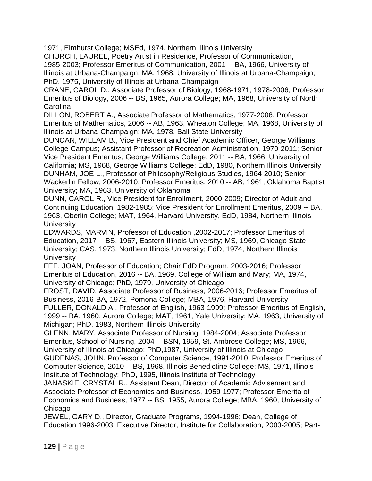1971, Elmhurst College; MSEd, 1974, Northern Illinois University

CHURCH, LAUREL, Poetry Artist in Residence, Professor of Communication, 1985-2003; Professor Emeritus of Communication, 2001 -- BA, 1966, University of Illinois at Urbana-Champaign; MA, 1968, University of Illinois at Urbana-Champaign; PhD, 1975, University of Illinois at Urbana-Champaign

CRANE, CAROL D., Associate Professor of Biology, 1968-1971; 1978-2006; Professor Emeritus of Biology, 2006 -- BS, 1965, Aurora College; MA, 1968, University of North **Carolina** 

DILLON, ROBERT A., Associate Professor of Mathematics, 1977-2006; Professor Emeritus of Mathematics, 2006 -- AB, 1963, Wheaton College; MA, 1968, University of Illinois at Urbana-Champaign; MA, 1978, Ball State University

DUNCAN, WILLAM B., Vice President and Chief Academic Officer, George Williams College Campus; Assistant Professor of Recreation Administration, 1970-2011; Senior Vice President Emeritus, George Williams College, 2011 -- BA, 1966, University of California; MS, 1968, George Williams College; EdD, 1980, Northern Illinois University DUNHAM, JOE L., Professor of Philosophy/Religious Studies, 1964-2010; Senior Wackerlin Fellow, 2006-2010; Professor Emeritus, 2010 -- AB, 1961, Oklahoma Baptist University; MA, 1963, University of Oklahoma

DUNN, CAROL R., Vice President for Enrollment, 2000-2009; Director of Adult and Continuing Education, 1982-1985; Vice President for Enrollment Emeritus, 2009 -- BA, 1963, Oberlin College; MAT, 1964, Harvard University, EdD, 1984, Northern Illinois **University** 

EDWARDS, MARVIN, Professor of Education ,2002-2017; Professor Emeritus of Education, 2017 -- BS, 1967, Eastern Illinois University; MS, 1969, Chicago State University; CAS, 1973, Northern Illinois University; EdD, 1974, Northern Illinois **University** 

FEE, JOAN, Professor of Education; Chair EdD Program, 2003-2016; Professor Emeritus of Education, 2016 -- BA, 1969, College of William and Mary; MA, 1974, University of Chicago; PhD, 1979, University of Chicago

FROST, DAVID, Associate Professor of Business, 2006-2016; Professor Emeritus of Business, 2016-BA, 1972, Pomona College; MBA, 1976, Harvard University FULLER, DONALD A., Professor of English, 1963-1999; Professor Emeritus of English, 1999 -- BA, 1960, Aurora College; MAT, 1961, Yale University; MA, 1963, University of Michigan; PhD, 1983, Northern Illinois University

GLENN, MARY, Associate Professor of Nursing, 1984-2004; Associate Professor Emeritus, School of Nursing, 2004 -- BSN, 1959, St. Ambrose College; MS, 1966, University of Illinois at Chicago; PhD,1987, University of Illinois at Chicago GUDENAS, JOHN, Professor of Computer Science, 1991-2010; Professor Emeritus of Computer Science, 2010 -- BS, 1968, Illinois Benedictine College; MS, 1971, Illinois

Institute of Technology; PhD, 1995, Illinois Institute of Technology

JANASKIE, CRYSTAL R., Assistant Dean, Director of Academic Advisement and Associate Professor of Economics and Business, 1959-1977; Professor Emerita of Economics and Business, 1977 -- BS, 1955, Aurora College; MBA, 1960, University of **Chicago** 

JEWEL, GARY D., Director, Graduate Programs, 1994-1996; Dean, College of Education 1996-2003; Executive Director, Institute for Collaboration, 2003-2005; Part-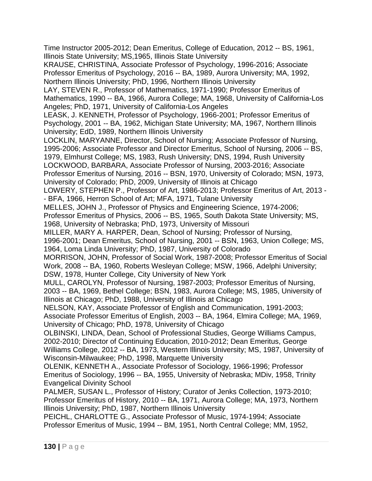Time Instructor 2005-2012; Dean Emeritus, College of Education, 2012 -- BS, 1961, Illinois State University; MS,1965, Illinois State University KRAUSE, CHRISTINA, Associate Professor of Psychology, 1996-2016; Associate Professor Emeritus of Psychology, 2016 -- BA, 1989, Aurora University; MA, 1992, Northern Illinois University; PhD, 1996, Northern Illinois University LAY, STEVEN R., Professor of Mathematics, 1971-1990; Professor Emeritus of Mathematics, 1990 -- BA, 1966, Aurora College; MA, 1968, University of California-Los Angeles; PhD, 1971, University of California-Los Angeles LEASK, J. KENNETH, Professor of Psychology, 1966-2001; Professor Emeritus of Psychology, 2001 -- BA, 1962, Michigan State University; MA, 1967, Northern Illinois University; EdD, 1989, Northern Illinois University LOCKLIN, MARYANNE, Director, School of Nursing; Associate Professor of Nursing, 1995-2006; Associate Professor and Director Emeritus, School of Nursing, 2006 -- BS, 1979, Elmhurst College; MS, 1983, Rush University; DNS, 1994, Rush University LOCKWOOD, BARBARA, Associate Professor of Nursing, 2003-2016; Associate Professor Emeritus of Nursing, 2016 -- BSN, 1970, University of Colorado; MSN, 1973, University of Colorado; PhD, 2009, University of Illinois at Chicago LOWERY, STEPHEN P., Professor of Art, 1986-2013; Professor Emeritus of Art, 2013 - - BFA, 1966, Herron School of Art; MFA, 1971, Tulane University MELLES, JOHN J., Professor of Physics and Engineering Science, 1974-2006; Professor Emeritus of Physics, 2006 -- BS, 1965, South Dakota State University; MS, 1968, University of Nebraska; PhD, 1973, University of Missouri MILLER, MARY A. HARPER, Dean, School of Nursing; Professor of Nursing, 1996-2001; Dean Emeritus, School of Nursing, 2001 -- BSN, 1963, Union College; MS, 1964, Loma Linda University; PhD, 1987, University of Colorado MORRISON, JOHN, Professor of Social Work, 1987-2008; Professor Emeritus of Social Work, 2008 -- BA, 1960, Roberts Wesleyan College; MSW, 1966, Adelphi University; DSW, 1978, Hunter College, City University of New York MULL, CAROLYN, Professor of Nursing, 1987-2003; Professor Emeritus of Nursing, 2003 -- BA, 1969, Bethel College; BSN, 1983, Aurora College; MS, 1985, University of Illinois at Chicago; PhD, 1988, University of Illinois at Chicago NELSON, KAY, Associate Professor of English and Communication, 1991-2003; Associate Professor Emeritus of English, 2003 -- BA, 1964, Elmira College; MA, 1969, University of Chicago; PhD, 1978, University of Chicago OLBINSKI, LINDA, Dean, School of Professional Studies, George Williams Campus, 2002-2010; Director of Continuing Education, 2010-2012; Dean Emeritus, George Williams College, 2012 -- BA, 1973, Western Illinois University; MS, 1987, University of Wisconsin-Milwaukee; PhD, 1998, Marquette University OLENIK, KENNETH A., Associate Professor of Sociology, 1966-1996; Professor Emeritus of Sociology, 1996 -- BA, 1955, University of Nebraska; MDiv, 1958, Trinity Evangelical Divinity School PALMER, SUSAN L., Professor of History; Curator of Jenks Collection, 1973-2010; Professor Emeritus of History, 2010 -- BA, 1971, Aurora College; MA, 1973, Northern Illinois University; PhD, 1987, Northern Illinois University

PEICHL, CHARLOTTE G., Associate Professor of Music, 1974-1994; Associate Professor Emeritus of Music, 1994 -- BM, 1951, North Central College; MM, 1952,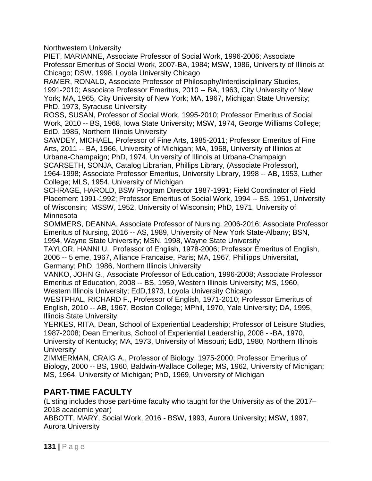Northwestern University

PIET, MARIANNE, Associate Professor of Social Work, 1996-2006; Associate Professor Emeritus of Social Work, 2007-BA, 1984; MSW, 1986, University of Illinois at Chicago; DSW, 1998, Loyola University Chicago

RAMER, RONALD, Associate Professor of Philosophy/Interdisciplinary Studies, 1991-2010; Associate Professor Emeritus, 2010 -- BA, 1963, City University of New York; MA, 1965, City University of New York; MA, 1967, Michigan State University; PhD, 1973, Syracuse University

ROSS, SUSAN, Professor of Social Work, 1995-2010; Professor Emeritus of Social Work, 2010 -- BS, 1968, Iowa State University; MSW, 1974, George Williams College; EdD, 1985, Northern Illinois University

SAWDEY, MICHAEL, Professor of Fine Arts, 1985-2011; Professor Emeritus of Fine Arts, 2011 -- BA, 1966, University of Michigan; MA, 1968, University of Illinios at Urbana-Champaign; PhD, 1974, University of Illinois at Urbana-Champaign

SCARSETH, SONJA, Catalog Librarian, Phillips Library, (Associate Professor), 1964-1998; Associate Professor Emeritus, University Library, 1998 -- AB, 1953, Luther College; MLS, 1954, University of Michigan

SCHRAGE, HAROLD, BSW Program Director 1987-1991; Field Coordinator of Field Placement 1991-1992; Professor Emeritus of Social Work, 1994 -- BS, 1951, University of Wisconsin; MSSW, 1952, University of Wisconsin; PhD, 1971, University of Minnesota

SOMMERS, DEANNA, Associate Professor of Nursing, 2006-2016; Associate Professor Emeritus of Nursing, 2016 -- AS, 1989, University of New York State-Albany; BSN, 1994, Wayne State University; MSN, 1998, Wayne State University

TAYLOR, HANNI U., Professor of English, 1978-2006; Professor Emeritus of English, 2006 -- 5 eme, 1967, Alliance Francaise, Paris; MA, 1967, Phillipps Universitat, Germany; PhD, 1986, Northern Illinois University

VANKO, JOHN G., Associate Professor of Education, 1996-2008; Associate Professor Emeritus of Education, 2008 -- BS, 1959, Western Illinois University; MS, 1960, Western Illinois University; EdD,1973, Loyola University Chicago

WESTPHAL, RICHARD F., Professor of English, 1971-2010; Professor Emeritus of English, 2010 -- AB, 1967, Boston College; MPhil, 1970, Yale University; DA, 1995, Illinois State University

YERKES, RITA, Dean, School of Experiential Leadership; Professor of Leisure Studies, 1987-2008; Dean Emeritus, School of Experiential Leadership, 2008 - -BA, 1970, University of Kentucky; MA, 1973, University of Missouri; EdD, 1980, Northern Illinois **University** 

ZIMMERMAN, CRAIG A., Professor of Biology, 1975-2000; Professor Emeritus of Biology, 2000 -- BS, 1960, Baldwin-Wallace College; MS, 1962, University of Michigan; MS, 1964, University of Michigan; PhD, 1969, University of Michigan

# **PART-TIME FACULTY**

(Listing includes those part-time faculty who taught for the University as of the 2017– 2018 academic year)

ABBOTT, MARY, Social Work, 2016 - BSW, 1993, Aurora University; MSW, 1997, Aurora University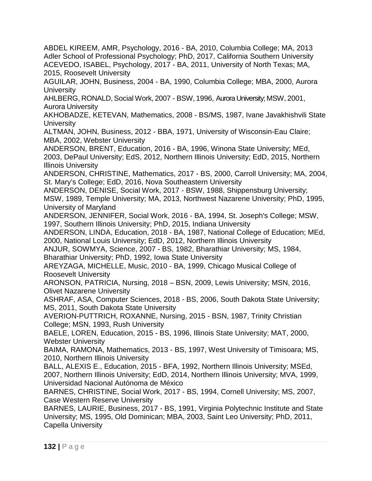ABDEL KIREEM, AMR, Psychology, 2016 - BA, 2010, Columbia College; MA, 2013 Adler School of Professional Psychology; PhD, 2017, California Southern University ACEVEDO, ISABEL, Psychology, 2017 - BA, 2011, University of North Texas; MA, 2015, Roosevelt University

AGUILAR, JOHN, Business, 2004 - BA, 1990, Columbia College; MBA, 2000, Aurora **University** 

AHLBERG, RONALD, Social Work, 2007 - BSW, 1996, Aurora University; MSW, 2001, Aurora University

AKHOBADZE, KETEVAN, Mathematics, 2008 - BS/MS, 1987, Ivane Javakhishvili State **University** 

ALTMAN, JOHN, Business, 2012 - BBA, 1971, University of Wisconsin-Eau Claire; MBA, 2002, Webster University

ANDERSON, BRENT, Education, 2016 - BA, 1996, Winona State University; MEd, 2003, DePaul University; EdS, 2012, Northern Illinois University; EdD, 2015, Northern Illinois University

ANDERSON, CHRISTINE, Mathematics, 2017 - BS, 2000, Carroll University; MA, 2004, St. Mary's College; EdD, 2016, Nova Southeastern University

ANDERSON, DENISE, Social Work, 2017 - BSW, 1988, Shippensburg University; MSW, 1989, Temple University; MA, 2013, Northwest Nazarene University; PhD, 1995, University of Maryland

ANDERSON, JENNIFER, Social Work, 2016 - BA, 1994, St. Joseph's College; MSW, 1997, Southern Illinois University; PhD, 2015, Indiana University

ANDERSON, LINDA, Education, 2018 - BA, 1987, National College of Education; MEd, 2000, National Louis University; EdD, 2012, Northern Illinois University

ANJUR, SOWMYA, Science, 2007 - BS, 1982, Bharathiar University; MS, 1984, Bharathiar University; PhD, 1992, Iowa State University

AREYZAGA, MICHELLE, Music, 2010 - BA, 1999, Chicago Musical College of Roosevelt University

ARONSON, PATRICIA, Nursing, 2018 – BSN, 2009, Lewis University; MSN, 2016, Olivet Nazarene University

ASHRAF, ASA, Computer Sciences, 2018 - BS, 2006, South Dakota State University; MS, 2011, South Dakota State University

AVERION-PUTTRICH, ROXANNE, Nursing, 2015 - BSN, 1987, Trinity Christian College; MSN, 1993, Rush University

BAELE, LOREN, Education, 2015 - BS, 1996, Illinois State University; MAT, 2000, Webster University

BAIMA, RAMONA, Mathematics, 2013 - BS, 1997, West University of Timisoara; MS, 2010, Northern Illinois University

BALL, ALEXIS E., Education, 2015 - BFA, 1992, Northern Illinois University; MSEd, 2007, Northern Illinois University; EdD, 2014, Northern Illinois University; MVA, 1999, Universidad Nacional Autónoma de México

BARNES, CHRISTINE, Social Work, 2017 - BS, 1994, Cornell University; MS, 2007, Case Western Reserve University

BARNES, LAURIE, Business, 2017 - BS, 1991, Virginia Polytechnic Institute and State University; MS, 1995, Old Dominican; MBA, 2003, Saint Leo University; PhD, 2011, Capella University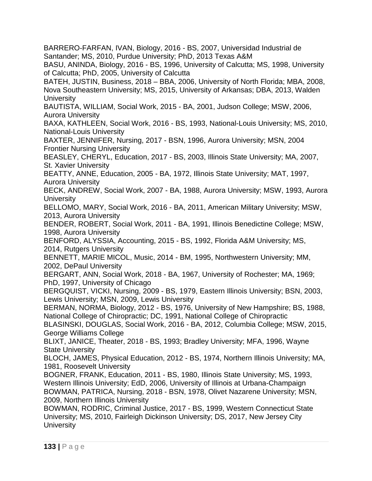BARRERO-FARFAN, IVAN, Biology, 2016 - BS, 2007, Universidad Industrial de Santander; MS, 2010, Purdue University; PhD, 2013 Texas A&M

BASU, ANINDA, Biology, 2016 - BS, 1996, University of Calcutta; MS, 1998, University of Calcutta; PhD, 2005, University of Calcutta

BATEH, JUSTIN, Business, 2018 – BBA, 2006, University of North Florida; MBA, 2008, Nova Southeastern University; MS, 2015, University of Arkansas; DBA, 2013, Walden **University** 

BAUTISTA, WILLIAM, Social Work, 2015 - BA, 2001, Judson College; MSW, 2006, Aurora University

BAXA, KATHLEEN, Social Work, 2016 - BS, 1993, National-Louis University; MS, 2010, National-Louis University

BAXTER, JENNIFER, Nursing, 2017 - BSN, 1996, Aurora University; MSN, 2004 Frontier Nursing University

BEASLEY, CHERYL, Education, 2017 - BS, 2003, Illinois State University; MA, 2007, St. Xavier University

BEATTY, ANNE, Education, 2005 - BA, 1972, Illinois State University; MAT, 1997, Aurora University

BECK, ANDREW, Social Work, 2007 - BA, 1988, Aurora University; MSW, 1993, Aurora **University** 

BELLOMO, MARY, Social Work, 2016 - BA, 2011, American Military University; MSW, 2013, Aurora University

BENDER, ROBERT, Social Work, 2011 - BA, 1991, Illinois Benedictine College; MSW, 1998, Aurora University

BENFORD, ALYSSIA, Accounting, 2015 - BS, 1992, Florida A&M University; MS, 2014, Rutgers University

BENNETT, MARIE MICOL, Music, 2014 - BM, 1995, Northwestern University; MM, 2002, DePaul University

BERGART, ANN, Social Work, 2018 - BA, 1967, University of Rochester; MA, 1969; PhD, 1997, University of Chicago

BERGQUIST, VICKI, Nursing, 2009 - BS, 1979, Eastern Illinois University; BSN, 2003, Lewis University; MSN, 2009, Lewis University

BERMAN, NORMA, Biology, 2012 - BS, 1976, University of New Hampshire; BS, 1988, National College of Chiropractic; DC, 1991, National College of Chiropractic

BLASINSKI, DOUGLAS, Social Work, 2016 - BA, 2012, Columbia College; MSW, 2015, George Williams College

BLIXT, JANICE, Theater, 2018 - BS, 1993; Bradley University; MFA, 1996, Wayne State University

BLOCH, JAMES, Physical Education, 2012 - BS, 1974, Northern Illinois University; MA, 1981, Roosevelt University

BOGNER, FRANK, Education, 2011 - BS, 1980, Illinois State University; MS, 1993, Western Illinois University; EdD, 2006, University of Illinois at Urbana-Champaign BOWMAN, PATRICA, Nursing, 2018 - BSN, 1978, Olivet Nazarene University; MSN, 2009, Northern Illinois University

BOWMAN, RODRIC, Criminal Justice, 2017 - BS, 1999, Western Connecticut State University; MS, 2010, Fairleigh Dickinson University; DS, 2017, New Jersey City **University**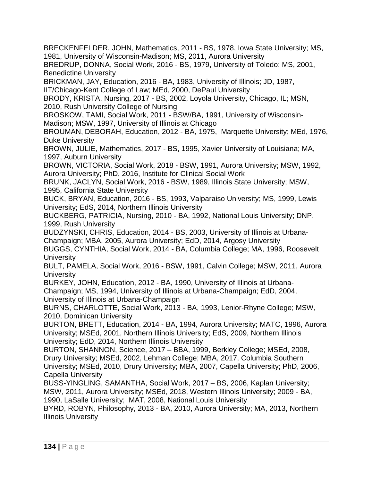BRECKENFELDER, JOHN, Mathematics, 2011 - BS, 1978, Iowa State University; MS, 1981, University of Wisconsin-Madison; MS, 2011, Aurora University

BREDRUP, DONNA, Social Work, 2016 - BS, 1979, University of Toledo; MS, 2001, Benedictine University

BRICKMAN, JAY, Education, 2016 - BA, 1983, University of Illinois; JD, 1987, IIT/Chicago-Kent College of Law; MEd, 2000, DePaul University

BRODY, KRISTA, Nursing, 2017 - BS, 2002, Loyola University, Chicago, IL; MSN, 2010, Rush University College of Nursing

BROSKOW, TAMI, Social Work, 2011 - BSW/BA, 1991, University of Wisconsin-Madison; MSW, 1997, University of Illinois at Chicago

BROUMAN, DEBORAH, Education, 2012 - BA, 1975, Marquette University; MEd, 1976, Duke University

BROWN, JULIE, Mathematics, 2017 - BS, 1995, Xavier University of Louisiana; MA, 1997, Auburn University

BROWN, VICTORIA, Social Work, 2018 - BSW, 1991, Aurora University; MSW, 1992, Aurora University; PhD, 2016, Institute for Clinical Social Work

BRUNK, JACLYN, Social Work, 2016 - BSW, 1989, Illinois State University; MSW, 1995, California State University

BUCK, BRYAN, Education, 2016 - BS, 1993, Valparaiso University; MS, 1999, Lewis University; EdS, 2014, Northern Illinois University

BUCKBERG, PATRICIA, Nursing, 2010 - BA, 1992, National Louis University; DNP, 1999, Rush University

BUDZYNSKI, CHRIS, Education, 2014 - BS, 2003, University of Illinois at Urbana-Champaign; MBA, 2005, Aurora University; EdD, 2014, Argosy University

BUGGS, CYNTHIA, Social Work, 2014 - BA, Columbia College; MA, 1996, Roosevelt **University** 

BULT, PAMELA, Social Work, 2016 - BSW, 1991, Calvin College; MSW, 2011, Aurora **University** 

BURKEY, JOHN, Education, 2012 - BA, 1990, University of Illinois at Urbana-

Champaign; MS, 1994, University of Illinois at Urbana-Champaign; EdD, 2004, University of Illinois at Urbana-Champaign

BURNS, CHARLOTTE, Social Work, 2013 - BA, 1993, Lenior-Rhyne College; MSW, 2010, Dominican University

BURTON, BRETT, Education, 2014 - BA, 1994, Aurora University; MATC, 1996, Aurora University; MSEd, 2001, Northern Illinois University; EdS, 2009, Northern Illinois University; EdD, 2014, Northern Illinois University

BURTON, SHANNON, Science, 2017 – BBA, 1999, Berkley College; MSEd, 2008, Drury University; MSEd, 2002, Lehman College; MBA, 2017, Columbia Southern University; MSEd, 2010, Drury University; MBA, 2007, Capella University; PhD, 2006, Capella University

BUSS-YINGLING, SAMANTHA, Social Work, 2017 – BS, 2006, Kaplan University; MSW, 2011, Aurora University; MSEd, 2018, Western Illinois University; 2009 - BA, 1990, LaSalle University; MAT, 2008, National Louis University

BYRD, ROBYN, Philosophy, 2013 - BA, 2010, Aurora University; MA, 2013, Northern Illinois University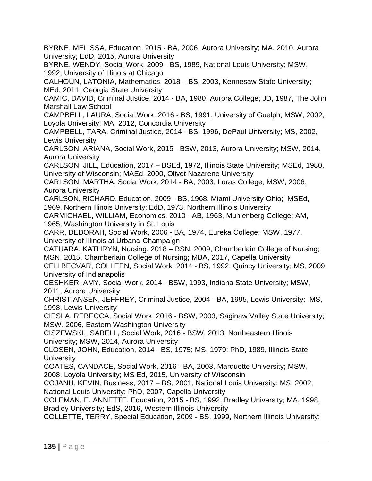BYRNE, MELISSA, Education, 2015 - BA, 2006, Aurora University; MA, 2010, Aurora University; EdD, 2015, Aurora University

BYRNE, WENDY, Social Work, 2009 - BS, 1989, National Louis University; MSW, 1992, University of Illinois at Chicago

CALHOUN, LATONIA, Mathematics, 2018 – BS, 2003, Kennesaw State University; MEd, 2011, Georgia State University

CAMIC, DAVID, Criminal Justice, 2014 - BA, 1980, Aurora College; JD, 1987, The John Marshall Law School

CAMPBELL, LAURA, Social Work, 2016 - BS, 1991, University of Guelph; MSW, 2002, Loyola University; MA, 2012, Concordia University

CAMPBELL, TARA, Criminal Justice, 2014 - BS, 1996, DePaul University; MS, 2002, Lewis University

CARLSON, ARIANA, Social Work, 2015 - BSW, 2013, Aurora University; MSW, 2014, Aurora University

CARLSON, JILL, Education, 2017 – BSEd, 1972, Illinois State University; MSEd, 1980, University of Wisconsin; MAEd, 2000, Olivet Nazarene University

CARLSON, MARTHA, Social Work, 2014 - BA, 2003, Loras College; MSW, 2006, Aurora University

CARLSON, RICHARD, Education, 2009 - BS, 1968, Miami University-Ohio; MSEd, 1969, Northern Illinois University; EdD, 1973, Northern Illinois University

CARMICHAEL, WILLIAM, Economics, 2010 - AB, 1963, Muhlenberg College; AM, 1965, Washington University in St. Louis

CARR, DEBORAH, Social Work, 2006 - BA, 1974, Eureka College; MSW, 1977, University of Illinois at Urbana-Champaign

CATUARA, KATHRYN, Nursing, 2018 – BSN, 2009, Chamberlain College of Nursing; MSN, 2015, Chamberlain College of Nursing; MBA, 2017, Capella University

CEH BECVAR, COLLEEN, Social Work, 2014 - BS, 1992, Quincy University; MS, 2009, University of Indianapolis

CESHKER, AMY, Social Work, 2014 - BSW, 1993, Indiana State University; MSW, 2011, Aurora University

CHRISTIANSEN, JEFFREY, Criminal Justice, 2004 - BA, 1995, Lewis University; MS, 1998, Lewis University

CIESLA, REBECCA, Social Work, 2016 - BSW, 2003, Saginaw Valley State University; MSW, 2006, Eastern Washington University

CISZEWSKI, ISABELL, Social Work, 2016 - BSW, 2013, Northeastern Illinois University; MSW, 2014, Aurora University

CLOSEN, JOHN, Education, 2014 - BS, 1975; MS, 1979; PhD, 1989, Illinois State **University** 

COATES, CANDACE, Social Work, 2016 - BA, 2003, Marquette University; MSW, 2008, Loyola University; MS Ed, 2015, University of Wisconsin

COJANU, KEVIN, Business, 2017 – BS, 2001, National Louis University; MS, 2002, National Louis University; PhD, 2007, Capella University

COLEMAN, E. ANNETTE, Education, 2015 - BS, 1992, Bradley University; MA, 1998, Bradley University; EdS, 2016, Western Illinois University

COLLETTE, TERRY, Special Education, 2009 - BS, 1999, Northern Illinois University;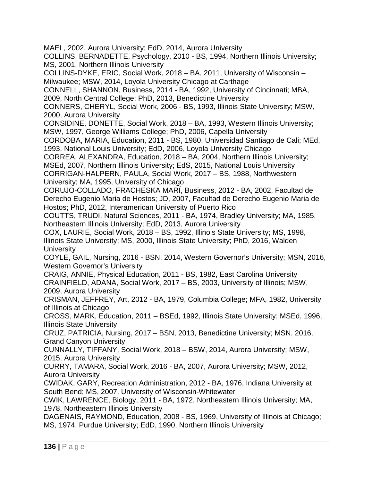MAEL, 2002, Aurora University; EdD, 2014, Aurora University COLLINS, BERNADETTE, Psychology, 2010 - BS, 1994, Northern Illinois University; MS, 2001, Northern Illinois University COLLINS-DYKE, ERIC, Social Work, 2018 – BA, 2011, University of Wisconsin – Milwaukee; MSW, 2014, Loyola University Chicago at Carthage CONNELL, SHANNON, Business, 2014 - BA, 1992, University of Cincinnati; MBA, 2009, North Central College; PhD, 2013, Benedictine University CONNERS, CHERYL, Social Work, 2006 - BS, 1993, Illinois State University; MSW, 2000, Aurora University CONSIDINE, DONETTE, Social Work, 2018 – BA, 1993, Western Illinois University; MSW, 1997, George Williams College; PhD, 2006, Capella University CORDOBA, MARIA, Education, 2011 - BS, 1980, Universidad Santiago de Cali; MEd, 1993, National Louis University; EdD, 2006, Loyola University Chicago CORREA, ALEXANDRA, Education, 2018 – BA, 2004, Northern Illinois University; MSEd, 2007, Northern Illinois University; EdS, 2015, National Louis University CORRIGAN-HALPERN, PAULA, Social Work, 2017 – BS, 1988, Northwestern University; MA, 1995, University of Chicago CORUJO-COLLADO, FRACHESKA MARÍ, Business, 2012 - BA, 2002, Facultad de Derecho Eugenio Maria de Hostos; JD, 2007, Facultad de Derecho Eugenio Maria de Hostos; PhD, 2012, Interamerican University of Puerto Rico COUTTS, TRUDI, Natural Sciences, 2011 - BA, 1974, Bradley University; MA, 1985, Northeastern Illinois University; EdD, 2013, Aurora University COX, LAURIE, Social Work, 2018 – BS, 1992, Illinois State University; MS, 1998, Illinois State University; MS, 2000, Illinois State University; PhD, 2016, Walden **University** COYLE, GAIL, Nursing, 2016 - BSN, 2014, Western Governor's University; MSN, 2016, Western Governor's University CRAIG, ANNIE, Physical Education, 2011 - BS, 1982, East Carolina University CRAINFIELD, ADANA, Social Work, 2017 – BS, 2003, University of Illinois; MSW, 2009, Aurora University CRISMAN, JEFFREY, Art, 2012 - BA, 1979, Columbia College; MFA, 1982, University of Illinois at Chicago CROSS, MARK, Education, 2011 – BSEd, 1992, Illinois State University; MSEd, 1996, Illinois State University CRUZ, PATRICIA, Nursing, 2017 – BSN, 2013, Benedictine University; MSN, 2016, Grand Canyon University CUNNALLY, TIFFANY, Social Work, 2018 – BSW, 2014, Aurora University; MSW, 2015, Aurora University CURRY, TAMARA, Social Work, 2016 - BA, 2007, Aurora University; MSW, 2012, Aurora University CWIDAK, GARY, Recreation Administration, 2012 - BA, 1976, Indiana University at South Bend; MS, 2007, University of Wisconsin-Whitewater CWIK, LAWRENCE, Biology, 2011 - BA, 1972, Northeastern Illinois University; MA, 1978, Northeastern Illinois University DAGENAIS, RAYMOND, Education, 2008 - BS, 1969, University of Illinois at Chicago; MS, 1974, Purdue University; EdD, 1990, Northern Illinois University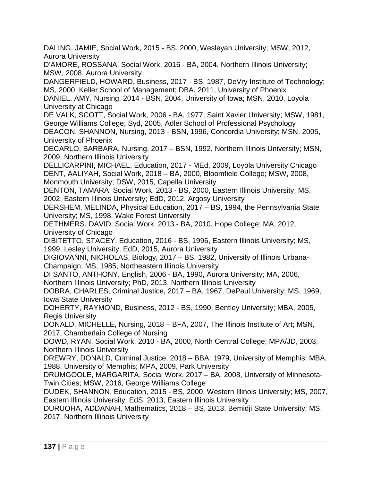DALING, JAMIE, Social Work, 2015 - BS, 2000, Wesleyan University; MSW, 2012, Aurora University

D'AMORE, ROSSANA, Social Work, 2016 - BA, 2004, Northern Illinois University; MSW, 2008, Aurora University

DANGERFIELD, HOWARD, Business, 2017 - BS, 1987, DeVry Institute of Technology; MS, 2000, Keller School of Management; DBA, 2011, University of Phoenix

DANIEL, AMY, Nursing, 2014 - BSN, 2004, University of Iowa; MSN, 2010, Loyola University at Chicago

DE VALK, SCOTT, Social Work, 2006 - BA, 1977, Saint Xavier University; MSW, 1981, George Williams College; Syd, 2005, Adler School of Professional Psychology

DEACON, SHANNON, Nursing, 2013 - BSN, 1996, Concordia University; MSN, 2005, University of Phoenix

DECARLO, BARBARA, Nursing, 2017 – BSN, 1992, Northern Illinois University; MSN, 2009, Northern Illinois University

DELLICARPINI, MICHAEL, Education, 2017 - MEd, 2009, Loyola University Chicago DENT, AALIYAH, Social Work, 2018 – BA, 2000, Bloomfield College; MSW, 2008, Monmouth University; DSW, 2015, Capella University

DENTON, TAMARA, Social Work, 2013 - BS, 2000, Eastern Illinois University; MS, 2002, Eastern Illinois University; EdD, 2012, Argosy University

DERSHEM, MELINDA, Physical Education, 2017 – BS, 1994, the Pennsylvania State University; MS, 1998, Wake Forest University

DETHMERS, DAVID, Social Work, 2013 - BA, 2010, Hope College; MA, 2012, University of Chicago

DIBITETTO, STACEY, Education, 2016 - BS, 1996, Eastern Illinois University; MS, 1999, Lesley University; EdD, 2015, Aurora University

DIGIOVANNI, NICHOLAS, Biology, 2017 – BS, 1982, University of Illinois Urbana-Champaign; MS, 1985, Northeastern Illinois University

DI SANTO, ANTHONY, English, 2006 - BA, 1990, Aurora University; MA, 2006,

Northern Illinois University; PhD, 2013, Northern Illinois University DOBRA, CHARLES, Criminal Justice, 2017 – BA, 1967, DePaul University; MS, 1969,

Iowa State University

DOHERTY, RAYMOND, Business, 2012 - BS, 1990, Bentley University; MBA, 2005, Regis University

DONALD, MICHELLE, Nursing, 2018 – BFA, 2007, The Illinois Institute of Art; MSN, 2017, Chamberlain College of Nursing

DOWD, RYAN, Social Work, 2010 - BA, 2000, North Central College; MPA/JD, 2003, Northern Illinois University

DREWRY, DONALD, Criminal Justice, 2018 – BBA, 1979, University of Memphis; MBA, 1988, University of Memphis; MPA, 2009, Park University

DRUMGOOLE, MARGARITA, Social Work, 2017 – BA, 2008, University of Minnesota-Twin Cities; MSW, 2016, George Williams College

DUDEK, SHANNON, Education, 2015 - BS, 2000, Western Illinois University; MS, 2007, Eastern Illinois University; EdS, 2013, Eastern Illinois University

DURUOHA, ADDANAH, Mathematics, 2018 – BS, 2013, Bemidji State University; MS, 2017, Northern Illinois University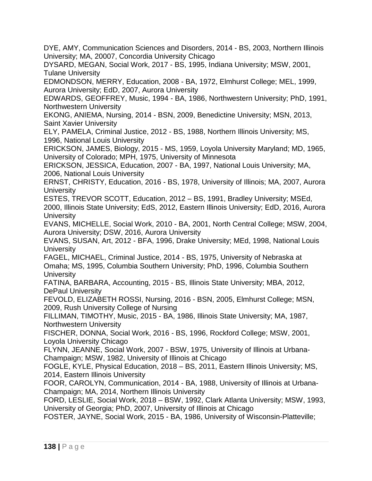DYE, AMY, Communication Sciences and Disorders, 2014 - BS, 2003, Northern Illinois University; MA, 20007, Concordia University Chicago

DYSARD, MEGAN, Social Work, 2017 - BS, 1995, Indiana University; MSW, 2001, Tulane University

EDMONDSON, MERRY, Education, 2008 - BA, 1972, Elmhurst College; MEL, 1999, Aurora University; EdD, 2007, Aurora University

EDWARDS, GEOFFREY, Music, 1994 - BA, 1986, Northwestern University; PhD, 1991, Northwestern University

EKONG, ANIEMA, Nursing, 2014 - BSN, 2009, Benedictine University; MSN, 2013, Saint Xavier University

ELY, PAMELA, Criminal Justice, 2012 - BS, 1988, Northern Illinois University; MS, 1996, National Louis University

ERICKSON, JAMES, Biology, 2015 - MS, 1959, Loyola University Maryland; MD, 1965, University of Colorado; MPH, 1975, University of Minnesota

ERICKSON, JESSICA, Education, 2007 - BA, 1997, National Louis University; MA, 2006, National Louis University

ERNST, CHRISTY, Education, 2016 - BS, 1978, University of Illinois; MA, 2007, Aurora **University** 

ESTES, TREVOR SCOTT, Education, 2012 – BS, 1991, Bradley University; MSEd, 2000, Illinois State University; EdS, 2012, Eastern Illinois University; EdD, 2016, Aurora **University** 

EVANS, MICHELLE, Social Work, 2010 - BA, 2001, North Central College; MSW, 2004, Aurora University; DSW, 2016, Aurora University

EVANS, SUSAN, Art, 2012 - BFA, 1996, Drake University; MEd, 1998, National Louis **University** 

FAGEL, MICHAEL, Criminal Justice, 2014 - BS, 1975, University of Nebraska at Omaha; MS, 1995, Columbia Southern University; PhD, 1996, Columbia Southern **University** 

FATINA, BARBARA, Accounting, 2015 - BS, Illinois State University; MBA, 2012, DePaul University

FEVOLD, ELIZABETH ROSSI, Nursing, 2016 - BSN, 2005, Elmhurst College; MSN, 2009, Rush University College of Nursing

FILLIMAN, TIMOTHY, Music, 2015 - BA, 1986, Illinois State University; MA, 1987, Northwestern University

FISCHER, DONNA, Social Work, 2016 - BS, 1996, Rockford College; MSW, 2001, Loyola University Chicago

FLYNN, JEANNE, Social Work, 2007 - BSW, 1975, University of Illinois at Urbana-Champaign; MSW, 1982, University of Illinois at Chicago

FOGLE, KYLE, Physical Education, 2018 – BS, 2011, Eastern Illinois University; MS, 2014, Eastern Illinois University

FOOR, CAROLYN, Communication, 2014 - BA, 1988, University of Illinois at Urbana-Champaign; MA, 2014, Northern Illinois University

FORD, LESLIE, Social Work, 2018 – BSW, 1992, Clark Atlanta University; MSW, 1993, University of Georgia; PhD, 2007, University of Illinois at Chicago

FOSTER, JAYNE, Social Work, 2015 - BA, 1986, University of Wisconsin-Platteville;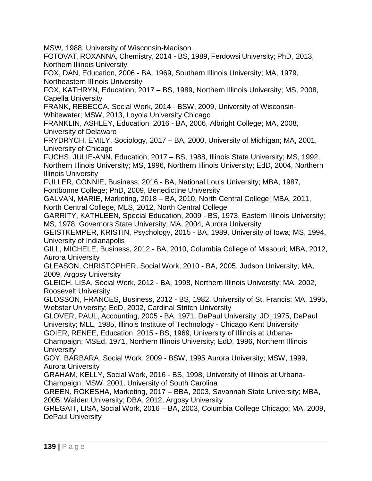MSW, 1988, University of Wisconsin-Madison

FOTOVAT, ROXANNA, Chemistry, 2014 - BS, 1989, Ferdowsi University; PhD, 2013, Northern Illinois University

FOX, DAN, Education, 2006 - BA, 1969, Southern Illinois University; MA, 1979, Northeastern Illinois University

FOX, KATHRYN, Education, 2017 – BS, 1989, Northern Illinois University; MS, 2008, Capella University

FRANK, REBECCA, Social Work, 2014 - BSW, 2009, University of Wisconsin-Whitewater; MSW, 2013, Loyola University Chicago

FRANKLIN, ASHLEY, Education, 2016 - BA, 2006, Albright College; MA, 2008, University of Delaware

FRYDRYCH, EMILY, Sociology, 2017 – BA, 2000, University of Michigan; MA, 2001, University of Chicago

FUCHS, JULIE-ANN, Education, 2017 – BS, 1988, Illinois State University; MS, 1992, Northern Illinois University; MS, 1996, Northern Illinois University; EdD, 2004, Northern Illinois University

FULLER, CONNIE, Business, 2016 - BA, National Louis University; MBA, 1987, Fontbonne College; PhD, 2009, Benedictine University

GALVAN, MARIE, Marketing, 2018 – BA, 2010, North Central College; MBA, 2011, North Central College, MLS, 2012, North Central College

GARRITY, KATHLEEN, Special Education, 2009 - BS, 1973, Eastern Illinois University; MS, 1978, Governors State University; MA, 2004, Aurora University

GEISTKEMPER, KRISTIN, Psychology, 2015 - BA, 1989, University of Iowa; MS, 1994, University of Indianapolis

GILL, MICHELE, Business, 2012 - BA, 2010, Columbia College of Missouri; MBA, 2012, Aurora University

GLEASON, CHRISTOPHER, Social Work, 2010 - BA, 2005, Judson University; MA, 2009, Argosy University

GLEICH, LISA, Social Work, 2012 - BA, 1998, Northern Illinois University; MA, 2002, Roosevelt University

GLOSSON, FRANCES, Business, 2012 - BS, 1982, University of St. Francis; MA, 1995, Webster University; EdD, 2002, Cardinal Stritch University

GLOVER, PAUL, Accounting, 2005 - BA, 1971, DePaul University; JD, 1975, DePaul University; MLL, 1985, Illinois Institute of Technology - Chicago Kent University

GOIER, RENEE, Education, 2015 - BS, 1969, University of Illinois at Urbana-

Champaign; MSEd, 1971, Northern Illinois University; EdD, 1996, Northern Illinois **University** 

GOY, BARBARA, Social Work, 2009 - BSW, 1995 Aurora University; MSW, 1999, Aurora University

GRAHAM, KELLY, Social Work, 2016 - BS, 1998, University of Illinois at Urbana-Champaign; MSW, 2001, University of South Carolina

GREEN, ROKESHA, Marketing, 2017 – BBA, 2003, Savannah State University; MBA, 2005, Walden University; DBA, 2012, Argosy University

GREGAIT, LISA, Social Work, 2016 – BA, 2003, Columbia College Chicago; MA, 2009, DePaul University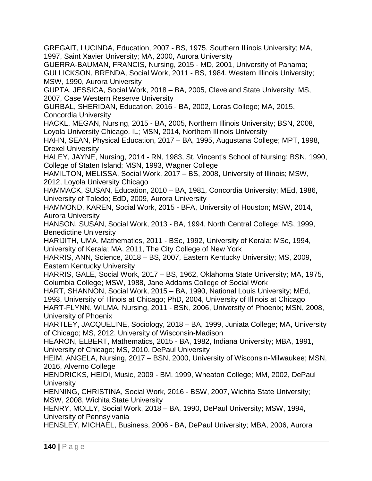GREGAIT, LUCINDA, Education, 2007 - BS, 1975, Southern Illinois University; MA, 1997, Saint Xavier University; MA, 2000, Aurora University

GUERRA-BAUMAN, FRANCIS, Nursing, 2015 - MD, 2001, University of Panama; GULLICKSON, BRENDA, Social Work, 2011 - BS, 1984, Western Illinois University; MSW, 1990, Aurora University

GUPTA, JESSICA, Social Work, 2018 – BA, 2005, Cleveland State University; MS, 2007, Case Western Reserve University

GURBAL, SHERIDAN, Education, 2016 - BA, 2002, Loras College; MA, 2015, Concordia University

HACKL, MEGAN, Nursing, 2015 - BA, 2005, Northern Illinois University; BSN, 2008, Loyola University Chicago, IL; MSN, 2014, Northern Illinois University

HAHN, SEAN, Physical Education, 2017 – BA, 1995, Augustana College; MPT, 1998, Drexel University

HALEY, JAYNE, Nursing, 2014 - RN, 1983, St. Vincent's School of Nursing; BSN, 1990, College of Staten Island; MSN, 1993, Wagner College

HAMILTON, MELISSA, Social Work, 2017 – BS, 2008, University of Illinois; MSW, 2012, Loyola University Chicago

HAMMACK, SUSAN, Education, 2010 – BA, 1981, Concordia University; MEd, 1986, University of Toledo; EdD, 2009, Aurora University

HAMMOND, KAREN, Social Work, 2015 - BFA, University of Houston; MSW, 2014, Aurora University

HANSON, SUSAN, Social Work, 2013 - BA, 1994, North Central College; MS, 1999, Benedictine University

HARIJITH, UMA, Mathematics, 2011 - BSc, 1992, University of Kerala; MSc, 1994, University of Kerala; MA, 2011, The City College of New York

HARRIS, ANN, Science, 2018 – BS, 2007, Eastern Kentucky University; MS, 2009, Eastern Kentucky University

HARRIS, GALE, Social Work, 2017 – BS, 1962, Oklahoma State University; MA, 1975, Columbia College; MSW, 1988, Jane Addams College of Social Work

HART, SHANNON, Social Work, 2015 – BA, 1990, National Louis University; MEd,

1993, University of Illinois at Chicago; PhD, 2004, University of Illinois at Chicago HART-FLYNN, WILMA, Nursing, 2011 - BSN, 2006, University of Phoenix; MSN, 2008, University of Phoenix

HARTLEY, JACQUELINE, Sociology, 2018 – BA, 1999, Juniata College; MA, University of Chicago; MS, 2012, University of Wisconsin-Madison

HEARON, ELBERT, Mathematics, 2015 - BA, 1982, Indiana University; MBA, 1991, University of Chicago; MS, 2010, DePaul University

HEIM, ANGELA, Nursing, 2017 – BSN, 2000, University of Wisconsin-Milwaukee; MSN, 2016, Alverno College

HENDRICKS, HEIDI, Music, 2009 - BM, 1999, Wheaton College; MM, 2002, DePaul **University** 

HENNING, CHRISTINA, Social Work, 2016 - BSW, 2007, Wichita State University; MSW, 2008, Wichita State University

HENRY, MOLLY, Social Work, 2018 – BA, 1990, DePaul University; MSW, 1994, University of Pennsylvania

HENSLEY, MICHAEL, Business, 2006 - BA, DePaul University; MBA, 2006, Aurora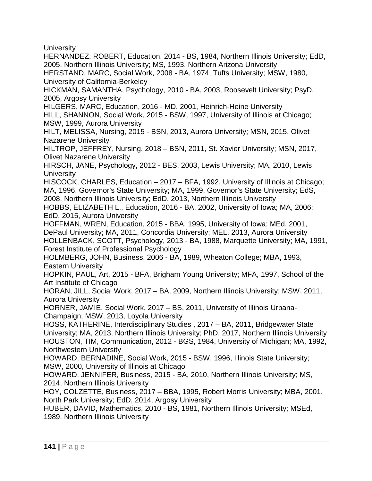**University** 

HERNANDEZ, ROBERT, Education, 2014 - BS, 1984, Northern Illinois University; EdD, 2005, Northern Illinois University; MS, 1993, Northern Arizona University

HERSTAND, MARC, Social Work, 2008 - BA, 1974, Tufts University; MSW, 1980, University of California-Berkeley

HICKMAN, SAMANTHA, Psychology, 2010 - BA, 2003, Roosevelt University; PsyD, 2005, Argosy University

HILGERS, MARC, Education, 2016 - MD, 2001, Heinrich-Heine University

HILL, SHANNON, Social Work, 2015 - BSW, 1997, University of Illinois at Chicago; MSW, 1999, Aurora University

HILT, MELISSA, Nursing, 2015 - BSN, 2013, Aurora University; MSN, 2015, Olivet Nazarene University

HILTROP, JEFFREY, Nursing, 2018 – BSN, 2011, St. Xavier University; MSN, 2017, Olivet Nazarene University

HIRSCH, JANE, Psychology, 2012 - BES, 2003, Lewis University; MA, 2010, Lewis **University** 

HISCOCK, CHARLES, Education – 2017 – BFA, 1992, University of Illinois at Chicago; MA, 1996, Governor's State University; MA, 1999, Governor's State University; EdS, 2008, Northern Illinois University; EdD, 2013, Northern Illinois University

HOBBS, ELIZABETH L., Education, 2016 - BA, 2002, University of Iowa; MA, 2006; EdD, 2015, Aurora University

HOFFMAN, WREN, Education, 2015 - BBA, 1995, University of Iowa; MEd, 2001, DePaul University; MA, 2011, Concordia University; MEL, 2013, Aurora University HOLLENBACK, SCOTT, Psychology, 2013 - BA, 1988, Marquette University; MA, 1991, Forest Institute of Professional Psychology

HOLMBERG, JOHN, Business, 2006 - BA, 1989, Wheaton College; MBA, 1993, Eastern University

HOPKIN, PAUL, Art, 2015 - BFA, Brigham Young University; MFA, 1997, School of the Art Institute of Chicago

HORAN, JILL, Social Work, 2017 – BA, 2009, Northern Illinois University; MSW, 2011, Aurora University

HORNER, JAMIE, Social Work, 2017 – BS, 2011, University of Illinois Urbana-Champaign; MSW, 2013, Loyola University

HOSS, KATHERINE, Interdisciplinary Studies , 2017 – BA, 2011, Bridgewater State University; MA, 2013, Northern Illinois University; PhD, 2017, Northern Illinois University HOUSTON, TIM, Communication, 2012 - BGS, 1984, University of Michigan; MA, 1992, Northwestern University

HOWARD, BERNADINE, Social Work, 2015 - BSW, 1996, Illinois State University; MSW, 2000, University of Illinois at Chicago

HOWARD, JENNIFER, Business, 2015 - BA, 2010, Northern Illinois University; MS, 2014, Northern Illinois University

HOY, COLZETTE, Business, 2017 – BBA, 1995, Robert Morris University; MBA, 2001, North Park University; EdD, 2014, Argosy University

HUBER, DAVID, Mathematics, 2010 - BS, 1981, Northern Illinois University; MSEd, 1989, Northern Illinois University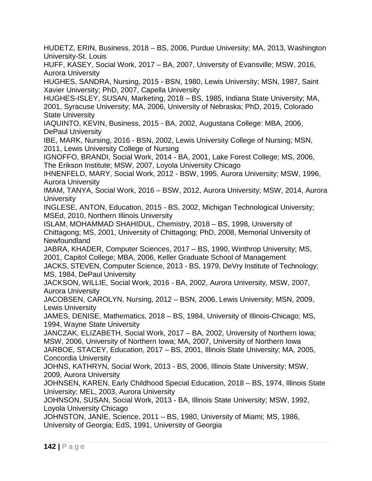HUDETZ, ERIN, Business, 2018 – BS, 2006, Purdue University; MA, 2013, Washington University-St. Louis

HUFF, KASEY, Social Work, 2017 – BA, 2007, University of Evansville; MSW, 2016, Aurora University

HUGHES, SANDRA, Nursing, 2015 - BSN, 1980, Lewis University; MSN, 1987, Saint Xavier University; PhD, 2007, Capella University

HUGHES-ISLEY, SUSAN, Marketing, 2018 – BS, 1985, Indiana State University; MA, 2001, Syracuse University; MA, 2006, University of Nebraska; PhD, 2015, Colorado State University

IAQUINTO, KEVIN, Business, 2015 - BA, 2002, Augustana College: MBA, 2006, DePaul University

IBE, MARK, Nursing, 2016 - BSN, 2002, Lewis University College of Nursing; MSN, 2011, Lewis University College of Nursing

IGNOFFO, BRANDI, Social Work, 2014 - BA, 2001, Lake Forest College; MS, 2006, The Erikson Institute; MSW, 2007, Loyola University Chicago

IHNENFELD, MARY, Social Work, 2012 - BSW, 1995, Aurora University; MSW, 1996, Aurora University

IMAM, TANYA, Social Work, 2016 – BSW, 2012, Aurora University; MSW, 2014, Aurora **University** 

INGLESE, ANTON, Education, 2015 - BS, 2002, Michigan Technological University; MSEd, 2010, Northern Illinois University

ISLAM, MOHAMMAD SHAHIDUL, Chemistry, 2018 – BS, 1998, University of Chittagong; MS, 2001, University of Chittagong; PhD, 2008, Memorial University of Newfoundland

JABRA, KHADER, Computer Sciences, 2017 – BS, 1990, Winthrop University; MS, 2001, Capitol College; MBA, 2006, Keller Graduate School of Management

JACKS, STEVEN, Computer Science, 2013 - BS, 1979, DeVry Institute of Technology; MS, 1984, DePaul University

JACKSON, WILLIE, Social Work, 2016 - BA, 2002, Aurora University, MSW, 2007, Aurora University

JACOBSEN, CAROLYN, Nursing, 2012 – BSN, 2006, Lewis University; MSN, 2009, Lewis University

JAMES, DENISE, Mathematics, 2018 – BS, 1984, University of Illinois-Chicago; MS, 1994, Wayne State University

JANCZAK, ELIZABETH, Social Work, 2017 – BA, 2002, University of Northern Iowa; MSW, 2006, University of Northern Iowa; MA, 2007, University of Northern Iowa

JARBOE, STACEY, Education, 2017 – BS, 2001, Illinois State University; MA, 2005, Concordia University

JOHNS, KATHRYN, Social Work, 2013 - BS, 2006, Illinois State University; MSW, 2009, Aurora University

JOHNSEN, KAREN, Early Childhood Special Education, 2018 – BS, 1974, Illinois State University; MEL, 2003, Aurora University

JOHNSON, SUSAN, Social Work, 2013 - BA, Illinois State University; MSW, 1992, Loyola University Chicago

JOHNSTON, JANIE, Science, 2011 – BS, 1980, University of Miami; MS, 1986, University of Georgia; EdS, 1991, University of Georgia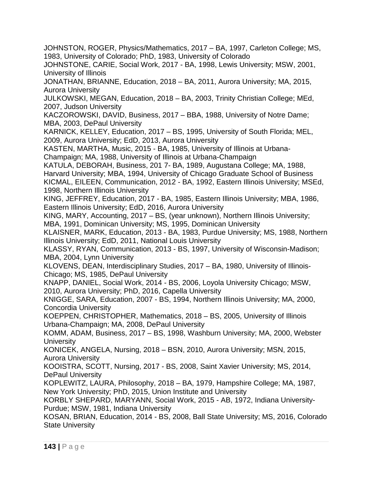JOHNSTON, ROGER, Physics/Mathematics, 2017 – BA, 1997, Carleton College; MS, 1983, University of Colorado; PhD, 1983, University of Colorado

JOHNSTONE, CARIE, Social Work, 2017 - BA, 1998, Lewis University; MSW, 2001, University of Illinois

JONATHAN, BRIANNE, Education, 2018 – BA, 2011, Aurora University; MA, 2015, Aurora University

JULKOWSKI, MEGAN, Education, 2018 – BA, 2003, Trinity Christian College; MEd, 2007, Judson University

KACZOROWSKI, DAVID, Business, 2017 – BBA, 1988, University of Notre Dame; MBA, 2003, DePaul University

KARNICK, KELLEY, Education, 2017 – BS, 1995, University of South Florida; MEL, 2009, Aurora University; EdD, 2013, Aurora University

KASTEN, MARTHA, Music, 2015 - BA, 1985, University of Illinois at Urbana-Champaign; MA, 1988, University of Illinois at Urbana-Champaign

KATULA, DEBORAH, Business, 201 7- BA, 1989, Augustana College; MA, 1988, Harvard University; MBA, 1994, University of Chicago Graduate School of Business KICMAL, EILEEN, Communication, 2012 - BA, 1992, Eastern Illinois University; MSEd, 1998, Northern Illinois University

KING, JEFFREY, Education, 2017 - BA, 1985, Eastern Illinois University; MBA, 1986, Eastern Illinois University; EdD, 2016, Aurora University

KING, MARY, Accounting, 2017 – BS, (year unknown), Northern Illinois University; MBA, 1991, Dominican University; MS, 1995, Dominican University

KLAISNER, MARK, Education, 2013 - BA, 1983, Purdue University; MS, 1988, Northern Illinois University; EdD, 2011, National Louis University

KLASSY, RYAN, Communication, 2013 - BS, 1997, University of Wisconsin-Madison; MBA, 2004, Lynn University

KLOVENS, DEAN, Interdisciplinary Studies, 2017 – BA, 1980, University of Illinois-Chicago; MS, 1985, DePaul University

KNAPP, DANIEL, Social Work, 2014 - BS, 2006, Loyola University Chicago; MSW, 2010, Aurora University; PhD, 2016, Capella University

KNIGGE, SARA, Education, 2007 - BS, 1994, Northern Illinois University; MA, 2000, Concordia University

KOEPPEN, CHRISTOPHER, Mathematics, 2018 – BS, 2005, University of Illinois Urbana-Champaign; MA, 2008, DePaul University

KOMM, ADAM, Business, 2017 – BS, 1998, Washburn University; MA, 2000, Webster **University** 

KONICEK, ANGELA, Nursing, 2018 – BSN, 2010, Aurora University; MSN, 2015, Aurora University

KOOISTRA, SCOTT, Nursing, 2017 - BS, 2008, Saint Xavier University; MS, 2014, DePaul University

KOPLEWITZ, LAURA, Philosophy, 2018 – BA, 1979, Hampshire College; MA, 1987, New York University; PhD, 2015, Union Institute and University

KORBLY SHEPARD, MARYANN, Social Work, 2015 - AB, 1972, Indiana University-Purdue; MSW, 1981, Indiana University

KOSAN, BRIAN, Education, 2014 - BS, 2008, Ball State University; MS, 2016, Colorado State University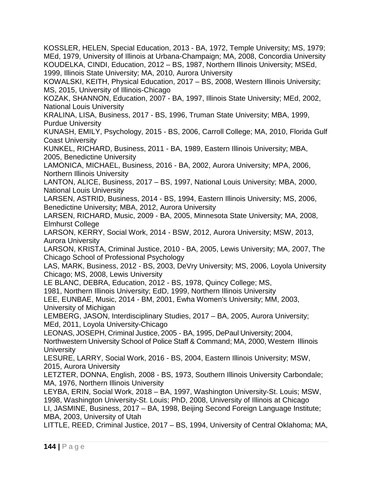KOSSLER, HELEN, Special Education, 2013 - BA, 1972, Temple University; MS, 1979; MEd, 1979, University of Illinois at Urbana-Champaign; MA, 2008, Concordia University KOUDELKA, CINDI, Education, 2012 – BS, 1987, Northern Illinois University; MSEd, 1999, Illinois State University; MA, 2010, Aurora University

KOWALSKI, KEITH, Physical Education, 2017 – BS, 2008, Western Illinois University; MS, 2015, University of Illinois-Chicago

KOZAK, SHANNON, Education, 2007 - BA, 1997, Illinois State University; MEd, 2002, National Louis University

KRALINA, LISA, Business, 2017 - BS, 1996, Truman State University; MBA, 1999, Purdue University

KUNASH, EMILY, Psychology, 2015 - BS, 2006, Carroll College; MA, 2010, Florida Gulf Coast University

KUNKEL, RICHARD, Business, 2011 - BA, 1989, Eastern Illinois University; MBA, 2005, Benedictine University

LAMONICA, MICHAEL, Business, 2016 - BA, 2002, Aurora University; MPA, 2006, Northern Illinois University

LANTON, ALICE, Business, 2017 – BS, 1997, National Louis University; MBA, 2000, National Louis University

LARSEN, ASTRID, Business, 2014 - BS, 1994, Eastern Illinois University; MS, 2006, Benedictine University; MBA, 2012, Aurora University

LARSEN, RICHARD, Music, 2009 - BA, 2005, Minnesota State University; MA, 2008, Elmhurst College

LARSON, KERRY, Social Work, 2014 - BSW, 2012, Aurora University; MSW, 2013, Aurora University

LARSON, KRISTA, Criminal Justice, 2010 - BA, 2005, Lewis University; MA, 2007, The Chicago School of Professional Psychology

LAS, MARK, Business, 2012 - BS, 2003, DeVry University; MS, 2006, Loyola University Chicago; MS, 2008, Lewis University

LE BLANC, DEBRA, Education, 2012 - BS, 1978, Quincy College; MS,

1981, Northern Illinois University; EdD, 1999, Northern Illinois University

LEE, EUNBAE, Music, 2014 - BM, 2001, Ewha Women's University; MM, 2003, University of Michigan

LEMBERG, JASON, Interdisciplinary Studies, 2017 – BA, 2005, Aurora University; MEd, 2011, Loyola University-Chicago

LEONAS, JOSEPH, Criminal Justice, 2005 - BA, 1995, DePaul University; 2004,

Northwestern University School of Police Staff & Command; MA, 2000, Western Illinois **University** 

LESURE, LARRY, Social Work, 2016 - BS, 2004, Eastern Illinois University; MSW, 2015, Aurora University

LETZTER, DONNA, English, 2008 - BS, 1973, Southern Illinois University Carbondale; MA, 1976, Northern Illinois University

LEYBA, ERIN, Social Work, 2018 – BA, 1997, Washington University-St. Louis; MSW, 1998, Washington University-St. Louis; PhD, 2008, University of Illinois at Chicago

LI, JASMINE, Business, 2017 – BA, 1998, Beijing Second Foreign Language Institute; MBA, 2003, University of Utah

LITTLE, REED, Criminal Justice, 2017 – BS, 1994, University of Central Oklahoma; MA,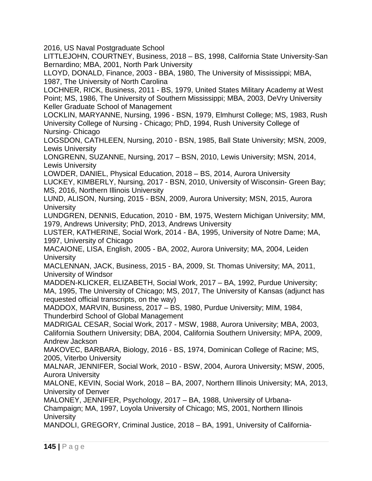2016, US Naval Postgraduate School

LITTLEJOHN, COURTNEY, Business, 2018 – BS, 1998, California State University-San Bernardino; MBA, 2001, North Park University

LLOYD, DONALD, Finance, 2003 - BBA, 1980, The University of Mississippi; MBA, 1987, The University of North Carolina

LOCHNER, RICK, Business, 2011 - BS, 1979, United States Military Academy at West Point; MS, 1986, The University of Southern Mississippi; MBA, 2003, DeVry University Keller Graduate School of Management

LOCKLIN, MARYANNE, Nursing, 1996 - BSN, 1979, Elmhurst College; MS, 1983, Rush University College of Nursing - Chicago; PhD, 1994, Rush University College of Nursing- Chicago

LOGSDON, CATHLEEN, Nursing, 2010 - BSN, 1985, Ball State University; MSN, 2009, Lewis University

LONGRENN, SUZANNE, Nursing, 2017 – BSN, 2010, Lewis University; MSN, 2014, Lewis University

LOWDER, DANIEL, Physical Education, 2018 – BS, 2014, Aurora University

LUCKEY, KIMBERLY, Nursing, 2017 - BSN, 2010, University of Wisconsin- Green Bay; MS, 2016, Northern Illinois University

LUND, ALISON, Nursing, 2015 - BSN, 2009, Aurora University; MSN, 2015, Aurora **University** 

LUNDGREN, DENNIS, Education, 2010 - BM, 1975, Western Michigan University; MM, 1979, Andrews University; PhD, 2013, Andrews University

LUSTER, KATHERINE, Social Work, 2014 - BA, 1995, University of Notre Dame; MA, 1997, University of Chicago

MACAIONE, LISA, English, 2005 - BA, 2002, Aurora University; MA, 2004, Leiden **University** 

MACLENNAN, JACK, Business, 2015 - BA, 2009, St. Thomas University; MA, 2011, University of Windsor

MADDEN-KLICKER, ELIZABETH, Social Work, 2017 – BA, 1992, Purdue University; MA, 1995, The University of Chicago; MS, 2017, The University of Kansas (adjunct has requested official transcripts, on the way)

MADDOX, MARVIN, Business, 2017 – BS, 1980, Purdue University; MIM, 1984, Thunderbird School of Global Management

MADRIGAL CESAR, Social Work, 2017 - MSW, 1988, Aurora University; MBA, 2003, California Southern University; DBA, 2004, California Southern University; MPA, 2009, Andrew Jackson

MAKOVEC, BARBARA, Biology, 2016 - BS, 1974, Dominican College of Racine; MS, 2005, Viterbo University

MALNAR, JENNIFER, Social Work, 2010 - BSW, 2004, Aurora University; MSW, 2005, Aurora University

MALONE, KEVIN, Social Work, 2018 – BA, 2007, Northern Illinois University; MA, 2013, University of Denver

MALONEY, JENNIFER, Psychology, 2017 – BA, 1988, University of Urbana-

Champaign; MA, 1997, Loyola University of Chicago; MS, 2001, Northern Illinois **University** 

MANDOLI, GREGORY, Criminal Justice, 2018 – BA, 1991, University of California-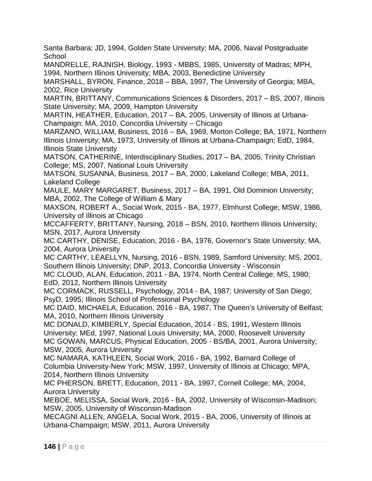Santa Barbara; JD, 1994, Golden State University; MA, 2006, Naval Postgraduate **School** 

MANDRELLE, RAJNISH, Biology, 1993 - MBBS, 1985, University of Madras; MPH, 1994, Northern Illinois University; MBA, 2003, Benedictine University

MARSHALL, BYRON, Finance, 2018 – BBA, 1997, The University of Georgia; MBA, 2002, Rice University

MARTIN, BRITTANY, Communications Sciences & Disorders, 2017 – BS, 2007, Illinois State University; MA, 2009, Hampton University

MARTIN, HEATHER, Education, 2017 – BA, 2005, University of Illinois at Urbana-Champaign; MA, 2010, Concordia University – Chicago

MARZANO, WILLIAM, Business, 2016 – BA, 1969, Morton College; BA, 1971, Northern Illinois University; MA, 1973, University of Illinois at Urbana-Champaign; EdD, 1984, Illinois State University

MATSON, CATHERINE, Interdisciplinary Studies, 2017 – BA, 2005, Trinity Christian College; MS, 2007, National Louis University

MATSON, SUSANNA, Business, 2017 – BA, 2000, Lakeland College; MBA, 2011, Lakeland College

MAULE, MARY MARGARET, Business, 2017 – BA, 1991, Old Dominion University; MBA, 2002, The College of William & Mary

MAXSON, ROBERT A., Social Work, 2015 - BA, 1977, Elmhurst College; MSW, 1986, University of Illinois at Chicago

MCCAFFERTY, BRITTANY, Nursing, 2018 – BSN, 2010, Northern Illinois University; MSN, 2017, Aurora University

MC CARTHY, DENISE, Education, 2016 - BA, 1976, Governor's State University; MA, 2004, Aurora University

MC CARTHY, LEAELLYN, Nursing, 2016 - BSN, 1989, Samford University; MS, 2001, Southern Illinois University; DNP, 2013, Concordia University - Wisconsin

MC CLOUD, ALAN, Education, 2011 - BA, 1974, North Central College; MS, 1980; EdD, 2012, Northern Illinois University

MC CORMACK, RUSSELL, Psychology, 2014 - BA, 1987; University of San Diego; PsyD, 1995; Illinois School of Professional Psychology

MC DAID, MICHAELA, Education, 2016 - BA, 1987, The Queen's University of Belfast; MA, 2010, Northern Illinois University

MC DONALD, KIMBERLY, Special Education, 2014 - BS, 1991, Western Illinois University; MEd, 1997, National Louis University; MA, 2000, Roosevelt University MC GOWAN, MARCUS, Physical Education, 2005 - BS/BA, 2001, Aurora University; MSW, 2005, Aurora University

MC NAMARA, KATHLEEN, Social Work, 2016 - BA, 1992, Barnard College of Columbia University-New York; MSW, 1997, University of Illinois at Chicago; MPA, 2014, Northern Illinois University

MC PHERSON, BRETT, Education, 2011 - BA, 1997, Cornell College; MA, 2004, Aurora University

MEBOE, MELISSA, Social Work, 2016 - BA, 2002, University of Wisconsin-Madison; MSW, 2005, University of Wisconsin-Madison

MECAGNI ALLEN, ANGELA, Social Work, 2015 - BA, 2006, University of Illinois at Urbana-Champaign; MSW, 2011, Aurora University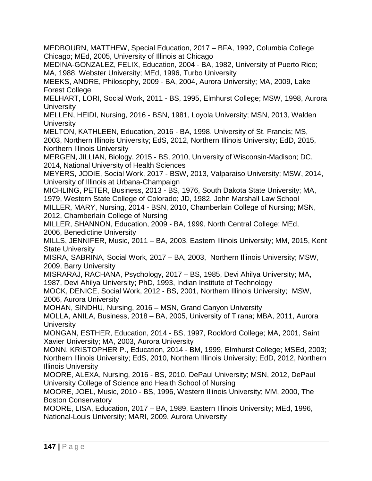MEDBOURN, MATTHEW, Special Education, 2017 – BFA, 1992, Columbia College Chicago; MEd, 2005, University of Illinois at Chicago

MEDINA-GONZALEZ, FELIX, Education, 2004 - BA, 1982, University of Puerto Rico; MA, 1988, Webster University; MEd, 1996, Turbo University

MEEKS, ANDRE, Philosophy, 2009 - BA, 2004, Aurora University; MA, 2009, Lake Forest College

MELHART, LORI, Social Work, 2011 - BS, 1995, Elmhurst College; MSW, 1998, Aurora **University** 

MELLEN, HEIDI, Nursing, 2016 - BSN, 1981, Loyola University; MSN, 2013, Walden **University** 

MELTON, KATHLEEN, Education, 2016 - BA, 1998, University of St. Francis; MS, 2003, Northern Illinois University; EdS, 2012, Northern Illinois University; EdD, 2015, Northern Illinois University

MERGEN, JILLIAN, Biology, 2015 - BS, 2010, University of Wisconsin-Madison; DC, 2014, National University of Health Sciences

MEYERS, JODIE, Social Work, 2017 - BSW, 2013, Valparaiso University; MSW, 2014, University of Illinois at Urbana-Champaign

MICHLING, PETER, Business, 2013 - BS, 1976, South Dakota State University; MA, 1979, Western State College of Colorado; JD, 1982, John Marshall Law School

MILLER, MARY, Nursing, 2014 - BSN, 2010, Chamberlain College of Nursing; MSN, 2012, Chamberlain College of Nursing

MILLER, SHANNON, Education, 2009 - BA, 1999, North Central College; MEd, 2006, Benedictine University

MILLS, JENNIFER, Music, 2011 – BA, 2003, Eastern Illinois University; MM, 2015, Kent State University

MISRA, SABRINA, Social Work, 2017 – BA, 2003, Northern Illinois University; MSW, 2009, Barry University

MISRARAJ, RACHANA, Psychology, 2017 – BS, 1985, Devi Ahilya University; MA, 1987, Devi Ahilya University; PhD, 1993, Indian Institute of Technology

MOCK, DENICE, Social Work, 2012 - BS, 2001, Northern Illinois University; MSW, 2006, Aurora University

MOHAN, SINDHU, Nursing, 2016 – MSN, Grand Canyon University

MOLLA, ANILA, Business, 2018 – BA, 2005, University of Tirana; MBA, 2011, Aurora **University** 

MONGAN, ESTHER, Education, 2014 - BS, 1997, Rockford College; MA, 2001, Saint Xavier University; MA, 2003, Aurora University

MONN, KRISTOPHER P., Education, 2014 - BM, 1999, Elmhurst College; MSEd, 2003; Northern Illinois University; EdS, 2010, Northern Illinois University; EdD, 2012, Northern Illinois University

MOORE, ALEXA, Nursing, 2016 - BS, 2010, DePaul University; MSN, 2012, DePaul University College of Science and Health School of Nursing

MOORE, JOEL, Music, 2010 - BS, 1996, Western Illinois University; MM, 2000, The Boston Conservatory

MOORE, LISA, Education, 2017 – BA, 1989, Eastern Illinois University; MEd, 1996, National-Louis University; MARI, 2009, Aurora University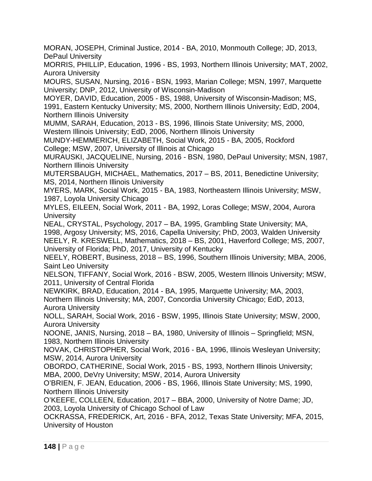MORAN, JOSEPH, Criminal Justice, 2014 - BA, 2010, Monmouth College; JD, 2013, DePaul University

MORRIS, PHILLIP, Education, 1996 - BS, 1993, Northern Illinois University; MAT, 2002, Aurora University

MOURS, SUSAN, Nursing, 2016 - BSN, 1993, Marian College; MSN, 1997, Marquette University; DNP, 2012, University of Wisconsin-Madison

MOYER, DAVID, Education, 2005 - BS, 1988, University of Wisconsin-Madison; MS, 1991, Eastern Kentucky University; MS, 2000, Northern Illinois University; EdD, 2004, Northern Illinois University

MUMM, SARAH, Education, 2013 - BS, 1996, Illinois State University; MS, 2000, Western Illinois University; EdD, 2006, Northern Illinois University

MUNDY-HEMMERICH, ELIZABETH, Social Work, 2015 - BA, 2005, Rockford College; MSW, 2007, University of Illinois at Chicago

MURAUSKI, JACQUELINE, Nursing, 2016 - BSN, 1980, DePaul University; MSN, 1987, Northern Illinois University

MUTERSBAUGH, MICHAEL, Mathematics, 2017 – BS, 2011, Benedictine University; MS, 2014, Northern Illinois University

MYERS, MARK, Social Work, 2015 - BA, 1983, Northeastern Illinois University; MSW, 1987, Loyola University Chicago

MYLES, EILEEN, Social Work, 2011 - BA, 1992, Loras College; MSW, 2004, Aurora **University** 

NEAL, CRYSTAL, Psychology, 2017 – BA, 1995, Grambling State University; MA, 1998, Argosy University; MS, 2016, Capella University; PhD, 2003, Walden University NEELY, R. KRESWELL, Mathematics, 2018 – BS, 2001, Haverford College; MS, 2007, University of Florida; PhD, 2017, University of Kentucky

NEELY, ROBERT, Business, 2018 – BS, 1996, Southern Illinois University; MBA, 2006, Saint Leo University

NELSON, TIFFANY, Social Work, 2016 - BSW, 2005, Western Illinois University; MSW, 2011, University of Central Florida

NEWKIRK, BRAD, Education, 2014 - BA, 1995, Marquette University; MA, 2003,

Northern Illinois University; MA, 2007, Concordia University Chicago; EdD, 2013, Aurora University

NOLL, SARAH, Social Work, 2016 - BSW, 1995, Illinois State University; MSW, 2000, Aurora University

NOONE, JANIS, Nursing, 2018 – BA, 1980, University of Illinois – Springfield; MSN, 1983, Northern Illinois University

NOVAK, CHRISTOPHER, Social Work, 2016 - BA, 1996, Illinois Wesleyan University; MSW, 2014, Aurora University

OBORDO, CATHERINE, Social Work, 2015 - BS, 1993, Northern Illinois University; MBA, 2000, DeVry University; MSW, 2014, Aurora University

O'BRIEN, F. JEAN, Education, 2006 - BS, 1966, Illinois State University; MS, 1990, Northern Illinois University

O'KEEFE, COLLEEN, Education, 2017 – BBA, 2000, University of Notre Dame; JD, 2003, Loyola University of Chicago School of Law

OCKRASSA, FREDERICK, Art, 2016 - BFA, 2012, Texas State University; MFA, 2015, University of Houston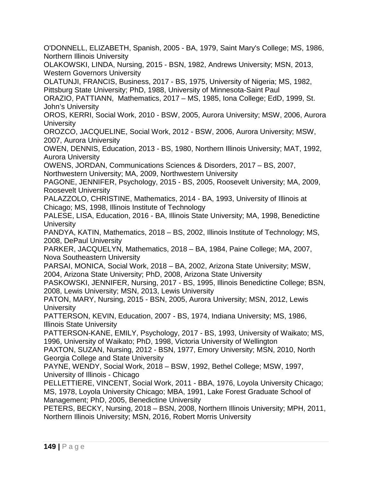O'DONNELL, ELIZABETH, Spanish, 2005 - BA, 1979, Saint Mary's College; MS, 1986, Northern Illinois University

OLAKOWSKI, LINDA, Nursing, 2015 - BSN, 1982, Andrews University; MSN, 2013, Western Governors University

OLATUNJI, FRANCIS, Business, 2017 - BS, 1975, University of Nigeria; MS, 1982, Pittsburg State University; PhD, 1988, University of Minnesota-Saint Paul

ORAZIO, PATTIANN, Mathematics, 2017 – MS, 1985, Iona College; EdD, 1999, St. John's University

OROS, KERRI, Social Work, 2010 - BSW, 2005, Aurora University; MSW, 2006, Aurora **University** 

OROZCO, JACQUELINE, Social Work, 2012 - BSW, 2006, Aurora University; MSW, 2007, Aurora University

OWEN, DENNIS, Education, 2013 - BS, 1980, Northern Illinois University; MAT, 1992, Aurora University

OWENS, JORDAN, Communications Sciences & Disorders, 2017 – BS, 2007, Northwestern University; MA, 2009, Northwestern University

PAGONE, JENNIFER, Psychology, 2015 - BS, 2005, Roosevelt University; MA, 2009, Roosevelt University

PALAZZOLO, CHRISTINE, Mathematics, 2014 - BA, 1993, University of Illinois at Chicago; MS, 1998, Illinois Institute of Technology

PALESE, LISA, Education, 2016 - BA, Illinois State University; MA, 1998, Benedictine **University** 

PANDYA, KATIN, Mathematics, 2018 – BS, 2002, Illinois Institute of Technology; MS, 2008, DePaul University

PARKER, JACQUELYN, Mathematics, 2018 – BA, 1984, Paine College; MA, 2007, Nova Southeastern University

PARSAI, MONICA, Social Work, 2018 – BA, 2002, Arizona State University; MSW, 2004, Arizona State University; PhD, 2008, Arizona State University

PASKOWSKI, JENNIFER, Nursing, 2017 - BS, 1995, Illinois Benedictine College; BSN, 2008, Lewis University; MSN, 2013, Lewis University

PATON, MARY, Nursing, 2015 - BSN, 2005, Aurora University; MSN, 2012, Lewis **University** 

PATTERSON, KEVIN, Education, 2007 - BS, 1974, Indiana University; MS, 1986, Illinois State University

PATTERSON-KANE, EMILY, Psychology, 2017 - BS, 1993, University of Waikato; MS, 1996, University of Waikato; PhD, 1998, Victoria University of Wellington

PAXTON, SUZAN, Nursing, 2012 - BSN, 1977, Emory University; MSN, 2010, North Georgia College and State University

PAYNE, WENDY, Social Work, 2018 – BSW, 1992, Bethel College; MSW, 1997, University of Illinois - Chicago

PELLETTIERE, VINCENT, Social Work, 2011 - BBA, 1976, Loyola University Chicago; MS, 1978, Loyola University Chicago; MBA, 1991, Lake Forest Graduate School of Management; PhD, 2005, Benedictine University

PETERS, BECKY, Nursing, 2018 – BSN, 2008, Northern Illinois University; MPH, 2011, Northern Illinois University; MSN, 2016, Robert Morris University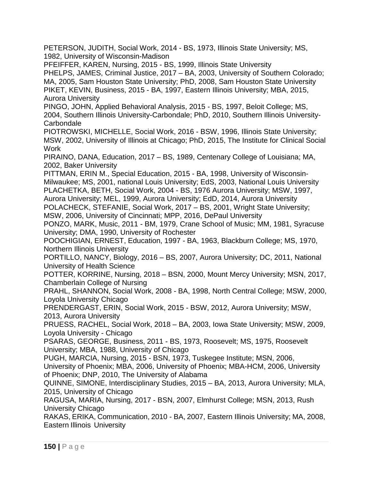PETERSON, JUDITH, Social Work, 2014 - BS, 1973, Illinois State University; MS, 1982, University of Wisconsin-Madison

PFEIFFER, KAREN, Nursing, 2015 - BS, 1999, Illinois State University PHELPS, JAMES, Criminal Justice, 2017 – BA, 2003, University of Southern Colorado; MA, 2005, Sam Houston State University; PhD, 2008, Sam Houston State University PIKET, KEVIN, Business, 2015 - BA, 1997, Eastern Illinois University; MBA, 2015, Aurora University

PINGO, JOHN, Applied Behavioral Analysis, 2015 - BS, 1997, Beloit College; MS, 2004, Southern Illinois University-Carbondale; PhD, 2010, Southern Illinois University-**Carbondale** 

PIOTROWSKI, MICHELLE, Social Work, 2016 - BSW, 1996, Illinois State University; MSW, 2002, University of Illinois at Chicago; PhD, 2015, The Institute for Clinical Social Work

PIRAINO, DANA, Education, 2017 – BS, 1989, Centenary College of Louisiana; MA, 2002, Baker University

PITTMAN, ERIN M., Special Education, 2015 - BA, 1998, University of Wisconsin-Milwaukee; MS, 2001, national Louis University; EdS, 2003, National Louis University PLACHETKA, BETH, Social Work, 2004 - BS, 1976 Aurora University; MSW, 1997,

Aurora University; MEL, 1999, Aurora University; EdD, 2014, Aurora University POLACHECK, STEFANIE, Social Work, 2017 – BS, 2001, Wright State University;

MSW, 2006, University of Cincinnati; MPP, 2016, DePaul University

PONZO, MARK, Music, 2011 - BM, 1979, Crane School of Music; MM, 1981, Syracuse University; DMA, 1990, University of Rochester

POOCHIGIAN, ERNEST, Education, 1997 - BA, 1963, Blackburn College; MS, 1970, Northern Illinois University

PORTILLO, NANCY, Biology, 2016 – BS, 2007, Aurora University; DC, 2011, National University of Health Science

POTTER, KORRINE, Nursing, 2018 – BSN, 2000, Mount Mercy University; MSN, 2017, Chamberlain College of Nursing

PRAHL, SHANNON, Social Work, 2008 - BA, 1998, North Central College; MSW, 2000, Loyola University Chicago

PRENDERGAST, ERIN, Social Work, 2015 - BSW, 2012, Aurora University; MSW, 2013, Aurora University

PRUESS, RACHEL, Social Work, 2018 – BA, 2003, Iowa State University; MSW, 2009, Loyola University - Chicago

PSARAS, GEORGE, Business, 2011 - BS, 1973, Roosevelt; MS, 1975, Roosevelt University; MBA, 1988, University of Chicago

PUGH, MARCIA, Nursing, 2015 - BSN, 1973, Tuskegee Institute; MSN, 2006, University of Phoenix; MBA, 2006, University of Phoenix; MBA-HCM, 2006, University of Phoenix; DNP, 2010, The University of Alabama

QUINNE, SIMONE, Interdisciplinary Studies, 2015 – BA, 2013, Aurora University; MLA, 2015, University of Chicago

RAGUSA, MARIA, Nursing, 2017 - BSN, 2007, Elmhurst College; MSN, 2013, Rush University Chicago

RAKAS, ERIKA, Communication, 2010 - BA, 2007, Eastern Illinois University; MA, 2008, Eastern Illinois University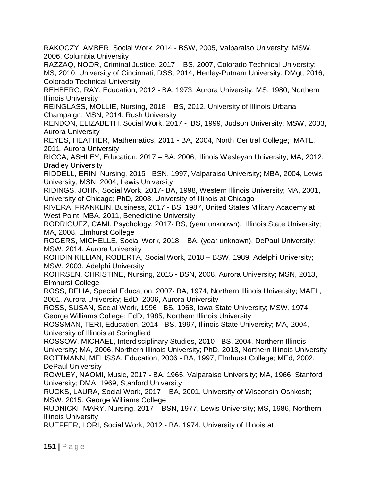RAKOCZY, AMBER, Social Work, 2014 - BSW, 2005, Valparaiso University; MSW, 2006, Columbia University

RAZZAQ, NOOR, Criminal Justice, 2017 – BS, 2007, Colorado Technical University; MS, 2010, University of Cincinnati; DSS, 2014, Henley-Putnam University; DMgt, 2016, Colorado Technical University

REHBERG, RAY, Education, 2012 - BA, 1973, Aurora University; MS, 1980, Northern Illinois University

REINGLASS, MOLLIE, Nursing, 2018 – BS, 2012, University of Illinois Urbana-Champaign; MSN, 2014, Rush University

RENDON, ELIZABETH, Social Work, 2017 - BS, 1999, Judson University; MSW, 2003, Aurora University

REYES, HEATHER, Mathematics, 2011 - BA, 2004, North Central College; MATL, 2011, Aurora University

RICCA, ASHLEY, Education, 2017 – BA, 2006, Illinois Wesleyan University; MA, 2012, Bradley University

RIDDELL, ERIN, Nursing, 2015 - BSN, 1997, Valparaiso University; MBA, 2004, Lewis University; MSN, 2004, Lewis University

RIDINGS, JOHN, Social Work, 2017- BA, 1998, Western Illinois University; MA, 2001, University of Chicago; PhD, 2008, University of Illinois at Chicago

RIVERA, FRANKLIN, Business, 2017 - BS, 1987, United States Military Academy at West Point; MBA, 2011, Benedictine University

RODRIGUEZ, CAMI, Psychology, 2017- BS, (year unknown), Illinois State University; MA, 2008, Elmhurst College

ROGERS, MICHELLE, Social Work, 2018 – BA, (year unknown), DePaul University; MSW, 2014, Aurora University

ROHDIN KILLIAN, ROBERTA, Social Work, 2018 – BSW, 1989, Adelphi University; MSW, 2003, Adelphi University

ROHRSEN, CHRISTINE, Nursing, 2015 - BSN, 2008, Aurora University; MSN, 2013, Elmhurst College

ROSS, DELIA, Special Education, 2007- BA, 1974, Northern Illinois University; MAEL, 2001, Aurora University; EdD, 2006, Aurora University

ROSS, SUSAN, Social Work, 1996 - BS, 1968, Iowa State University; MSW, 1974, George Williams College; EdD, 1985, Northern Illinois University

ROSSMAN, TERI, Education, 2014 - BS, 1997, Illinois State University; MA, 2004, University of Illinois at Springfield

ROSSOW, MICHAEL, Interdisciplinary Studies, 2010 - BS, 2004, Northern Illinois University; MA, 2006, Northern Illinois University; PhD, 2013, Northern Illinois University ROTTMANN, MELISSA, Education, 2006 - BA, 1997, Elmhurst College; MEd, 2002, DePaul University

ROWLEY, NAOMI, Music, 2017 - BA, 1965, Valparaiso University; MA, 1966, Stanford University; DMA, 1969, Stanford University

RUCKS, LAURA, Social Work, 2017 – BA, 2001, University of Wisconsin-Oshkosh; MSW, 2015, George Williams College

RUDNICKI, MARY, Nursing, 2017 – BSN, 1977, Lewis University; MS, 1986, Northern Illinois University

RUEFFER, LORI, Social Work, 2012 - BA, 1974, University of Illinois at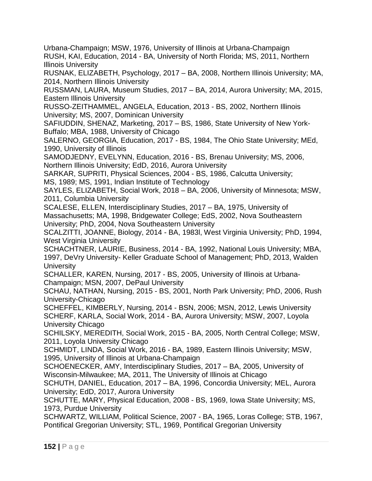Urbana-Champaign; MSW, 1976, University of Illinois at Urbana-Champaign RUSH, KAI, Education, 2014 - BA, University of North Florida; MS, 2011, Northern Illinois University

RUSNAK, ELIZABETH, Psychology, 2017 – BA, 2008, Northern Illinois University; MA, 2014, Northern Illinois University

RUSSMAN, LAURA, Museum Studies, 2017 – BA, 2014, Aurora University; MA, 2015, Eastern Illinois University

RUSSO-ZEITHAMMEL, ANGELA, Education, 2013 - BS, 2002, Northern Illinois University; MS, 2007, Dominican University

SAFIUDDIN, SHENAZ, Marketing, 2017 – BS, 1986, State University of New York-Buffalo; MBA, 1988, University of Chicago

SALERNO, GEORGIA, Education, 2017 - BS, 1984, The Ohio State University; MEd, 1990, University of Illinois

SAMODJEDNY, EVELYNN, Education, 2016 - BS, Brenau University; MS, 2006, Northern Illinois University; EdD, 2016, Aurora University

SARKAR, SUPRITI, Physical Sciences, 2004 - BS, 1986, Calcutta University; MS, 1989; MS, 1991, Indian Institute of Technology

SAYLES, ELIZABETH, Social Work, 2018 – BA, 2006, University of Minnesota; MSW, 2011, Columbia University

SCALESE, ELLEN, Interdisciplinary Studies, 2017 – BA, 1975, University of Massachusetts; MA, 1998, Bridgewater College; EdS, 2002, Nova Southeastern University; PhD, 2004, Nova Southeastern University

SCALZITTI, JOANNE, Biology, 2014 - BA, 1983l, West Virginia University; PhD, 1994, West Virginia University

SCHACHTNER, LAURIE, Business, 2014 - BA, 1992, National Louis University; MBA, 1997, DeVry University- Keller Graduate School of Management; PhD, 2013, Walden **University** 

SCHALLER, KAREN, Nursing, 2017 - BS, 2005, University of Illinois at Urbana-Champaign; MSN, 2007, DePaul University

SCHAU, NATHAN, Nursing, 2015 - BS, 2001, North Park University; PhD, 2006, Rush University-Chicago

SCHEFFEL, KIMBERLY, Nursing, 2014 - BSN, 2006; MSN, 2012, Lewis University SCHERF, KARLA, Social Work, 2014 - BA, Aurora University; MSW, 2007, Loyola University Chicago

SCHILSKY, MEREDITH, Social Work, 2015 - BA, 2005, North Central College; MSW, 2011, Loyola University Chicago

SCHMIDT, LINDA, Social Work, 2016 - BA, 1989, Eastern Illinois University; MSW, 1995, University of Illinois at Urbana-Champaign

SCHOENECKER, AMY, Interdisciplinary Studies, 2017 – BA, 2005, University of Wisconsin-Milwaukee; MA, 2011, The University of Illinois at Chicago

SCHUTH, DANIEL, Education, 2017 – BA, 1996, Concordia University; MEL, Aurora University; EdD, 2017, Aurora University

SCHUTTE, MARY, Physical Education, 2008 - BS, 1969, Iowa State University; MS, 1973, Purdue University

SCHWARTZ, WILLIAM, Political Science, 2007 - BA, 1965, Loras College; STB, 1967, Pontifical Gregorian University; STL, 1969, Pontifical Gregorian University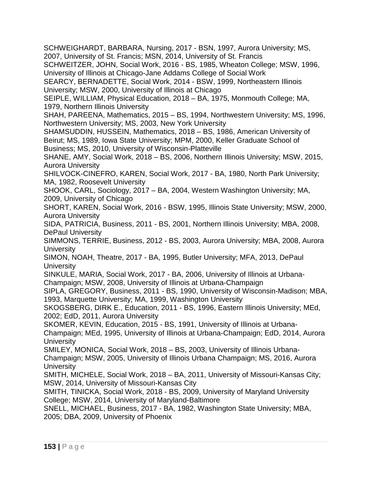SCHWEIGHARDT, BARBARA, Nursing, 2017 - BSN, 1997, Aurora University; MS, 2007, University of St. Francis; MSN, 2014, University of St. Francis

SCHWEITZER, JOHN, Social Work, 2016 - BS, 1985, Wheaton College; MSW, 1996, University of Illinois at Chicago-Jane Addams College of Social Work

SEARCY, BERNADETTE, Social Work, 2014 - BSW, 1999, Northeastern Illinois University; MSW, 2000, University of Illinois at Chicago

SEIPLE, WILLIAM, Physical Education, 2018 – BA, 1975, Monmouth College; MA, 1979, Northern Illinois University

SHAH, PAREENA, Mathematics, 2015 – BS, 1994, Northwestern University; MS, 1996, Northwestern University; MS, 2003, New York University

SHAMSUDDIN, HUSSEIN, Mathematics, 2018 – BS, 1986, American University of Beirut; MS, 1989, Iowa State University; MPM, 2000, Keller Graduate School of Business; MS, 2010, University of Wisconsin-Platteville

SHANE, AMY, Social Work, 2018 – BS, 2006, Northern Illinois University; MSW, 2015, Aurora University

SHILVOCK-CINEFRO, KAREN, Social Work, 2017 - BA, 1980, North Park University; MA, 1982, Roosevelt University

SHOOK, CARL, Sociology, 2017 – BA, 2004, Western Washington University; MA, 2009, University of Chicago

SHORT, KAREN, Social Work, 2016 - BSW, 1995, Illinois State University; MSW, 2000, Aurora University

SIDA, PATRICIA, Business, 2011 - BS, 2001, Northern Illinois University; MBA, 2008, DePaul University

SIMMONS, TERRIE, Business, 2012 - BS, 2003, Aurora University; MBA, 2008, Aurora **University** 

SIMON, NOAH, Theatre, 2017 - BA, 1995, Butler University; MFA, 2013, DePaul **University** 

SINKULE, MARIA, Social Work, 2017 - BA, 2006, University of Illinois at Urbana-Champaign; MSW, 2008, University of Illinois at Urbana-Champaign

SIPLA, GREGORY, Business, 2011 - BS, 1990, University of Wisconsin-Madison; MBA, 1993, Marquette University; MA, 1999, Washington University

SKOGSBERG, DIRK E., Education, 2011 - BS, 1996, Eastern Illinois University; MEd, 2002; EdD, 2011, Aurora University

SKOMER, KEVIN, Education, 2015 - BS, 1991, University of Illinois at Urbana-

Champaign; MEd, 1995, University of Illinois at Urbana-Champaign; EdD, 2014, Aurora **University** 

SMILEY, MONICA, Social Work, 2018 – BS, 2003, University of Illinois Urbana-Champaign; MSW, 2005, University of Illinois Urbana Champaign; MS, 2016, Aurora **University** 

SMITH, MICHELE, Social Work, 2018 – BA, 2011, University of Missouri-Kansas City; MSW, 2014, University of Missouri-Kansas City

SMITH, TINICKA, Social Work, 2018 - BS, 2009, University of Maryland University College; MSW, 2014, University of Maryland-Baltimore

SNELL, MICHAEL, Business, 2017 - BA, 1982, Washington State University; MBA, 2005; DBA, 2009, University of Phoenix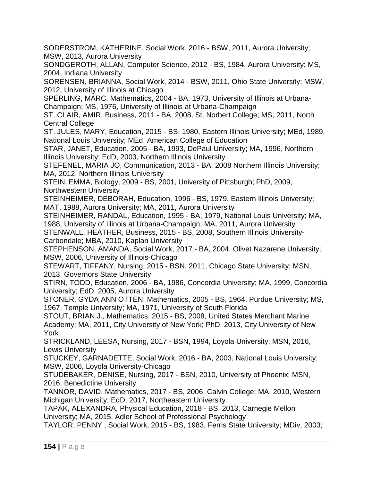SODERSTROM, KATHERINE, Social Work, 2016 - BSW, 2011, Aurora University; MSW, 2013, Aurora University

SONDGEROTH, ALLAN, Computer Science, 2012 - BS, 1984, Aurora University; MS, 2004, Indiana University

SORENSEN, BRIANNA, Social Work, 2014 - BSW, 2011, Ohio State University; MSW, 2012, University of Illinois at Chicago

SPERLING, MARC, Mathematics, 2004 - BA, 1973, University of Illinois at Urbana-Champaign; MS, 1976, University of Illinois at Urbana-Champaign

ST. CLAIR, AMIR, Business, 2011 - BA, 2008, St. Norbert College; MS, 2011, North Central College

ST. JULES, MARY, Education, 2015 - BS, 1980, Eastern Illinois University; MEd, 1989, National Louis University; MEd, American College of Education

STAR, JANET, Education, 2005 - BA, 1993, DePaul University; MA, 1996, Northern Illinois University; EdD, 2003, Northern Illinois University

STEFENEL, MARIA JO, Communication, 2013 - BA, 2008 Northern Illinois University; MA, 2012, Northern Illinois University

STEIN, EMMA, Biology, 2009 - BS, 2001, University of Pittsburgh; PhD, 2009, Northwestern University

STEINHEIMER, DEBORAH, Education, 1996 - BS, 1979, Eastern Illinois University; MAT, 1988, Aurora University; MA, 2011, Aurora University

STEINHEIMER, RANDAL, Education, 1995 - BA, 1979, National Louis University; MA, 1988, University of Illinois at Urbana-Champaign; MA, 2011, Aurora University

STENWALL, HEATHER, Business, 2015 - BS, 2008, Southern Illinois University-Carbondale; MBA, 2010, Kaplan University

STEPHENSON, AMANDA, Social Work, 2017 - BA, 2004, Olivet Nazarene University; MSW, 2006, University of Illinois-Chicago

STEWART, TIFFANY, Nursing, 2015 - BSN, 2011, Chicago State University; MSN, 2013, Governors State University

STIRN, TODD, Education, 2006 - BA, 1986, Concordia University; MA, 1999, Concordia University; EdD, 2005, Aurora University

STONER, GYDA ANN OTTEN, Mathematics, 2005 - BS, 1964, Purdue University; MS, 1967, Temple University; MA, 1971, University of South Florida

STOUT, BRIAN J., Mathematics, 2015 - BS, 2008, United States Merchant Marine Academy; MA, 2011, City University of New York; PhD, 2013, City University of New York

STRICKLAND, LEESA, Nursing, 2017 - BSN, 1994, Loyola University; MSN, 2016, Lewis University

STUCKEY, GARNADETTE, Social Work, 2016 - BA, 2003, National Louis University; MSW, 2006, Loyola University-Chicago

STUDEBAKER, DENISE, Nursing, 2017 - BSN, 2010, University of Phoenix; MSN, 2016, Benedictine University

TANNOR, DAVID, Mathematics, 2017 - BS, 2006, Calvin College; MA, 2010, Western Michigan University; EdD, 2017, Northeastern University

TAPAK, ALEXANDRA, Physical Education, 2018 - BS, 2013, Carnegie Mellon University; MA, 2015, Adler School of Professional Psychology

TAYLOR, PENNY , Social Work, 2015 - BS, 1983, Ferris State University; MDiv, 2003;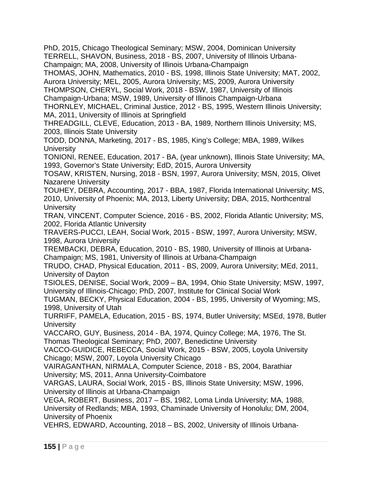PhD, 2015, Chicago Theological Seminary; MSW, 2004, Dominican University TERRELL, SHAVON, Business, 2018 - BS, 2007, University of Illinois Urbana-Champaign; MA, 2008, University of Illinois Urbana-Champaign

THOMAS, JOHN, Mathematics, 2010 - BS, 1998, Illinois State University; MAT, 2002, Aurora University; MEL, 2005, Aurora University; MS, 2009, Aurora University THOMPSON, CHERYL, Social Work, 2018 - BSW, 1987, University of Illinois Champaign-Urbana; MSW, 1989, University of Illinois Champaign-Urbana

THORNLEY, MICHAEL, Criminal Justice, 2012 - BS, 1995, Western Illinois University; MA, 2011, University of Illinois at Springfield

THREADGILL, CLEVE, Education, 2013 - BA, 1989, Northern Illinois University; MS, 2003, Illinois State University

TODD, DONNA, Marketing, 2017 - BS, 1985, King's College; MBA, 1989, Wilkes **University** 

TONIONI, RENEE, Education, 2017 - BA, (year unknown), Illinois State University; MA, 1993, Governor's State University; EdD, 2015, Aurora University

TOSAW, KRISTEN, Nursing, 2018 - BSN, 1997, Aurora University; MSN, 2015, Olivet Nazarene University

TOUHEY, DEBRA, Accounting, 2017 - BBA, 1987, Florida International University; MS, 2010, University of Phoenix; MA, 2013, Liberty University; DBA, 2015, Northcentral **University** 

TRAN, VINCENT, Computer Science, 2016 - BS, 2002, Florida Atlantic University; MS, 2002, Florida Atlantic University

TRAVERS-PUCCI, LEAH, Social Work, 2015 - BSW, 1997, Aurora University; MSW, 1998, Aurora University

TREMBACKI, DEBRA, Education, 2010 - BS, 1980, University of Illinois at Urbana-Champaign; MS, 1981, University of Illinois at Urbana-Champaign

TRUDO, CHAD, Physical Education, 2011 - BS, 2009, Aurora University; MEd, 2011, University of Dayton

TSIOLES, DENISE, Social Work, 2009 – BA, 1994, Ohio State University; MSW, 1997, University of Illinois-Chicago; PhD, 2007, Institute for Clinical Social Work

TUGMAN, BECKY, Physical Education, 2004 - BS, 1995, University of Wyoming; MS, 1998, University of Utah

TURRIFF, PAMELA, Education, 2015 - BS, 1974, Butler University; MSEd, 1978, Butler **University** 

VACCARO, GUY, Business, 2014 - BA, 1974, Quincy College; MA, 1976, The St. Thomas Theological Seminary; PhD, 2007, Benedictine University

VACCO-GUIDICE, REBECCA, Social Work, 2015 - BSW, 2005, Loyola University Chicago; MSW, 2007, Loyola University Chicago

VAIRAGANTHAN, NIRMALA, Computer Science, 2018 - BS, 2004, Barathiar University; MS, 2011, Anna University-Coimbatore

VARGAS, LAURA, Social Work, 2015 - BS, Illinois State University; MSW, 1996, University of Illinois at Urbana-Champaign

VEGA, ROBERT, Business, 2017 – BS, 1982, Loma Linda University; MA, 1988, University of Redlands; MBA, 1993, Chaminade University of Honolulu; DM, 2004, University of Phoenix

VEHRS, EDWARD, Accounting, 2018 – BS, 2002, University of Illinois Urbana-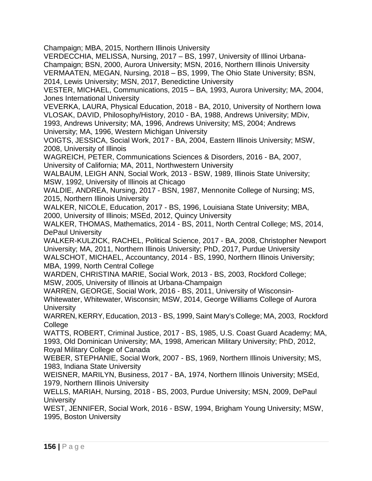Champaign; MBA, 2015, Northern Illinois University

VERDECCHIA, MELISSA, Nursing, 2017 – BS, 1997, University of Illinoi Urbana-Champaign; BSN, 2000, Aurora University; MSN, 2016, Northern Illinois University VERMAATEN, MEGAN, Nursing, 2018 – BS, 1999, The Ohio State University; BSN, 2014, Lewis University; MSN, 2017, Benedictine University

VESTER, MICHAEL, Communications, 2015 – BA, 1993, Aurora University; MA, 2004, Jones International University

VEVERKA, LAURA, Physical Education, 2018 - BA, 2010, University of Northern Iowa VLOSAK, DAVID, Philosophy/History, 2010 - BA, 1988, Andrews University; MDiv,

1993, Andrews University; MA, 1996, Andrews University; MS, 2004; Andrews University; MA, 1996, Western Michigan University

VOIGTS, JESSICA, Social Work, 2017 - BA, 2004, Eastern Illinois University; MSW, 2008, University of Illinois

WAGREICH, PETER, Communications Sciences & Disorders, 2016 - BA, 2007, University of California; MA, 2011, Northwestern University

WALBAUM, LEIGH ANN, Social Work, 2013 - BSW, 1989, Illinois State University; MSW, 1992, University of Illinois at Chicago

WALDIE, ANDREA, Nursing, 2017 - BSN, 1987, Mennonite College of Nursing; MS, 2015, Northern Illinois University

WALKER, NICOLE, Education, 2017 - BS, 1996, Louisiana State University; MBA, 2000, University of Illinois; MSEd, 2012, Quincy University

WALKER, THOMAS, Mathematics, 2014 - BS, 2011, North Central College; MS, 2014, DePaul University

WALKER-KULZICK, RACHEL, Political Science, 2017 - BA, 2008, Christopher Newport University; MA, 2011, Northern Illinois University; PhD, 2017, Purdue University WALSCHOT, MICHAEL, Accountancy, 2014 - BS, 1990, Northern Illinois University;

MBA, 1999, North Central College

WARDEN, CHRISTINA MARIE, Social Work, 2013 - BS, 2003, Rockford College; MSW, 2005, University of Illinois at Urbana-Champaign

WARREN, GEORGE, Social Work, 2016 - BS, 2011, University of Wisconsin-Whitewater, Whitewater, Wisconsin; MSW, 2014, George Williams College of Aurora **University** 

WARREN, KERRY, Education, 2013 - BS, 1999, Saint Mary's College; MA, 2003, Rockford **College** 

WATTS, ROBERT, Criminal Justice, 2017 - BS, 1985, U.S. Coast Guard Academy; MA, 1993, Old Dominican University; MA, 1998, American Military University; PhD, 2012, Royal Military College of Canada

WEBER, STEPHANIE, Social Work, 2007 - BS, 1969, Northern Illinois University; MS, 1983, Indiana State University

WEISNER, MARILYN, Business, 2017 - BA, 1974, Northern Illinois University; MSEd, 1979, Northern Illinois University

WELLS, MARIAH, Nursing, 2018 - BS, 2003, Purdue University; MSN, 2009, DePaul **University** 

WEST, JENNIFER, Social Work, 2016 - BSW, 1994, Brigham Young University; MSW, 1995, Boston University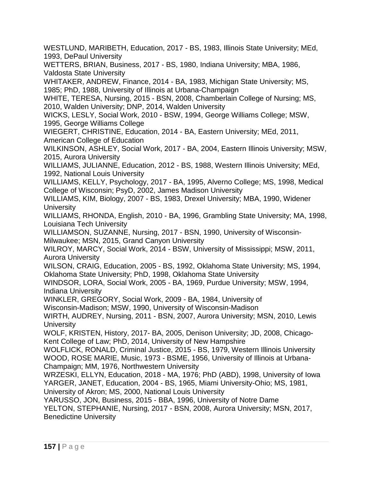WESTLUND, MARIBETH, Education, 2017 - BS, 1983, Illinois State University; MEd, 1993, DePaul University

WETTERS, BRIAN, Business, 2017 - BS, 1980, Indiana University; MBA, 1986, Valdosta State University

WHITAKER, ANDREW, Finance, 2014 - BA, 1983, Michigan State University; MS, 1985; PhD, 1988, University of Illinois at Urbana-Champaign

WHITE, TERESA, Nursing, 2015 - BSN, 2008, Chamberlain College of Nursing; MS, 2010, Walden University; DNP, 2014, Walden University

WICKS, LESLY, Social Work, 2010 - BSW, 1994, George Williams College; MSW, 1995, George Williams College

WIEGERT, CHRISTINE, Education, 2014 - BA, Eastern University; MEd, 2011, American College of Education

WILKINSON, ASHLEY, Social Work, 2017 - BA, 2004, Eastern Illinois University; MSW, 2015, Aurora University

WILLIAMS, JULIANNE, Education, 2012 - BS, 1988, Western Illinois University; MEd, 1992, National Louis University

WILLIAMS, KELLY, Psychology, 2017 - BA, 1995, Alverno College; MS, 1998, Medical College of Wisconsin; PsyD, 2002, James Madison University

WILLIAMS, KIM, Biology, 2007 - BS, 1983, Drexel University; MBA, 1990, Widener **University** 

WILLIAMS, RHONDA, English, 2010 - BA, 1996, Grambling State University; MA, 1998, Louisiana Tech University

WILLIAMSON, SUZANNE, Nursing, 2017 - BSN, 1990, University of Wisconsin-Milwaukee; MSN, 2015, Grand Canyon University

WILROY, MARCY, Social Work, 2014 - BSW, University of Mississippi; MSW, 2011, Aurora University

WILSON, CRAIG, Education, 2005 - BS, 1992, Oklahoma State University; MS, 1994, Oklahoma State University; PhD, 1998, Oklahoma State University

WINDSOR, LORA, Social Work, 2005 - BA, 1969, Purdue University; MSW, 1994, Indiana University

WINKLER, GREGORY, Social Work, 2009 - BA, 1984, University of

Wisconsin-Madison; MSW, 1990, University of Wisconsin-Madison

WIRTH, AUDREY, Nursing, 2011 - BSN, 2007, Aurora University; MSN, 2010, Lewis **University** 

WOLF, KRISTEN, History, 2017- BA, 2005, Denison University; JD, 2008, Chicago-Kent College of Law; PhD, 2014, University of New Hampshire

WOLFLICK, RONALD, Criminal Justice, 2015 - BS, 1979, Western Illinois University WOOD, ROSE MARIE, Music, 1973 - BSME, 1956, University of Illinois at Urbana-Champaign; MM, 1976, Northwestern University

WRZESKI, ELLYN, Education, 2018 - MA, 1976; PhD (ABD), 1998, University of Iowa YARGER, JANET, Education, 2004 - BS, 1965, Miami University-Ohio; MS, 1981, University of Akron; MS, 2000, National Louis University

YARUSSO, JON, Business, 2015 - BBA, 1996, University of Notre Dame

YELTON, STEPHANIE, Nursing, 2017 - BSN, 2008, Aurora University; MSN, 2017, Benedictine University